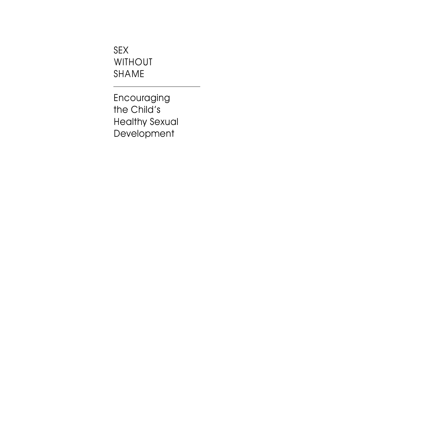#### SEX WITHOUT SHAME

Encouraging the Child's Healthy Sexual Development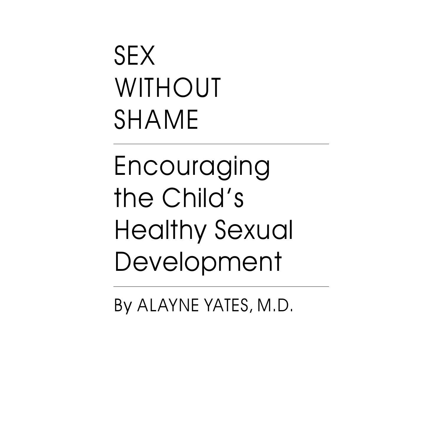# SEX WITHOUT **SHAME**

# Encouraging the Child's Healthy Sexual Development

By ALAYNE YATES, M.D.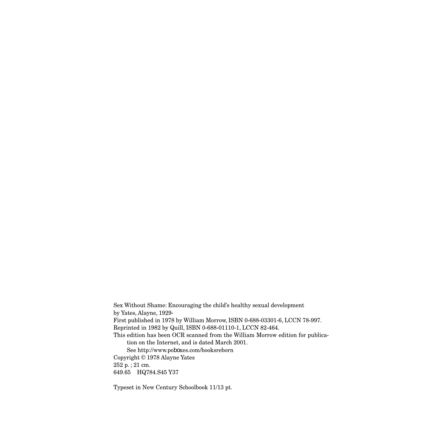Sex Without Shame: Encouraging the child's healthy sexual development by Yates, Alayne, 1929- First published in 1978 by William Morrow, ISBN 0-688-03301-6, LCCN 78-997. Reprinted in 1982 by Quill, ISBN 0-688-01110-1, LCCN 82-464. This edition has been OCR scanned from the William Morrow edition for publication on the Internet, and is dated March 2001. See http://www.pobo[xes.com/booksreborn](http://www.poboxes.com/booksreborn) Copyright © 1978 Alayne Yates 252 p. ; 21 cm. 649.65 HQ784.S45 Y37

Typeset in New Century Schoolbook 11/13 pt.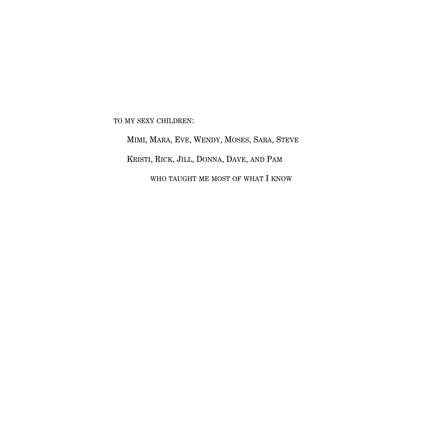TO MY SEXY CHILDREN:

MIMI, MARA, EVE, WENDY, MOSES, SARA, STEVE KRISTI, RICK, JILL, DONNA, DAVE, AND PAM WHO TAUGHT ME MOST OF WHAT I KNOW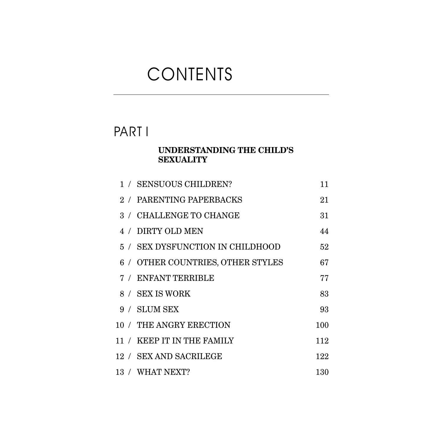# **CONTENTS**

### PART I

#### **UNDERSTANDING THE CHILD'S SEXUALITY**

| 1 / SENSUOUS CHILDREN?            | 11  |
|-----------------------------------|-----|
| 2 / PARENTING PAPERBACKS          | 21  |
| 3 / CHALLENGE TO CHANGE           | 31  |
| 4 / DIRTY OLD MEN                 | 44  |
| 5 / SEX DYSFUNCTION IN CHILDHOOD  | 52  |
| 6 / OTHER COUNTRIES, OTHER STYLES | 67  |
| 7 / ENFANT TERRIBLE               | 77  |
| 8 / SEX IS WORK                   | 83  |
| 9 / SLUM SEX                      | 93  |
| 10 / THE ANGRY ERECTION           | 100 |
| 11 / KEEP IT IN THE FAMILY        | 112 |
| 12 / SEX AND SACRILEGE            | 122 |
| 13 / WHAT NEXT?                   | 130 |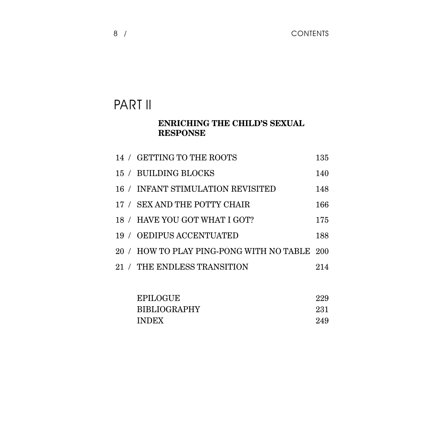### PART II

#### **ENRICHING THE CHILD'S SEXUAL RESPONSE**

| 14 / GETTING TO THE ROOTS                    | 135 |
|----------------------------------------------|-----|
| 15 / BUILDING BLOCKS                         | 140 |
| 16 / INFANT STIMULATION REVISITED            | 148 |
| 17 / SEX AND THE POTTY CHAIR                 | 166 |
| 18 / HAVE YOU GOT WHAT I GOT?                | 175 |
| 19 / OEDIPUS ACCENTUATED                     | 188 |
| 20 / HOW TO PLAY PING-PONG WITH NO TABLE 200 |     |
| 21 / THE ENDLESS TRANSITION                  | 214 |
|                                              |     |
| EDIL OOLIE                                   | റററ |

| EPILOGUE            | 229 |
|---------------------|-----|
| <b>BIBLIOGRAPHY</b> | 231 |
| <b>INDEX</b>        | 249 |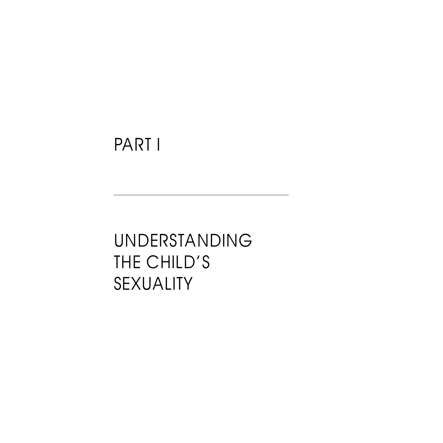## PART I

## UNDERSTANDING THE CHILD'S SEXUALITY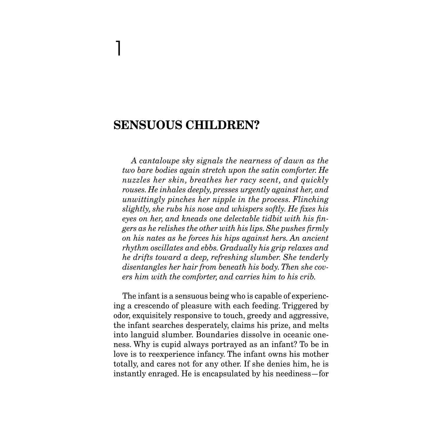#### **SENSUOUS CHILDREN?**

<span id="page-10-0"></span>1

*A cantaloupe sky signals the nearness of dawn as the two bare bodies again stretch upon the satin comforter. He nuzzles her skin, breathes her racy scent, and quickly rouses. He inhales deeply, presses urgently against her, and unwittingly pinches her nipple in the process. Flinching slightly, she rubs his nose and whispers softly. He fixes his eyes on her, and kneads one delectable tidbit with his fingers as he relishes the other with his lips. She pushes firmly on his nates as he forces his hips against hers. An ancient rhythm oscillates and ebbs. Gradually his grip relaxes and he drifts toward a deep, refreshing slumber. She tenderly disentangles her hair from beneath his body. Then she covers him with the comforter, and carries him to his crib.*

The infant is a sensuous being who is capable of experiencing a crescendo of pleasure with each feeding. Triggered by odor, exquisitely responsive to touch, greedy and aggressive, the infant searches desperately, claims his prize, and melts into languid slumber. Boundaries dissolve in oceanic oneness. Why is cupid always portrayed as an infant? To be in love is to reexperience infancy. The infant owns his mother totally, and cares not for any other. If she denies him, he is instantly enraged. He is encapsulated by his neediness—for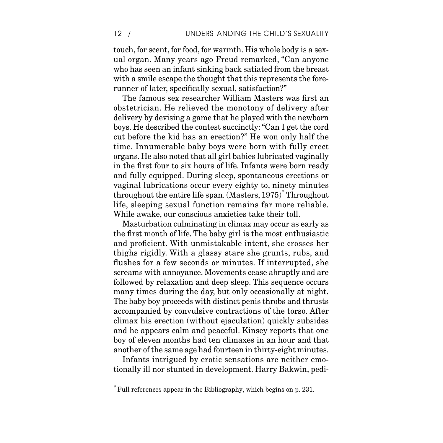touch, for scent, for food, for warmth. His whole body is a sexual organ. Many years ago Freud remarked, "Can anyone who has seen an infant sinking back satiated from the breast with a smile escape the thought that this represents the forerunner of later, specifically sexual, satisfaction?"

The famous sex researcher William Masters was first an obstetrician. He relieved the monotony of delivery after delivery by devising a game that he played with the newborn boys. He described the contest succinctly: "Can I get the cord cut before the kid has an erection?" He won only half the time. Innumerable baby boys were born with fully erect organs. He also noted that all girl babies lubricated vaginally in the first four to six hours of life. Infants were born ready and fully equipped. During sleep, spontaneous erections or vaginal lubrications occur every eighty to, ninety minutes throughout the entire life span. (Masters, 1975)\* Throughout life, sleeping sexual function remains far more reliable. While awake, our conscious anxieties take their toll.

Masturbation culminating in climax may occur as early as the first month of life. The baby girl is the most enthusiastic and proficient. With unmistakable intent, she crosses her thighs rigidly. With a glassy stare she grunts, rubs, and flushes for a few seconds or minutes. If interrupted, she screams with annoyance. Movements cease abruptly and are followed by relaxation and deep sleep. This sequence occurs many times during the day, but only occasionally at night. The baby boy proceeds with distinct penis throbs and thrusts accompanied by convulsive contractions of the torso. After climax his erection (without ejaculation) quickly subsides and he appears calm and peaceful. Kinsey reports that one boy of eleven months had ten climaxes in an hour and that another of the same age had fourteen in thirty-eight minutes.

Infants intrigued by erotic sensations are neither emotionally ill nor stunted in development. Harry Bakwin, pedi-

<sup>\*</sup> Full references appear in the Bibliography, which begins on p. 231.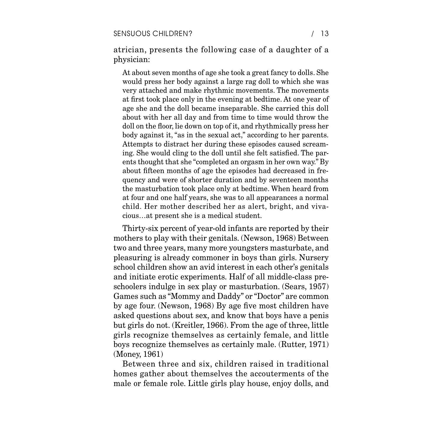atrician, presents the following case of a daughter of a physician:

At about seven months of age she took a great fancy to dolls. She would press her body against a large rag doll to which she was very attached and make rhythmic movements. The movements at first took place only in the evening at bedtime. At one year of age she and the doll became inseparable. She carried this doll about with her all day and from time to time would throw the doll on the floor, lie down on top of it, and rhythmically press her body against it, "as in the sexual act," according to her parents. Attempts to distract her during these episodes caused screaming. She would cling to the doll until she felt satisfied. The parents thought that she "completed an orgasm in her own way." By about fifteen months of age the episodes had decreased in frequency and were of shorter duration and by seventeen months the masturbation took place only at bedtime. When heard from at four and one half years, she was to all appearances a normal child. Her mother described her as alert, bright, and vivacious…at present she is a medical student.

Thirty-six percent of year-old infants are reported by their mothers to play with their genitals. (Newson, 1968) Between two and three years, many more youngsters masturbate, and pleasuring is already commoner in boys than girls. Nursery school children show an avid interest in each other's genitals and initiate erotic experiments. Half of all middle-class preschoolers indulge in sex play or masturbation. (Sears, 1957) Games such as "Mommy and Daddy" or "Doctor" are common by age four. (Newson, 1968) By age five most children have asked questions about sex, and know that boys have a penis but girls do not. (Kreitler, 1966). From the age of three, little girls recognize themselves as certainly female, and little boys recognize themselves as certainly male. (Rutter, 1971) (Money, 1961)

Between three and six, children raised in traditional homes gather about themselves the accouterments of the male or female role. Little girls play house, enjoy dolls, and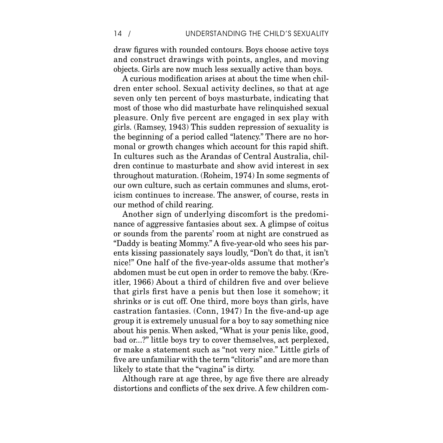draw figures with rounded contours. Boys choose active toys and construct drawings with points, angles, and moving objects. Girls are now much less sexually active than boys.

A curious modification arises at about the time when children enter school. Sexual activity declines, so that at age seven only ten percent of boys masturbate, indicating that most of those who did masturbate have relinquished sexual pleasure. Only five percent are engaged in sex play with girls. (Ramsey, 1943) This sudden repression of sexuality is the beginning of a period called "latency." There are no hormonal or growth changes which account for this rapid shift. In cultures such as the Arandas of Central Australia, children continue to masturbate and show avid interest in sex throughout maturation. (Roheim, 1974) In some segments of our own culture, such as certain communes and slums, eroticism continues to increase. The answer, of course, rests in our method of child rearing.

Another sign of underlying discomfort is the predominance of aggressive fantasies about sex. A glimpse of coitus or sounds from the parents' room at night are construed as "Daddy is beating Mommy." A five-year-old who sees his parents kissing passionately says loudly, "Don't do that, it isn't nice!" One half of the five-year-olds assume that mother's abdomen must be cut open in order to remove the baby. (Kreitler, 1966) About a third of children five and over believe that girls first have a penis but then lose it somehow; it shrinks or is cut off. One third, more boys than girls, have castration fantasies. (Conn, 1947) In the five-and-up age group it is extremely unusual for a boy to say something nice about his penis. When asked, "What is your penis like, good, bad or...?" little boys try to cover themselves, act perplexed, or make a statement such as "not very nice." Little girls of five are unfamiliar with the term "clitoris" and are more than likely to state that the "vagina" is dirty.

Although rare at age three, by age five there are already distortions and conflicts of the sex drive. A few children com-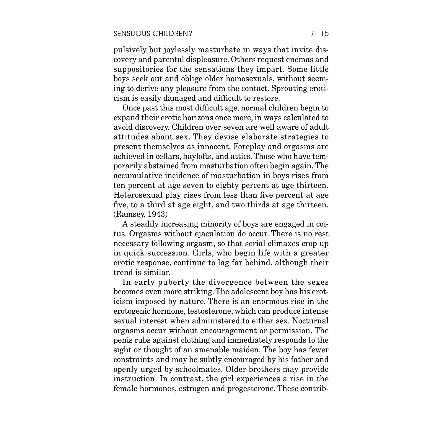pulsively but joylessly masturbate in ways that invite discovery and parental displeasure. Others request enemas and suppositories for the sensations they impart. Some little boys seek out and oblige older homosexuals, without seeming to derive any pleasure from the contact. Sprouting eroticism is easily damaged and difficult to restore.

Once past this most difficult age, normal children begin to expand their erotic horizons once more, in ways calculated to avoid discovery. Children over seven are well aware of adult attitudes about sex. They devise elaborate strategies to present themselves as innocent. Foreplay and orgasms are achieved in cellars, haylofts, and attics. Those who have temporarily abstained from masturbation often begin again. The accumulative incidence of masturbation in boys rises from ten percent at age seven to eighty percent at age thirteen. Heterosexual play rises from less than five percent at age five, to a third at age eight, and two thirds at age thirteen. (Ramsey, 1943)

A steadily increasing minority of boys are engaged in coitus. Orgasms without ejaculation do occur. There is no rest necessary following orgasm, so that serial climaxes crop up in quick succession. Girls, who begin life with a greater erotic response, continue to lag far behind, although their trend is similar.

In early puberty the divergence between the sexes becomes even more striking. The adolescent boy has his eroticism imposed by nature. There is an enormous rise in the erotogenic hormone, testosterone, which can produce intense sexual interest when administered to either sex. Nocturnal orgasms occur without encouragement or permission. The penis rubs against clothing and immediately responds to the sight or thought of an amenable maiden. The boy has fewer constraints and may be subtly encouraged by his father and openly urged by schoolmates. Older brothers may provide instruction. In contrast, the girl experiences a rise in the female hormones, estrogen and progesterone. These contrib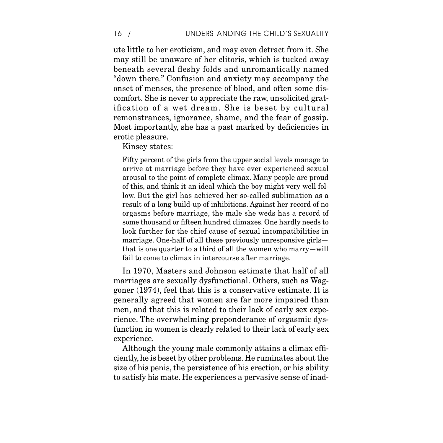ute little to her eroticism, and may even detract from it. She may still be unaware of her clitoris, which is tucked away beneath several fleshy folds and unromantically named "down there." Confusion and anxiety may accompany the onset of menses, the presence of blood, and often some discomfort. She is never to appreciate the raw, unsolicited gratification of a wet dream. She is beset by cultural remonstrances, ignorance, shame, and the fear of gossip. Most importantly, she has a past marked by deficiencies in erotic pleasure.

Kinsey states:

Fifty percent of the girls from the upper social levels manage to arrive at marriage before they have ever experienced sexual arousal to the point of complete climax. Many people are proud of this, and think it an ideal which the boy might very well follow. But the girl has achieved her so-called sublimation as a result of a long build-up of inhibitions. Against her record of no orgasms before marriage, the male she weds has a record of some thousand or fifteen hundred climaxes. One hardly needs to look further for the chief cause of sexual incompatibilities in marriage. One-half of all these previously unresponsive girls that is one quarter to a third of all the women who marry—will fail to come to climax in intercourse after marriage.

In 1970, Masters and Johnson estimate that half of all marriages are sexually dysfunctional. Others, such as Waggoner (1974), feel that this is a conservative estimate. It is generally agreed that women are far more impaired than men, and that this is related to their lack of early sex experience. The overwhelming preponderance of orgasmic dysfunction in women is clearly related to their lack of early sex experience.

Although the young male commonly attains a climax efficiently, he is beset by other problems. He ruminates about the size of his penis, the persistence of his erection, or his ability to satisfy his mate. He experiences a pervasive sense of inad-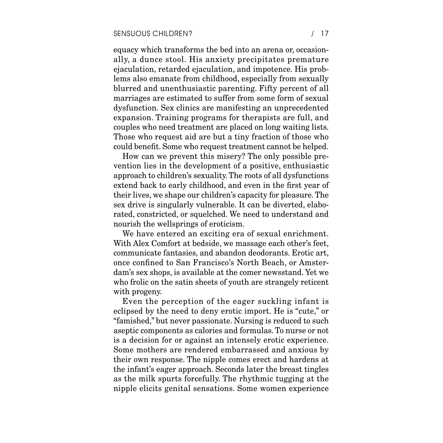equacy which transforms the bed into an arena or, occasionally, a dunce stool. His anxiety precipitates premature ejaculation, retarded ejaculation, and impotence. His problems also emanate from childhood, especially from sexually blurred and unenthusiastic parenting. Fifty percent of all marriages are estimated to suffer from some form of sexual dysfunction. Sex clinics are manifesting an unprecedented expansion. Training programs for therapists are full, and couples who need treatment are placed on long waiting lists. Those who request aid are but a tiny fraction of those who could benefit. Some who request treatment cannot be helped.

How can we prevent this misery? The only possible prevention lies in the development of a positive, enthusiastic approach to children's sexuality. The roots of all dysfunctions extend back to early childhood, and even in the first year of their lives, we shape our children's capacity for pleasure. The sex drive is singularly vulnerable. It can be diverted, elaborated, constricted, or squelched. We need to understand and nourish the wellsprings of eroticism.

We have entered an exciting era of sexual enrichment. With Alex Comfort at bedside, we massage each other's feet, communicate fantasies, and abandon deodorants. Erotic art, once confined to San Francisco's North Beach, or Amsterdam's sex shops, is available at the comer newsstand. Yet we who frolic on the satin sheets of youth are strangely reticent with progeny.

Even the perception of the eager suckling infant is eclipsed by the need to deny erotic import. He is "cute," or "famished," but never passionate. Nursing is reduced to such aseptic components as calories and formulas. To nurse or not is a decision for or against an intensely erotic experience. Some mothers are rendered embarrassed and anxious by their own response. The nipple comes erect and hardens at the infant's eager approach. Seconds later the breast tingles as the milk spurts forcefully. The rhythmic tugging at the nipple elicits genital sensations. Some women experience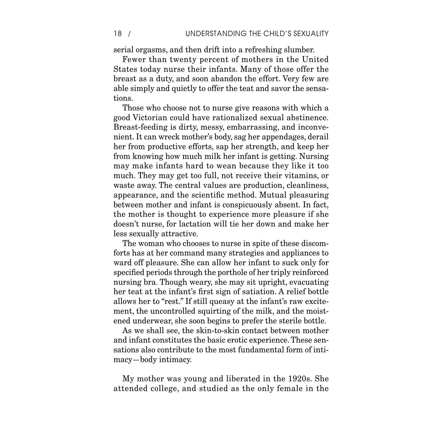serial orgasms, and then drift into a refreshing slumber.

Fewer than twenty percent of mothers in the United States today nurse their infants. Many of those offer the breast as a duty, and soon abandon the effort. Very few are able simply and quietly to offer the teat and savor the sensations.

Those who choose not to nurse give reasons with which a good Victorian could have rationalized sexual abstinence. Breast-feeding is dirty, messy, embarrassing, and inconvenient. It can wreck mother's body, sag her appendages, derail her from productive efforts, sap her strength, and keep her from knowing how much milk her infant is getting. Nursing may make infants hard to wean because they like it too much. They may get too full, not receive their vitamins, or waste away. The central values are production, cleanliness, appearance, and the scientific method. Mutual pleasuring between mother and infant is conspicuously absent. In fact, the mother is thought to experience more pleasure if she doesn't nurse, for lactation will tie her down and make her less sexually attractive.

The woman who chooses to nurse in spite of these discomforts has at her command many strategies and appliances to ward off pleasure. She can allow her infant to suck only for specified periods through the porthole of her triply reinforced nursing bra. Though weary, she may sit upright, evacuating her teat at the infant's first sign of satiation. A relief bottle allows her to "rest." If still queasy at the infant's raw excitement, the uncontrolled squirting of the milk, and the moistened underwear, she soon begins to prefer the sterile bottle.

As we shall see, the skin-to-skin contact between mother and infant constitutes the basic erotic experience. These sensations also contribute to the most fundamental form of intimacy—body intimacy.

My mother was young and liberated in the 1920s. She attended college, and studied as the only female in the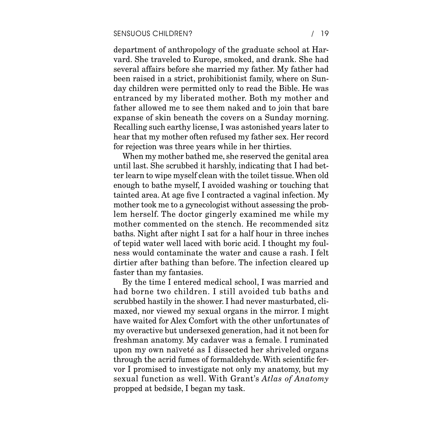department of anthropology of the graduate school at Harvard. She traveled to Europe, smoked, and drank. She had several affairs before she married my father. My father had been raised in a strict, prohibitionist family, where on Sunday children were permitted only to read the Bible. He was entranced by my liberated mother. Both my mother and father allowed me to see them naked and to join that bare expanse of skin beneath the covers on a Sunday morning. Recalling such earthy license, I was astonished years later to hear that my mother often refused my father sex. Her record for rejection was three years while in her thirties.

When my mother bathed me, she reserved the genital area until last. She scrubbed it harshly, indicating that I had better learn to wipe myself clean with the toilet tissue. When old enough to bathe myself, I avoided washing or touching that tainted area. At age five I contracted a vaginal infection. My mother took me to a gynecologist without assessing the problem herself. The doctor gingerly examined me while my mother commented on the stench. He recommended sitz baths. Night after night I sat for a half hour in three inches of tepid water well laced with boric acid. I thought my foulness would contaminate the water and cause a rash. I felt dirtier after bathing than before. The infection cleared up faster than my fantasies.

By the time I entered medical school, I was married and had borne two children. I still avoided tub baths and scrubbed hastily in the shower. I had never masturbated, climaxed, nor viewed my sexual organs in the mirror. I might have waited for Alex Comfort with the other unfortunates of my overactive but undersexed generation, had it not been for freshman anatomy. My cadaver was a female. I ruminated upon my own naïveté as I dissected her shriveled organs through the acrid fumes of formaldehyde. With scientific fervor I promised to investigate not only my anatomy, but my sexual function as well. With Grant's *Atlas of Anatomy* propped at bedside, I began my task.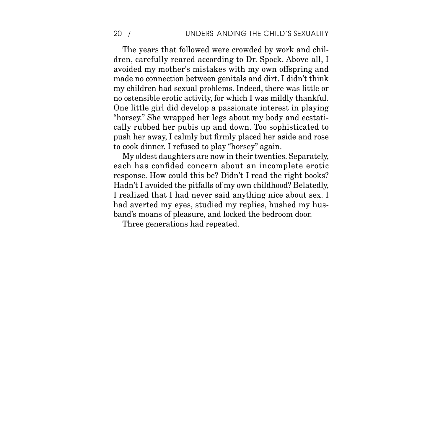The years that followed were crowded by work and children, carefully reared according to Dr. Spock. Above all, I avoided my mother's mistakes with my own offspring and made no connection between genitals and dirt. I didn't think my children had sexual problems. Indeed, there was little or no ostensible erotic activity, for which I was mildly thankful. One little girl did develop a passionate interest in playing "horsey." She wrapped her legs about my body and ecstatically rubbed her pubis up and down. Too sophisticated to push her away, I calmly but firmly placed her aside and rose to cook dinner. I refused to play "horsey" again.

My oldest daughters are now in their twenties. Separately, each has confided concern about an incomplete erotic response. How could this be? Didn't I read the right books? Hadn't I avoided the pitfalls of my own childhood? Belatedly, I realized that I had never said anything nice about sex. I had averted my eyes, studied my replies, hushed my husband's moans of pleasure, and locked the bedroom door.

Three generations had repeated.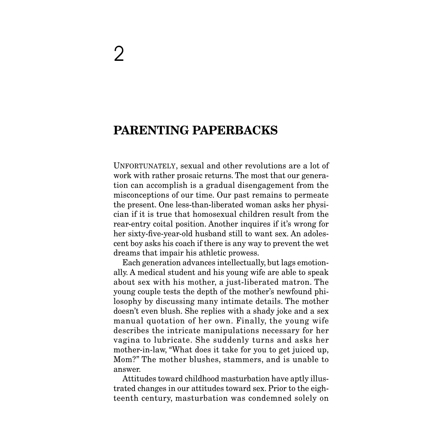#### <span id="page-20-0"></span>**PARENTING PAPERBACKS**

UNFORTUNATELY, sexual and other revolutions are a lot of work with rather prosaic returns. The most that our generation can accomplish is a gradual disengagement from the misconceptions of our time. Our past remains to permeate the present. One less-than-liberated woman asks her physician if it is true that homosexual children result from the rear-entry coital position. Another inquires if it's wrong for her sixty-five-year-old husband still to want sex. An adolescent boy asks his coach if there is any way to prevent the wet dreams that impair his athletic prowess.

Each generation advances intellectually, but lags emotionally. A medical student and his young wife are able to speak about sex with his mother, a just-liberated matron. The young couple tests the depth of the mother's newfound philosophy by discussing many intimate details. The mother doesn't even blush. She replies with a shady joke and a sex manual quotation of her own. Finally, the young wife describes the intricate manipulations necessary for her vagina to lubricate. She suddenly turns and asks her mother-in-law, "What does it take for you to get juiced up, Mom?" The mother blushes, stammers, and is unable to answer.

Attitudes toward childhood masturbation have aptly illustrated changes in our attitudes toward sex. Prior to the eighteenth century, masturbation was condemned solely on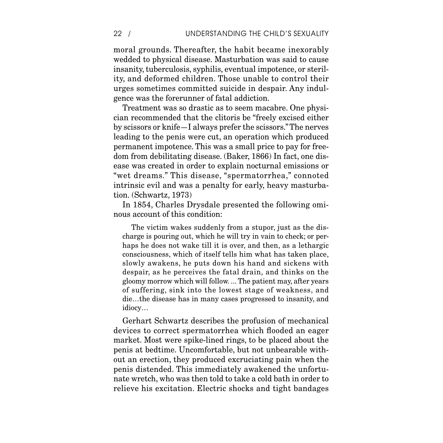moral grounds. Thereafter, the habit became inexorably wedded to physical disease. Masturbation was said to cause insanity, tuberculosis, syphilis, eventual impotence, or sterility, and deformed children. Those unable to control their urges sometimes committed suicide in despair. Any indulgence was the forerunner of fatal addiction.

Treatment was so drastic as to seem macabre. One physician recommended that the clitoris be "freely excised either by scissors or knife—I always prefer the scissors." The nerves leading to the penis were cut, an operation which produced permanent impotence. This was a small price to pay for freedom from debilitating disease. (Baker, 1866) In fact, one disease was created in order to explain nocturnal emissions or "wet dreams." This disease, "spermatorrhea," connoted intrinsic evil and was a penalty for early, heavy masturbation. (Schwartz, 1973)

In 1854, Charles Drysdale presented the following ominous account of this condition:

The victim wakes suddenly from a stupor, just as the discharge is pouring out, which he will try in vain to check; or perhaps he does not wake till it is over, and then, as a lethargic consciousness, which of itself tells him what has taken place, slowly awakens, he puts down his hand and sickens with despair, as he perceives the fatal drain, and thinks on the gloomy morrow which will follow. ... The patient may, after years of suffering, sink into the lowest stage of weakness, and die…the disease has in many cases progressed to insanity, and idiocy…

Gerhart Schwartz describes the profusion of mechanical devices to correct spermatorrhea which flooded an eager market. Most were spike-lined rings, to be placed about the penis at bedtime. Uncomfortable, but not unbearable without an erection, they produced excruciating pain when the penis distended. This immediately awakened the unfortunate wretch, who was then told to take a cold bath in order to relieve his excitation. Electric shocks and tight bandages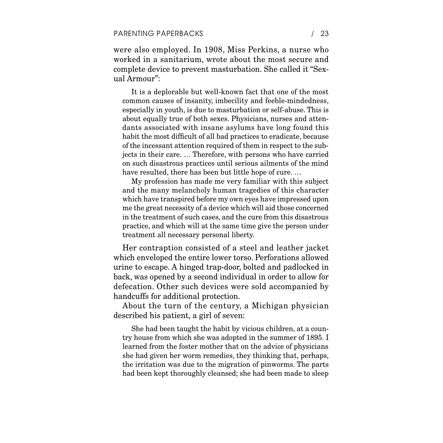were also employed. In 1908, Miss Perkins, a nurse who worked in a sanitarium, wrote about the most secure and complete device to prevent masturbation. She called it "Sexual Armour":

It is a deplorable but well-known fact that one of the most common causes of insanity, imbecility and feeble-mindedness, especially in youth, is due to masturbation or self-abuse. This is about equally true of both sexes. Physicians, nurses and attendants associated with insane asylums have long found this habit the most difficult of all bad practices to eradicate, because of the incessant attention required of them in respect to the subjects in their care. … Therefore, with persons who have carried on such disastrous practices until serious ailments of the mind have resulted, there has been but little hope of cure. …

My profession has made me very familiar with this subject and the many melancholy human tragedies of this character which have transpired before my own eyes have impressed upon me the great necessity of a device which will aid those concerned in the treatment of such cases, and the cure from this disastrous practice, and which will at the same time give the person under treatment all necessary personal liberty.

Her contraption consisted of a steel and leather jacket which enveloped the entire lower torso. Perforations allowed urine to escape. A hinged trap-door, bolted and padlocked in back, was opened by a second individual in order to allow for defecation. Other such devices were sold accompanied by handcuffs for additional protection.

About the turn of the century, a Michigan physician described his patient, a girl of seven:

She had been taught the habit by vicious children, at a country house from which she was adopted in the summer of 1895. I learned from the foster mother that on the advice of physicians she had given her worm remedies, they thinking that, perhaps, the irritation was due to the migration of pinworms. The parts had been kept thoroughly cleansed; she had been made to sleep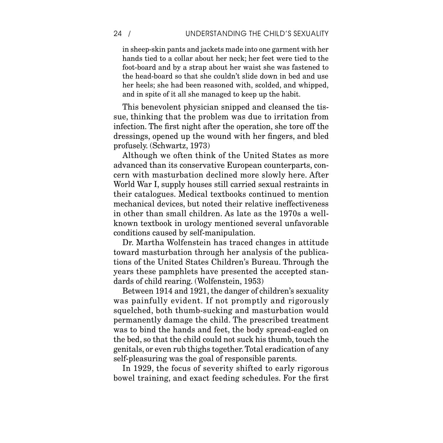in sheep-skin pants and jackets made into one garment with her hands tied to a collar about her neck; her feet were tied to the foot-board and by a strap about her waist she was fastened to the head-board so that she couldn't slide down in bed and use her heels; she had been reasoned with, scolded, and whipped, and in spite of it all she managed to keep up the habit.

This benevolent physician snipped and cleansed the tissue, thinking that the problem was due to irritation from infection. The first night after the operation, she tore off the dressings, opened up the wound with her fingers, and bled profusely. (Schwartz, 1973)

Although we often think of the United States as more advanced than its conservative European counterparts, concern with masturbation declined more slowly here. After World War I, supply houses still carried sexual restraints in their catalogues. Medical textbooks continued to mention mechanical devices, but noted their relative ineffectiveness in other than small children. As late as the 1970s a wellknown textbook in urology mentioned several unfavorable conditions caused by self-manipulation.

Dr. Martha Wolfenstein has traced changes in attitude toward masturbation through her analysis of the publications of the United States Children's Bureau. Through the years these pamphlets have presented the accepted standards of child rearing. (Wolfenstein, 1953)

Between 1914 and 1921, the danger of children's sexuality was painfully evident. If not promptly and rigorously squelched, both thumb-sucking and masturbation would permanently damage the child. The prescribed treatment was to bind the hands and feet, the body spread-eagled on the bed, so that the child could not suck his thumb, touch the genitals, or even rub thighs together. Total eradication of any self-pleasuring was the goal of responsible parents.

In 1929, the focus of severity shifted to early rigorous bowel training, and exact feeding schedules. For the first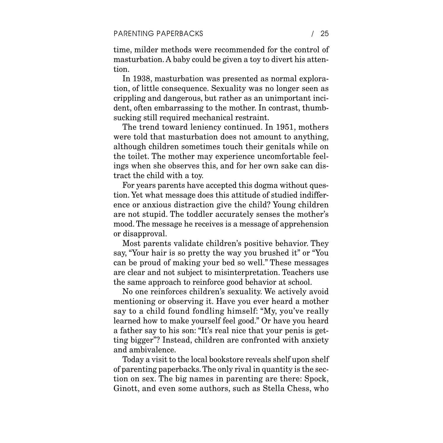time, milder methods were recommended for the control of masturbation. A baby could be given a toy to divert his attention.

In 1938, masturbation was presented as normal exploration, of little consequence. Sexuality was no longer seen as crippling and dangerous, but rather as an unimportant incident, often embarrassing to the mother. In contrast, thumbsucking still required mechanical restraint.

The trend toward leniency continued. In 1951, mothers were told that masturbation does not amount to anything, although children sometimes touch their genitals while on the toilet. The mother may experience uncomfortable feelings when she observes this, and for her own sake can distract the child with a toy.

For years parents have accepted this dogma without question. Yet what message does this attitude of studied indifference or anxious distraction give the child? Young children are not stupid. The toddler accurately senses the mother's mood. The message he receives is a message of apprehension or disapproval.

Most parents validate children's positive behavior. They say, "Your hair is so pretty the way you brushed it" or "You can be proud of making your bed so well." These messages are clear and not subject to misinterpretation. Teachers use the same approach to reinforce good behavior at school.

No one reinforces children's sexuality. We actively avoid mentioning or observing it. Have you ever heard a mother say to a child found fondling himself: "My, you've really learned how to make yourself feel good." Or have you heard a father say to his son: "It's real nice that your penis is getting bigger"? Instead, children are confronted with anxiety and ambivalence.

Today a visit to the local bookstore reveals shelf upon shelf of parenting paperbacks. The only rival in quantity is the section on sex. The big names in parenting are there: Spock, Ginott, and even some authors, such as Stella Chess, who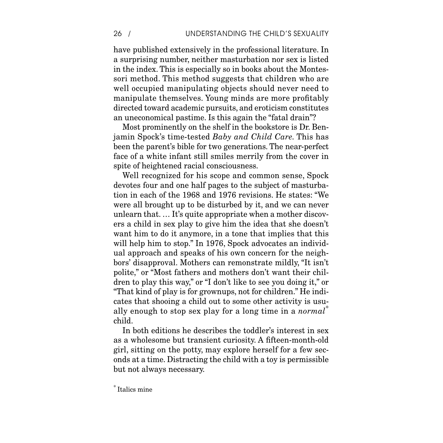have published extensively in the professional literature. In a surprising number, neither masturbation nor sex is listed in the index. This is especially so in books about the Montessori method. This method suggests that children who are well occupied manipulating objects should never need to manipulate themselves. Young minds are more profitably directed toward academic pursuits, and eroticism constitutes an uneconomical pastime. Is this again the "fatal drain"?

Most prominently on the shelf in the bookstore is Dr. Benjamin Spock's time-tested *Baby and Child Care.* This has been the parent's bible for two generations. The near-perfect face of a white infant still smiles merrily from the cover in spite of heightened racial consciousness.

Well recognized for his scope and common sense, Spock devotes four and one half pages to the subject of masturbation in each of the 1968 and 1976 revisions. He states: "We were all brought up to be disturbed by it, and we can never unlearn that. … It's quite appropriate when a mother discovers a child in sex play to give him the idea that she doesn't want him to do it anymore, in a tone that implies that this will help him to stop." In 1976, Spock advocates an individual approach and speaks of his own concern for the neighbors' disapproval. Mothers can remonstrate mildly, "It isn't polite," or "Most fathers and mothers don't want their children to play this way," or "I don't like to see you doing it," or "That kind of play is for grownups, not for children." He indicates that shooing a child out to some other activity is usually enough to stop sex play for a long time in a *normal*\* child.

In both editions he describes the toddler's interest in sex as a wholesome but transient curiosity. A fifteen-month-old girl, sitting on the potty, may explore herself for a few seconds at a time. Distracting the child with a toy is permissible but not always necessary.

\* Italics mine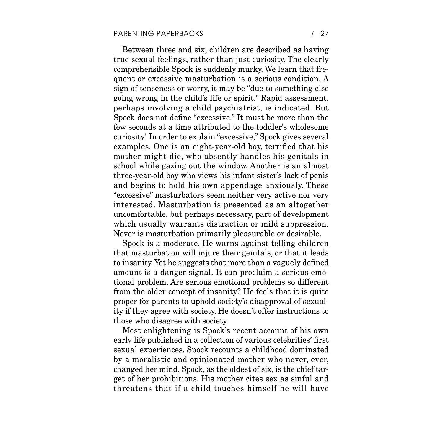Between three and six, children are described as having true sexual feelings, rather than just curiosity. The clearly comprehensible Spock is suddenly murky. We learn that frequent or excessive masturbation is a serious condition. A sign of tenseness or worry, it may be "due to something else going wrong in the child's life or spirit." Rapid assessment, perhaps involving a child psychiatrist, is indicated. But Spock does not define "excessive." It must be more than the few seconds at a time attributed to the toddler's wholesome curiosity! In order to explain "excessive," Spock gives several examples. One is an eight-year-old boy, terrified that his mother might die, who absently handles his genitals in school while gazing out the window. Another is an almost three-year-old boy who views his infant sister's lack of penis and begins to hold his own appendage anxiously. These "excessive" masturbators seem neither very active nor very interested. Masturbation is presented as an altogether uncomfortable, but perhaps necessary, part of development which usually warrants distraction or mild suppression. Never is masturbation primarily pleasurable or desirable.

Spock is a moderate. He warns against telling children that masturbation will injure their genitals, or that it leads to insanity. Yet he suggests that more than a vaguely defined amount is a danger signal. It can proclaim a serious emotional problem. Are serious emotional problems so different from the older concept of insanity? He feels that it is quite proper for parents to uphold society's disapproval of sexuality if they agree with society. He doesn't offer instructions to those who disagree with society.

Most enlightening is Spock's recent account of his own early life published in a collection of various celebrities' first sexual experiences. Spock recounts a childhood dominated by a moralistic and opinionated mother who never, ever, changed her mind. Spock, as the oldest of six, is the chief target of her prohibitions. His mother cites sex as sinful and threatens that if a child touches himself he will have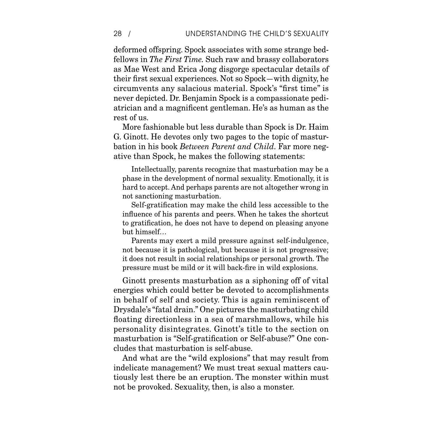deformed offspring. Spock associates with some strange bedfellows in *The First Time.* Such raw and brassy collaborators as Mae West and Erica Jong disgorge spectacular details of their first sexual experiences. Not so Spock—with dignity, he circumvents any salacious material. Spock's "first time" is never depicted. Dr. Benjamin Spock is a compassionate pediatrician and a magnificent gentleman. He's as human as the rest of us.

More fashionable but less durable than Spock is Dr. Haim G. Ginott. He devotes only two pages to the topic of masturbation in his book *Between Parent and Child.* Far more negative than Spock, he makes the following statements:

Intellectually, parents recognize that masturbation may be a phase in the development of normal sexuality. Emotionally, it is hard to accept. And perhaps parents are not altogether wrong in not sanctioning masturbation.

Self-gratification may make the child less accessible to the influence of his parents and peers. When he takes the shortcut to gratification, he does not have to depend on pleasing anyone but himself…

Parents may exert a mild pressure against self-indulgence, not because it is pathological, but because it is not progressive; it does not result in social relationships or personal growth. The pressure must be mild or it will back-fire in wild explosions.

Ginott presents masturbation as a siphoning off of vital energies which could better be devoted to accomplishments in behalf of self and society. This is again reminiscent of Drysdale's "fatal drain." One pictures the masturbating child floating directionless in a sea of marshmallows, while his personality disintegrates. Ginott's title to the section on masturbation is "Self-gratification or Self-abuse?" One concludes that masturbation is self-abuse.

And what are the "wild explosions" that may result from indelicate management? We must treat sexual matters cautiously lest there be an eruption. The monster within must not be provoked. Sexuality, then, is also a monster.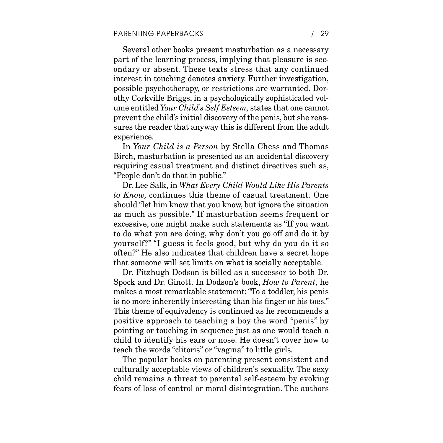Several other books present masturbation as a necessary part of the learning process, implying that pleasure is secondary or absent. These texts stress that any continued interest in touching denotes anxiety. Further investigation, possible psychotherapy, or restrictions are warranted. Dorothy Corkville Briggs, in a psychologically sophisticated volume entitled *Your Child's Self Esteem,* states that one cannot prevent the child's initial discovery of the penis, but she reassures the reader that anyway this is different from the adult experience.

In *Your Child is a Person* by Stella Chess and Thomas Birch, masturbation is presented as an accidental discovery requiring casual treatment and distinct directives such as, "People don't do that in public."

Dr. Lee Salk, in *What Every Child Would Like His Parents to Know,* continues this theme of casual treatment. One should "let him know that you know, but ignore the situation as much as possible." If masturbation seems frequent or excessive, one might make such statements as "If you want to do what you are doing, why don't you go off and do it by yourself?" "I guess it feels good, but why do you do it so often?" He also indicates that children have a secret hope that someone will set limits on what is socially acceptable.

Dr. Fitzhugh Dodson is billed as a successor to both Dr. Spock and Dr. Ginott. In Dodson's book, *How to Parent,* he makes a most remarkable statement: "To a toddler, his penis is no more inherently interesting than his finger or his toes." This theme of equivalency is continued as he recommends a positive approach to teaching a boy the word "penis" by pointing or touching in sequence just as one would teach a child to identify his ears or nose. He doesn't cover how to teach the words "clitoris" or "vagina" to little girls.

The popular books on parenting present consistent and culturally acceptable views of children's sexuality. The sexy child remains a threat to parental self-esteem by evoking fears of loss of control or moral disintegration. The authors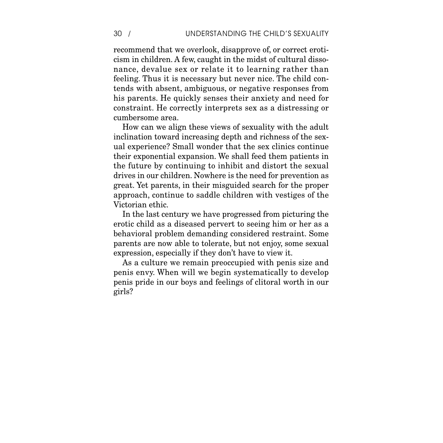recommend that we overlook, disapprove of, or correct eroticism in children. A few, caught in the midst of cultural dissonance, devalue sex or relate it to learning rather than feeling. Thus it is necessary but never nice. The child contends with absent, ambiguous, or negative responses from his parents. He quickly senses their anxiety and need for constraint. He correctly interprets sex as a distressing or cumbersome area.

How can we align these views of sexuality with the adult inclination toward increasing depth and richness of the sexual experience? Small wonder that the sex clinics continue their exponential expansion. We shall feed them patients in the future by continuing to inhibit and distort the sexual drives in our children. Nowhere is the need for prevention as great. Yet parents, in their misguided search for the proper approach, continue to saddle children with vestiges of the Victorian ethic.

In the last century we have progressed from picturing the erotic child as a diseased pervert to seeing him or her as a behavioral problem demanding considered restraint. Some parents are now able to tolerate, but not enjoy, some sexual expression, especially if they don't have to view it.

As a culture we remain preoccupied with penis size and penis envy. When will we begin systematically to develop penis pride in our boys and feelings of clitoral worth in our girls?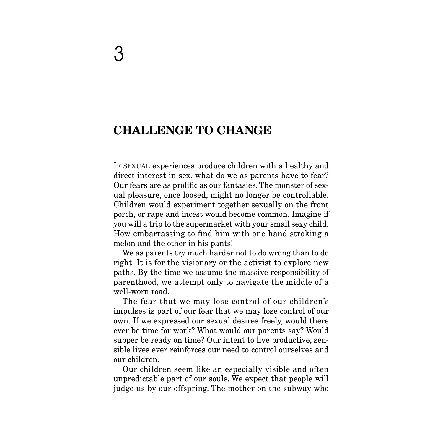#### <span id="page-30-0"></span>**CHALLENGE TO CHANGE**

IF SEXUAL experiences produce children with a healthy and direct interest in sex, what do we as parents have to fear? Our fears are as prolific as our fantasies. The monster of sexual pleasure, once loosed, might no longer be controllable. Children would experiment together sexually on the front porch, or rape and incest would become common. Imagine if you will a trip to the supermarket with your small sexy child. How embarrassing to find him with one hand stroking a melon and the other in his pants!

We as parents try much harder not to do wrong than to do right. It is for the visionary or the activist to explore new paths. By the time we assume the massive responsibility of parenthood, we attempt only to navigate the middle of a well-worn road.

The fear that we may lose control of our children's impulses is part of our fear that we may lose control of our own. If we expressed our sexual desires freely, would there ever be time for work? What would our parents say? Would supper be ready on time? Our intent to live productive, sensible lives ever reinforces our need to control ourselves and our children.

Our children seem like an especially visible and often unpredictable part of our souls. We expect that people will judge us by our offspring. The mother on the subway who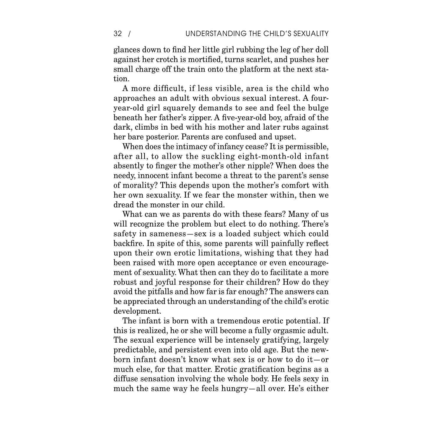glances down to find her little girl rubbing the leg of her doll against her crotch is mortified, turns scarlet, and pushes her small charge off the train onto the platform at the next station.

A more difficult, if less visible, area is the child who approaches an adult with obvious sexual interest. A fouryear-old girl squarely demands to see and feel the bulge beneath her father's zipper. A five-year-old boy, afraid of the dark, climbs in bed with his mother and later rubs against her bare posterior. Parents are confused and upset.

When does the intimacy of infancy cease? It is permissible, after all, to allow the suckling eight-month-old infant absently to finger the mother's other nipple? When does the needy, innocent infant become a threat to the parent's sense of morality? This depends upon the mother's comfort with her own sexuality. If we fear the monster within, then we dread the monster in our child.

What can we as parents do with these fears? Many of us will recognize the problem but elect to do nothing. There's safety in sameness—sex is a loaded subject which could backfire. In spite of this, some parents will painfully reflect upon their own erotic limitations, wishing that they had been raised with more open acceptance or even encouragement of sexuality. What then can they do to facilitate a more robust and joyful response for their children? How do they avoid the pitfalls and how far is far enough? The answers can be appreciated through an understanding of the child's erotic development.

The infant is born with a tremendous erotic potential. If this is realized, he or she will become a fully orgasmic adult. The sexual experience will be intensely gratifying, largely predictable, and persistent even into old age. But the newborn infant doesn't know what sex is or how to do it—or much else, for that matter. Erotic gratification begins as a diffuse sensation involving the whole body. He feels sexy in much the same way he feels hungry—all over. He's either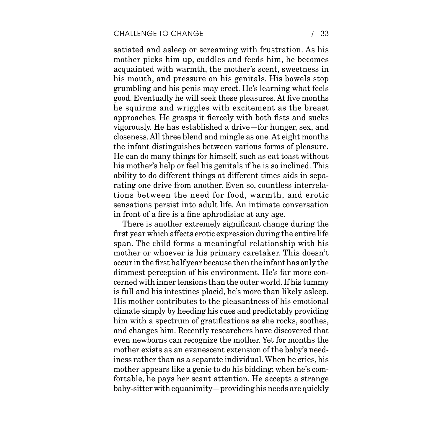satiated and asleep or screaming with frustration. As his mother picks him up, cuddles and feeds him, he becomes acquainted with warmth, the mother's scent, sweetness in his mouth, and pressure on his genitals. His bowels stop grumbling and his penis may erect. He's learning what feels good. Eventually he will seek these pleasures. At five months he squirms and wriggles with excitement as the breast approaches. He grasps it fiercely with both fists and sucks vigorously. He has established a drive—for hunger, sex, and closeness. All three blend and mingle as one. At eight months the infant distinguishes between various forms of pleasure. He can do many things for himself, such as eat toast without his mother's help or feel his genitals if he is so inclined. This ability to do different things at different times aids in separating one drive from another. Even so, countless interrelations between the need for food, warmth, and erotic sensations persist into adult life. An intimate conversation in front of a fire is a fine aphrodisiac at any age.

There is another extremely significant change during the first year which affects erotic expression during the entire life span. The child forms a meaningful relationship with his mother or whoever is his primary caretaker. This doesn't occur in the first half year because then the infant has only the dimmest perception of his environment. He's far more concerned with inner tensions than the outer world. If his tummy is full and his intestines placid, he's more than likely asleep. His mother contributes to the pleasantness of his emotional climate simply by heeding his cues and predictably providing him with a spectrum of gratifications as she rocks, soothes, and changes him. Recently researchers have discovered that even newborns can recognize the mother. Yet for months the mother exists as an evanescent extension of the baby's neediness rather than as a separate individual. When he cries, his mother appears like a genie to do his bidding; when he's comfortable, he pays her scant attention. He accepts a strange baby-sitter with equanimity—providing his needs are quickly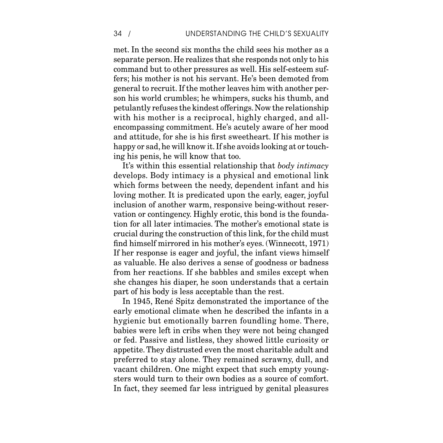met. In the second six months the child sees his mother as a separate person. He realizes that she responds not only to his command but to other pressures as well. His self-esteem suffers; his mother is not his servant. He's been demoted from general to recruit. If the mother leaves him with another person his world crumbles; he whimpers, sucks his thumb, and petulantly refuses the kindest offerings. Now the relationship with his mother is a reciprocal, highly charged, and allencompassing commitment. He's acutely aware of her mood and attitude, for she is his first sweetheart. If his mother is happy or sad, he will know it. If she avoids looking at or touching his penis, he will know that too.

It's within this essential relationship that *body intimacy* develops. Body intimacy is a physical and emotional link which forms between the needy, dependent infant and his loving mother. It is predicated upon the early, eager, joyful inclusion of another warm, responsive being-without reservation or contingency. Highly erotic, this bond is the foundation for all later intimacies. The mother's emotional state is crucial during the construction of this link, for the child must find himself mirrored in his mother's eyes. (Winnecott, 1971) If her response is eager and joyful, the infant views himself as valuable. He also derives a sense of goodness or badness from her reactions. If she babbles and smiles except when she changes his diaper, he soon understands that a certain part of his body is less acceptable than the rest.

In 1945, René Spitz demonstrated the importance of the early emotional climate when he described the infants in a hygienic but emotionally barren foundling home. There, babies were left in cribs when they were not being changed or fed. Passive and listless, they showed little curiosity or appetite. They distrusted even the most charitable adult and preferred to stay alone. They remained scrawny, dull, and vacant children. One might expect that such empty youngsters would turn to their own bodies as a source of comfort. In fact, they seemed far less intrigued by genital pleasures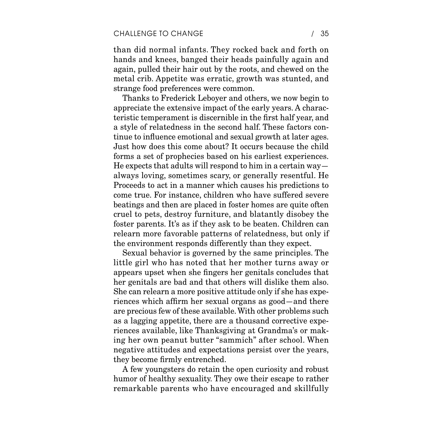than did normal infants. They rocked back and forth on hands and knees, banged their heads painfully again and again, pulled their hair out by the roots, and chewed on the metal crib. Appetite was erratic, growth was stunted, and strange food preferences were common.

Thanks to Frederick Leboyer and others, we now begin to appreciate the extensive impact of the early years. A characteristic temperament is discernible in the first half year, and a style of relatedness in the second half. These factors continue to influence emotional and sexual growth at later ages. Just how does this come about? It occurs because the child forms a set of prophecies based on his earliest experiences. He expects that adults will respond to him in a certain way always loving, sometimes scary, or generally resentful. He Proceeds to act in a manner which causes his predictions to come true. For instance, children who have suffered severe beatings and then are placed in foster homes are quite often cruel to pets, destroy furniture, and blatantly disobey the foster parents. It's as if they ask to be beaten. Children can relearn more favorable patterns of relatedness, but only if the environment responds differently than they expect.

Sexual behavior is governed by the same principles. The little girl who has noted that her mother turns away or appears upset when she fingers her genitals concludes that her genitals are bad and that others will dislike them also. She can relearn a more positive attitude only if she has experiences which affirm her sexual organs as good—and there are precious few of these available. With other problems such as a lagging appetite, there are a thousand corrective experiences available, like Thanksgiving at Grandma's or making her own peanut butter "sammich" after school. When negative attitudes and expectations persist over the years, they become firmly entrenched.

A few youngsters do retain the open curiosity and robust humor of healthy sexuality. They owe their escape to rather remarkable parents who have encouraged and skillfully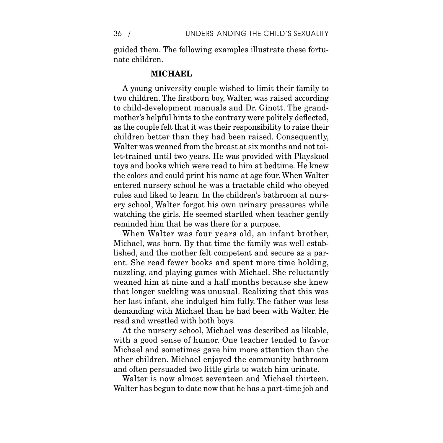guided them. The following examples illustrate these fortunate children.

#### **MICHAEL**

A young university couple wished to limit their family to two children. The firstborn boy, Walter, was raised according to child-development manuals and Dr. Ginott. The grandmother's helpful hints to the contrary were politely deflected, as the couple felt that it was their responsibility to raise their children better than they had been raised. Consequently, Walter was weaned from the breast at six months and not toilet-trained until two years. He was provided with Playskool toys and books which were read to him at bedtime. He knew the colors and could print his name at age four. When Walter entered nursery school he was a tractable child who obeyed rules and liked to learn. In the children's bathroom at nursery school, Walter forgot his own urinary pressures while watching the girls. He seemed startled when teacher gently reminded him that he was there for a purpose.

When Walter was four years old, an infant brother, Michael, was born. By that time the family was well established, and the mother felt competent and secure as a parent. She read fewer books and spent more time holding, nuzzling, and playing games with Michael. She reluctantly weaned him at nine and a half months because she knew that longer suckling was unusual. Realizing that this was her last infant, she indulged him fully. The father was less demanding with Michael than he had been with Walter. He read and wrestled with both boys.

At the nursery school, Michael was described as likable, with a good sense of humor. One teacher tended to favor Michael and sometimes gave him more attention than the other children. Michael enjoyed the community bathroom and often persuaded two little girls to watch him urinate.

Walter is now almost seventeen and Michael thirteen. Walter has begun to date now that he has a part-time job and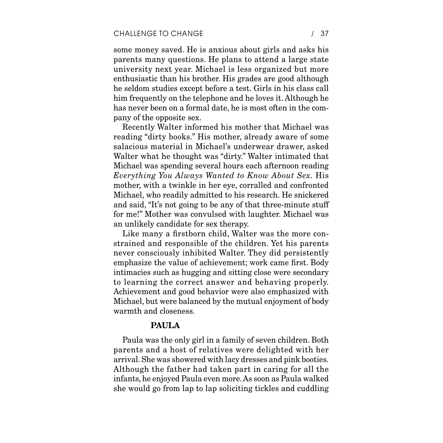some money saved. He is anxious about girls and asks his parents many questions. He plans to attend a large state university next year. Michael is less organized but more enthusiastic than his brother. His grades are good although he seldom studies except before a test. Girls in his class call him frequently on the telephone and he loves it. Although he has never been on a formal date, he is most often in the company of the opposite sex.

Recently Walter informed his mother that Michael was reading "dirty books." His mother, already aware of some salacious material in Michael's underwear drawer, asked Walter what he thought was "dirty." Walter intimated that Michael was spending several hours each afternoon reading *Everything You Always Wanted to Know About Sex.* His mother, with a twinkle in her eye, corralled and confronted Michael, who readily admitted to his research. He snickered and said, "It's not going to be any of that three-minute stuff for me!" Mother was convulsed with laughter. Michael was an unlikely candidate for sex therapy.

Like many a firstborn child, Walter was the more constrained and responsible of the children. Yet his parents never consciously inhibited Walter. They did persistently emphasize the value of achievement; work came first. Body intimacies such as hugging and sitting close were secondary to learning the correct answer and behaving properly. Achievement and good behavior were also emphasized with Michael, but were balanced by the mutual enjoyment of body warmth and closeness.

## **PAULA**

Paula was the only girl in a family of seven children. Both parents and a host of relatives were delighted with her arrival. She was showered with lacy dresses and pink booties. Although the father had taken part in caring for all the infants, he enjoyed Paula even more. As soon as Paula walked she would go from lap to lap soliciting tickles and cuddling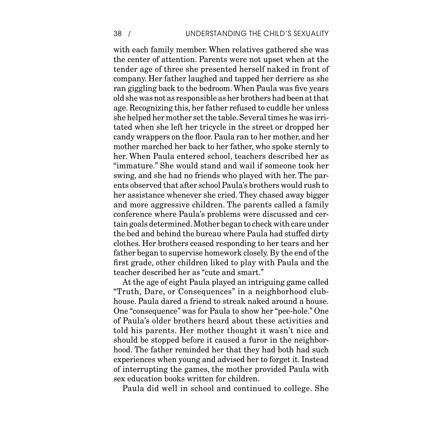with each family member. When relatives gathered she was the center of attention. Parents were not upset when at the tender age of three she presented herself naked in front of company. Her father laughed and tapped her derriere as she ran giggling back to the bedroom. When Paula was five years old she was not as responsible as her brothers had been at that age. Recognizing this, her father refused to cuddle her unless she helped her mother set the table. Several times he was irritated when she left her tricycle in the street or dropped her candy wrappers on the floor. Paula ran to her mother, and her mother marched her back to her father, who spoke sternly to her. When Paula entered school, teachers described her as "immature." She would stand and wail if someone took her swing, and she had no friends who played with her. The parents observed that after school Paula's brothers would rush to her assistance whenever she cried. They chased away bigger and more aggressive children. The parents called a family conference where Paula's problems were discussed and certain goals determined. Mother began to check with care under the bed and behind the bureau where Paula had stuffed dirty clothes. Her brothers ceased responding to her tears and her father began to supervise homework closely. By the end of the first grade, other children liked to play with Paula and the teacher described her as "cute and smart."

At the age of eight Paula played an intriguing game called "Truth, Dare, or Consequences" in a neighborhood clubhouse. Paula dared a friend to streak naked around a house. One "consequence" was for Paula to show her "pee-hole." One of Paula's older brothers heard about these activities and told his parents. Her mother thought it wasn't nice and should be stopped before it caused a furor in the neighborhood. The father reminded her that they had both had such experiences when young and advised her to forget it. Instead of interrupting the games, the mother provided Paula with sex education books written for children.

Paula did well in school and continued to college. She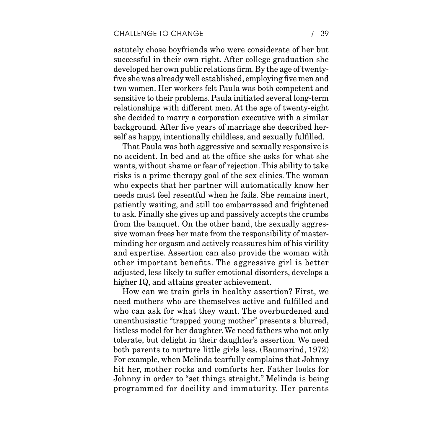astutely chose boyfriends who were considerate of her but successful in their own right. After college graduation she developed her own public relations firm. By the age of twentyfive she was already well established, employing five men and two women. Her workers felt Paula was both competent and sensitive to their problems. Paula initiated several long-term relationships with different men. At the age of twenty-eight she decided to marry a corporation executive with a similar background. After five years of marriage she described herself as happy, intentionally childless, and sexually fulfilled.

That Paula was both aggressive and sexually responsive is no accident. In bed and at the office she asks for what she wants, without shame or fear of rejection. This ability to take risks is a prime therapy goal of the sex clinics. The woman who expects that her partner will automatically know her needs must feel resentful when he fails. She remains inert, patiently waiting, and still too embarrassed and frightened to ask. Finally she gives up and passively accepts the crumbs from the banquet. On the other hand, the sexually aggressive woman frees her mate from the responsibility of masterminding her orgasm and actively reassures him of his virility and expertise. Assertion can also provide the woman with other important benefits. The aggressive girl is better adjusted, less likely to suffer emotional disorders, develops a higher IQ, and attains greater achievement.

How can we train girls in healthy assertion? First, we need mothers who are themselves active and fulfilled and who can ask for what they want. The overburdened and unenthusiastic "trapped young mother" presents a blurred, listless model for her daughter. We need fathers who not only tolerate, but delight in their daughter's assertion. We need both parents to nurture little girls less. (Baumarind, 1972) For example, when Melinda tearfully complains that Johnny hit her, mother rocks and comforts her. Father looks for Johnny in order to "set things straight." Melinda is being programmed for docility and immaturity. Her parents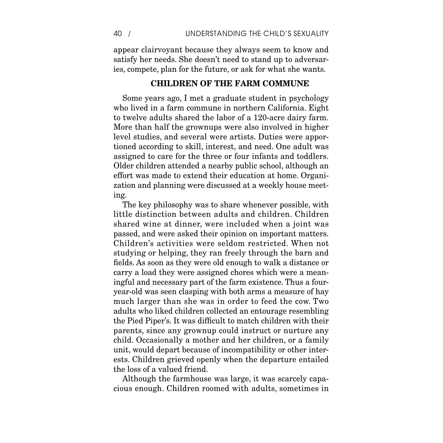appear clairvoyant because they always seem to know and satisfy her needs. She doesn't need to stand up to adversaries, compete, plan for the future, or ask for what she wants.

## **CHILDREN OF THE FARM COMMUNE**

Some years ago, I met a graduate student in psychology who lived in a farm commune in northern California. Eight to twelve adults shared the labor of a 120-acre dairy farm. More than half the grownups were also involved in higher level studies, and several were artists. Duties were apportioned according to skill, interest, and need. One adult was assigned to care for the three or four infants and toddlers. Older children attended a nearby public school, although an effort was made to extend their education at home. Organization and planning were discussed at a weekly house meeting.

The key philosophy was to share whenever possible, with little distinction between adults and children. Children shared wine at dinner, were included when a joint was passed, and were asked their opinion on important matters. Children's activities were seldom restricted. When not studying or helping, they ran freely through the barn and fields. As soon as they were old enough to walk a distance or carry a load they were assigned chores which were a meaningful and necessary part of the farm existence. Thus a fouryear-old was seen clasping with both arms a measure of hay much larger than she was in order to feed the cow. Two adults who liked children collected an entourage resembling the Pied Piper's. It was difficult to match children with their parents, since any grownup could instruct or nurture any child. Occasionally a mother and her children, or a family unit, would depart because of incompatibility or other interests. Children grieved openly when the departure entailed the loss of a valued friend.

Although the farmhouse was large, it was scarcely capacious enough. Children roomed with adults, sometimes in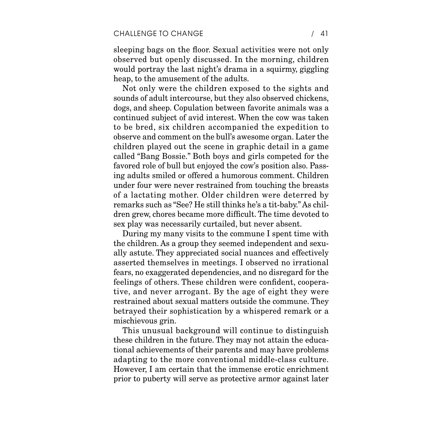sleeping bags on the floor. Sexual activities were not only observed but openly discussed. In the morning, children would portray the last night's drama in a squirmy, giggling heap, to the amusement of the adults.

Not only were the children exposed to the sights and sounds of adult intercourse, but they also observed chickens, dogs, and sheep. Copulation between favorite animals was a continued subject of avid interest. When the cow was taken to be bred, six children accompanied the expedition to observe and comment on the bull's awesome organ. Later the children played out the scene in graphic detail in a game called "Bang Bossie." Both boys and girls competed for the favored role of bull but enjoyed the cow's position also. Passing adults smiled or offered a humorous comment. Children under four were never restrained from touching the breasts of a lactating mother. Older children were deterred by remarks such as "See? He still thinks he's a tit-baby." As children grew, chores became more difficult. The time devoted to sex play was necessarily curtailed, but never absent.

During my many visits to the commune I spent time with the children. As a group they seemed independent and sexually astute. They appreciated social nuances and effectively asserted themselves in meetings. I observed no irrational fears, no exaggerated dependencies, and no disregard for the feelings of others. These children were confident, cooperative, and never arrogant. By the age of eight they were restrained about sexual matters outside the commune. They betrayed their sophistication by a whispered remark or a mischievous grin.

This unusual background will continue to distinguish these children in the future. They may not attain the educational achievements of their parents and may have problems adapting to the more conventional middle-class culture. However, I am certain that the immense erotic enrichment prior to puberty will serve as protective armor against later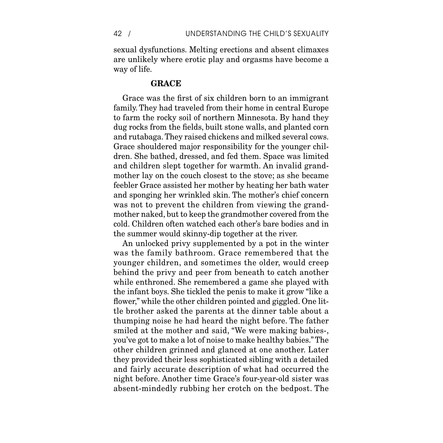sexual dysfunctions. Melting erections and absent climaxes are unlikely where erotic play and orgasms have become a way of life.

## **GRACE**

Grace was the first of six children born to an immigrant family. They had traveled from their home in central Europe to farm the rocky soil of northern Minnesota. By hand they dug rocks from the fields, built stone walls, and planted corn and rutabaga. They raised chickens and milked several cows. Grace shouldered major responsibility for the younger children. She bathed, dressed, and fed them. Space was limited and children slept together for warmth. An invalid grandmother lay on the couch closest to the stove; as she became feebler Grace assisted her mother by heating her bath water and sponging her wrinkled skin. The mother's chief concern was not to prevent the children from viewing the grandmother naked, but to keep the grandmother covered from the cold. Children often watched each other's bare bodies and in the summer would skinny-dip together at the river.

An unlocked privy supplemented by a pot in the winter was the family bathroom. Grace remembered that the younger children, and sometimes the older, would creep behind the privy and peer from beneath to catch another while enthroned. She remembered a game she played with the infant boys. She tickled the penis to make it grow "like a flower," while the other children pointed and giggled. One little brother asked the parents at the dinner table about a thumping noise he had heard the night before. The father smiled at the mother and said, "We were making babies-, you've got to make a lot of noise to make healthy babies." The other children grinned and glanced at one another. Later they provided their less sophisticated sibling with a detailed and fairly accurate description of what had occurred the night before. Another time Grace's four-year-old sister was absent-mindedly rubbing her crotch on the bedpost. The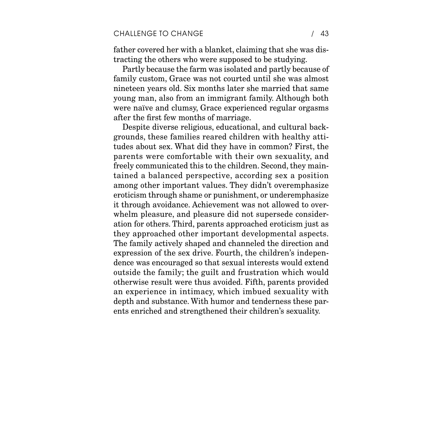father covered her with a blanket, claiming that she was distracting the others who were supposed to be studying.

Partly because the farm was isolated and partly because of family custom, Grace was not courted until she was almost nineteen years old. Six months later she married that same young man, also from an immigrant family. Although both were naïve and clumsy, Grace experienced regular orgasms after the first few months of marriage.

Despite diverse religious, educational, and cultural backgrounds, these families reared children with healthy attitudes about sex. What did they have in common? First, the parents were comfortable with their own sexuality, and freely communicated this to the children. Second, they maintained a balanced perspective, according sex a position among other important values. They didn't overemphasize eroticism through shame or punishment, or underemphasize it through avoidance. Achievement was not allowed to overwhelm pleasure, and pleasure did not supersede consideration for others. Third, parents approached eroticism just as they approached other important developmental aspects. The family actively shaped and channeled the direction and expression of the sex drive. Fourth, the children's independence was encouraged so that sexual interests would extend outside the family; the guilt and frustration which would otherwise result were thus avoided. Fifth, parents provided an experience in intimacy, which imbued sexuality with depth and substance. With humor and tenderness these parents enriched and strengthened their children's sexuality.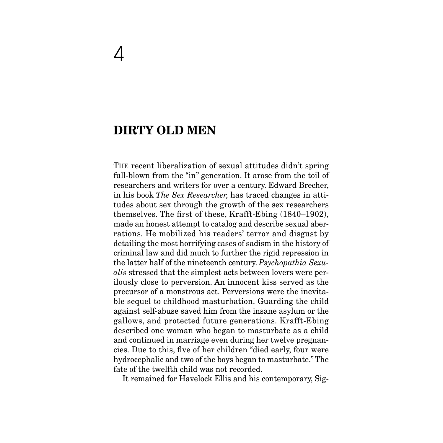# **DIRTY OLD MEN**

THE recent liberalization of sexual attitudes didn't spring full-blown from the "in" generation. It arose from the toil of researchers and writers for over a century. Edward Brecher, in his book *The Sex Researcher,* has traced changes in attitudes about sex through the growth of the sex researchers themselves. The first of these, Krafft-Ebing (1840–1902), made an honest attempt to catalog and describe sexual aberrations. He mobilized his readers' terror and disgust by detailing the most horrifying cases of sadism in the history of criminal law and did much to further the rigid repression in the latter half of the nineteenth century. *Psychopathia Sexualis* stressed that the simplest acts between lovers were perilously close to perversion. An innocent kiss served as the precursor of a monstrous act. Perversions were the inevitable sequel to childhood masturbation. Guarding the child against self-abuse saved him from the insane asylum or the gallows, and protected future generations. Krafft-Ebing described one woman who began to masturbate as a child and continued in marriage even during her twelve pregnancies. Due to this, five of her children "died early, four were hydrocephalic and two of the boys began to masturbate." The fate of the twelfth child was not recorded.

It remained for Havelock Ellis and his contemporary, Sig-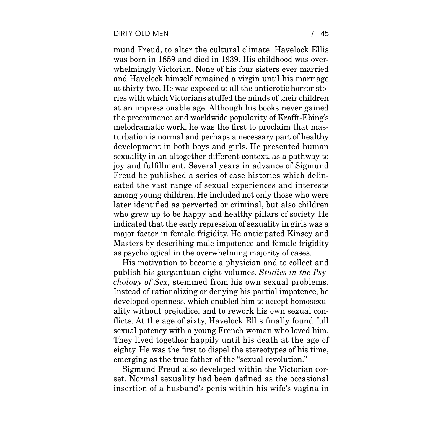mund Freud, to alter the cultural climate. Havelock Ellis was born in 1859 and died in 1939. His childhood was overwhelmingly Victorian. None of his four sisters ever married and Havelock himself remained a virgin until his marriage at thirty-two. He was exposed to all the antierotic horror stories with which Victorians stuffed the minds of their children at an impressionable age. Although his books never gained the preeminence and worldwide popularity of Krafft-Ebing's melodramatic work, he was the first to proclaim that masturbation is normal and perhaps a necessary part of healthy development in both boys and girls. He presented human sexuality in an altogether different context, as a pathway to joy and fulfillment. Several years in advance of Sigmund Freud he published a series of case histories which delineated the vast range of sexual experiences and interests among young children. He included not only those who were later identified as perverted or criminal, but also children who grew up to be happy and healthy pillars of society. He indicated that the early repression of sexuality in girls was a major factor in female frigidity. He anticipated Kinsey and Masters by describing male impotence and female frigidity as psychological in the overwhelming majority of cases.

His motivation to become a physician and to collect and publish his gargantuan eight volumes, *Studies in the Psychology of Sex,* stemmed from his own sexual problems. Instead of rationalizing or denying his partial impotence, he developed openness, which enabled him to accept homosexuality without prejudice, and to rework his own sexual conflicts. At the age of sixty, Havelock Ellis finally found full sexual potency with a young French woman who loved him. They lived together happily until his death at the age of eighty. He was the first to dispel the stereotypes of his time, emerging as the true father of the "sexual revolution."

Sigmund Freud also developed within the Victorian corset. Normal sexuality had been defined as the occasional insertion of a husband's penis within his wife's vagina in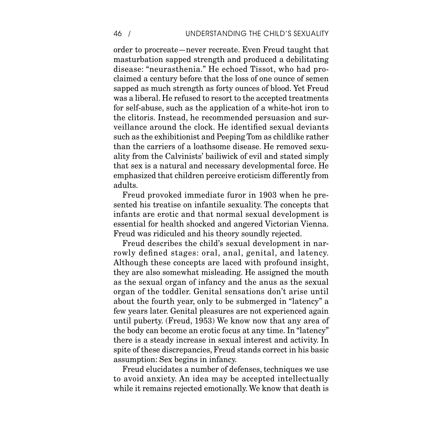order to procreate—never recreate. Even Freud taught that masturbation sapped strength and produced a debilitating disease: "neurasthenia." He echoed Tissot, who had proclaimed a century before that the loss of one ounce of semen sapped as much strength as forty ounces of blood. Yet Freud was a liberal. He refused to resort to the accepted treatments for self-abuse, such as the application of a white-hot iron to the clitoris. Instead, he recommended persuasion and surveillance around the clock. He identified sexual deviants such as the exhibitionist and Peeping Tom as childlike rather than the carriers of a loathsome disease. He removed sexuality from the Calvinists' bailiwick of evil and stated simply that sex is a natural and necessary developmental force. He emphasized that children perceive eroticism differently from adults.

Freud provoked immediate furor in 1903 when he presented his treatise on infantile sexuality. The concepts that infants are erotic and that normal sexual development is essential for health shocked and angered Victorian Vienna. Freud was ridiculed and his theory soundly rejected.

Freud describes the child's sexual development in narrowly defined stages: oral, anal, genital, and latency. Although these concepts are laced with profound insight, they are also somewhat misleading. He assigned the mouth as the sexual organ of infancy and the anus as the sexual organ of the toddler. Genital sensations don't arise until about the fourth year, only to be submerged in "latency" a few years later. Genital pleasures are not experienced again until puberty. (Freud, 1953) We know now that any area of the body can become an erotic focus at any time. In "latency" there is a steady increase in sexual interest and activity. In spite of these discrepancies, Freud stands correct in his basic assumption: Sex begins in infancy.

Freud elucidates a number of defenses, techniques we use to avoid anxiety. An idea may be accepted intellectually while it remains rejected emotionally. We know that death is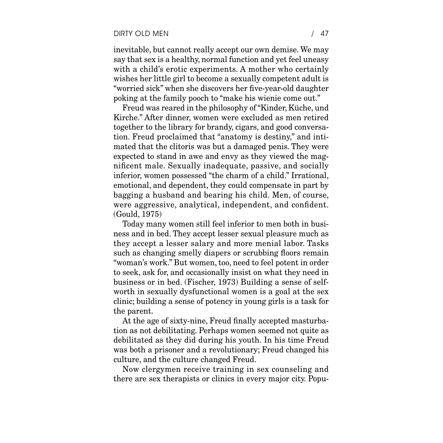inevitable, but cannot really accept our own demise. We may say that sex is a healthy, normal function and yet feel uneasy with a child's erotic experiments. A mother who certainly wishes her little girl to become a sexually competent adult is "worried sick" when she discovers her five-year-old daughter poking at the family pooch to "make his wienie come out."

Freud was reared in the philosophy of "Kinder, Küche, und Kirche." After dinner, women were excluded as men retired together to the library for brandy, cigars, and good conversation. Freud proclaimed that "anatomy is destiny," and intimated that the clitoris was but a damaged penis. They were expected to stand in awe and envy as they viewed the magnificent male. Sexually inadequate, passive, and socially inferior, women possessed "the charm of a child." Irrational, emotional, and dependent, they could compensate in part by bagging a husband and bearing his child. Men, of course, were aggressive, analytical, independent, and confident. (Gould, 1975)

Today many women still feel inferior to men both in business and in bed. They accept lesser sexual pleasure much as they accept a lesser salary and more menial labor. Tasks such as changing smelly diapers or scrubbing floors remain "woman's work." But women, too, need to feel potent in order to seek, ask for, and occasionally insist on what they need in business or in bed. (Fischer, 1973) Building a sense of selfworth in sexually dysfunctional women is a goal at the sex clinic; building a sense of potency in young girls is a task for the parent.

At the age of sixty-nine, Freud finally accepted masturbation as not debilitating. Perhaps women seemed not quite as debilitated as they did during his youth. In his time Freud was both a prisoner and a revolutionary; Freud changed his culture, and the culture changed Freud.

Now clergymen receive training in sex counseling and there are sex therapists or clinics in every major city. Popu-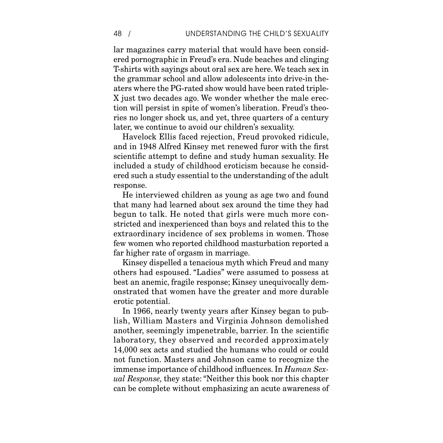lar magazines carry material that would have been considered pornographic in Freud's era. Nude beaches and clinging T-shirts with sayings about oral sex are here. We teach sex in the grammar school and allow adolescents into drive-in theaters where the PG-rated show would have been rated triple-X just two decades ago. We wonder whether the male erection will persist in spite of women's liberation. Freud's theories no longer shock us, and yet, three quarters of a century later, we continue to avoid our children's sexuality.

Havelock Ellis faced rejection, Freud provoked ridicule, and in 1948 Alfred Kinsey met renewed furor with the first scientific attempt to define and study human sexuality. He included a study of childhood eroticism because he considered such a study essential to the understanding of the adult response.

He interviewed children as young as age two and found that many had learned about sex around the time they had begun to talk. He noted that girls were much more constricted and inexperienced than boys and related this to the extraordinary incidence of sex problems in women. Those few women who reported childhood masturbation reported a far higher rate of orgasm in marriage.

Kinsey dispelled a tenacious myth which Freud and many others had espoused. "Ladies" were assumed to possess at best an anemic, fragile response; Kinsey unequivocally demonstrated that women have the greater and more durable erotic potential.

In 1966, nearly twenty years after Kinsey began to publish, William Masters and Virginia Johnson demolished another, seemingly impenetrable, barrier. In the scientific laboratory, they observed and recorded approximately 14,000 sex acts and studied the humans who could or could not function. Masters and Johnson came to recognize the immense importance of childhood influences. In *Human Sexual Response,* they state: "Neither this book nor this chapter can be complete without emphasizing an acute awareness of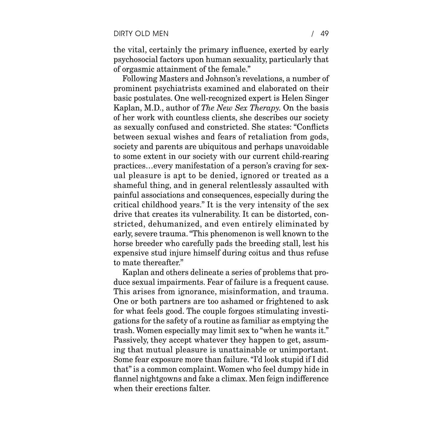the vital, certainly the primary influence, exerted by early psychosocial factors upon human sexuality, particularly that of orgasmic attainment of the female."

Following Masters and Johnson's revelations, a number of prominent psychiatrists examined and elaborated on their basic postulates. One well-recognized expert is Helen Singer Kaplan, M.D., author of *The New Sex Therapy.* On the basis of her work with countless clients, she describes our society as sexually confused and constricted. She states: "Conflicts between sexual wishes and fears of retaliation from gods, society and parents are ubiquitous and perhaps unavoidable to some extent in our society with our current child-rearing practices…every manifestation of a person's craving for sexual pleasure is apt to be denied, ignored or treated as a shameful thing, and in general relentlessly assaulted with painful associations and consequences, especially during the critical childhood years." It is the very intensity of the sex drive that creates its vulnerability. It can be distorted, constricted, dehumanized, and even entirely eliminated by early, severe trauma. "This phenomenon is well known to the horse breeder who carefully pads the breeding stall, lest his expensive stud injure himself during coitus and thus refuse to mate thereafter."

Kaplan and others delineate a series of problems that produce sexual impairments. Fear of failure is a frequent cause. This arises from ignorance, misinformation, and trauma. One or both partners are too ashamed or frightened to ask for what feels good. The couple forgoes stimulating investigations for the safety of a routine as familiar as emptying the trash. Women especially may limit sex to "when he wants it." Passively, they accept whatever they happen to get, assuming that mutual pleasure is unattainable or unimportant. Some fear exposure more than failure. "I'd look stupid if I did that" is a common complaint. Women who feel dumpy hide in flannel nightgowns and fake a climax. Men feign indifference when their erections falter.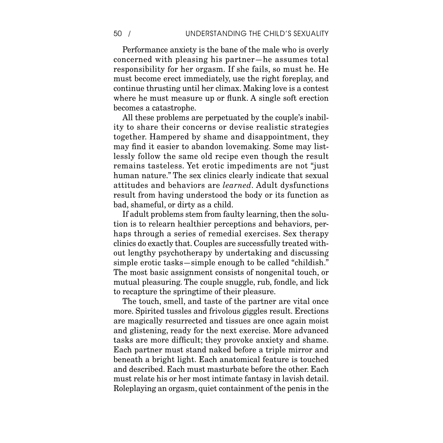Performance anxiety is the bane of the male who is overly concerned with pleasing his partner—he assumes total responsibility for her orgasm. If she fails, so must he. He must become erect immediately, use the right foreplay, and continue thrusting until her climax. Making love is a contest where he must measure up or flunk. A single soft erection becomes a catastrophe.

All these problems are perpetuated by the couple's inability to share their concerns or devise realistic strategies together. Hampered by shame and disappointment, they may find it easier to abandon lovemaking. Some may listlessly follow the same old recipe even though the result remains tasteless. Yet erotic impediments are not "just human nature." The sex clinics clearly indicate that sexual attitudes and behaviors are *learned.* Adult dysfunctions result from having understood the body or its function as bad, shameful, or dirty as a child.

If adult problems stem from faulty learning, then the solution is to relearn healthier perceptions and behaviors, perhaps through a series of remedial exercises. Sex therapy clinics do exactly that. Couples are successfully treated without lengthy psychotherapy by undertaking and discussing simple erotic tasks—simple enough to be called "childish." The most basic assignment consists of nongenital touch, or mutual pleasuring. The couple snuggle, rub, fondle, and lick to recapture the springtime of their pleasure.

The touch, smell, and taste of the partner are vital once more. Spirited tussles and frivolous giggles result. Erections are magically resurrected and tissues are once again moist and glistening, ready for the next exercise. More advanced tasks are more difficult; they provoke anxiety and shame. Each partner must stand naked before a triple mirror and beneath a bright light. Each anatomical feature is touched and described. Each must masturbate before the other. Each must relate his or her most intimate fantasy in lavish detail. Roleplaying an orgasm, quiet containment of the penis in the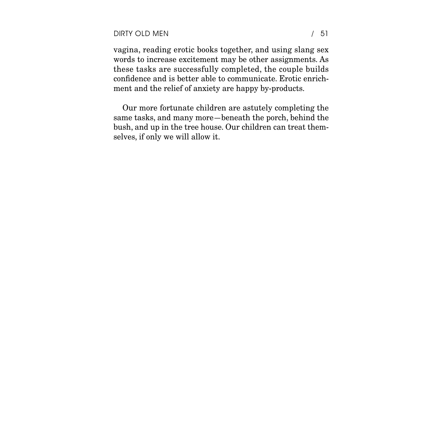vagina, reading erotic books together, and using slang sex words to increase excitement may be other assignments. As these tasks are successfully completed, the couple builds confidence and is better able to communicate. Erotic enrichment and the relief of anxiety are happy by-products.

Our more fortunate children are astutely completing the same tasks, and many more—beneath the porch, behind the bush, and up in the tree house. Our children can treat themselves, if only we will allow it.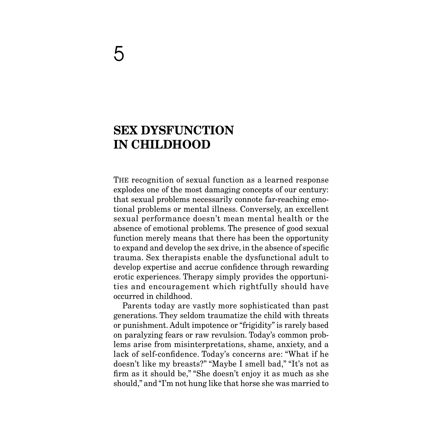# **SEX DYSFUNCTION IN CHILDHOOD**

THE recognition of sexual function as a learned response explodes one of the most damaging concepts of our century: that sexual problems necessarily connote far-reaching emotional problems or mental illness. Conversely, an excellent sexual performance doesn't mean mental health or the absence of emotional problems. The presence of good sexual function merely means that there has been the opportunity to expand and develop the sex drive, in the absence of specific trauma. Sex therapists enable the dysfunctional adult to develop expertise and accrue confidence through rewarding erotic experiences. Therapy simply provides the opportunities and encouragement which rightfully should have occurred in childhood.

Parents today are vastly more sophisticated than past generations. They seldom traumatize the child with threats or punishment. Adult impotence or "frigidity" is rarely based on paralyzing fears or raw revulsion. Today's common problems arise from misinterpretations, shame, anxiety, and a lack of self-confidence. Today's concerns are: "What if he doesn't like my breasts?" "Maybe I smell bad," "It's not as firm as it should be," "She doesn't enjoy it as much as she should," and "I'm not hung like that horse she was married to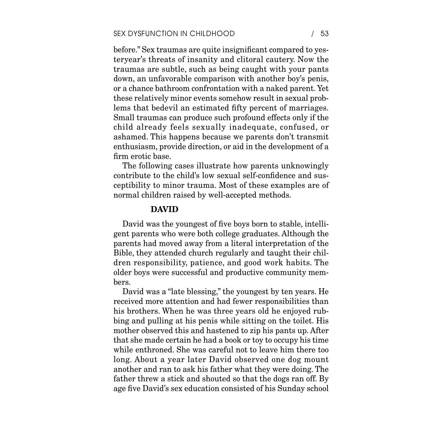before." Sex traumas are quite insignificant compared to yesteryear's threats of insanity and clitoral cautery. Now the traumas are subtle, such as being caught with your pants down, an unfavorable comparison with another boy's penis, or a chance bathroom confrontation with a naked parent. Yet these relatively minor events somehow result in sexual problems that bedevil an estimated fifty percent of marriages. Small traumas can produce such profound effects only if the child already feels sexually inadequate, confused, or ashamed. This happens because we parents don't transmit enthusiasm, provide direction, or aid in the development of a firm erotic base.

The following cases illustrate how parents unknowingly contribute to the child's low sexual self-confidence and susceptibility to minor trauma. Most of these examples are of normal children raised by well-accepted methods.

## **DAVID**

David was the youngest of five boys born to stable, intelligent parents who were both college graduates. Although the parents had moved away from a literal interpretation of the Bible, they attended church regularly and taught their children responsibility, patience, and good work habits. The older boys were successful and productive community members.

David was a "late blessing," the youngest by ten years. He received more attention and had fewer responsibilities than his brothers. When he was three years old he enjoyed rubbing and pulling at his penis while sitting on the toilet. His mother observed this and hastened to zip his pants up. After that she made certain he had a book or toy to occupy his time while enthroned. She was careful not to leave him there too long. About a year later David observed one dog mount another and ran to ask his father what they were doing. The father threw a stick and shouted so that the dogs ran off. By age five David's sex education consisted of his Sunday school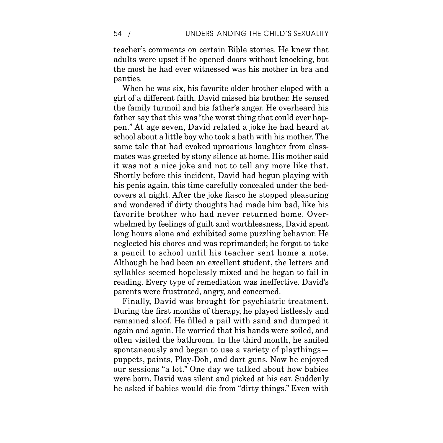teacher's comments on certain Bible stories. He knew that adults were upset if he opened doors without knocking, but the most he had ever witnessed was his mother in bra and panties.

When he was six, his favorite older brother eloped with a girl of a different faith. David missed his brother. He sensed the family turmoil and his father's anger. He overheard his father say that this was "the worst thing that could ever happen." At age seven, David related a joke he had heard at school about a little boy who took a bath with his mother. The same tale that had evoked uproarious laughter from classmates was greeted by stony silence at home. His mother said it was not a nice joke and not to tell any more like that. Shortly before this incident, David had begun playing with his penis again, this time carefully concealed under the bedcovers at night. After the joke fiasco he stopped pleasuring and wondered if dirty thoughts had made him bad, like his favorite brother who had never returned home. Overwhelmed by feelings of guilt and worthlessness, David spent long hours alone and exhibited some puzzling behavior. He neglected his chores and was reprimanded; he forgot to take a pencil to school until his teacher sent home a note. Although he had been an excellent student, the letters and syllables seemed hopelessly mixed and he began to fail in reading. Every type of remediation was ineffective. David's parents were frustrated, angry, and concerned.

Finally, David was brought for psychiatric treatment. During the first months of therapy, he played listlessly and remained aloof. He filled a pail with sand and dumped it again and again. He worried that his hands were soiled, and often visited the bathroom. In the third month, he smiled spontaneously and began to use a variety of playthings puppets, paints, Play-Doh, and dart guns. Now he enjoyed our sessions "a lot." One day we talked about how babies were born. David was silent and picked at his ear. Suddenly he asked if babies would die from "dirty things." Even with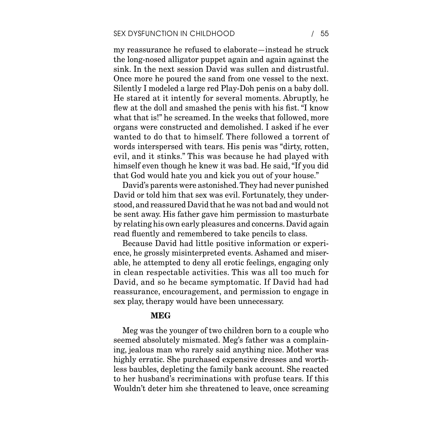my reassurance he refused to elaborate—instead he struck the long-nosed alligator puppet again and again against the sink. In the next session David was sullen and distrustful. Once more he poured the sand from one vessel to the next. Silently I modeled a large red Play-Doh penis on a baby doll. He stared at it intently for several moments. Abruptly, he flew at the doll and smashed the penis with his fist. "I know what that is!" he screamed. In the weeks that followed, more organs were constructed and demolished. I asked if he ever wanted to do that to himself. There followed a torrent of words interspersed with tears. His penis was "dirty, rotten, evil, and it stinks." This was because he had played with himself even though he knew it was bad. He said, "If you did that God would hate you and kick you out of your house."

David's parents were astonished. They had never punished David or told him that sex was evil. Fortunately, they understood, and reassured David that he was not bad and would not be sent away. His father gave him permission to masturbate by relating his own early pleasures and concerns. David again read fluently and remembered to take pencils to class.

Because David had little positive information or experience, he grossly misinterpreted events. Ashamed and miserable, he attempted to deny all erotic feelings, engaging only in clean respectable activities. This was all too much for David, and so he became symptomatic. If David had had reassurance, encouragement, and permission to engage in sex play, therapy would have been unnecessary.

#### **MEG**

Meg was the younger of two children born to a couple who seemed absolutely mismated. Meg's father was a complaining, jealous man who rarely said anything nice. Mother was highly erratic. She purchased expensive dresses and worthless baubles, depleting the family bank account. She reacted to her husband's recriminations with profuse tears. If this Wouldn't deter him she threatened to leave, once screaming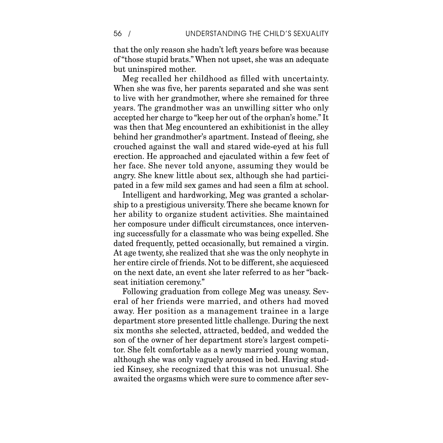that the only reason she hadn't left years before was because of "those stupid brats." When not upset, she was an adequate but uninspired mother.

Meg recalled her childhood as filled with uncertainty. When she was five, her parents separated and she was sent to live with her grandmother, where she remained for three years. The grandmother was an unwilling sitter who only accepted her charge to "keep her out of the orphan's home." It was then that Meg encountered an exhibitionist in the alley behind her grandmother's apartment. Instead of fleeing, she crouched against the wall and stared wide-eyed at his full erection. He approached and ejaculated within a few feet of her face. She never told anyone, assuming they would be angry. She knew little about sex, although she had participated in a few mild sex games and had seen a film at school.

Intelligent and hardworking, Meg was granted a scholarship to a prestigious university. There she became known for her ability to organize student activities. She maintained her composure under difficult circumstances, once intervening successfully for a classmate who was being expelled. She dated frequently, petted occasionally, but remained a virgin. At age twenty, she realized that she was the only neophyte in her entire circle of friends. Not to be different, she acquiesced on the next date, an event she later referred to as her "backseat initiation ceremony."

Following graduation from college Meg was uneasy. Several of her friends were married, and others had moved away. Her position as a management trainee in a large department store presented little challenge. During the next six months she selected, attracted, bedded, and wedded the son of the owner of her department store's largest competitor. She felt comfortable as a newly married young woman, although she was only vaguely aroused in bed. Having studied Kinsey, she recognized that this was not unusual. She awaited the orgasms which were sure to commence after sev-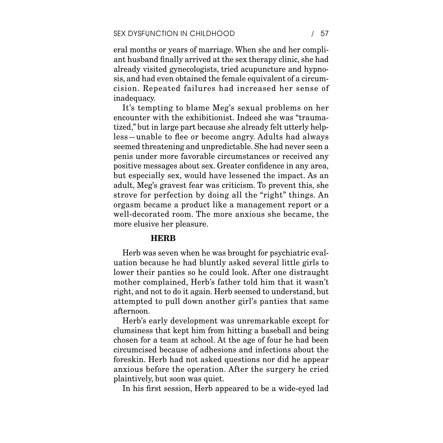eral months or years of marriage. When she and her compliant husband finally arrived at the sex therapy clinic, she had already visited gynecologists, tried acupuncture and hypnosis, and had even obtained the female equivalent of a circumcision. Repeated failures had increased her sense of inadequacy.

It's tempting to blame Meg's sexual problems on her encounter with the exhibitionist. Indeed she was "traumatized," but in large part because she already felt utterly helpless—unable to flee or become angry. Adults had always seemed threatening and unpredictable. She had never seen a penis under more favorable circumstances or received any positive messages about sex. Greater confidence in any area, but especially sex, would have lessened the impact. As an adult, Meg's gravest fear was criticism. To prevent this, she strove for perfection by doing all the "right" things. An orgasm became a product like a management report or a well-decorated room. The more anxious she became, the more elusive her pleasure.

#### **HERB**

Herb was seven when he was brought for psychiatric evaluation because he had bluntly asked several little girls to lower their panties so he could look. After one distraught mother complained, Herb's father told him that it wasn't right, and not to do it again. Herb seemed to understand, but attempted to pull down another girl's panties that same afternoon.

Herb's early development was unremarkable except for clumsiness that kept him from hitting a baseball and being chosen for a team at school. At the age of four he had been circumcised because of adhesions and infections about the foreskin. Herb had not asked questions nor did he appear anxious before the operation. After the surgery he cried plaintively, but soon was quiet.

In his first session, Herb appeared to be a wide-eyed lad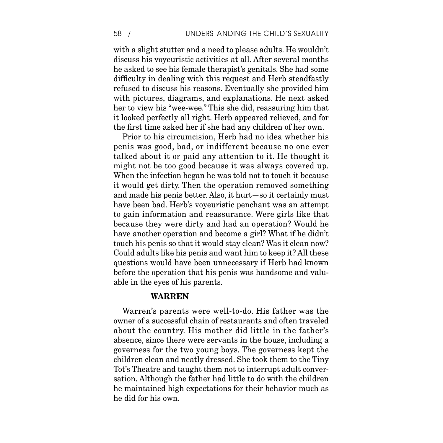with a slight stutter and a need to please adults. He wouldn't discuss his voyeuristic activities at all. After several months he asked to see his female therapist's genitals. She had some difficulty in dealing with this request and Herb steadfastly refused to discuss his reasons. Eventually she provided him with pictures, diagrams, and explanations. He next asked her to view his "wee-wee." This she did, reassuring him that it looked perfectly all right. Herb appeared relieved, and for the first time asked her if she had any children of her own.

Prior to his circumcision, Herb had no idea whether his penis was good, bad, or indifferent because no one ever talked about it or paid any attention to it. He thought it might not be too good because it was always covered up. When the infection began he was told not to touch it because it would get dirty. Then the operation removed something and made his penis better. Also, it hurt—so it certainly must have been bad. Herb's voyeuristic penchant was an attempt to gain information and reassurance. Were girls like that because they were dirty and had an operation? Would he have another operation and become a girl? What if he didn't touch his penis so that it would stay clean? Was it clean now? Could adults like his penis and want him to keep it? All these questions would have been unnecessary if Herb had known before the operation that his penis was handsome and valuable in the eyes of his parents.

# **WARREN**

Warren's parents were well-to-do. His father was the owner of a successful chain of restaurants and often traveled about the country. His mother did little in the father's absence, since there were servants in the house, including a governess for the two young boys. The governess kept the children clean and neatly dressed. She took them to the Tiny Tot's Theatre and taught them not to interrupt adult conversation. Although the father had little to do with the children he maintained high expectations for their behavior much as he did for his own.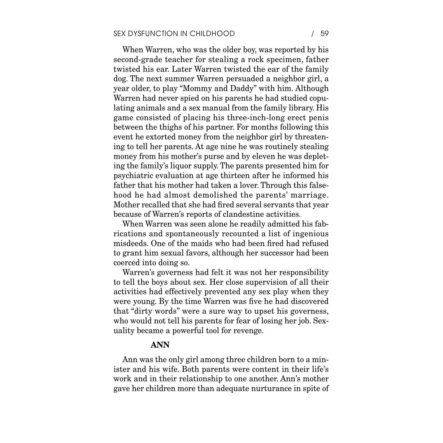#### SEX DYSEUNCTION IN CHILDHOOD 65 (1998)

When Warren, who was the older boy, was reported by his second-grade teacher for stealing a rock specimen, father twisted his ear. Later Warren twisted the ear of the family dog. The next summer Warren persuaded a neighbor girl, a year older, to play "Mommy and Daddy" with him. Although Warren had never spied on his parents he had studied copulating animals and a sex manual from the family library. His game consisted of placing his three-inch-long erect penis between the thighs of his partner. For months following this event he extorted money from the neighbor girl by threatening to tell her parents. At age nine he was routinely stealing money from his mother's purse and by eleven he was depleting the family's liquor supply. The parents presented him for psychiatric evaluation at age thirteen after he informed his father that his mother had taken a lover. Through this falsehood he had almost demolished the parents' marriage. Mother recalled that she had fired several servants that year because of Warren's reports of clandestine activities.

When Warren was seen alone he readily admitted his fabrications and spontaneously recounted a list of ingenious misdeeds. One of the maids who had been fired had refused to grant him sexual favors, although her successor had been coerced into doing so.

Warren's governess had felt it was not her responsibility to tell the boys about sex. Her close supervision of all their activities had effectively prevented any sex play when they were young. By the time Warren was five he had discovered that "dirty words" were a sure way to upset his governess, who would not tell his parents for fear of losing her job. Sexuality became a powerful tool for revenge.

### **ANN**

Ann was the only girl among three children born to a minister and his wife. Both parents were content in their life's work and in their relationship to one another. Ann's mother gave her children more than adequate nurturance in spite of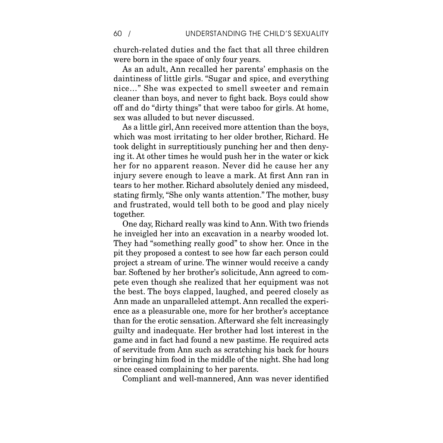church-related duties and the fact that all three children were born in the space of only four years.

As an adult, Ann recalled her parents' emphasis on the daintiness of little girls. "Sugar and spice, and everything nice…" She was expected to smell sweeter and remain cleaner than boys, and never to fight back. Boys could show off and do "dirty things" that were taboo for girls. At home, sex was alluded to but never discussed.

As a little girl, Ann received more attention than the boys, which was most irritating to her older brother, Richard. He took delight in surreptitiously punching her and then denying it. At other times he would push her in the water or kick her for no apparent reason. Never did he cause her any injury severe enough to leave a mark. At first Ann ran in tears to her mother. Richard absolutely denied any misdeed, stating firmly, "She only wants attention." The mother, busy and frustrated, would tell both to be good and play nicely together.

One day, Richard really was kind to Ann. With two friends he inveigled her into an excavation in a nearby wooded lot. They had "something really good" to show her. Once in the pit they proposed a contest to see how far each person could project a stream of urine. The winner would receive a candy bar. Softened by her brother's solicitude, Ann agreed to compete even though she realized that her equipment was not the best. The boys clapped, laughed, and peered closely as Ann made an unparalleled attempt. Ann recalled the experience as a pleasurable one, more for her brother's acceptance than for the erotic sensation. Afterward she felt increasingly guilty and inadequate. Her brother had lost interest in the game and in fact had found a new pastime. He required acts of servitude from Ann such as scratching his back for hours or bringing him food in the middle of the night. She had long since ceased complaining to her parents.

Compliant and well-mannered, Ann was never identified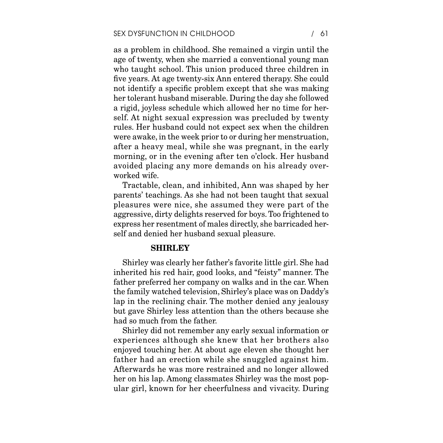as a problem in childhood. She remained a virgin until the age of twenty, when she married a conventional young man who taught school. This union produced three children in five years. At age twenty-six Ann entered therapy. She could not identify a specific problem except that she was making her tolerant husband miserable. During the day she followed a rigid, joyless schedule which allowed her no time for herself. At night sexual expression was precluded by twenty rules. Her husband could not expect sex when the children were awake, in the week prior to or during her menstruation, after a heavy meal, while she was pregnant, in the early morning, or in the evening after ten o'clock. Her husband avoided placing any more demands on his already overworked wife.

Tractable, clean, and inhibited, Ann was shaped by her parents' teachings. As she had not been taught that sexual pleasures were nice, she assumed they were part of the aggressive, dirty delights reserved for boys. Too frightened to express her resentment of males directly, she barricaded herself and denied her husband sexual pleasure.

### **SHIRLEY**

Shirley was clearly her father's favorite little girl. She had inherited his red hair, good looks, and "feisty" manner. The father preferred her company on walks and in the car. When the family watched television, Shirley's place was on Daddy's lap in the reclining chair. The mother denied any jealousy but gave Shirley less attention than the others because she had so much from the father.

Shirley did not remember any early sexual information or experiences although she knew that her brothers also enjoyed touching her. At about age eleven she thought her father had an erection while she snuggled against him. Afterwards he was more restrained and no longer allowed her on his lap. Among classmates Shirley was the most popular girl, known for her cheerfulness and vivacity. During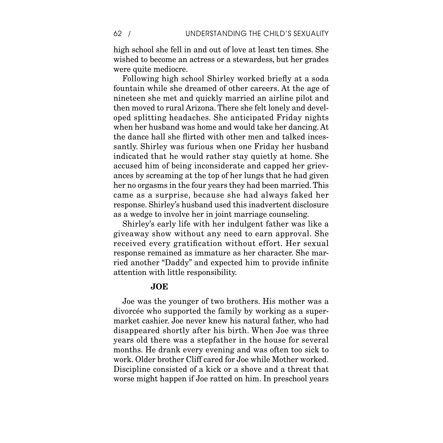high school she fell in and out of love at least ten times. She wished to become an actress or a stewardess, but her grades were quite mediocre.

Following high school Shirley worked briefly at a soda fountain while she dreamed of other careers. At the age of nineteen she met and quickly married an airline pilot and then moved to rural Arizona. There she felt lonely and developed splitting headaches. She anticipated Friday nights when her husband was home and would take her dancing. At the dance hall she flirted with other men and talked incessantly. Shirley was furious when one Friday her husband indicated that he would rather stay quietly at home. She accused him of being inconsiderate and capped her grievances by screaming at the top of her lungs that he had given her no orgasms in the four years they had been married. This came as a surprise, because she had always faked her response. Shirley's husband used this inadvertent disclosure as a wedge to involve her in joint marriage counseling.

Shirley's early life with her indulgent father was like a giveaway show without any need to earn approval. She received every gratification without effort. Her sexual response remained as immature as her character. She married another "Daddy" and expected him to provide infinite attention with little responsibility.

# **JOE**

Joe was the younger of two brothers. His mother was a divorcée who supported the family by working as a supermarket cashier. Joe never knew his natural father, who had disappeared shortly after his birth. When Joe was three years old there was a stepfather in the house for several months. He drank every evening and was often too sick to work. Older brother Cliff cared for Joe while Mother worked. Discipline consisted of a kick or a shove and a threat that worse might happen if Joe ratted on him. In preschool years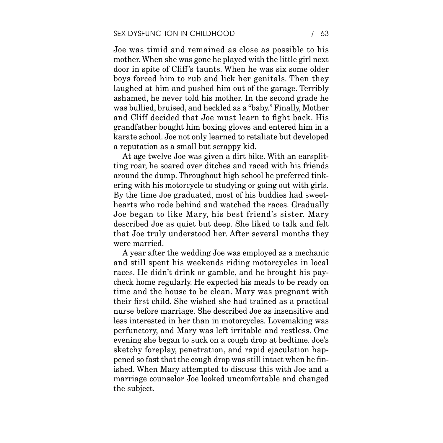Joe was timid and remained as close as possible to his mother. When she was gone he played with the little girl next door in spite of Cliff's taunts. When he was six some older boys forced him to rub and lick her genitals. Then they laughed at him and pushed him out of the garage. Terribly ashamed, he never told his mother. In the second grade he was bullied, bruised, and heckled as a "baby." Finally, Mother and Cliff decided that Joe must learn to fight back. His grandfather bought him boxing gloves and entered him in a karate school. Joe not only learned to retaliate but developed a reputation as a small but scrappy kid.

At age twelve Joe was given a dirt bike. With an earsplitting roar, he soared over ditches and raced with his friends around the dump. Throughout high school he preferred tinkering with his motorcycle to studying or going out with girls. By the time Joe graduated, most of his buddies had sweethearts who rode behind and watched the races. Gradually Joe began to like Mary, his best friend's sister. Mary described Joe as quiet but deep. She liked to talk and felt that Joe truly understood her. After several months they were married.

A year after the wedding Joe was employed as a mechanic and still spent his weekends riding motorcycles in local races. He didn't drink or gamble, and he brought his paycheck home regularly. He expected his meals to be ready on time and the house to be clean. Mary was pregnant with their first child. She wished she had trained as a practical nurse before marriage. She described Joe as insensitive and less interested in her than in motorcycles. Lovemaking was perfunctory, and Mary was left irritable and restless. One evening she began to suck on a cough drop at bedtime. Joe's sketchy foreplay, penetration, and rapid ejaculation happened so fast that the cough drop was still intact when he finished. When Mary attempted to discuss this with Joe and a marriage counselor Joe looked uncomfortable and changed the subject.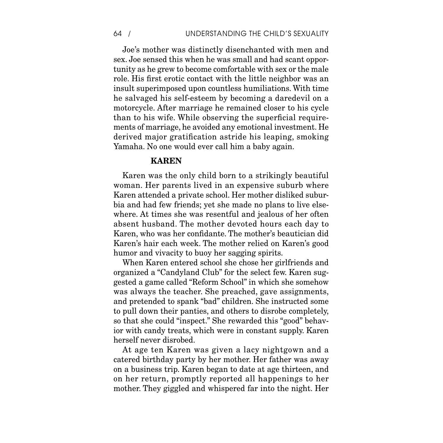Joe's mother was distinctly disenchanted with men and sex. Joe sensed this when he was small and had scant opportunity as he grew to become comfortable with sex or the male role. His first erotic contact with the little neighbor was an insult superimposed upon countless humiliations. With time he salvaged his self-esteem by becoming a daredevil on a motorcycle. After marriage he remained closer to his cycle than to his wife. While observing the superficial requirements of marriage, he avoided any emotional investment. He derived major gratification astride his leaping, smoking Yamaha. No one would ever call him a baby again.

#### **KAREN**

Karen was the only child born to a strikingly beautiful woman. Her parents lived in an expensive suburb where Karen attended a private school. Her mother disliked suburbia and had few friends; yet she made no plans to live elsewhere. At times she was resentful and jealous of her often absent husband. The mother devoted hours each day to Karen, who was her confidante. The mother's beautician did Karen's hair each week. The mother relied on Karen's good humor and vivacity to buoy her sagging spirits.

When Karen entered school she chose her girlfriends and organized a "Candyland Club" for the select few. Karen suggested a game called "Reform School" in which she somehow was always the teacher. She preached, gave assignments, and pretended to spank "bad" children. She instructed some to pull down their panties, and others to disrobe completely, so that she could "inspect." She rewarded this "good" behavior with candy treats, which were in constant supply. Karen herself never disrobed.

At age ten Karen was given a lacy nightgown and a catered birthday party by her mother. Her father was away on a business trip. Karen began to date at age thirteen, and on her return, promptly reported all happenings to her mother. They giggled and whispered far into the night. Her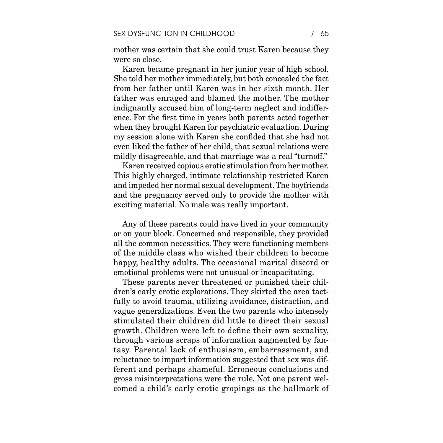mother was certain that she could trust Karen because they were so close.

Karen became pregnant in her junior year of high school. She told her mother immediately, but both concealed the fact from her father until Karen was in her sixth month. Her father was enraged and blamed the mother. The mother indignantly accused him of long-term neglect and indifference. For the first time in years both parents acted together when they brought Karen for psychiatric evaluation. During my session alone with Karen she confided that she had not even liked the father of her child, that sexual relations were mildly disagreeable, and that marriage was a real "turnoff."

Karen received copious erotic stimulation from her mother. This highly charged, intimate relationship restricted Karen and impeded her normal sexual development. The boyfriends and the pregnancy served only to provide the mother with exciting material. No male was really important.

Any of these parents could have lived in your community or on your block. Concerned and responsible, they provided all the common necessities. They were functioning members of the middle class who wished their children to become happy, healthy adults. The occasional marital discord or emotional problems were not unusual or incapacitating.

These parents never threatened or punished their children's early erotic explorations. They skirted the area tactfully to avoid trauma, utilizing avoidance, distraction, and vague generalizations. Even the two parents who intensely stimulated their children did little to direct their sexual growth. Children were left to define their own sexuality, through various scraps of information augmented by fantasy. Parental lack of enthusiasm, embarrassment, and reluctance to impart information suggested that sex was different and perhaps shameful. Erroneous conclusions and gross misinterpretations were the rule. Not one parent welcomed a child's early erotic gropings as the hallmark of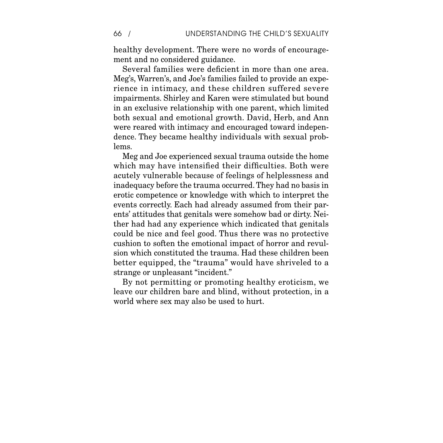healthy development. There were no words of encouragement and no considered guidance.

Several families were deficient in more than one area. Meg's, Warren's, and Joe's families failed to provide an experience in intimacy, and these children suffered severe impairments. Shirley and Karen were stimulated but bound in an exclusive relationship with one parent, which limited both sexual and emotional growth. David, Herb, and Ann were reared with intimacy and encouraged toward independence. They became healthy individuals with sexual problems.

Meg and Joe experienced sexual trauma outside the home which may have intensified their difficulties. Both were acutely vulnerable because of feelings of helplessness and inadequacy before the trauma occurred. They had no basis in erotic competence or knowledge with which to interpret the events correctly. Each had already assumed from their parents' attitudes that genitals were somehow bad or dirty. Neither had had any experience which indicated that genitals could be nice and feel good. Thus there was no protective cushion to soften the emotional impact of horror and revulsion which constituted the trauma. Had these children been better equipped, the "trauma" would have shriveled to a strange or unpleasant "incident."

By not permitting or promoting healthy eroticism, we leave our children bare and blind, without protection, in a world where sex may also be used to hurt.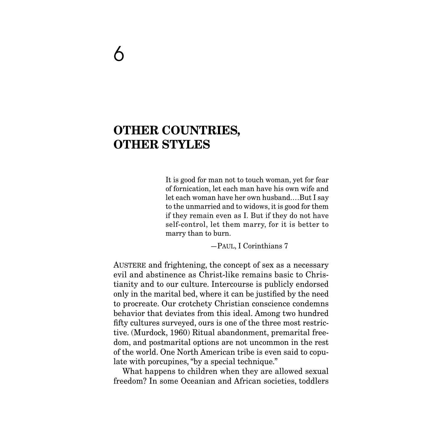# **OTHER COUNTRIES, OTHER STYLES**

It is good for man not to touch woman, yet for fear of fornication, let each man have his own wife and let each woman have her own husband.…But I say to the unmarried and to widows, it is good for them if they remain even as I. But if they do not have self-control, let them marry, for it is better to marry than to burn.

—PAUL, I Corinthians 7

AUSTERE and frightening, the concept of sex as a necessary evil and abstinence as Christ-like remains basic to Christianity and to our culture. Intercourse is publicly endorsed only in the marital bed, where it can be justified by the need to procreate. Our crotchety Christian conscience condemns behavior that deviates from this ideal. Among two hundred fifty cultures surveyed, ours is one of the three most restrictive. (Murdock, 1960) Ritual abandonment, premarital freedom, and postmarital options are not uncommon in the rest of the world. One North American tribe is even said to copulate with porcupines, "by a special technique."

What happens to children when they are allowed sexual freedom? In some Oceanian and African societies, toddlers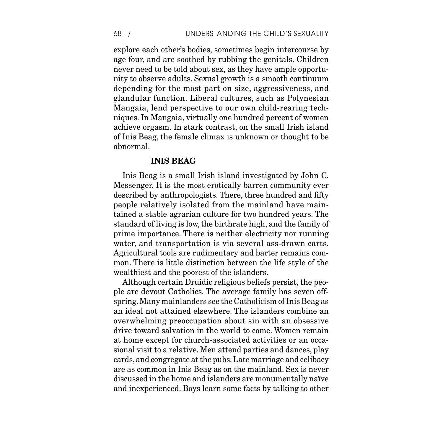explore each other's bodies, sometimes begin intercourse by age four, and are soothed by rubbing the genitals. Children never need to be told about sex, as they have ample opportunity to observe adults. Sexual growth is a smooth continuum depending for the most part on size, aggressiveness, and glandular function. Liberal cultures, such as Polynesian Mangaia, lend perspective to our own child-rearing techniques. In Mangaia, virtually one hundred percent of women achieve orgasm. In stark contrast, on the small Irish island of Inis Beag, the female climax is unknown or thought to be abnormal.

## **INIS BEAG**

Inis Beag is a small Irish island investigated by John C. Messenger. It is the most erotically barren community ever described by anthropologists. There, three hundred and fifty people relatively isolated from the mainland have maintained a stable agrarian culture for two hundred years. The standard of living is low, the birthrate high, and the family of prime importance. There is neither electricity nor running water, and transportation is via several ass-drawn carts. Agricultural tools are rudimentary and barter remains common. There is little distinction between the life style of the wealthiest and the poorest of the islanders.

Although certain Druidic religious beliefs persist, the people are devout Catholics. The average family has seven offspring. Many mainlanders see the Catholicism of Inis Beag as an ideal not attained elsewhere. The islanders combine an overwhelming preoccupation about sin with an obsessive drive toward salvation in the world to come. Women remain at home except for church-associated activities or an occasional visit to a relative. Men attend parties and dances, play cards, and congregate at the pubs. Late marriage and celibacy are as common in Inis Beag as on the mainland. Sex is never discussed in the home and islanders are monumentally naïve and inexperienced. Boys learn some facts by talking to other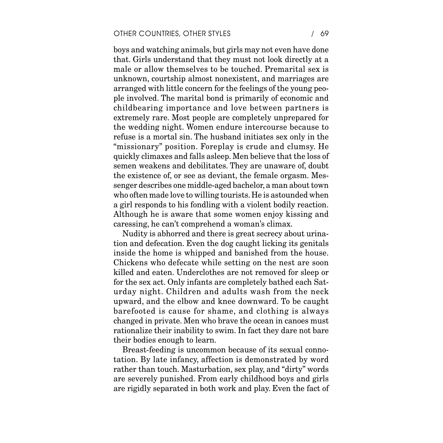boys and watching animals, but girls may not even have done that. Girls understand that they must not look directly at a male or allow themselves to be touched. Premarital sex is unknown, courtship almost nonexistent, and marriages are arranged with little concern for the feelings of the young people involved. The marital bond is primarily of economic and childbearing importance and love between partners is extremely rare. Most people are completely unprepared for the wedding night. Women endure intercourse because to refuse is a mortal sin. The husband initiates sex only in the "missionary" position. Foreplay is crude and clumsy. He quickly climaxes and falls asleep. Men believe that the loss of semen weakens and debilitates. They are unaware of, doubt the existence of, or see as deviant, the female orgasm. Messenger describes one middle-aged bachelor, a man about town who often made love to willing tourists. He is astounded when a girl responds to his fondling with a violent bodily reaction. Although he is aware that some women enjoy kissing and caressing, he can't comprehend a woman's climax.

Nudity is abhorred and there is great secrecy about urination and defecation. Even the dog caught licking its genitals inside the home is whipped and banished from the house. Chickens who defecate while setting on the nest are soon killed and eaten. Underclothes are not removed for sleep or for the sex act. Only infants are completely bathed each Saturday night. Children and adults wash from the neck upward, and the elbow and knee downward. To be caught barefooted is cause for shame, and clothing is always changed in private. Men who brave the ocean in canoes must rationalize their inability to swim. In fact they dare not bare their bodies enough to learn.

Breast-feeding is uncommon because of its sexual connotation. By late infancy, affection is demonstrated by word rather than touch. Masturbation, sex play, and "dirty" words are severely punished. From early childhood boys and girls are rigidly separated in both work and play. Even the fact of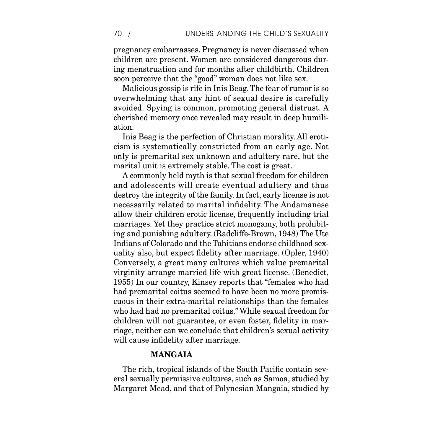pregnancy embarrasses. Pregnancy is never discussed when children are present. Women are considered dangerous during menstruation and for months after childbirth. Children soon perceive that the "good" woman does not like sex.

Malicious gossip is rife in Inis Beag. The fear of rumor is so overwhelming that any hint of sexual desire is carefully avoided. Spying is common, promoting general distrust. A cherished memory once revealed may result in deep humiliation.

Inis Beag is the perfection of Christian morality. All eroticism is systematically constricted from an early age. Not only is premarital sex unknown and adultery rare, but the marital unit is extremely stable. The cost is great.

A commonly held myth is that sexual freedom for children and adolescents will create eventual adultery and thus destroy the integrity of the family. In fact, early license is not necessarily related to marital infidelity. The Andamanese allow their children erotic license, frequently including trial marriages. Yet they practice strict monogamy, both prohibiting and punishing adultery. (Radcliffe-Brown, 1948) The Ute Indians of Colorado and the Tahitians endorse childhood sexuality also, but expect fidelity after marriage. (Opler, 1940) Conversely, a great many cultures which value premarital virginity arrange married life with great license. (Benedict, 1955) In our country, Kinsey reports that "females who had had premarital coitus seemed to have been no more promiscuous in their extra-marital relationships than the females who had had no premarital coitus." While sexual freedom for children will not guarantee, or even foster, fidelity in marriage, neither can we conclude that children's sexual activity will cause infidelity after marriage.

# **MANGAIA**

The rich, tropical islands of the South Pacific contain several sexually permissive cultures, such as Samoa, studied by Margaret Mead, and that of Polynesian Mangaia, studied by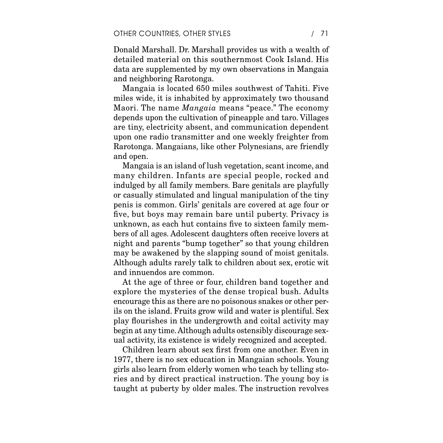Donald Marshall. Dr. Marshall provides us with a wealth of detailed material on this southernmost Cook Island. His data are supplemented by my own observations in Mangaia and neighboring Rarotonga.

Mangaia is located 650 miles southwest of Tahiti. Five miles wide, it is inhabited by approximately two thousand Maori. The name *Mangaia* means "peace." The economy depends upon the cultivation of pineapple and taro. Villages are tiny, electricity absent, and communication dependent upon one radio transmitter and one weekly freighter from Rarotonga. Mangaians, like other Polynesians, are friendly and open.

Mangaia is an island of lush vegetation, scant income, and many children. Infants are special people, rocked and indulged by all family members. Bare genitals are playfully or casually stimulated and lingual manipulation of the tiny penis is common. Girls' genitals are covered at age four or five, but boys may remain bare until puberty. Privacy is unknown, as each hut contains five to sixteen family members of all ages. Adolescent daughters often receive lovers at night and parents "bump together" so that young children may be awakened by the slapping sound of moist genitals. Although adults rarely talk to children about sex, erotic wit and innuendos are common.

At the age of three or four, children band together and explore the mysteries of the dense tropical bush. Adults encourage this as there are no poisonous snakes or other perils on the island. Fruits grow wild and water is plentiful. Sex play flourishes in the undergrowth and coital activity may begin at any time. Although adults ostensibly discourage sexual activity, its existence is widely recognized and accepted.

Children learn about sex first from one another. Even in 1977, there is no sex education in Mangaian schools. Young girls also learn from elderly women who teach by telling stories and by direct practical instruction. The young boy is taught at puberty by older males. The instruction revolves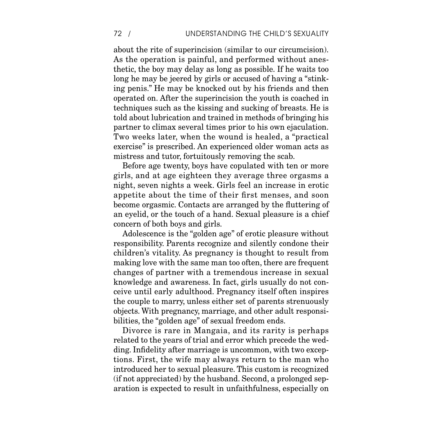about the rite of superincision (similar to our circumcision). As the operation is painful, and performed without anesthetic, the boy may delay as long as possible. If he waits too long he may be jeered by girls or accused of having a "stinking penis." He may be knocked out by his friends and then operated on. After the superincision the youth is coached in techniques such as the kissing and sucking of breasts. He is told about lubrication and trained in methods of bringing his partner to climax several times prior to his own ejaculation. Two weeks later, when the wound is healed, a "practical exercise" is prescribed. An experienced older woman acts as mistress and tutor, fortuitously removing the scab.

Before age twenty, boys have copulated with ten or more girls, and at age eighteen they average three orgasms a night, seven nights a week. Girls feel an increase in erotic appetite about the time of their first menses, and soon become orgasmic. Contacts are arranged by the fluttering of an eyelid, or the touch of a hand. Sexual pleasure is a chief concern of both boys and girls.

Adolescence is the "golden age" of erotic pleasure without responsibility. Parents recognize and silently condone their children's vitality. As pregnancy is thought to result from making love with the same man too often, there are frequent changes of partner with a tremendous increase in sexual knowledge and awareness. In fact, girls usually do not conceive until early adulthood. Pregnancy itself often inspires the couple to marry, unless either set of parents strenuously objects. With pregnancy, marriage, and other adult responsibilities, the "golden age" of sexual freedom ends.

Divorce is rare in Mangaia, and its rarity is perhaps related to the years of trial and error which precede the wedding. Infidelity after marriage is uncommon, with two exceptions. First, the wife may always return to the man who introduced her to sexual pleasure. This custom is recognized (if not appreciated) by the husband. Second, a prolonged separation is expected to result in unfaithfulness, especially on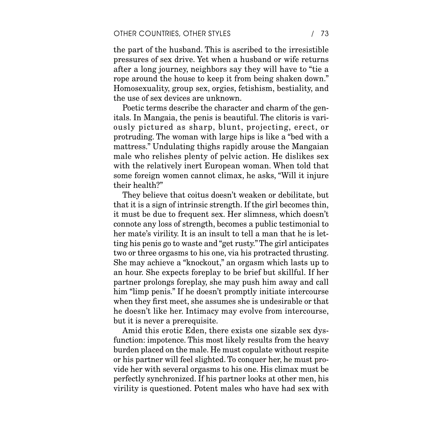the part of the husband. This is ascribed to the irresistible pressures of sex drive. Yet when a husband or wife returns after a long journey, neighbors say they will have to "tie a rope around the house to keep it from being shaken down." Homosexuality, group sex, orgies, fetishism, bestiality, and the use of sex devices are unknown.

Poetic terms describe the character and charm of the genitals. In Mangaia, the penis is beautiful. The clitoris is variously pictured as sharp, blunt, projecting, erect, or protruding. The woman with large hips is like a "bed with a mattress." Undulating thighs rapidly arouse the Mangaian male who relishes plenty of pelvic action. He dislikes sex with the relatively inert European woman. When told that some foreign women cannot climax, he asks, "Will it injure their health?"

They believe that coitus doesn't weaken or debilitate, but that it is a sign of intrinsic strength. If the girl becomes thin, it must be due to frequent sex. Her slimness, which doesn't connote any loss of strength, becomes a public testimonial to her mate's virility. It is an insult to tell a man that he is letting his penis go to waste and "get rusty." The girl anticipates two or three orgasms to his one, via his protracted thrusting. She may achieve a "knockout," an orgasm which lasts up to an hour. She expects foreplay to be brief but skillful. If her partner prolongs foreplay, she may push him away and call him "limp penis." If he doesn't promptly initiate intercourse when they first meet, she assumes she is undesirable or that he doesn't like her. Intimacy may evolve from intercourse, but it is never a prerequisite.

Amid this erotic Eden, there exists one sizable sex dysfunction: impotence. This most likely results from the heavy burden placed on the male. He must copulate without respite or his partner will feel slighted. To conquer her, he must provide her with several orgasms to his one. His climax must be perfectly synchronized. If his partner looks at other men, his virility is questioned. Potent males who have had sex with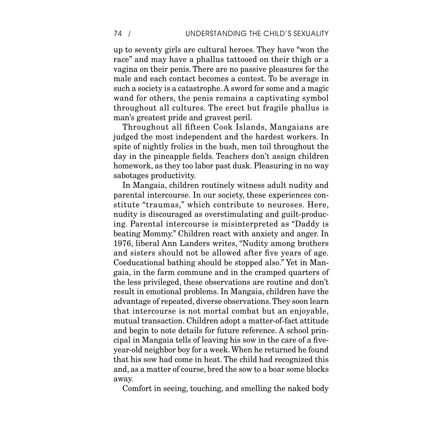up to seventy girls are cultural heroes. They have "won the race" and may have a phallus tattooed on their thigh or a vagina on their penis. There are no passive pleasures for the male and each contact becomes a contest. To be average in such a society is a catastrophe. A sword for some and a magic wand for others, the penis remains a captivating symbol throughout all cultures. The erect but fragile phallus is man's greatest pride and gravest peril.

Throughout all fifteen Cook Islands, Mangaians are judged the most independent and the hardest workers. In spite of nightly frolics in the bush, men toil throughout the day in the pineapple fields. Teachers don't assign children homework, as they too labor past dusk. Pleasuring in no way sabotages productivity.

In Mangaia, children routinely witness adult nudity and parental intercourse. In our society, these experiences constitute "traumas," which contribute to neuroses. Here, nudity is discouraged as overstimulating and guilt-producing. Parental intercourse is misinterpreted as "Daddy is beating Mommy." Children react with anxiety and anger. In 1976, liberal Ann Landers writes, "Nudity among brothers and sisters should not be allowed after five years of age. Coeducational bathing should be stopped also." Yet in Mangaia, in the farm commune and in the cramped quarters of the less privileged, these observations are routine and don't result in emotional problems. In Mangaia, children have the advantage of repeated, diverse observations. They soon learn that intercourse is not mortal combat but an enjoyable, mutual transaction. Children adopt a matter-of-fact attitude and begin to note details for future reference. A school principal in Mangaia tells of leaving his sow in the care of a fiveyear-old neighbor boy for a week. When he returned he found that his sow had come in heat. The child had recognized this and, as a matter of course, bred the sow to a boar some blocks away.

Comfort in seeing, touching, and smelling the naked body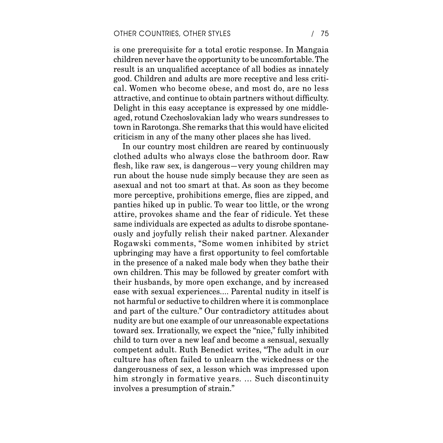is one prerequisite for a total erotic response. In Mangaia children never have the opportunity to be uncomfortable. The result is an unqualified acceptance of all bodies as innately good. Children and adults are more receptive and less critical. Women who become obese, and most do, are no less attractive, and continue to obtain partners without difficulty. Delight in this easy acceptance is expressed by one middleaged, rotund Czechoslovakian lady who wears sundresses to town in Rarotonga. She remarks that this would have elicited criticism in any of the many other places she has lived.

In our country most children are reared by continuously clothed adults who always close the bathroom door. Raw flesh, like raw sex, is dangerous—very young children may run about the house nude simply because they are seen as asexual and not too smart at that. As soon as they become more perceptive, prohibitions emerge, flies are zipped, and panties hiked up in public. To wear too little, or the wrong attire, provokes shame and the fear of ridicule. Yet these same individuals are expected as adults to disrobe spontaneously and joyfully relish their naked partner. Alexander Rogawski comments, "Some women inhibited by strict upbringing may have a first opportunity to feel comfortable in the presence of a naked male body when they bathe their own children. This may be followed by greater comfort with their husbands, by more open exchange, and by increased ease with sexual experiences.... Parental nudity in itself is not harmful or seductive to children where it is commonplace and part of the culture." Our contradictory attitudes about nudity are but one example of our unreasonable expectations toward sex. Irrationally, we expect the "nice," fully inhibited child to turn over a new leaf and become a sensual, sexually competent adult. Ruth Benedict writes, "The adult in our culture has often failed to unlearn the wickedness or the dangerousness of sex, a lesson which was impressed upon him strongly in formative years. … Such discontinuity involves a presumption of strain."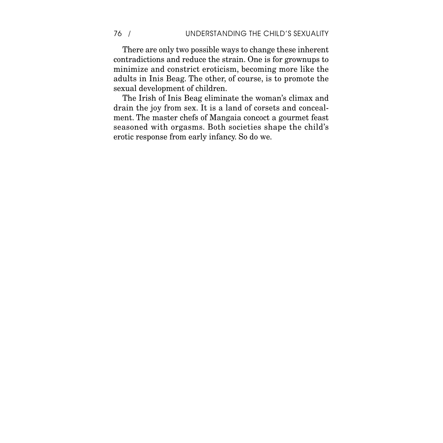There are only two possible ways to change these inherent contradictions and reduce the strain. One is for grownups to minimize and constrict eroticism, becoming more like the adults in Inis Beag. The other, of course, is to promote the sexual development of children.

The Irish of Inis Beag eliminate the woman's climax and drain the joy from sex. It is a land of corsets and concealment. The master chefs of Mangaia concoct a gourmet feast seasoned with orgasms. Both societies shape the child's erotic response from early infancy. So do we.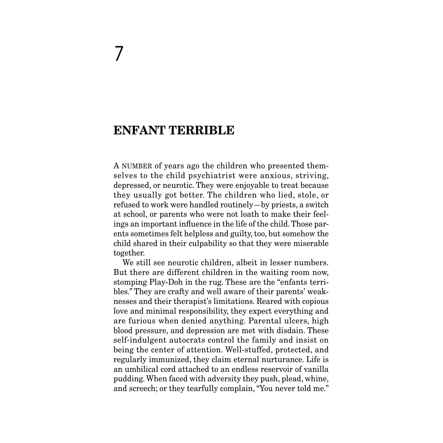## **ENFANT TERRIBLE**

A NUMBER of years ago the children who presented themselves to the child psychiatrist were anxious, striving, depressed, or neurotic. They were enjoyable to treat because they usually got better. The children who lied, stole, or refused to work were handled routinely—by priests, a switch at school, or parents who were not loath to make their feelings an important influence in the life of the child. Those parents sometimes felt helpless and guilty, too, but somehow the child shared in their culpability so that they were miserable together.

We still see neurotic children, albeit in lesser numbers. But there are different children in the waiting room now, stomping Play-Doh in the rug. These are the "enfants terribles." They are crafty and well aware of their parents' weaknesses and their therapist's limitations. Reared with copious love and minimal responsibility, they expect everything and are furious when denied anything. Parental ulcers, high blood pressure, and depression are met with disdain. These self-indulgent autocrats control the family and insist on being the center of attention. Well-stuffed, protected, and regularly immunized, they claim eternal nurturance. Life is an umbilical cord attached to an endless reservoir of vanilla pudding. When faced with adversity they push, plead, whine, and screech; or they tearfully complain, "You never told me."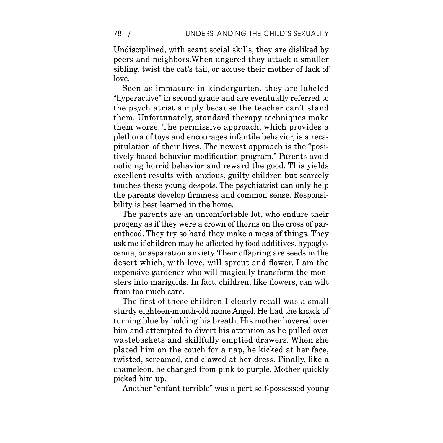Undisciplined, with scant social skills, they are disliked by peers and neighbors.When angered they attack a smaller sibling, twist the cat's tail, or accuse their mother of lack of love.

Seen as immature in kindergarten, they are labeled "hyperactive" in second grade and are eventually referred to the psychiatrist simply because the teacher can't stand them. Unfortunately, standard therapy techniques make them worse. The permissive approach, which provides a plethora of toys and encourages infantile behavior, is a recapitulation of their lives. The newest approach is the "positively based behavior modification program." Parents avoid noticing horrid behavior and reward the good. This yields excellent results with anxious, guilty children but scarcely touches these young despots. The psychiatrist can only help the parents develop firmness and common sense. Responsibility is best learned in the home.

The parents are an uncomfortable lot, who endure their progeny as if they were a crown of thorns on the cross of parenthood. They try so hard they make a mess of things. They ask me if children may be affected by food additives, hypoglycemia, or separation anxiety. Their offspring are seeds in the desert which, with love, will sprout and flower. I am the expensive gardener who will magically transform the monsters into marigolds. In fact, children, like flowers, can wilt from too much care.

The first of these children I clearly recall was a small sturdy eighteen-month-old name Angel. He had the knack of turning blue by holding his breath. His mother hovered over him and attempted to divert his attention as he pulled over wastebaskets and skillfully emptied drawers. When she placed him on the couch for a nap, he kicked at her face, twisted, screamed, and clawed at her dress. Finally, like a chameleon, he changed from pink to purple. Mother quickly picked him up.

Another "enfant terrible" was a pert self-possessed young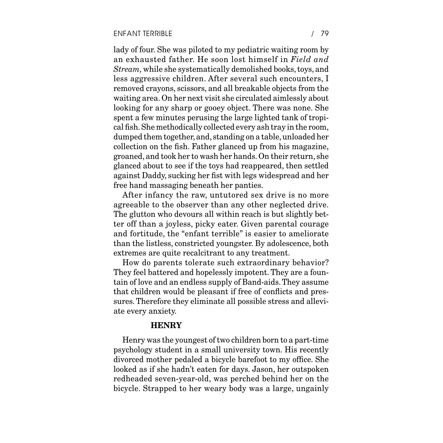lady of four. She was piloted to my pediatric waiting room by an exhausted father. He soon lost himself in *Field and Stream,* while she systematically demolished books, toys, and less aggressive children. After several such encounters, I removed crayons, scissors, and all breakable objects from the waiting area. On her next visit she circulated aimlessly about looking for any sharp or gooey object. There was none. She spent a few minutes perusing the large lighted tank of tropical fish. She methodically collected every ash tray in the room, dumped them together, and, standing on a table, unloaded her collection on the fish. Father glanced up from his magazine, groaned, and took her to wash her hands. On their return, she glanced about to see if the toys had reappeared, then settled against Daddy, sucking her fist with legs widespread and her free hand massaging beneath her panties.

After infancy the raw, untutored sex drive is no more agreeable to the observer than any other neglected drive. The glutton who devours all within reach is but slightly better off than a joyless, picky eater. Given parental courage and fortitude, the "enfant terrible" is easier to ameliorate than the listless, constricted youngster. By adolescence, both extremes are quite recalcitrant to any treatment.

How do parents tolerate such extraordinary behavior? They feel battered and hopelessly impotent. They are a fountain of love and an endless supply of Band-aids. They assume that children would be pleasant if free of conflicts and pressures. Therefore they eliminate all possible stress and alleviate every anxiety.

## **HENRY**

Henry was the youngest of two children born to a part-time psychology student in a small university town. His recently divorced mother pedaled a bicycle barefoot to my office. She looked as if she hadn't eaten for days. Jason, her outspoken redheaded seven-year-old, was perched behind her on the bicycle. Strapped to her weary body was a large, ungainly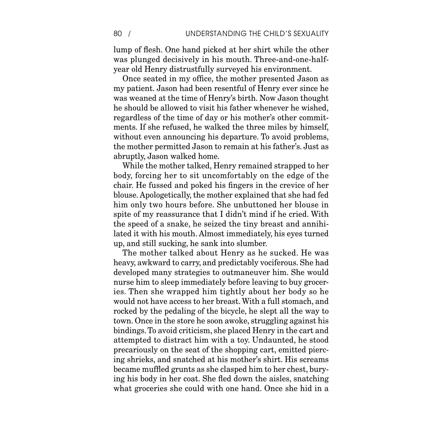lump of flesh. One hand picked at her shirt while the other was plunged decisively in his mouth. Three-and-one-halfyear old Henry distrustfully surveyed his environment.

Once seated in my office, the mother presented Jason as my patient. Jason had been resentful of Henry ever since he was weaned at the time of Henry's birth. Now Jason thought he should be allowed to visit his father whenever he wished, regardless of the time of day or his mother's other commitments. If she refused, he walked the three miles by himself, without even announcing his departure. To avoid problems, the mother permitted Jason to remain at his father's. Just as abruptly, Jason walked home.

While the mother talked, Henry remained strapped to her body, forcing her to sit uncomfortably on the edge of the chair. He fussed and poked his fingers in the crevice of her blouse. Apologetically, the mother explained that she had fed him only two hours before. She unbuttoned her blouse in spite of my reassurance that I didn't mind if he cried. With the speed of a snake, he seized the tiny breast and annihilated it with his mouth. Almost immediately, his eyes turned up, and still sucking, he sank into slumber.

The mother talked about Henry as he sucked. He was heavy, awkward to carry, and predictably vociferous. She had developed many strategies to outmaneuver him. She would nurse him to sleep immediately before leaving to buy groceries. Then she wrapped him tightly about her body so he would not have access to her breast. With a full stomach, and rocked by the pedaling of the bicycle, he slept all the way to town. Once in the store he soon awoke, struggling against his bindings. To avoid criticism, she placed Henry in the cart and attempted to distract him with a toy. Undaunted, he stood precariously on the seat of the shopping cart, emitted piercing shrieks, and snatched at his mother's shirt. His screams became muffled grunts as she clasped him to her chest, burying his body in her coat. She fled down the aisles, snatching what groceries she could with one hand. Once she hid in a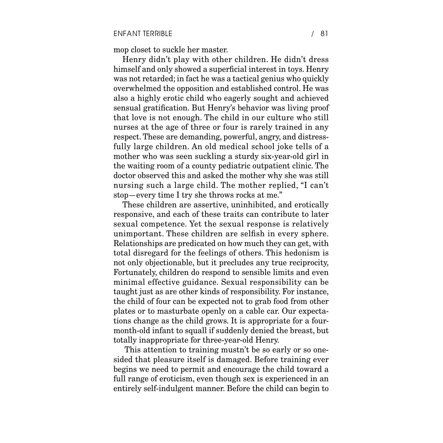mop closet to suckle her master.

Henry didn't play with other children. He didn't dress himself and only showed a superficial interest in toys. Henry was not retarded; in fact he was a tactical genius who quickly overwhelmed the opposition and established control. He was also a highly erotic child who eagerly sought and achieved sensual gratification. But Henry's behavior was living proof that love is not enough. The child in our culture who still nurses at the age of three or four is rarely trained in any respect. These are demanding, powerful, angry, and distressfully large children. An old medical school joke tells of a mother who was seen suckling a sturdy six-year-old girl in the waiting room of a county pediatric outpatient clinic. The doctor observed this and asked the mother why she was still nursing such a large child. The mother replied, "I can't stop—every time I try she throws rocks at me."

These children are assertive, uninhibited, and erotically responsive, and each of these traits can contribute to later sexual competence. Yet the sexual response is relatively unimportant. These children are selfish in every sphere. Relationships are predicated on how much they can get, with total disregard for the feelings of others. This hedonism is not only objectionable, but it precludes any true reciprocity, Fortunately, children do respond to sensible limits and even minimal effective guidance. Sexual responsibility can be taught just as are other kinds of responsibility. For instance, the child of four can be expected not to grab food from other plates or to masturbate openly on a cable car. Our expectations change as the child grows. It is appropriate for a fourmonth-old infant to squall if suddenly denied the breast, but totally inappropriate for three-year-old Henry.

 This attention to training mustn't be so early or so onesided that pleasure itself is damaged. Before training ever begins we need to permit and encourage the child toward a full range of eroticism, even though sex is experienced in an entirely self-indulgent manner. Before the child can begin to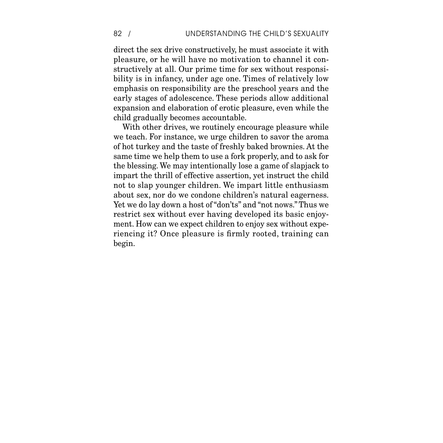direct the sex drive constructively, he must associate it with pleasure, or he will have no motivation to channel it constructively at all. Our prime time for sex without responsibility is in infancy, under age one. Times of relatively low emphasis on responsibility are the preschool years and the early stages of adolescence. These periods allow additional expansion and elaboration of erotic pleasure, even while the child gradually becomes accountable.

With other drives, we routinely encourage pleasure while we teach. For instance, we urge children to savor the aroma of hot turkey and the taste of freshly baked brownies. At the same time we help them to use a fork properly, and to ask for the blessing. We may intentionally lose a game of slapjack to impart the thrill of effective assertion, yet instruct the child not to slap younger children. We impart little enthusiasm about sex, nor do we condone children's natural eagerness. Yet we do lay down a host of "don'ts" and "not nows." Thus we restrict sex without ever having developed its basic enjoyment. How can we expect children to enjoy sex without experiencing it? Once pleasure is firmly rooted, training can begin.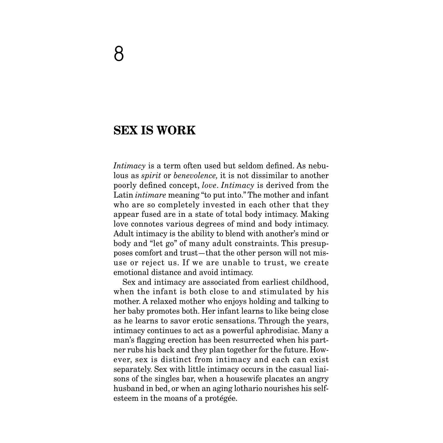# **SEX IS WORK**

*Intimacy* is a term often used but seldom defined. As nebulous as *spirit* or *benevolence,* it is not dissimilar to another poorly defined concept, *love*. *Intimacy* is derived from the Latin *intimare* meaning "to put into." The mother and infant who are so completely invested in each other that they appear fused are in a state of total body intimacy. Making love connotes various degrees of mind and body intimacy. Adult intimacy is the ability to blend with another's mind or body and "let go" of many adult constraints. This presupposes comfort and trust—that the other person will not misuse or reject us. If we are unable to trust, we create emotional distance and avoid intimacy.

Sex and intimacy are associated from earliest childhood, when the infant is both close to and stimulated by his mother. A relaxed mother who enjoys holding and talking to her baby promotes both. Her infant learns to like being close as he learns to savor erotic sensations. Through the years, intimacy continues to act as a powerful aphrodisiac. Many a man's flagging erection has been resurrected when his partner rubs his back and they plan together for the future. However, sex is distinct from intimacy and each can exist separately. Sex with little intimacy occurs in the casual liaisons of the singles bar, when a housewife placates an angry husband in bed, or when an aging lothario nourishes his selfesteem in the moans of a protégée.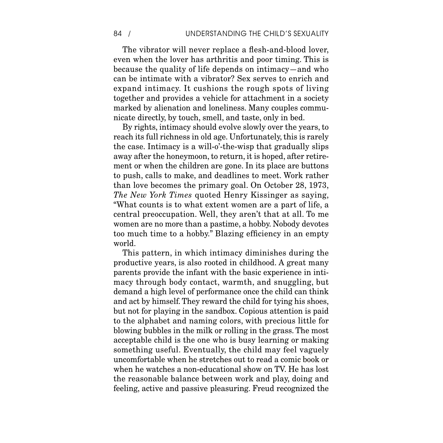The vibrator will never replace a flesh-and-blood lover, even when the lover has arthritis and poor timing. This is because the quality of life depends on intimacy—and who can be intimate with a vibrator? Sex serves to enrich and expand intimacy. It cushions the rough spots of living together and provides a vehicle for attachment in a society marked by alienation and loneliness. Many couples communicate directly, by touch, smell, and taste, only in bed.

By rights, intimacy should evolve slowly over the years, to reach its full richness in old age. Unfortunately, this is rarely the case. Intimacy is a will-o'-the-wisp that gradually slips away after the honeymoon, to return, it is hoped, after retirement or when the children are gone. In its place are buttons to push, calls to make, and deadlines to meet. Work rather than love becomes the primary goal. On October 28, 1973, *The New York Times* quoted Henry Kissinger as saying, "What counts is to what extent women are a part of life, a central preoccupation. Well, they aren't that at all. To me women are no more than a pastime, a hobby. Nobody devotes too much time to a hobby." Blazing efficiency in an empty world.

This pattern, in which intimacy diminishes during the productive years, is also rooted in childhood. A great many parents provide the infant with the basic experience in intimacy through body contact, warmth, and snuggling, but demand a high level of performance once the child can think and act by himself. They reward the child for tying his shoes, but not for playing in the sandbox. Copious attention is paid to the alphabet and naming colors, with precious little for blowing bubbles in the milk or rolling in the grass. The most acceptable child is the one who is busy learning or making something useful. Eventually, the child may feel vaguely uncomfortable when he stretches out to read a comic book or when he watches a non-educational show on TV. He has lost the reasonable balance between work and play, doing and feeling, active and passive pleasuring. Freud recognized the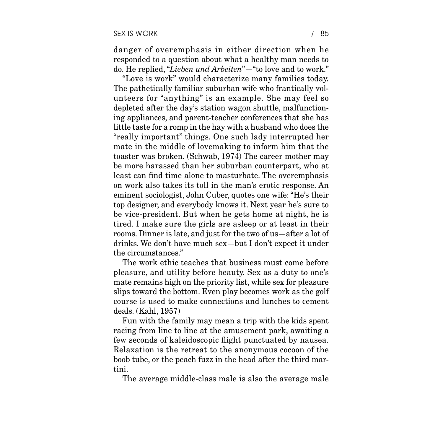danger of overemphasis in either direction when he responded to a question about what a healthy man needs to do. He replied, "*Lieben und Arbeiten*"—"to love and to work."

"Love is work" would characterize many families today. The pathetically familiar suburban wife who frantically volunteers for "anything" is an example. She may feel so depleted after the day's station wagon shuttle, malfunctioning appliances, and parent-teacher conferences that she has little taste for a romp in the hay with a husband who does the "really important" things. One such lady interrupted her mate in the middle of lovemaking to inform him that the toaster was broken. (Schwab, 1974) The career mother may be more harassed than her suburban counterpart, who at least can find time alone to masturbate. The overemphasis on work also takes its toll in the man's erotic response. An eminent sociologist, John Cuber, quotes one wife: "He's their top designer, and everybody knows it. Next year he's sure to be vice-president. But when he gets home at night, he is tired. I make sure the girls are asleep or at least in their rooms. Dinner is late, and just for the two of us—after a lot of drinks. We don't have much sex—but I don't expect it under the circumstances."

The work ethic teaches that business must come before pleasure, and utility before beauty. Sex as a duty to one's mate remains high on the priority list, while sex for pleasure slips toward the bottom. Even play becomes work as the golf course is used to make connections and lunches to cement deals. (Kahl, 1957)

Fun with the family may mean a trip with the kids spent racing from line to line at the amusement park, awaiting a few seconds of kaleidoscopic flight punctuated by nausea. Relaxation is the retreat to the anonymous cocoon of the boob tube, or the peach fuzz in the head after the third martini.

The average middle-class male is also the average male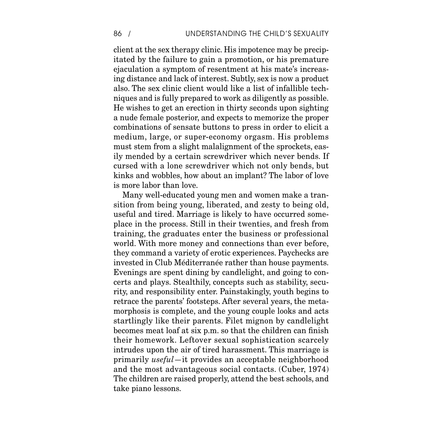client at the sex therapy clinic. His impotence may be precipitated by the failure to gain a promotion, or his premature ejaculation a symptom of resentment at his mate's increasing distance and lack of interest. Subtly, sex is now a product also. The sex clinic client would like a list of infallible techniques and is fully prepared to work as diligently as possible. He wishes to get an erection in thirty seconds upon sighting a nude female posterior, and expects to memorize the proper combinations of sensate buttons to press in order to elicit a medium, large, or super-economy orgasm. His problems must stem from a slight malalignment of the sprockets, easily mended by a certain screwdriver which never bends. If cursed with a lone screwdriver which not only bends, but kinks and wobbles, how about an implant? The labor of love is more labor than love.

Many well-educated young men and women make a transition from being young, liberated, and zesty to being old, useful and tired. Marriage is likely to have occurred someplace in the process. Still in their twenties, and fresh from training, the graduates enter the business or professional world. With more money and connections than ever before, they command a variety of erotic experiences. Paychecks are invested in Club Méditerranée rather than house payments. Evenings are spent dining by candlelight, and going to concerts and plays. Stealthily, concepts such as stability, security, and responsibility enter. Painstakingly, youth begins to retrace the parents' footsteps. After several years, the metamorphosis is complete, and the young couple looks and acts startlingly like their parents. Filet mignon by candlelight becomes meat loaf at six p.m. so that the children can finish their homework. Leftover sexual sophistication scarcely intrudes upon the air of tired harassment. This marriage is primarily *useful*—it provides an acceptable neighborhood and the most advantageous social contacts. (Cuber, 1974) The children are raised properly, attend the best schools, and take piano lessons.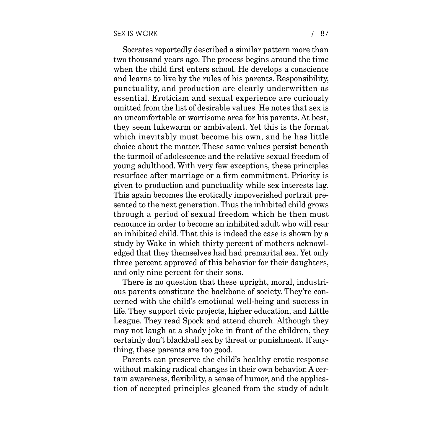Socrates reportedly described a similar pattern more than two thousand years ago. The process begins around the time when the child first enters school. He develops a conscience and learns to live by the rules of his parents. Responsibility, punctuality, and production are clearly underwritten as essential. Eroticism and sexual experience are curiously omitted from the list of desirable values. He notes that sex is an uncomfortable or worrisome area for his parents. At best, they seem lukewarm or ambivalent. Yet this is the format which inevitably must become his own, and he has little choice about the matter. These same values persist beneath the turmoil of adolescence and the relative sexual freedom of young adulthood. With very few exceptions, these principles resurface after marriage or a firm commitment. Priority is given to production and punctuality while sex interests lag. This again becomes the erotically impoverished portrait presented to the next generation. Thus the inhibited child grows through a period of sexual freedom which he then must renounce in order to become an inhibited adult who will rear an inhibited child. That this is indeed the case is shown by a study by Wake in which thirty percent of mothers acknowledged that they themselves had had premarital sex. Yet only three percent approved of this behavior for their daughters, and only nine percent for their sons.

There is no question that these upright, moral, industrious parents constitute the backbone of society. They're concerned with the child's emotional well-being and success in life. They support civic projects, higher education, and Little League. They read Spock and attend church. Although they may not laugh at a shady joke in front of the children, they certainly don't blackball sex by threat or punishment. If anything, these parents are too good.

Parents can preserve the child's healthy erotic response without making radical changes in their own behavior. A certain awareness, flexibility, a sense of humor, and the application of accepted principles gleaned from the study of adult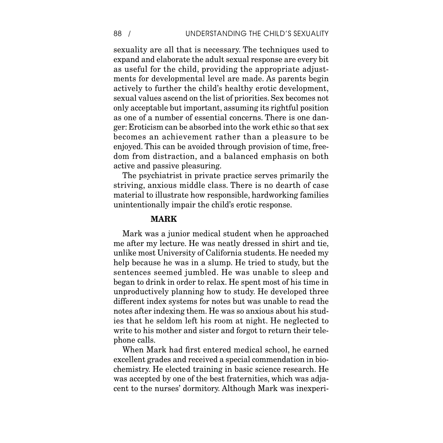sexuality are all that is necessary. The techniques used to expand and elaborate the adult sexual response are every bit as useful for the child, providing the appropriate adjustments for developmental level are made. As parents begin actively to further the child's healthy erotic development, sexual values ascend on the list of priorities. Sex becomes not only acceptable but important, assuming its rightful position as one of a number of essential concerns. There is one danger: Eroticism can be absorbed into the work ethic so that sex becomes an achievement rather than a pleasure to be enjoyed. This can be avoided through provision of time, freedom from distraction, and a balanced emphasis on both active and passive pleasuring.

The psychiatrist in private practice serves primarily the striving, anxious middle class. There is no dearth of case material to illustrate how responsible, hardworking families unintentionally impair the child's erotic response.

### **MARK**

Mark was a junior medical student when he approached me after my lecture. He was neatly dressed in shirt and tie, unlike most University of California students. He needed my help because he was in a slump. He tried to study, but the sentences seemed jumbled. He was unable to sleep and began to drink in order to relax. He spent most of his time in unproductively planning how to study. He developed three different index systems for notes but was unable to read the notes after indexing them. He was so anxious about his studies that he seldom left his room at night. He neglected to write to his mother and sister and forgot to return their telephone calls.

When Mark had first entered medical school, he earned excellent grades and received a special commendation in biochemistry. He elected training in basic science research. He was accepted by one of the best fraternities, which was adjacent to the nurses' dormitory. Although Mark was inexperi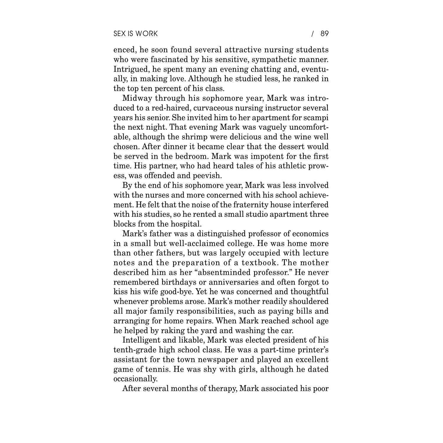enced, he soon found several attractive nursing students who were fascinated by his sensitive, sympathetic manner. Intrigued, he spent many an evening chatting and, eventually, in making love. Although he studied less, he ranked in the top ten percent of his class.

Midway through his sophomore year, Mark was introduced to a red-haired, curvaceous nursing instructor several years his senior. She invited him to her apartment for scampi the next night. That evening Mark was vaguely uncomfortable, although the shrimp were delicious and the wine well chosen. After dinner it became clear that the dessert would be served in the bedroom. Mark was impotent for the first time. His partner, who had heard tales of his athletic prowess, was offended and peevish.

By the end of his sophomore year, Mark was less involved with the nurses and more concerned with his school achievement. He felt that the noise of the fraternity house interfered with his studies, so he rented a small studio apartment three blocks from the hospital.

Mark's father was a distinguished professor of economics in a small but well-acclaimed college. He was home more than other fathers, but was largely occupied with lecture notes and the preparation of a textbook. The mother described him as her "absentminded professor." He never remembered birthdays or anniversaries and often forgot to kiss his wife good-bye. Yet he was concerned and thoughtful whenever problems arose. Mark's mother readily shouldered all major family responsibilities, such as paying bills and arranging for home repairs. When Mark reached school age he helped by raking the yard and washing the car.

Intelligent and likable, Mark was elected president of his tenth-grade high school class. He was a part-time printer's assistant for the town newspaper and played an excellent game of tennis. He was shy with girls, although he dated occasionally.

After several months of therapy, Mark associated his poor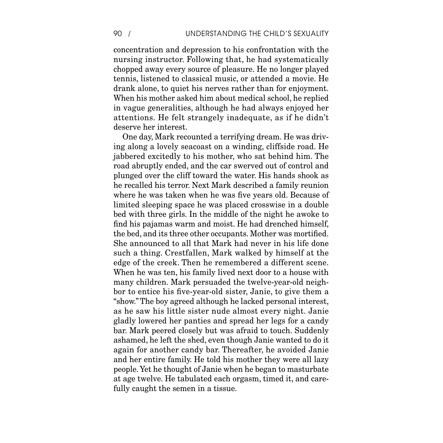concentration and depression to his confrontation with the nursing instructor. Following that, he had systematically chopped away every source of pleasure. He no longer played tennis, listened to classical music, or attended a movie. He drank alone, to quiet his nerves rather than for enjoyment. When his mother asked him about medical school, he replied in vague generalities, although he had always enjoyed her attentions. He felt strangely inadequate, as if he didn't deserve her interest.

One day, Mark recounted a terrifying dream. He was driving along a lovely seacoast on a winding, cliffside road. He jabbered excitedly to his mother, who sat behind him. The road abruptly ended, and the car swerved out of control and plunged over the cliff toward the water. His hands shook as he recalled his terror. Next Mark described a family reunion where he was taken when he was five years old. Because of limited sleeping space he was placed crosswise in a double bed with three girls. In the middle of the night he awoke to find his pajamas warm and moist. He had drenched himself, the bed, and its three other occupants. Mother was mortified. She announced to all that Mark had never in his life done such a thing. Crestfallen, Mark walked by himself at the edge of the creek. Then he remembered a different scene. When he was ten, his family lived next door to a house with many children. Mark persuaded the twelve-year-old neighbor to entice his five-year-old sister, Janie, to give them a "show." The boy agreed although he lacked personal interest, as he saw his little sister nude almost every night. Janie gladly lowered her panties and spread her legs for a candy bar. Mark peered closely but was afraid to touch. Suddenly ashamed, he left the shed, even though Janie wanted to do it again for another candy bar. Thereafter, he avoided Janie and her entire family. He told his mother they were all lazy people. Yet he thought of Janie when he began to masturbate at age twelve. He tabulated each orgasm, timed it, and carefully caught the semen in a tissue.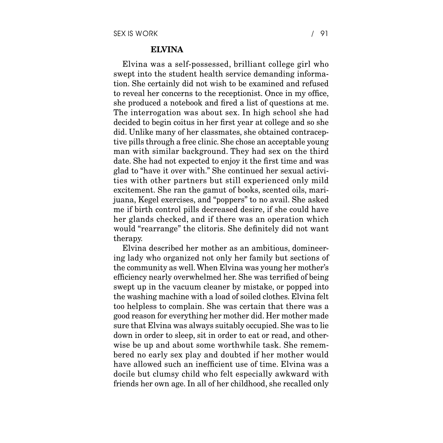#### **ELVINA**

Elvina was a self-possessed, brilliant college girl who swept into the student health service demanding information. She certainly did not wish to be examined and refused to reveal her concerns to the receptionist. Once in my office, she produced a notebook and fired a list of questions at me. The interrogation was about sex. In high school she had decided to begin coitus in her first year at college and so she did. Unlike many of her classmates, she obtained contraceptive pills through a free clinic. She chose an acceptable young man with similar background. They had sex on the third date. She had not expected to enjoy it the first time and was glad to "have it over with." She continued her sexual activities with other partners but still experienced only mild excitement. She ran the gamut of books, scented oils, marijuana, Kegel exercises, and "poppers" to no avail. She asked me if birth control pills decreased desire, if she could have her glands checked, and if there was an operation which would "rearrange" the clitoris. She definitely did not want therapy.

Elvina described her mother as an ambitious, domineering lady who organized not only her family but sections of the community as well. When Elvina was young her mother's efficiency nearly overwhelmed her. She was terrified of being swept up in the vacuum cleaner by mistake, or popped into the washing machine with a load of soiled clothes. Elvina felt too helpless to complain. She was certain that there was a good reason for everything her mother did. Her mother made sure that Elvina was always suitably occupied. She was to lie down in order to sleep, sit in order to eat or read, and otherwise be up and about some worthwhile task. She remembered no early sex play and doubted if her mother would have allowed such an inefficient use of time. Elvina was a docile but clumsy child who felt especially awkward with friends her own age. In all of her childhood, she recalled only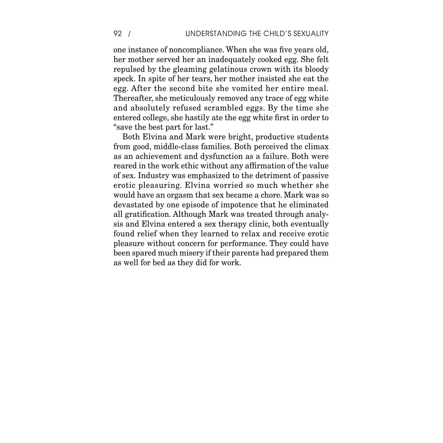one instance of noncompliance. When she was five years old, her mother served her an inadequately cooked egg. She felt repulsed by the gleaming gelatinous crown with its bloody speck. In spite of her tears, her mother insisted she eat the egg. After the second bite she vomited her entire meal. Thereafter, she meticulously removed any trace of egg white and absolutely refused scrambled eggs. By the time she entered college, she hastily ate the egg white first in order to "save the best part for last."

Both Elvina and Mark were bright, productive students from good, middle-class families. Both perceived the climax as an achievement and dysfunction as a failure. Both were reared in the work ethic without any affirmation of the value of sex. Industry was emphasized to the detriment of passive erotic pleasuring. Elvina worried so much whether she would have an orgasm that sex became a chore. Mark was so devastated by one episode of impotence that he eliminated all gratification. Although Mark was treated through analysis and Elvina entered a sex therapy clinic, both eventually found relief when they learned to relax and receive erotic pleasure without concern for performance. They could have been spared much misery if their parents had prepared them as well for bed as they did for work.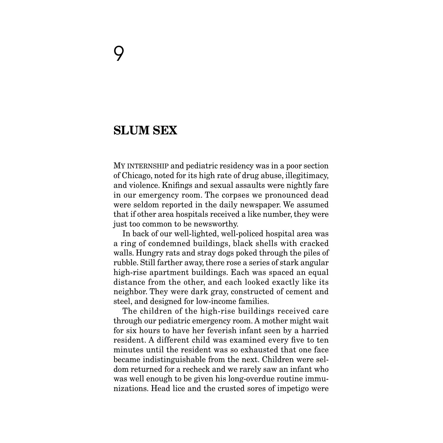## **SLUM SEX**

MY INTERNSHIP and pediatric residency was in a poor section of Chicago, noted for its high rate of drug abuse, illegitimacy, and violence. Knifings and sexual assaults were nightly fare in our emergency room. The corpses we pronounced dead were seldom reported in the daily newspaper. We assumed that if other area hospitals received a like number, they were just too common to be newsworthy.

In back of our well-lighted, well-policed hospital area was a ring of condemned buildings, black shells with cracked walls. Hungry rats and stray dogs poked through the piles of rubble. Still farther away, there rose a series of stark angular high-rise apartment buildings. Each was spaced an equal distance from the other, and each looked exactly like its neighbor. They were dark gray, constructed of cement and steel, and designed for low-income families.

The children of the high-rise buildings received care through our pediatric emergency room. A mother might wait for six hours to have her feverish infant seen by a harried resident. A different child was examined every five to ten minutes until the resident was so exhausted that one face became indistinguishable from the next. Children were seldom returned for a recheck and we rarely saw an infant who was well enough to be given his long-overdue routine immunizations. Head lice and the crusted sores of impetigo were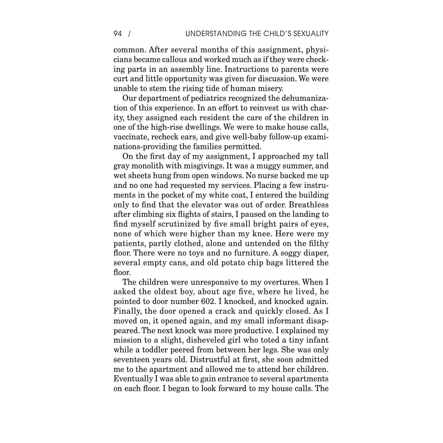common. After several months of this assignment, physicians became callous and worked much as if they were checking parts in an assembly line. Instructions to parents were curt and little opportunity was given for discussion. We were unable to stem the rising tide of human misery.

Our department of pediatrics recognized the dehumanization of this experience. In an effort to reinvest us with charity, they assigned each resident the care of the children in one of the high-rise dwellings. We were to make house calls, vaccinate, recheck ears, and give well-baby follow-up examinations-providing the families permitted.

On the first day of my assignment, I approached my tall gray monolith with misgivings. It was a muggy summer, and wet sheets hung from open windows. No nurse backed me up and no one had requested my services. Placing a few instruments in the pocket of my white coat, I entered the building only to find that the elevator was out of order. Breathless after climbing six flights of stairs, I paused on the landing to find myself scrutinized by five small bright pairs of eyes, none of which were higher than my knee. Here were my patients, partly clothed, alone and untended on the filthy floor. There were no toys and no furniture. A soggy diaper, several empty cans, and old potato chip bags littered the floor.

The children were unresponsive to my overtures. When I asked the oldest boy, about age five, where he lived, he pointed to door number 602. I knocked, and knocked again. Finally, the door opened a crack and quickly closed. As I moved on, it opened again, and my small informant disappeared. The next knock was more productive. I explained my mission to a slight, disheveled girl who toted a tiny infant while a toddler peered from between her legs. She was only seventeen years old. Distrustful at first, she soon admitted me to the apartment and allowed me to attend her children. Eventually I was able to gain entrance to several apartments on each floor. I began to look forward to my house calls. The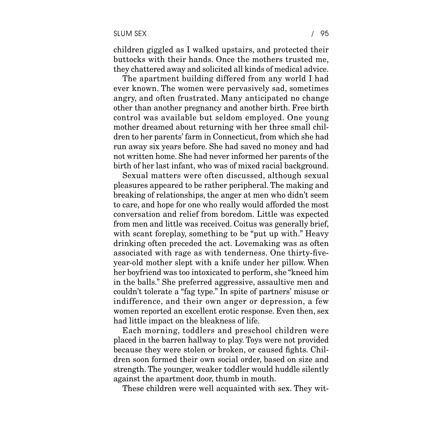children giggled as I walked upstairs, and protected their buttocks with their hands. Once the mothers trusted me, they chattered away and solicited all kinds of medical advice.

The apartment building differed from any world I had ever known. The women were pervasively sad, sometimes angry, and often frustrated. Many anticipated no change other than another pregnancy and another birth. Free birth control was available but seldom employed. One young mother dreamed about returning with her three small children to her parents' farm in Connecticut, from which she had run away six years before. She had saved no money and had not written home. She had never informed her parents of the birth of her last infant, who was of mixed racial background.

Sexual matters were often discussed, although sexual pleasures appeared to be rather peripheral. The making and breaking of relationships, the anger at men who didn't seem to care, and hope for one who really would afforded the most conversation and relief from boredom. Little was expected from men and little was received. Coitus was generally brief, with scant foreplay, something to be "put up with." Heavy drinking often preceded the act. Lovemaking was as often associated with rage as with tenderness. One thirty-fiveyear-old mother slept with a knife under her pillow. When her boyfriend was too intoxicated to perform, she "kneed him in the balls." She preferred aggressive, assaultive men and couldn't tolerate a "fag type." In spite of partners' misuse or indifference, and their own anger or depression, a few women reported an excellent erotic response. Even then, sex had little impact on the bleakness of life.

Each morning, toddlers and preschool children were placed in the barren hallway to play. Toys were not provided because they were stolen or broken, or caused fights. Children soon formed their own social order, based on size and strength. The younger, weaker toddler would huddle silently against the apartment door, thumb in mouth.

These children were well acquainted with sex. They wit-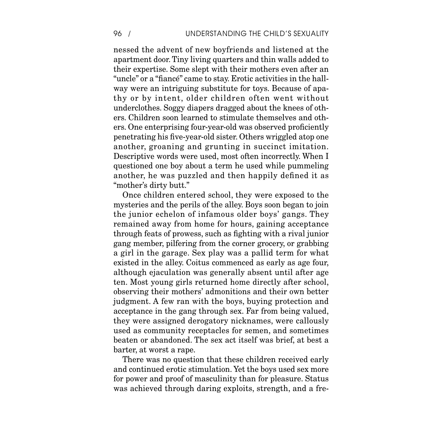nessed the advent of new boyfriends and listened at the apartment door. Tiny living quarters and thin walls added to their expertise. Some slept with their mothers even after an "uncle" or a "fiancé" came to stay. Erotic activities in the hallway were an intriguing substitute for toys. Because of apathy or by intent, older children often went without underclothes. Soggy diapers dragged about the knees of others. Children soon learned to stimulate themselves and others. One enterprising four-year-old was observed proficiently penetrating his five-year-old sister. Others wriggled atop one another, groaning and grunting in succinct imitation. Descriptive words were used, most often incorrectly. When I questioned one boy about a term he used while pummeling another, he was puzzled and then happily defined it as "mother's dirty butt."

Once children entered school, they were exposed to the mysteries and the perils of the alley. Boys soon began to join the junior echelon of infamous older boys' gangs. They remained away from home for hours, gaining acceptance through feats of prowess, such as fighting with a rival junior gang member, pilfering from the corner grocery, or grabbing a girl in the garage. Sex play was a pallid term for what existed in the alley. Coitus commenced as early as age four, although ejaculation was generally absent until after age ten. Most young girls returned home directly after school, observing their mothers' admonitions and their own better judgment. A few ran with the boys, buying protection and acceptance in the gang through sex. Far from being valued, they were assigned derogatory nicknames, were callously used as community receptacles for semen, and sometimes beaten or abandoned. The sex act itself was brief, at best a barter, at worst a rape.

There was no question that these children received early and continued erotic stimulation. Yet the boys used sex more for power and proof of masculinity than for pleasure. Status was achieved through daring exploits, strength, and a fre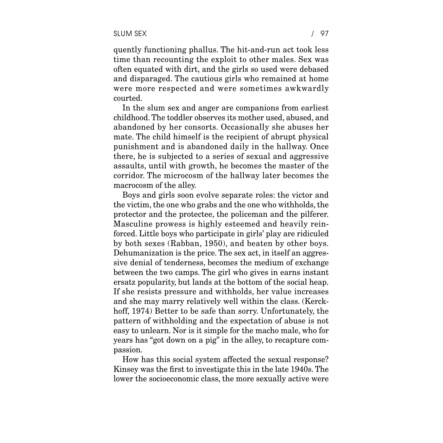quently functioning phallus. The hit-and-run act took less time than recounting the exploit to other males. Sex was often equated with dirt, and the girls so used were debased and disparaged. The cautious girls who remained at home were more respected and were sometimes awkwardly courted.

In the slum sex and anger are companions from earliest childhood. The toddler observes its mother used, abused, and abandoned by her consorts. Occasionally she abuses her mate. The child himself is the recipient of abrupt physical punishment and is abandoned daily in the hallway. Once there, he is subjected to a series of sexual and aggressive assaults, until with growth, he becomes the master of the corridor. The microcosm of the hallway later becomes the macrocosm of the alley.

Boys and girls soon evolve separate roles: the victor and the victim, the one who grabs and the one who withholds, the protector and the protectee, the policeman and the pilferer. Masculine prowess is highly esteemed and heavily reinforced. Little boys who participate in girls' play are ridiculed by both sexes (Rabban, 1950), and beaten by other boys. Dehumanization is the price. The sex act, in itself an aggressive denial of tenderness, becomes the medium of exchange between the two camps. The girl who gives in earns instant ersatz popularity, but lands at the bottom of the social heap. If she resists pressure and withholds, her value increases and she may marry relatively well within the class. (Kerckhoff, 1974) Better to be safe than sorry. Unfortunately, the pattern of withholding and the expectation of abuse is not easy to unlearn. Nor is it simple for the macho male, who for years has "got down on a pig" in the alley, to recapture compassion.

How has this social system affected the sexual response? Kinsey was the first to investigate this in the late 1940s. The lower the socioeconomic class, the more sexually active were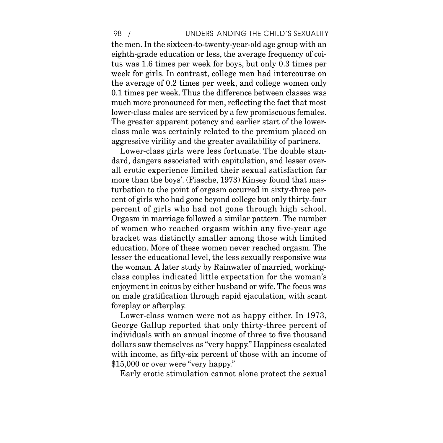### 98 / UNDERSTANDING THE CHILD'S SEXUALITY

the men. In the sixteen-to-twenty-year-old age group with an eighth-grade education or less, the average frequency of coitus was 1.6 times per week for boys, but only 0.3 times per week for girls. In contrast, college men had intercourse on the average of 0.2 times per week, and college women only 0.1 times per week. Thus the difference between classes was much more pronounced for men, reflecting the fact that most lower-class males are serviced by a few promiscuous females. The greater apparent potency and earlier start of the lowerclass male was certainly related to the premium placed on aggressive virility and the greater availability of partners.

Lower-class girls were less fortunate. The double standard, dangers associated with capitulation, and lesser overall erotic experience limited their sexual satisfaction far more than the boys'. (Fiasche, 1973) Kinsey found that masturbation to the point of orgasm occurred in sixty-three percent of girls who had gone beyond college but only thirty-four percent of girls who had not gone through high school. Orgasm in marriage followed a similar pattern. The number of women who reached orgasm within any five-year age bracket was distinctly smaller among those with limited education. More of these women never reached orgasm. The lesser the educational level, the less sexually responsive was the woman. A later study by Rainwater of married, workingclass couples indicated little expectation for the woman's enjoyment in coitus by either husband or wife. The focus was on male gratification through rapid ejaculation, with scant foreplay or afterplay.

Lower-class women were not as happy either. In 1973, George Gallup reported that only thirty-three percent of individuals with an annual income of three to five thousand dollars saw themselves as "very happy." Happiness escalated with income, as fifty-six percent of those with an income of \$15,000 or over were "very happy."

Early erotic stimulation cannot alone protect the sexual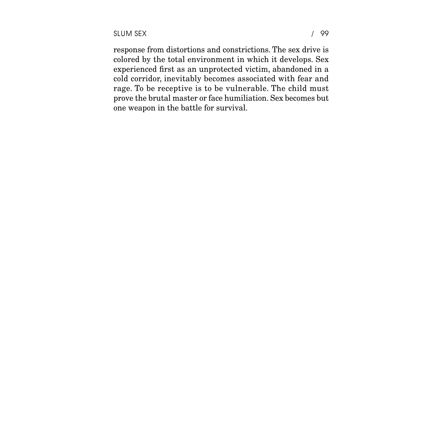response from distortions and constrictions. The sex drive is colored by the total environment in which it develops. Sex experienced first as an unprotected victim, abandoned in a cold corridor, inevitably becomes associated with fear and rage. To be receptive is to be vulnerable. The child must prove the brutal master or face humiliation. Sex becomes but one weapon in the battle for survival.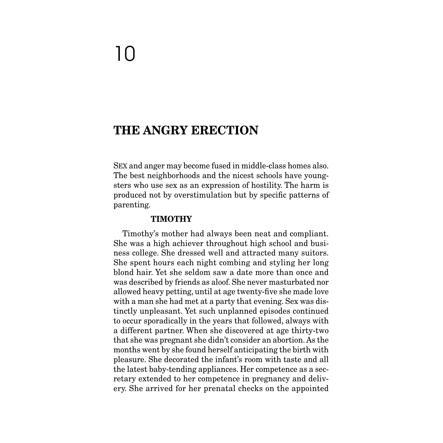# 10

# **THE ANGRY ERECTION**

SEX and anger may become fused in middle-class homes also. The best neighborhoods and the nicest schools have youngsters who use sex as an expression of hostility. The harm is produced not by overstimulation but by specific patterns of parenting.

## **TIMOTHY**

Timothy's mother had always been neat and compliant. She was a high achiever throughout high school and business college. She dressed well and attracted many suitors. She spent hours each night combing and styling her long blond hair. Yet she seldom saw a date more than once and was described by friends as aloof. She never masturbated nor allowed heavy petting, until at age twenty-five she made love with a man she had met at a party that evening. Sex was distinctly unpleasant. Yet such unplanned episodes continued to occur sporadically in the years that followed, always with a different partner. When she discovered at age thirty-two that she was pregnant she didn't consider an abortion. As the months went by she found herself anticipating the birth with pleasure. She decorated the infant's room with taste and all the latest baby-tending appliances. Her competence as a secretary extended to her competence in pregnancy and delivery. She arrived for her prenatal checks on the appointed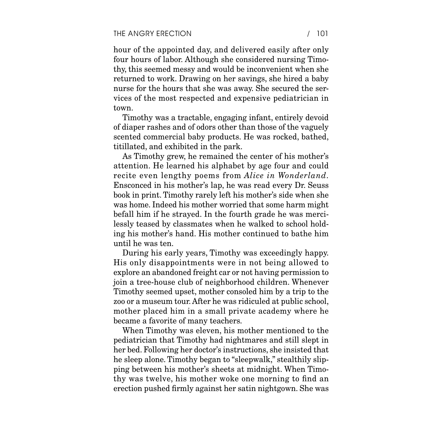hour of the appointed day, and delivered easily after only four hours of labor. Although she considered nursing Timothy, this seemed messy and would be inconvenient when she returned to work. Drawing on her savings, she hired a baby nurse for the hours that she was away. She secured the services of the most respected and expensive pediatrician in town.

Timothy was a tractable, engaging infant, entirely devoid of diaper rashes and of odors other than those of the vaguely scented commercial baby products. He was rocked, bathed, titillated, and exhibited in the park.

As Timothy grew, he remained the center of his mother's attention. He learned his alphabet by age four and could recite even lengthy poems from *Alice in Wonderland.* Ensconced in his mother's lap, he was read every Dr. Seuss book in print. Timothy rarely left his mother's side when she was home. Indeed his mother worried that some harm might befall him if he strayed. In the fourth grade he was mercilessly teased by classmates when he walked to school holding his mother's hand. His mother continued to bathe him until he was ten.

During his early years, Timothy was exceedingly happy. His only disappointments were in not being allowed to explore an abandoned freight car or not having permission to join a tree-house club of neighborhood children. Whenever Timothy seemed upset, mother consoled him by a trip to the zoo or a museum tour. After he was ridiculed at public school, mother placed him in a small private academy where he became a favorite of many teachers.

When Timothy was eleven, his mother mentioned to the pediatrician that Timothy had nightmares and still slept in her bed. Following her doctor's instructions, she insisted that he sleep alone. Timothy began to "sleepwalk," stealthily slipping between his mother's sheets at midnight. When Timothy was twelve, his mother woke one morning to find an erection pushed firmly against her satin nightgown. She was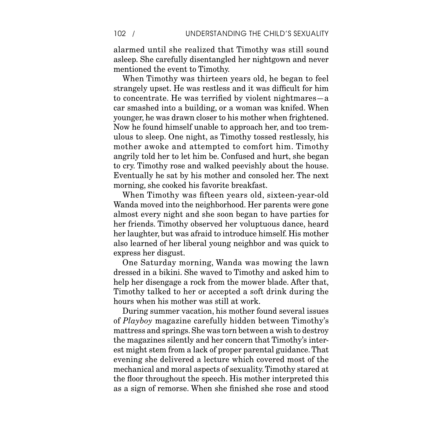alarmed until she realized that Timothy was still sound asleep. She carefully disentangled her nightgown and never mentioned the event to Timothy.

When Timothy was thirteen years old, he began to feel strangely upset. He was restless and it was difficult for him to concentrate. He was terrified by violent nightmares—a car smashed into a building, or a woman was knifed. When younger, he was drawn closer to his mother when frightened. Now he found himself unable to approach her, and too tremulous to sleep. One night, as Timothy tossed restlessly, his mother awoke and attempted to comfort him. Timothy angrily told her to let him be. Confused and hurt, she began to cry. Timothy rose and walked peevishly about the house. Eventually he sat by his mother and consoled her. The next morning, she cooked his favorite breakfast.

When Timothy was fifteen years old, sixteen-year-old Wanda moved into the neighborhood. Her parents were gone almost every night and she soon began to have parties for her friends. Timothy observed her voluptuous dance, heard her laughter, but was afraid to introduce himself. His mother also learned of her liberal young neighbor and was quick to express her disgust.

One Saturday morning, Wanda was mowing the lawn dressed in a bikini. She waved to Timothy and asked him to help her disengage a rock from the mower blade. After that, Timothy talked to her or accepted a soft drink during the hours when his mother was still at work.

During summer vacation, his mother found several issues of *Playboy* magazine carefully hidden between Timothy's mattress and springs. She was torn between a wish to destroy the magazines silently and her concern that Timothy's interest might stem from a lack of proper parental guidance. That evening she delivered a lecture which covered most of the mechanical and moral aspects of sexuality. Timothy stared at the floor throughout the speech. His mother interpreted this as a sign of remorse. When she finished she rose and stood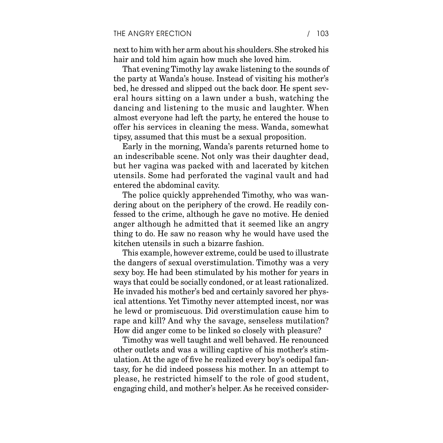next to him with her arm about his shoulders. She stroked his hair and told him again how much she loved him.

That evening Timothy lay awake listening to the sounds of the party at Wanda's house. Instead of visiting his mother's bed, he dressed and slipped out the back door. He spent several hours sitting on a lawn under a bush, watching the dancing and listening to the music and laughter. When almost everyone had left the party, he entered the house to offer his services in cleaning the mess. Wanda, somewhat tipsy, assumed that this must be a sexual proposition.

Early in the morning, Wanda's parents returned home to an indescribable scene. Not only was their daughter dead, but her vagina was packed with and lacerated by kitchen utensils. Some had perforated the vaginal vault and had entered the abdominal cavity.

The police quickly apprehended Timothy, who was wandering about on the periphery of the crowd. He readily confessed to the crime, although he gave no motive. He denied anger although he admitted that it seemed like an angry thing to do. He saw no reason why he would have used the kitchen utensils in such a bizarre fashion.

This example, however extreme, could be used to illustrate the dangers of sexual overstimulation. Timothy was a very sexy boy. He had been stimulated by his mother for years in ways that could be socially condoned, or at least rationalized. He invaded his mother's bed and certainly savored her physical attentions. Yet Timothy never attempted incest, nor was he lewd or promiscuous. Did overstimulation cause him to rape and kill? And why the savage, senseless mutilation? How did anger come to be linked so closely with pleasure?

Timothy was well taught and well behaved. He renounced other outlets and was a willing captive of his mother's stimulation. At the age of five he realized every boy's oedipal fantasy, for he did indeed possess his mother. In an attempt to please, he restricted himself to the role of good student, engaging child, and mother's helper. As he received consider-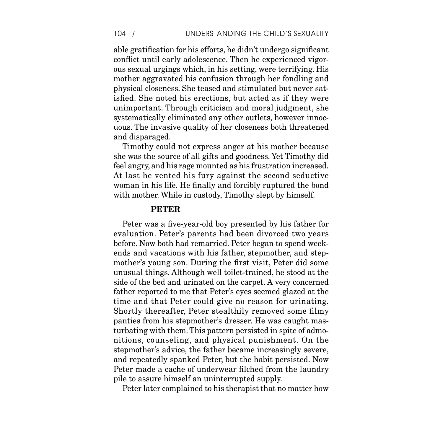able gratification for his efforts, he didn't undergo significant conflict until early adolescence. Then he experienced vigorous sexual urgings which, in his setting, were terrifying. His mother aggravated his confusion through her fondling and physical closeness. She teased and stimulated but never satisfied. She noted his erections, but acted as if they were unimportant. Through criticism and moral judgment, she systematically eliminated any other outlets, however innocuous. The invasive quality of her closeness both threatened and disparaged.

Timothy could not express anger at his mother because she was the source of all gifts and goodness. Yet Timothy did feel angry, and his rage mounted as his frustration increased. At last he vented his fury against the second seductive woman in his life. He finally and forcibly ruptured the bond with mother. While in custody, Timothy slept by himself.

### **PETER**

Peter was a five-year-old boy presented by his father for evaluation. Peter's parents had been divorced two years before. Now both had remarried. Peter began to spend weekends and vacations with his father, stepmother, and stepmother's young son. During the first visit, Peter did some unusual things. Although well toilet-trained, he stood at the side of the bed and urinated on the carpet. A very concerned father reported to me that Peter's eyes seemed glazed at the time and that Peter could give no reason for urinating. Shortly thereafter, Peter stealthily removed some filmy panties from his stepmother's dresser. He was caught masturbating with them. This pattern persisted in spite of admonitions, counseling, and physical punishment. On the stepmother's advice, the father became increasingly severe, and repeatedly spanked Peter, but the habit persisted. Now Peter made a cache of underwear filched from the laundry pile to assure himself an uninterrupted supply.

Peter later complained to his therapist that no matter how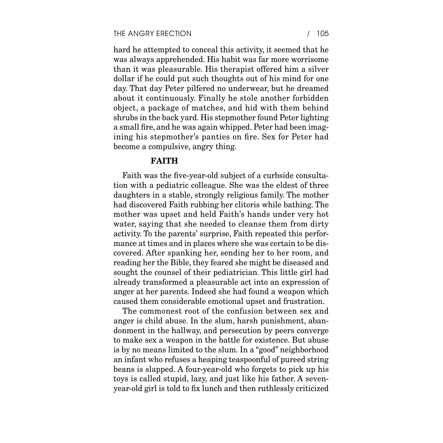hard he attempted to conceal this activity, it seemed that he was always apprehended. His habit was far more worrisome than it was pleasurable. His therapist offered him a silver dollar if he could put such thoughts out of his mind for one day. That day Peter pilfered no underwear, but he dreamed about it continuously. Finally he stole another forbidden object, a package of matches, and hid with them behind shrubs in the back yard. His stepmother found Peter lighting a small fire, and he was again whipped. Peter had been imagining his stepmother's panties on fire. Sex for Peter had become a compulsive, angry thing.

### **FAITH**

Faith was the five-year-old subject of a curbside consultation with a pediatric colleague. She was the eldest of three daughters in a stable, strongly religious family. The mother had discovered Faith rubbing her clitoris while bathing. The mother was upset and held Faith's hands under very hot water, saying that she needed to cleanse them from dirty activity. To the parents' surprise, Faith repeated this performance at times and in places where she was certain to be discovered. After spanking her, sending her to her room, and reading her the Bible, they feared she might be diseased and sought the counsel of their pediatrician. This little girl had already transformed a pleasurable act into an expression of anger at her parents. Indeed she had found a weapon which caused them considerable emotional upset and frustration.

The commonest root of the confusion between sex and anger is child abuse. In the slum, harsh punishment, abandonment in the hallway, and persecution by peers converge to make sex a weapon in the battle for existence. But abuse is by no means limited to the slum. In a "good" neighborhood an infant who refuses a heaping teaspoonful of pureed string beans is slapped. A four-year-old who forgets to pick up his toys is called stupid, lazy, and just like his father. A sevenyear-old girl is told to fix lunch and then ruthlessly criticized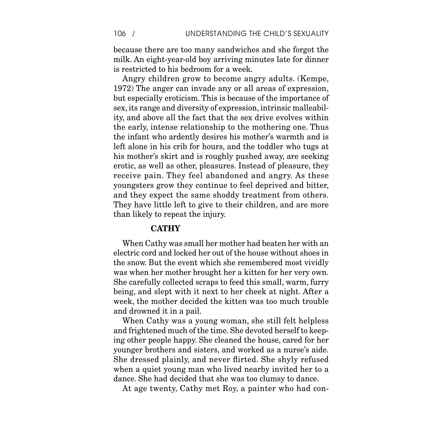because there are too many sandwiches and she forgot the milk. An eight-year-old boy arriving minutes late for dinner is restricted to his bedroom for a week.

Angry children grow to become angry adults. (Kempe, 1972) The anger can invade any or all areas of expression, but especially eroticism. This is because of the importance of sex, its range and diversity of expression, intrinsic malleability, and above all the fact that the sex drive evolves within the early, intense relationship to the mothering one. Thus the infant who ardently desires his mother's warmth and is left alone in his crib for hours, and the toddler who tugs at his mother's skirt and is roughly pushed away, are seeking erotic, as well as other, pleasures. Instead of pleasure, they receive pain. They feel abandoned and angry. As these youngsters grow they continue to feel deprived and bitter, and they expect the same shoddy treatment from others. They have little left to give to their children, and are more than likely to repeat the injury.

## **CATHY**

When Cathy was small her mother had beaten her with an electric cord and locked her out of the house without shoes in the snow. But the event which she remembered most vividly was when her mother brought her a kitten for her very own. She carefully collected scraps to feed this small, warm, furry being, and slept with it next to her cheek at night. After a week, the mother decided the kitten was too much trouble and drowned it in a pail.

When Cathy was a young woman, she still felt helpless and frightened much of the time. She devoted herself to keeping other people happy. She cleaned the house, cared for her younger brothers and sisters, and worked as a nurse's aide. She dressed plainly, and never flirted. She shyly refused when a quiet young man who lived nearby invited her to a dance. She had decided that she was too clumsy to dance.

At age twenty, Cathy met Roy, a painter who had con-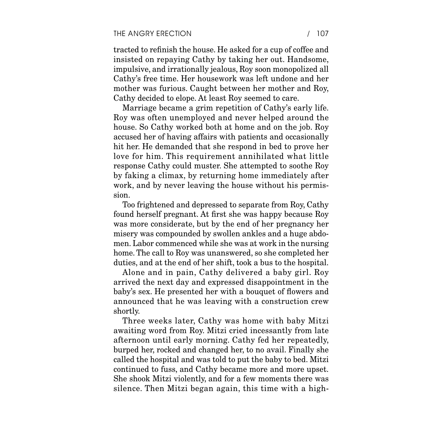tracted to refinish the house. He asked for a cup of coffee and insisted on repaying Cathy by taking her out. Handsome, impulsive, and irrationally jealous, Roy soon monopolized all Cathy's free time. Her housework was left undone and her mother was furious. Caught between her mother and Roy, Cathy decided to elope. At least Roy seemed to care.

Marriage became a grim repetition of Cathy's early life. Roy was often unemployed and never helped around the house. So Cathy worked both at home and on the job. Roy accused her of having affairs with patients and occasionally hit her. He demanded that she respond in bed to prove her love for him. This requirement annihilated what little response Cathy could muster. She attempted to soothe Roy by faking a climax, by returning home immediately after work, and by never leaving the house without his permission.

Too frightened and depressed to separate from Roy, Cathy found herself pregnant. At first she was happy because Roy was more considerate, but by the end of her pregnancy her misery was compounded by swollen ankles and a huge abdomen. Labor commenced while she was at work in the nursing home. The call to Roy was unanswered, so she completed her duties, and at the end of her shift, took a bus to the hospital.

Alone and in pain, Cathy delivered a baby girl. Roy arrived the next day and expressed disappointment in the baby's sex. He presented her with a bouquet of flowers and announced that he was leaving with a construction crew shortly.

Three weeks later, Cathy was home with baby Mitzi awaiting word from Roy. Mitzi cried incessantly from late afternoon until early morning. Cathy fed her repeatedly, burped her, rocked and changed her, to no avail. Finally she called the hospital and was told to put the baby to bed. Mitzi continued to fuss, and Cathy became more and more upset. She shook Mitzi violently, and for a few moments there was silence. Then Mitzi began again, this time with a high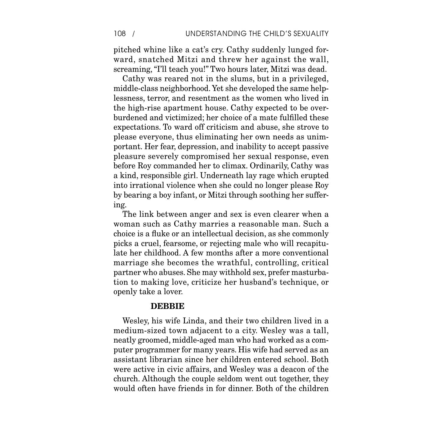pitched whine like a cat's cry. Cathy suddenly lunged forward, snatched Mitzi and threw her against the wall, screaming, "I'll teach you!" Two hours later, Mitzi was dead.

Cathy was reared not in the slums, but in a privileged, middle-class neighborhood. Yet she developed the same helplessness, terror, and resentment as the women who lived in the high-rise apartment house. Cathy expected to be overburdened and victimized; her choice of a mate fulfilled these expectations. To ward off criticism and abuse, she strove to please everyone, thus eliminating her own needs as unimportant. Her fear, depression, and inability to accept passive pleasure severely compromised her sexual response, even before Roy commanded her to climax. Ordinarily, Cathy was a kind, responsible girl. Underneath lay rage which erupted into irrational violence when she could no longer please Roy by bearing a boy infant, or Mitzi through soothing her suffering.

The link between anger and sex is even clearer when a woman such as Cathy marries a reasonable man. Such a choice is a fluke or an intellectual decision, as she commonly picks a cruel, fearsome, or rejecting male who will recapitulate her childhood. A few months after a more conventional marriage she becomes the wrathful, controlling, critical partner who abuses. She may withhold sex, prefer masturbation to making love, criticize her husband's technique, or openly take a lover.

## **DEBBIE**

Wesley, his wife Linda, and their two children lived in a medium-sized town adjacent to a city. Wesley was a tall, neatly groomed, middle-aged man who had worked as a computer programmer for many years. His wife had served as an assistant librarian since her children entered school. Both were active in civic affairs, and Wesley was a deacon of the church. Although the couple seldom went out together, they would often have friends in for dinner. Both of the children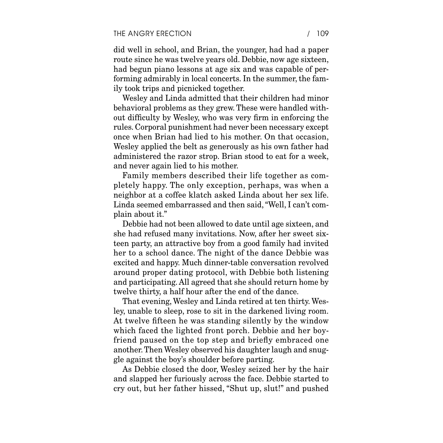did well in school, and Brian, the younger, had had a paper route since he was twelve years old. Debbie, now age sixteen, had begun piano lessons at age six and was capable of performing admirably in local concerts. In the summer, the family took trips and picnicked together.

Wesley and Linda admitted that their children had minor behavioral problems as they grew. These were handled without difficulty by Wesley, who was very firm in enforcing the rules. Corporal punishment had never been necessary except once when Brian had lied to his mother. On that occasion, Wesley applied the belt as generously as his own father had administered the razor strop. Brian stood to eat for a week, and never again lied to his mother.

Family members described their life together as completely happy. The only exception, perhaps, was when a neighbor at a coffee klatch asked Linda about her sex life. Linda seemed embarrassed and then said, "Well, I can't complain about it."

Debbie had not been allowed to date until age sixteen, and she had refused many invitations. Now, after her sweet sixteen party, an attractive boy from a good family had invited her to a school dance. The night of the dance Debbie was excited and happy. Much dinner-table conversation revolved around proper dating protocol, with Debbie both listening and participating. All agreed that she should return home by twelve thirty, a half hour after the end of the dance.

That evening, Wesley and Linda retired at ten thirty. Wesley, unable to sleep, rose to sit in the darkened living room. At twelve fifteen he was standing silently by the window which faced the lighted front porch. Debbie and her boyfriend paused on the top step and briefly embraced one another. Then Wesley observed his daughter laugh and snuggle against the boy's shoulder before parting.

As Debbie closed the door, Wesley seized her by the hair and slapped her furiously across the face. Debbie started to cry out, but her father hissed, "Shut up, slut!" and pushed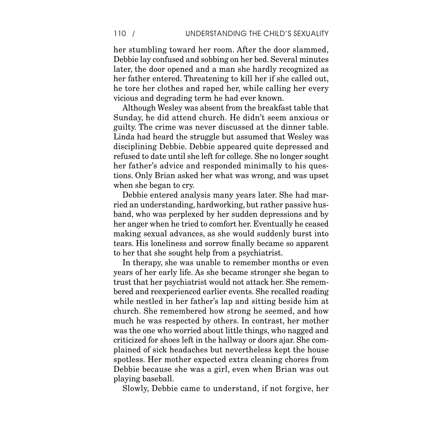her stumbling toward her room. After the door slammed, Debbie lay confused and sobbing on her bed. Several minutes later, the door opened and a man she hardly recognized as her father entered. Threatening to kill her if she called out, he tore her clothes and raped her, while calling her every vicious and degrading term he had ever known.

Although Wesley was absent from the breakfast table that Sunday, he did attend church. He didn't seem anxious or guilty. The crime was never discussed at the dinner table. Linda had heard the struggle but assumed that Wesley was disciplining Debbie. Debbie appeared quite depressed and refused to date until she left for college. She no longer sought her father's advice and responded minimally to his questions. Only Brian asked her what was wrong, and was upset when she began to cry.

Debbie entered analysis many years later. She had married an understanding, hardworking, but rather passive husband, who was perplexed by her sudden depressions and by her anger when he tried to comfort her. Eventually he ceased making sexual advances, as she would suddenly burst into tears. His loneliness and sorrow finally became so apparent to her that she sought help from a psychiatrist.

In therapy, she was unable to remember months or even years of her early life. As she became stronger she began to trust that her psychiatrist would not attack her. She remembered and reexperienced earlier events. She recalled reading while nestled in her father's lap and sitting beside him at church. She remembered how strong he seemed, and how much he was respected by others. In contrast, her mother was the one who worried about little things, who nagged and criticized for shoes left in the hallway or doors ajar. She complained of sick headaches but nevertheless kept the house spotless. Her mother expected extra cleaning chores from Debbie because she was a girl, even when Brian was out playing baseball.

Slowly, Debbie came to understand, if not forgive, her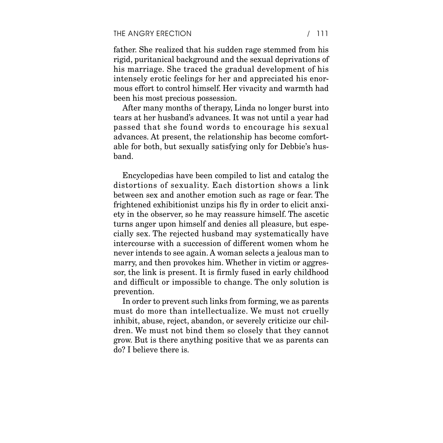father. She realized that his sudden rage stemmed from his rigid, puritanical background and the sexual deprivations of his marriage. She traced the gradual development of his intensely erotic feelings for her and appreciated his enormous effort to control himself. Her vivacity and warmth had been his most precious possession.

After many months of therapy, Linda no longer burst into tears at her husband's advances. It was not until a year had passed that she found words to encourage his sexual advances. At present, the relationship has become comfortable for both, but sexually satisfying only for Debbie's husband.

Encyclopedias have been compiled to list and catalog the distortions of sexuality. Each distortion shows a link between sex and another emotion such as rage or fear. The frightened exhibitionist unzips his fly in order to elicit anxiety in the observer, so he may reassure himself. The ascetic turns anger upon himself and denies all pleasure, but especially sex. The rejected husband may systematically have intercourse with a succession of different women whom he never intends to see again. A woman selects a jealous man to marry, and then provokes him. Whether in victim or aggressor, the link is present. It is firmly fused in early childhood and difficult or impossible to change. The only solution is prevention.

In order to prevent such links from forming, we as parents must do more than intellectualize. We must not cruelly inhibit, abuse, reject, abandon, or severely criticize our children. We must not bind them so closely that they cannot grow. But is there anything positive that we as parents can do? I believe there is.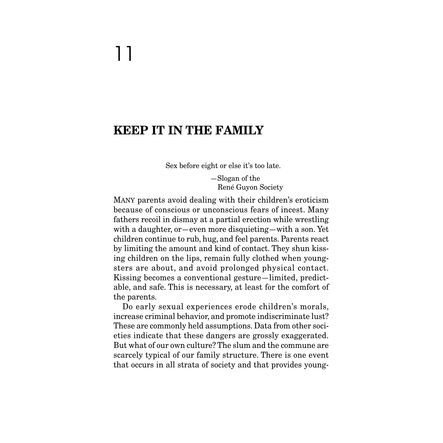11

### **KEEP IT IN THE FAMILY**

Sex before eight or else it's too late.

—Slogan of the René Guyon Society

MANY parents avoid dealing with their children's eroticism because of conscious or unconscious fears of incest. Many fathers recoil in dismay at a partial erection while wrestling with a daughter, or—even more disquieting—with a son. Yet children continue to rub, hug, and feel parents. Parents react by limiting the amount and kind of contact. They shun kissing children on the lips, remain fully clothed when youngsters are about, and avoid prolonged physical contact. Kissing becomes a conventional gesture—limited, predictable, and safe. This is necessary, at least for the comfort of the parents.

Do early sexual experiences erode children's morals, increase criminal behavior, and promote indiscriminate lust? These are commonly held assumptions. Data from other societies indicate that these dangers are grossly exaggerated. But what of our own culture? The slum and the commune are scarcely typical of our family structure. There is one event that occurs in all strata of society and that provides young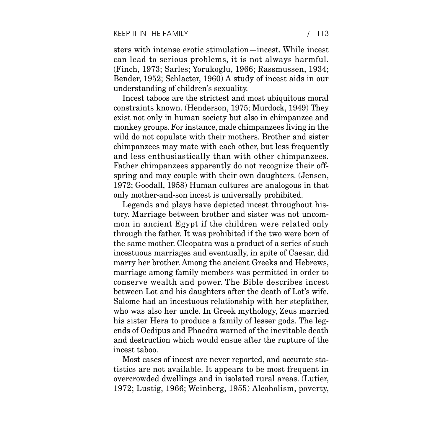sters with intense erotic stimulation—incest. While incest can lead to serious problems, it is not always harmful. (Finch, 1973; Sarles; Yorukoglu, 1966; Rassmussen, 1934; Bender, 1952; Schlacter, 1960) A study of incest aids in our understanding of children's sexuality.

Incest taboos are the strictest and most ubiquitous moral constraints known. (Henderson, 1975; Murdock, 1949) They exist not only in human society but also in chimpanzee and monkey groups. For instance, male chimpanzees living in the wild do not copulate with their mothers. Brother and sister chimpanzees may mate with each other, but less frequently and less enthusiastically than with other chimpanzees. Father chimpanzees apparently do not recognize their offspring and may couple with their own daughters. (Jensen, 1972; Goodall, 1958) Human cultures are analogous in that only mother-and-son incest is universally prohibited.

Legends and plays have depicted incest throughout history. Marriage between brother and sister was not uncommon in ancient Egypt if the children were related only through the father. It was prohibited if the two were born of the same mother. Cleopatra was a product of a series of such incestuous marriages and eventually, in spite of Caesar, did marry her brother. Among the ancient Greeks and Hebrews, marriage among family members was permitted in order to conserve wealth and power. The Bible describes incest between Lot and his daughters after the death of Lot's wife. Salome had an incestuous relationship with her stepfather, who was also her uncle. In Greek mythology, Zeus married his sister Hera to produce a family of lesser gods. The legends of Oedipus and Phaedra warned of the inevitable death and destruction which would ensue after the rupture of the incest taboo.

Most cases of incest are never reported, and accurate statistics are not available. It appears to be most frequent in overcrowded dwellings and in isolated rural areas. (Lutier, 1972; Lustig, 1966; Weinberg, 1955) Alcoholism, poverty,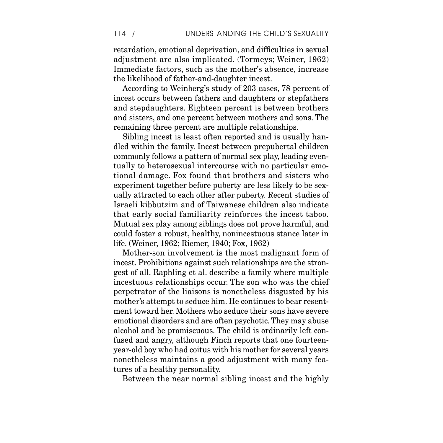retardation, emotional deprivation, and difficulties in sexual adjustment are also implicated. (Tormeys; Weiner, 1962) Immediate factors, such as the mother's absence, increase the likelihood of father-and-daughter incest.

According to Weinberg's study of 203 cases, 78 percent of incest occurs between fathers and daughters or stepfathers and stepdaughters. Eighteen percent is between brothers and sisters, and one percent between mothers and sons. The remaining three percent are multiple relationships.

Sibling incest is least often reported and is usually handled within the family. Incest between prepubertal children commonly follows a pattern of normal sex play, leading eventually to heterosexual intercourse with no particular emotional damage. Fox found that brothers and sisters who experiment together before puberty are less likely to be sexually attracted to each other after puberty. Recent studies of Israeli kibbutzim and of Taiwanese children also indicate that early social familiarity reinforces the incest taboo. Mutual sex play among siblings does not prove harmful, and could foster a robust, healthy, nonincestuous stance later in life. (Weiner, 1962; Riemer, 1940; Fox, 1962)

Mother-son involvement is the most malignant form of incest. Prohibitions against such relationships are the strongest of all. Raphling et al. describe a family where multiple incestuous relationships occur. The son who was the chief perpetrator of the liaisons is nonetheless disgusted by his mother's attempt to seduce him. He continues to bear resentment toward her. Mothers who seduce their sons have severe emotional disorders and are often psychotic. They may abuse alcohol and be promiscuous. The child is ordinarily left confused and angry, although Finch reports that one fourteenyear-old boy who had coitus with his mother for several years nonetheless maintains a good adjustment with many features of a healthy personality.

Between the near normal sibling incest and the highly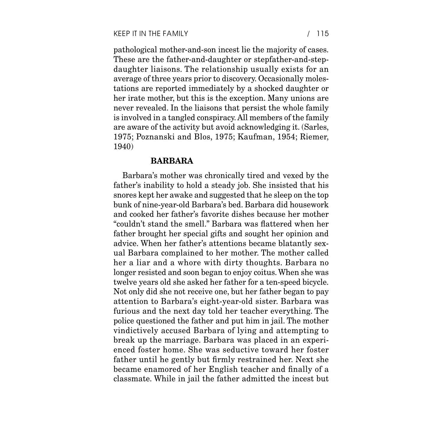pathological mother-and-son incest lie the majority of cases. These are the father-and-daughter or stepfather-and-stepdaughter liaisons. The relationship usually exists for an average of three years prior to discovery. Occasionally molestations are reported immediately by a shocked daughter or her irate mother, but this is the exception. Many unions are never revealed. In the liaisons that persist the whole family is involved in a tangled conspiracy. All members of the family are aware of the activity but avoid acknowledging it. (Sarles, 1975; Poznanski and Blos, 1975; Kaufman, 1954; Riemer, 1940)

#### **BARBARA**

Barbara's mother was chronically tired and vexed by the father's inability to hold a steady job. She insisted that his snores kept her awake and suggested that he sleep on the top bunk of nine-year-old Barbara's bed. Barbara did housework and cooked her father's favorite dishes because her mother "couldn't stand the smell." Barbara was flattered when her father brought her special gifts and sought her opinion and advice. When her father's attentions became blatantly sexual Barbara complained to her mother. The mother called her a liar and a whore with dirty thoughts. Barbara no longer resisted and soon began to enjoy coitus. When she was twelve years old she asked her father for a ten-speed bicycle. Not only did she not receive one, but her father began to pay attention to Barbara's eight-year-old sister. Barbara was furious and the next day told her teacher everything. The police questioned the father and put him in jail. The mother vindictively accused Barbara of lying and attempting to break up the marriage. Barbara was placed in an experienced foster home. She was seductive toward her foster father until he gently but firmly restrained her. Next she became enamored of her English teacher and finally of a classmate. While in jail the father admitted the incest but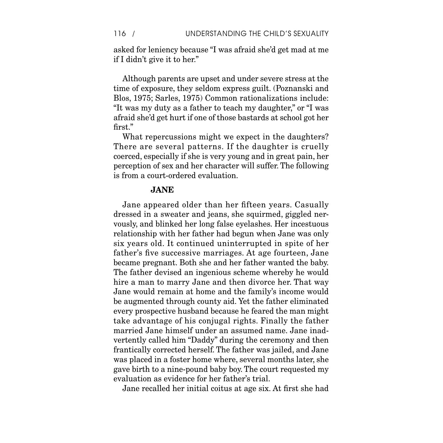asked for leniency because "I was afraid she'd get mad at me if I didn't give it to her."

Although parents are upset and under severe stress at the time of exposure, they seldom express guilt. (Poznanski and Blos, 1975; Sarles, 1975) Common rationalizations include: "It was my duty as a father to teach my daughter," or "I was afraid she'd get hurt if one of those bastards at school got her first."

What repercussions might we expect in the daughters? There are several patterns. If the daughter is cruelly coerced, especially if she is very young and in great pain, her perception of sex and her character will suffer. The following is from a court-ordered evaluation.

#### **JANE**

Jane appeared older than her fifteen years. Casually dressed in a sweater and jeans, she squirmed, giggled nervously, and blinked her long false eyelashes. Her incestuous relationship with her father had begun when Jane was only six years old. It continued uninterrupted in spite of her father's five successive marriages. At age fourteen, Jane became pregnant. Both she and her father wanted the baby. The father devised an ingenious scheme whereby he would hire a man to marry Jane and then divorce her. That way Jane would remain at home and the family's income would be augmented through county aid. Yet the father eliminated every prospective husband because he feared the man might take advantage of his conjugal rights. Finally the father married Jane himself under an assumed name. Jane inadvertently called him "Daddy" during the ceremony and then frantically corrected herself. The father was jailed, and Jane was placed in a foster home where, several months later, she gave birth to a nine-pound baby boy. The court requested my evaluation as evidence for her father's trial.

Jane recalled her initial coitus at age six. At first she had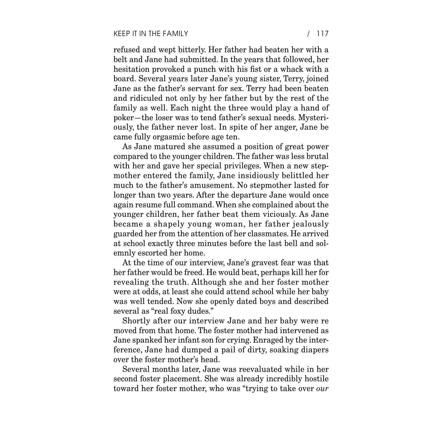refused and wept bitterly. Her father had beaten her with a belt and Jane had submitted. In the years that followed, her hesitation provoked a punch with his fist or a whack with a board. Several years later Jane's young sister, Terry, joined Jane as the father's servant for sex. Terry had been beaten and ridiculed not only by her father but by the rest of the family as well. Each night the three would play a hand of poker—the loser was to tend father's sexual needs. Mysteriously, the father never lost. In spite of her anger, Jane be came fully orgasmic before age ten.

As Jane matured she assumed a position of great power compared to the younger children. The father was less brutal with her and gave her special privileges. When a new stepmother entered the family, Jane insidiously belittled her much to the father's amusement. No stepmother lasted for longer than two years. After the departure Jane would once again resume full command. When she complained about the younger children, her father beat them viciously. As Jane became a shapely young woman, her father jealously guarded her from the attention of her classmates. He arrived at school exactly three minutes before the last bell and solemnly escorted her home.

At the time of our interview, Jane's gravest fear was that her father would be freed. He would beat, perhaps kill her for revealing the truth. Although she and her foster mother were at odds, at least she could attend school while her baby was well tended. Now she openly dated boys and described several as "real foxy dudes."

Shortly after our interview Jane and her baby were re moved from that home. The foster mother had intervened as Jane spanked her infant son for crying. Enraged by the interference, Jane had dumped a pail of dirty, soaking diapers over the foster mother's head.

Several months later, Jane was reevaluated while in her second foster placement. She was already incredibly hostile toward her foster mother, who was "trying to take over *our*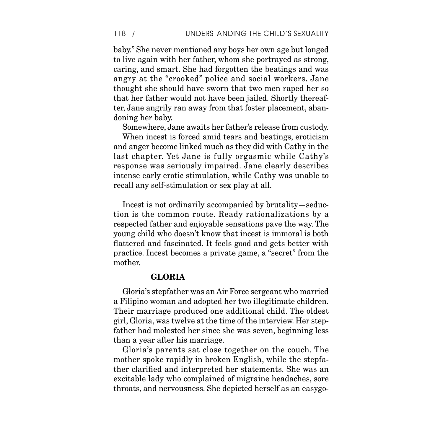baby." She never mentioned any boys her own age but longed to live again with her father, whom she portrayed as strong, caring, and smart. She had forgotten the beatings and was angry at the "crooked" police and social workers. Jane thought she should have sworn that two men raped her so that her father would not have been jailed. Shortly thereafter, Jane angrily ran away from that foster placement, abandoning her baby.

Somewhere, Jane awaits her father's release from custody.

When incest is forced amid tears and beatings, eroticism and anger become linked much as they did with Cathy in the last chapter. Yet Jane is fully orgasmic while Cathy's response was seriously impaired. Jane clearly describes intense early erotic stimulation, while Cathy was unable to recall any self-stimulation or sex play at all.

Incest is not ordinarily accompanied by brutality—seduction is the common route. Ready rationalizations by a respected father and enjoyable sensations pave the way. The young child who doesn't know that incest is immoral is both flattered and fascinated. It feels good and gets better with practice. Incest becomes a private game, a "secret" from the mother.

#### **GLORIA**

Gloria's stepfather was an Air Force sergeant who married a Filipino woman and adopted her two illegitimate children. Their marriage produced one additional child. The oldest girl, Gloria, was twelve at the time of the interview. Her stepfather had molested her since she was seven, beginning less than a year after his marriage.

Gloria's parents sat close together on the couch. The mother spoke rapidly in broken English, while the stepfather clarified and interpreted her statements. She was an excitable lady who complained of migraine headaches, sore throats, and nervousness. She depicted herself as an easygo-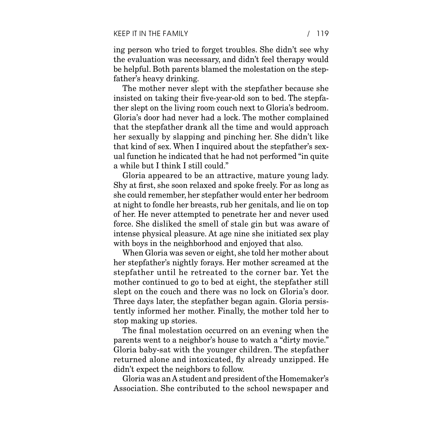ing person who tried to forget troubles. She didn't see why the evaluation was necessary, and didn't feel therapy would be helpful. Both parents blamed the molestation on the stepfather's heavy drinking.

The mother never slept with the stepfather because she insisted on taking their five-year-old son to bed. The stepfather slept on the living room couch next to Gloria's bedroom. Gloria's door had never had a lock. The mother complained that the stepfather drank all the time and would approach her sexually by slapping and pinching her. She didn't like that kind of sex. When I inquired about the stepfather's sexual function he indicated that he had not performed "in quite a while but I think I still could."

Gloria appeared to be an attractive, mature young lady. Shy at first, she soon relaxed and spoke freely. For as long as she could remember, her stepfather would enter her bedroom at night to fondle her breasts, rub her genitals, and lie on top of her. He never attempted to penetrate her and never used force. She disliked the smell of stale gin but was aware of intense physical pleasure. At age nine she initiated sex play with boys in the neighborhood and enjoyed that also.

When Gloria was seven or eight, she told her mother about her stepfather's nightly forays. Her mother screamed at the stepfather until he retreated to the corner bar. Yet the mother continued to go to bed at eight, the stepfather still slept on the couch and there was no lock on Gloria's door. Three days later, the stepfather began again. Gloria persistently informed her mother. Finally, the mother told her to stop making up stories.

The final molestation occurred on an evening when the parents went to a neighbor's house to watch a "dirty movie." Gloria baby-sat with the younger children. The stepfather returned alone and intoxicated, fly already unzipped. He didn't expect the neighbors to follow.

Gloria was an A student and president of the Homemaker's Association. She contributed to the school newspaper and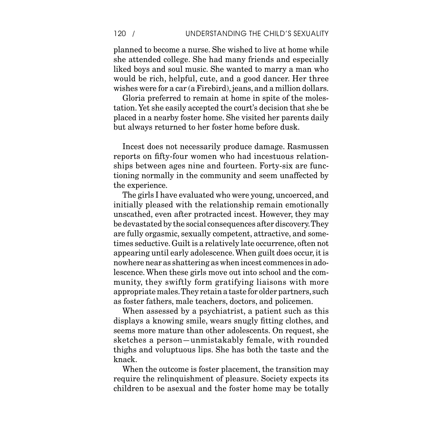planned to become a nurse. She wished to live at home while she attended college. She had many friends and especially liked boys and soul music. She wanted to marry a man who would be rich, helpful, cute, and a good dancer. Her three wishes were for a car (a Firebird), jeans, and a million dollars.

Gloria preferred to remain at home in spite of the molestation. Yet she easily accepted the court's decision that she be placed in a nearby foster home. She visited her parents daily but always returned to her foster home before dusk.

Incest does not necessarily produce damage. Rasmussen reports on fifty-four women who had incestuous relationships between ages nine and fourteen. Forty-six are functioning normally in the community and seem unaffected by the experience.

The girls I have evaluated who were young, uncoerced, and initially pleased with the relationship remain emotionally unscathed, even after protracted incest. However, they may be devastated by the social consequences after discovery. They are fully orgasmic, sexually competent, attractive, and sometimes seductive. Guilt is a relatively late occurrence, often not appearing until early adolescence. When guilt does occur, it is nowhere near as shattering as when incest commences in adolescence. When these girls move out into school and the community, they swiftly form gratifying liaisons with more appropriate males. They retain a taste for older partners, such as foster fathers, male teachers, doctors, and policemen.

When assessed by a psychiatrist, a patient such as this displays a knowing smile, wears snugly fitting clothes, and seems more mature than other adolescents. On request, she sketches a person—unmistakably female, with rounded thighs and voluptuous lips. She has both the taste and the knack.

When the outcome is foster placement, the transition may require the relinquishment of pleasure. Society expects its children to be asexual and the foster home may be totally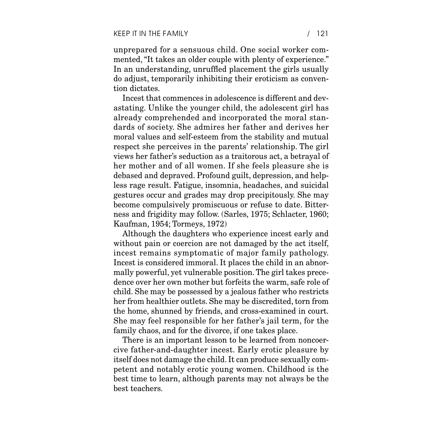unprepared for a sensuous child. One social worker commented, "It takes an older couple with plenty of experience." In an understanding, unruffled placement the girls usually do adjust, temporarily inhibiting their eroticism as convention dictates.

Incest that commences in adolescence is different and devastating. Unlike the younger child, the adolescent girl has already comprehended and incorporated the moral standards of society. She admires her father and derives her moral values and self-esteem from the stability and mutual respect she perceives in the parents' relationship. The girl views her father's seduction as a traitorous act, a betrayal of her mother and of all women. If she feels pleasure she is debased and depraved. Profound guilt, depression, and helpless rage result. Fatigue, insomnia, headaches, and suicidal gestures occur and grades may drop precipitously. She may become compulsively promiscuous or refuse to date. Bitterness and frigidity may follow. (Sarles, 1975; Schlacter, 1960; Kaufman, 1954; Tormeys, 1972)

Although the daughters who experience incest early and without pain or coercion are not damaged by the act itself, incest remains symptomatic of major family pathology. Incest is considered immoral. It places the child in an abnormally powerful, yet vulnerable position. The girl takes precedence over her own mother but forfeits the warm, safe role of child. She may be possessed by a jealous father who restricts her from healthier outlets. She may be discredited, torn from the home, shunned by friends, and cross-examined in court. She may feel responsible for her father's jail term, for the family chaos, and for the divorce, if one takes place.

There is an important lesson to be learned from noncoercive father-and-daughter incest. Early erotic pleasure by itself does not damage the child. It can produce sexually competent and notably erotic young women. Childhood is the best time to learn, although parents may not always be the best teachers.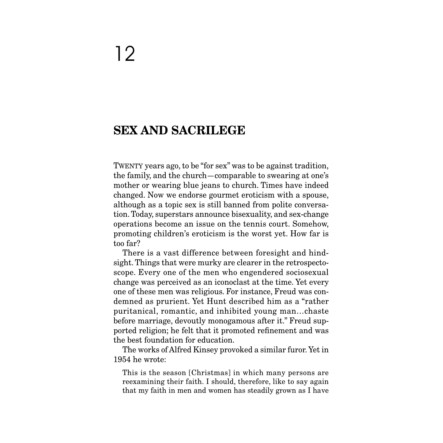# **SEX AND SACRILEGE**

TWENTY years ago, to be "for sex" was to be against tradition, the family, and the church—comparable to swearing at one's mother or wearing blue jeans to church. Times have indeed changed. Now we endorse gourmet eroticism with a spouse, although as a topic sex is still banned from polite conversation. Today, superstars announce bisexuality, and sex-change operations become an issue on the tennis court. Somehow, promoting children's eroticism is the worst yet. How far is too far?

There is a vast difference between foresight and hindsight. Things that were murky are clearer in the retrospectoscope. Every one of the men who engendered sociosexual change was perceived as an iconoclast at the time. Yet every one of these men was religious. For instance, Freud was condemned as prurient. Yet Hunt described him as a "rather puritanical, romantic, and inhibited young man…chaste before marriage, devoutly monogamous after it." Freud supported religion; he felt that it promoted refinement and was the best foundation for education.

The works of Alfred Kinsey provoked a similar furor. Yet in 1954 he wrote:

This is the season [Christmas] in which many persons are reexamining their faith. I should, therefore, like to say again that my faith in men and women has steadily grown as I have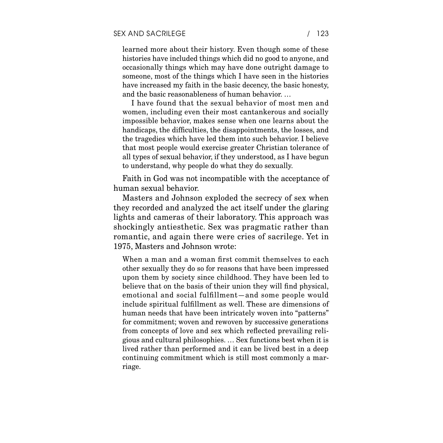learned more about their history. Even though some of these histories have included things which did no good to anyone, and occasionally things which may have done outright damage to someone, most of the things which I have seen in the histories have increased my faith in the basic decency, the basic honesty, and the basic reasonableness of human behavior. …

I have found that the sexual behavior of most men and women, including even their most cantankerous and socially impossible behavior, makes sense when one learns about the handicaps, the difficulties, the disappointments, the losses, and the tragedies which have led them into such behavior. I believe that most people would exercise greater Christian tolerance of all types of sexual behavior, if they understood, as I have begun to understand, why people do what they do sexually.

Faith in God was not incompatible with the acceptance of human sexual behavior.

Masters and Johnson exploded the secrecy of sex when they recorded and analyzed the act itself under the glaring lights and cameras of their laboratory. This approach was shockingly antiesthetic. Sex was pragmatic rather than romantic, and again there were cries of sacrilege. Yet in 1975, Masters and Johnson wrote:

When a man and a woman first commit themselves to each other sexually they do so for reasons that have been impressed upon them by society since childhood. They have been led to believe that on the basis of their union they will find physical, emotional and social fulfillment—and some people would include spiritual fulfillment as well. These are dimensions of human needs that have been intricately woven into "patterns" for commitment; woven and rewoven by successive generations from concepts of love and sex which reflected prevailing religious and cultural philosophies. … Sex functions best when it is lived rather than performed and it can be lived best in a deep continuing commitment which is still most commonly a marriage.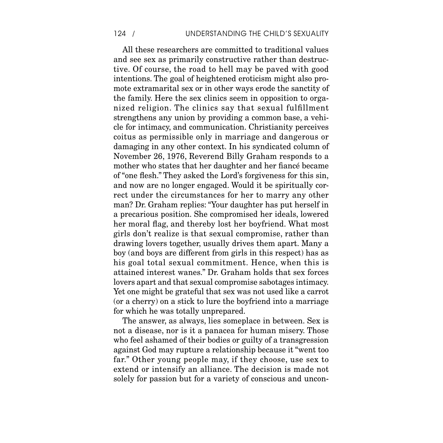All these researchers are committed to traditional values and see sex as primarily constructive rather than destructive. Of course, the road to hell may be paved with good intentions. The goal of heightened eroticism might also promote extramarital sex or in other ways erode the sanctity of the family. Here the sex clinics seem in opposition to organized religion. The clinics say that sexual fulfillment strengthens any union by providing a common base, a vehicle for intimacy, and communication. Christianity perceives coitus as permissible only in marriage and dangerous or damaging in any other context. In his syndicated column of November 26, 1976, Reverend Billy Graham responds to a mother who states that her daughter and her fiancé became of "one flesh." They asked the Lord's forgiveness for this sin, and now are no longer engaged. Would it be spiritually correct under the circumstances for her to marry any other man? Dr. Graham replies: "Your daughter has put herself in a precarious position. She compromised her ideals, lowered her moral flag, and thereby lost her boyfriend. What most girls don't realize is that sexual compromise, rather than drawing lovers together, usually drives them apart. Many a boy (and boys are different from girls in this respect) has as his goal total sexual commitment. Hence, when this is attained interest wanes." Dr. Graham holds that sex forces lovers apart and that sexual compromise sabotages intimacy. Yet one might be grateful that sex was not used like a carrot (or a cherry) on a stick to lure the boyfriend into a marriage for which he was totally unprepared.

The answer, as always, lies someplace in between. Sex is not a disease, nor is it a panacea for human misery. Those who feel ashamed of their bodies or guilty of a transgression against God may rupture a relationship because it "went too far." Other young people may, if they choose, use sex to extend or intensify an alliance. The decision is made not solely for passion but for a variety of conscious and uncon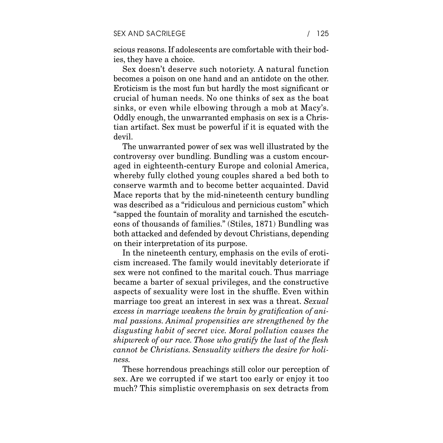scious reasons. If adolescents are comfortable with their bodies, they have a choice.

Sex doesn't deserve such notoriety. A natural function becomes a poison on one hand and an antidote on the other. Eroticism is the most fun but hardly the most significant or crucial of human needs. No one thinks of sex as the boat sinks, or even while elbowing through a mob at Macy's. Oddly enough, the unwarranted emphasis on sex is a Christian artifact. Sex must be powerful if it is equated with the devil.

The unwarranted power of sex was well illustrated by the controversy over bundling. Bundling was a custom encouraged in eighteenth-century Europe and colonial America, whereby fully clothed young couples shared a bed both to conserve warmth and to become better acquainted. David Mace reports that by the mid-nineteenth century bundling was described as a "ridiculous and pernicious custom" which "sapped the fountain of morality and tarnished the escutcheons of thousands of families." (Stiles, 1871) Bundling was both attacked and defended by devout Christians, depending on their interpretation of its purpose.

In the nineteenth century, emphasis on the evils of eroticism increased. The family would inevitably deteriorate if sex were not confined to the marital couch. Thus marriage became a barter of sexual privileges, and the constructive aspects of sexuality were lost in the shuffle. Even within marriage too great an interest in sex was a threat. *Sexual excess in marriage weakens the brain by gratification of animal passions. Animal propensities are strengthened by the disgusting habit of secret vice. Moral pollution causes the shipwreck of our race. Those who gratify the lust of the flesh cannot be Christians. Sensuality withers the desire for holiness.*

These horrendous preachings still color our perception of sex. Are we corrupted if we start too early or enjoy it too much? This simplistic overemphasis on sex detracts from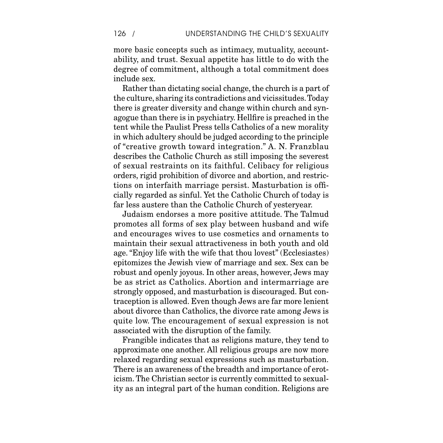more basic concepts such as intimacy, mutuality, accountability, and trust. Sexual appetite has little to do with the degree of commitment, although a total commitment does include sex.

Rather than dictating social change, the church is a part of the culture, sharing its contradictions and vicissitudes. Today there is greater diversity and change within church and synagogue than there is in psychiatry. Hellfire is preached in the tent while the Paulist Press tells Catholics of a new morality in which adultery should be judged according to the principle of "creative growth toward integration." A. N. Franzblau describes the Catholic Church as still imposing the severest of sexual restraints on its faithful. Celibacy for religious orders, rigid prohibition of divorce and abortion, and restrictions on interfaith marriage persist. Masturbation is officially regarded as sinful. Yet the Catholic Church of today is far less austere than the Catholic Church of yesteryear.

Judaism endorses a more positive attitude. The Talmud promotes all forms of sex play between husband and wife and encourages wives to use cosmetics and ornaments to maintain their sexual attractiveness in both youth and old age. "Enjoy life with the wife that thou lovest" (Ecclesiastes) epitomizes the Jewish view of marriage and sex. Sex can be robust and openly joyous. In other areas, however, Jews may be as strict as Catholics. Abortion and intermarriage are strongly opposed, and masturbation is discouraged. But contraception is allowed. Even though Jews are far more lenient about divorce than Catholics, the divorce rate among Jews is quite low. The encouragement of sexual expression is not associated with the disruption of the family.

Frangible indicates that as religions mature, they tend to approximate one another. All religious groups are now more relaxed regarding sexual expressions such as masturbation. There is an awareness of the breadth and importance of eroticism. The Christian sector is currently committed to sexuality as an integral part of the human condition. Religions are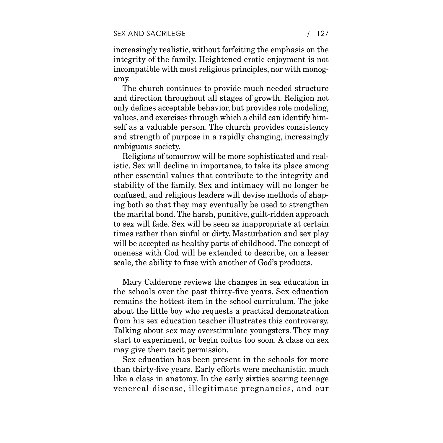increasingly realistic, without forfeiting the emphasis on the integrity of the family. Heightened erotic enjoyment is not incompatible with most religious principles, nor with monogamy.

The church continues to provide much needed structure and direction throughout all stages of growth. Religion not only defines acceptable behavior, but provides role modeling, values, and exercises through which a child can identify himself as a valuable person. The church provides consistency and strength of purpose in a rapidly changing, increasingly ambiguous society.

Religions of tomorrow will be more sophisticated and realistic. Sex will decline in importance, to take its place among other essential values that contribute to the integrity and stability of the family. Sex and intimacy will no longer be confused, and religious leaders will devise methods of shaping both so that they may eventually be used to strengthen the marital bond. The harsh, punitive, guilt-ridden approach to sex will fade. Sex will be seen as inappropriate at certain times rather than sinful or dirty. Masturbation and sex play will be accepted as healthy parts of childhood. The concept of oneness with God will be extended to describe, on a lesser scale, the ability to fuse with another of God's products.

Mary Calderone reviews the changes in sex education in the schools over the past thirty-five years. Sex education remains the hottest item in the school curriculum. The joke about the little boy who requests a practical demonstration from his sex education teacher illustrates this controversy. Talking about sex may overstimulate youngsters. They may start to experiment, or begin coitus too soon. A class on sex may give them tacit permission.

Sex education has been present in the schools for more than thirty-five years. Early efforts were mechanistic, much like a class in anatomy. In the early sixties soaring teenage venereal disease, illegitimate pregnancies, and our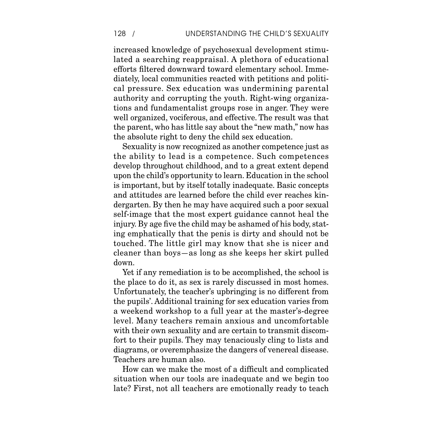increased knowledge of psychosexual development stimulated a searching reappraisal. A plethora of educational efforts filtered downward toward elementary school. Immediately, local communities reacted with petitions and political pressure. Sex education was undermining parental authority and corrupting the youth. Right-wing organizations and fundamentalist groups rose in anger. They were well organized, vociferous, and effective. The result was that the parent, who has little say about the "new math," now has the absolute right to deny the child sex education.

Sexuality is now recognized as another competence just as the ability to lead is a competence. Such competences develop throughout childhood, and to a great extent depend upon the child's opportunity to learn. Education in the school is important, but by itself totally inadequate. Basic concepts and attitudes are learned before the child ever reaches kindergarten. By then he may have acquired such a poor sexual self-image that the most expert guidance cannot heal the injury. By age five the child may be ashamed of his body, stating emphatically that the penis is dirty and should not be touched. The little girl may know that she is nicer and cleaner than boys—as long as she keeps her skirt pulled down.

Yet if any remediation is to be accomplished, the school is the place to do it, as sex is rarely discussed in most homes. Unfortunately, the teacher's upbringing is no different from the pupils'. Additional training for sex education varies from a weekend workshop to a full year at the master's-degree level. Many teachers remain anxious and uncomfortable with their own sexuality and are certain to transmit discomfort to their pupils. They may tenaciously cling to lists and diagrams, or overemphasize the dangers of venereal disease. Teachers are human also.

How can we make the most of a difficult and complicated situation when our tools are inadequate and we begin too late? First, not all teachers are emotionally ready to teach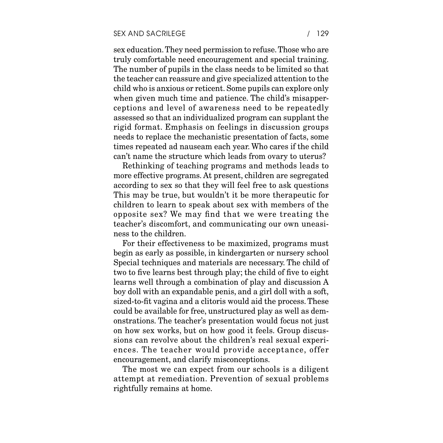sex education. They need permission to refuse. Those who are truly comfortable need encouragement and special training. The number of pupils in the class needs to be limited so that the teacher can reassure and give specialized attention to the child who is anxious or reticent. Some pupils can explore only when given much time and patience. The child's misapperceptions and level of awareness need to be repeatedly assessed so that an individualized program can supplant the rigid format. Emphasis on feelings in discussion groups needs to replace the mechanistic presentation of facts, some times repeated ad nauseam each year. Who cares if the child can't name the structure which leads from ovary to uterus?

Rethinking of teaching programs and methods leads to more effective programs. At present, children are segregated according to sex so that they will feel free to ask questions This may be true, but wouldn't it be more therapeutic for children to learn to speak about sex with members of the opposite sex? We may find that we were treating the teacher's discomfort, and communicating our own uneasiness to the children.

For their effectiveness to be maximized, programs must begin as early as possible, in kindergarten or nursery school Special techniques and materials are necessary. The child of two to five learns best through play; the child of five to eight learns well through a combination of play and discussion A boy doll with an expandable penis, and a girl doll with a soft, sized-to-fit vagina and a clitoris would aid the process. These could be available for free, unstructured play as well as demonstrations. The teacher's presentation would focus not just on how sex works, but on how good it feels. Group discussions can revolve about the children's real sexual experiences. The teacher would provide acceptance, offer encouragement, and clarify misconceptions.

The most we can expect from our schools is a diligent attempt at remediation. Prevention of sexual problems rightfully remains at home.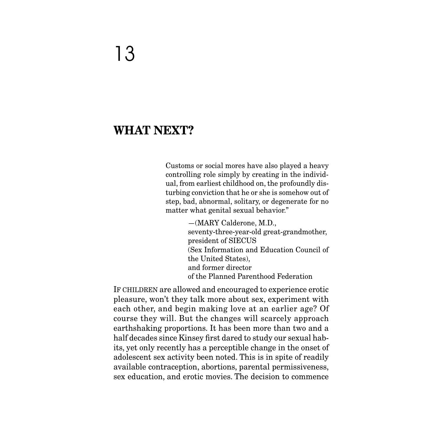13

### **WHAT NEXT?**

Customs or social mores have also played a heavy controlling role simply by creating in the individual, from earliest childhood on, the profoundly disturbing conviction that he or she is somehow out of step, bad, abnormal, solitary, or degenerate for no matter what genital sexual behavior."

> —(MARY Calderone, M.D., seventy-three-year-old great-grandmother, president of SIECUS (Sex Information and Education Council of the United States), and former director of the Planned Parenthood Federation

IF CHILDREN are allowed and encouraged to experience erotic pleasure, won't they talk more about sex, experiment with each other, and begin making love at an earlier age? Of course they will. But the changes will scarcely approach earthshaking proportions. It has been more than two and a half decades since Kinsey first dared to study our sexual habits, yet only recently has a perceptible change in the onset of adolescent sex activity been noted. This is in spite of readily available contraception, abortions, parental permissiveness, sex education, and erotic movies. The decision to commence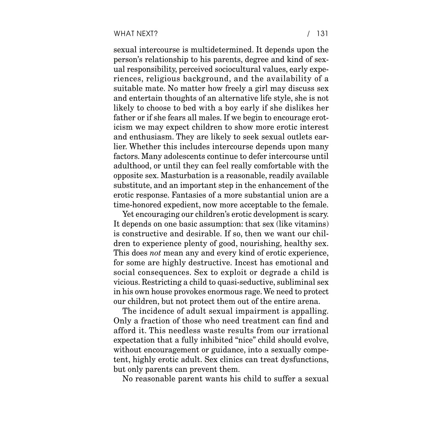sexual intercourse is multidetermined. It depends upon the person's relationship to his parents, degree and kind of sexual responsibility, perceived sociocultural values, early experiences, religious background, and the availability of a suitable mate. No matter how freely a girl may discuss sex and entertain thoughts of an alternative life style, she is not likely to choose to bed with a boy early if she dislikes her father or if she fears all males. If we begin to encourage eroticism we may expect children to show more erotic interest and enthusiasm. They are likely to seek sexual outlets earlier. Whether this includes intercourse depends upon many factors. Many adolescents continue to defer intercourse until adulthood, or until they can feel really comfortable with the opposite sex. Masturbation is a reasonable, readily available substitute, and an important step in the enhancement of the erotic response. Fantasies of a more substantial union are a time-honored expedient, now more acceptable to the female.

Yet encouraging our children's erotic development is scary. It depends on one basic assumption: that sex (like vitamins) is constructive and desirable. If so, then we want our children to experience plenty of good, nourishing, healthy sex. This does *not* mean any and every kind of erotic experience, for some are highly destructive. Incest has emotional and social consequences. Sex to exploit or degrade a child is vicious. Restricting a child to quasi-seductive, subliminal sex in his own house provokes enormous rage. We need to protect our children, but not protect them out of the entire arena.

The incidence of adult sexual impairment is appalling. Only a fraction of those who need treatment can find and afford it. This needless waste results from our irrational expectation that a fully inhibited "nice" child should evolve, without encouragement or guidance, into a sexually competent, highly erotic adult. Sex clinics can treat dysfunctions, but only parents can prevent them.

No reasonable parent wants his child to suffer a sexual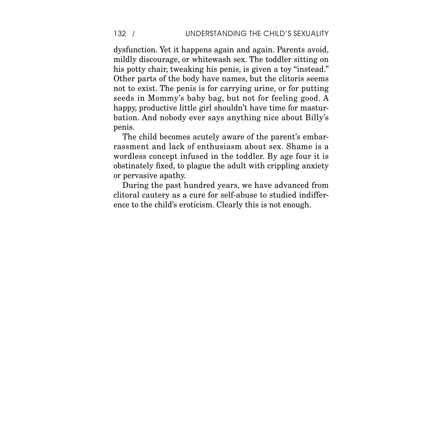dysfunction. Yet it happens again and again. Parents avoid, mildly discourage, or whitewash sex. The toddler sitting on his potty chair, tweaking his penis, is given a toy "instead." Other parts of the body have names, but the clitoris seems not to exist. The penis is for carrying urine, or for putting seeds in Mommy's baby bag, but not for feeling good. A happy, productive little girl shouldn't have time for masturbation. And nobody ever says anything nice about Billy's penis.

The child becomes acutely aware of the parent's embarrassment and lack of enthusiasm about sex. Shame is a wordless concept infused in the toddler. By age four it is obstinately fixed, to plague the adult with crippling anxiety or pervasive apathy.

During the past hundred years, we have advanced from clitoral cautery as a cure for self-abuse to studied indifference to the child's eroticism. Clearly this is not enough.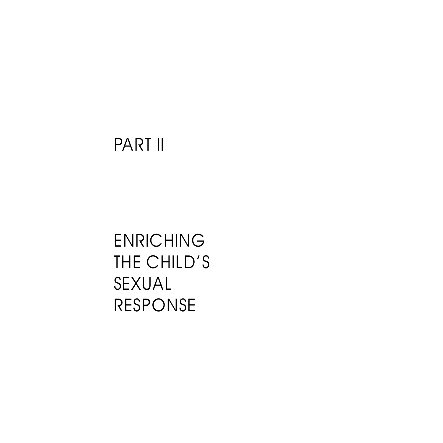# PART II

ENRICHING THE CHILD'S SEXUAL RESPONSE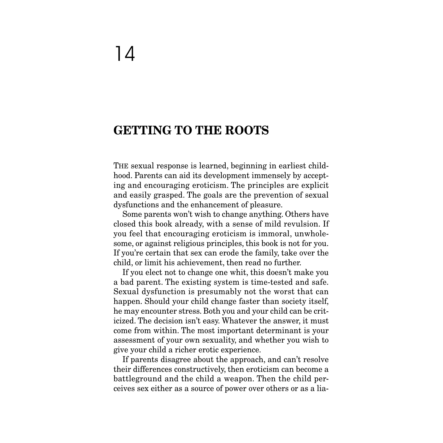14

# **GETTING TO THE ROOTS**

THE sexual response is learned, beginning in earliest childhood. Parents can aid its development immensely by accepting and encouraging eroticism. The principles are explicit and easily grasped. The goals are the prevention of sexual dysfunctions and the enhancement of pleasure.

Some parents won't wish to change anything. Others have closed this book already, with a sense of mild revulsion. If you feel that encouraging eroticism is immoral, unwholesome, or against religious principles, this book is not for you. If you're certain that sex can erode the family, take over the child, or limit his achievement, then read no further.

If you elect not to change one whit, this doesn't make you a bad parent. The existing system is time-tested and safe. Sexual dysfunction is presumably not the worst that can happen. Should your child change faster than society itself, he may encounter stress. Both you and your child can be criticized. The decision isn't easy. Whatever the answer, it must come from within. The most important determinant is your assessment of your own sexuality, and whether you wish to give your child a richer erotic experience.

If parents disagree about the approach, and can't resolve their differences constructively, then eroticism can become a battleground and the child a weapon. Then the child perceives sex either as a source of power over others or as a lia-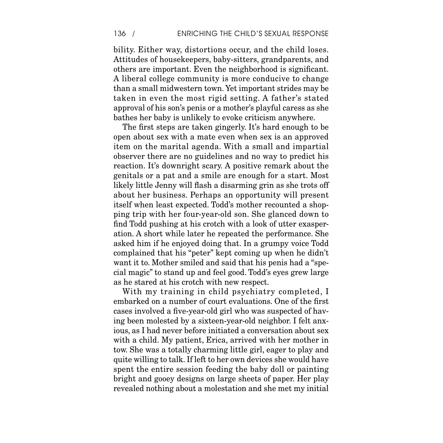bility. Either way, distortions occur, and the child loses. Attitudes of housekeepers, baby-sitters, grandparents, and others are important. Even the neighborhood is significant. A liberal college community is more conducive to change than a small midwestern town. Yet important strides may be taken in even the most rigid setting. A father's stated approval of his son's penis or a mother's playful caress as she bathes her baby is unlikely to evoke criticism anywhere.

The first steps are taken gingerly. It's hard enough to be open about sex with a mate even when sex is an approved item on the marital agenda. With a small and impartial observer there are no guidelines and no way to predict his reaction. It's downright scary. A positive remark about the genitals or a pat and a smile are enough for a start. Most likely little Jenny will flash a disarming grin as she trots off about her business. Perhaps an opportunity will present itself when least expected. Todd's mother recounted a shopping trip with her four-year-old son. She glanced down to find Todd pushing at his crotch with a look of utter exasperation. A short while later he repeated the performance. She asked him if he enjoyed doing that. In a grumpy voice Todd complained that his "peter" kept coming up when he didn't want it to. Mother smiled and said that his penis had a "special magic" to stand up and feel good. Todd's eyes grew large as he stared at his crotch with new respect.

With my training in child psychiatry completed, I embarked on a number of court evaluations. One of the first cases involved a five-year-old girl who was suspected of having been molested by a sixteen-year-old neighbor. I felt anxious, as I had never before initiated a conversation about sex with a child. My patient, Erica, arrived with her mother in tow. She was a totally charming little girl, eager to play and quite willing to talk. If left to her own devices she would have spent the entire session feeding the baby doll or painting bright and gooey designs on large sheets of paper. Her play revealed nothing about a molestation and she met my initial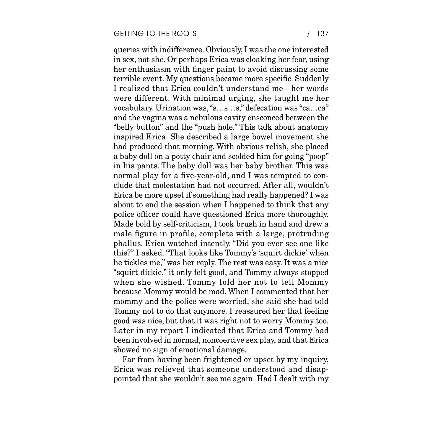queries with indifference. Obviously, I was the one interested in sex, not she. Or perhaps Erica was cloaking her fear, using her enthusiasm with finger paint to avoid discussing some terrible event. My questions became more specific. Suddenly I realized that Erica couldn't understand me—her words were different. With minimal urging, she taught me her vocabulary. Urination was, "s…s…s," defecation was "ca…ca" and the vagina was a nebulous cavity ensconced between the "belly button" and the "push hole." This talk about anatomy inspired Erica. She described a large bowel movement she had produced that morning. With obvious relish, she placed a baby doll on a potty chair and scolded him for going "poop" in his pants. The baby doll was her baby brother. This was

normal play for a five-year-old, and I was tempted to conclude that molestation had not occurred. After all, wouldn't Erica be more upset if something had really happened? I was about to end the session when I happened to think that any police officer could have questioned Erica more thoroughly. Made bold by self-criticism, I took brush in hand and drew a male figure in profile, complete with a large, protruding phallus. Erica watched intently. "Did you ever see one like this?" I asked. "That looks like Tommy's 'squirt dickie' when he tickles me," was her reply. The rest was easy. It was a nice "squirt dickie," it only felt good, and Tommy always stopped when she wished. Tommy told her not to tell Mommy because Mommy would be mad. When I commented that her mommy and the police were worried, she said she had told Tommy not to do that anymore. I reassured her that feeling good was nice, but that it was right not to worry Mommy too. Later in my report I indicated that Erica and Tommy had been involved in normal, noncoercive sex play, and that Erica showed no sign of emotional damage.

Far from having been frightened or upset by my inquiry, Erica was relieved that someone understood and disappointed that she wouldn't see me again. Had I dealt with my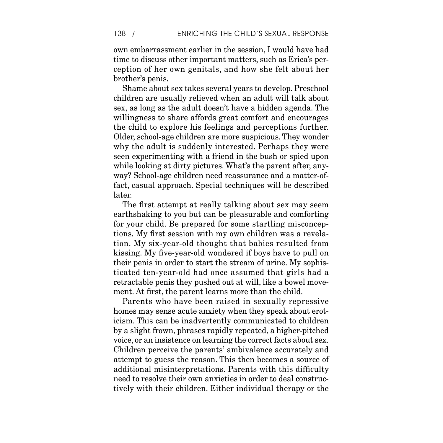own embarrassment earlier in the session, I would have had time to discuss other important matters, such as Erica's perception of her own genitals, and how she felt about her brother's penis.

Shame about sex takes several years to develop. Preschool children are usually relieved when an adult will talk about sex, as long as the adult doesn't have a hidden agenda. The willingness to share affords great comfort and encourages the child to explore his feelings and perceptions further. Older, school-age children are more suspicious. They wonder why the adult is suddenly interested. Perhaps they were seen experimenting with a friend in the bush or spied upon while looking at dirty pictures. What's the parent after, anyway? School-age children need reassurance and a matter-offact, casual approach. Special techniques will be described later.

The first attempt at really talking about sex may seem earthshaking to you but can be pleasurable and comforting for your child. Be prepared for some startling misconceptions. My first session with my own children was a revelation. My six-year-old thought that babies resulted from kissing. My five-year-old wondered if boys have to pull on their penis in order to start the stream of urine. My sophisticated ten-year-old had once assumed that girls had a retractable penis they pushed out at will, like a bowel movement. At first, the parent learns more than the child.

Parents who have been raised in sexually repressive homes may sense acute anxiety when they speak about eroticism. This can be inadvertently communicated to children by a slight frown, phrases rapidly repeated, a higher-pitched voice, or an insistence on learning the correct facts about sex. Children perceive the parents' ambivalence accurately and attempt to guess the reason. This then becomes a source of additional misinterpretations. Parents with this difficulty need to resolve their own anxieties in order to deal constructively with their children. Either individual therapy or the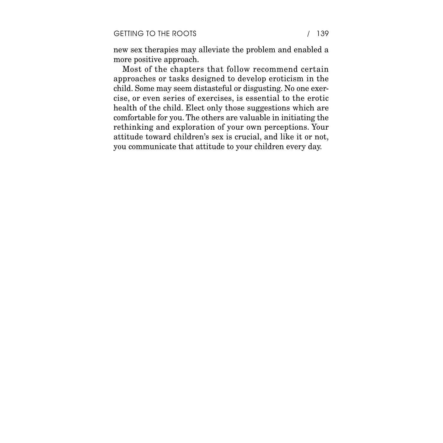new sex therapies may alleviate the problem and enabled a more positive approach.

Most of the chapters that follow recommend certain approaches or tasks designed to develop eroticism in the child. Some may seem distasteful or disgusting. No one exercise, or even series of exercises, is essential to the erotic health of the child. Elect only those suggestions which are comfortable for you. The others are valuable in initiating the rethinking and exploration of your own perceptions. Your attitude toward children's sex is crucial, and like it or not, you communicate that attitude to your children every day.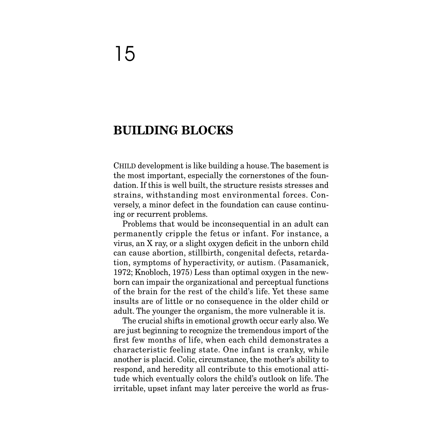# **BUILDING BLOCKS**

CHILD development is like building a house. The basement is the most important, especially the cornerstones of the foundation. If this is well built, the structure resists stresses and strains, withstanding most environmental forces. Conversely, a minor defect in the foundation can cause continuing or recurrent problems.

Problems that would be inconsequential in an adult can permanently cripple the fetus or infant. For instance, a virus, an X ray, or a slight oxygen deficit in the unborn child can cause abortion, stillbirth, congenital defects, retardation, symptoms of hyperactivity, or autism. (Pasamanick, 1972; Knobloch, 1975) Less than optimal oxygen in the newborn can impair the organizational and perceptual functions of the brain for the rest of the child's life. Yet these same insults are of little or no consequence in the older child or adult. The younger the organism, the more vulnerable it is.

The crucial shifts in emotional growth occur early also. We are just beginning to recognize the tremendous import of the first few months of life, when each child demonstrates a characteristic feeling state. One infant is cranky, while another is placid. Colic, circumstance, the mother's ability to respond, and heredity all contribute to this emotional attitude which eventually colors the child's outlook on life. The irritable, upset infant may later perceive the world as frus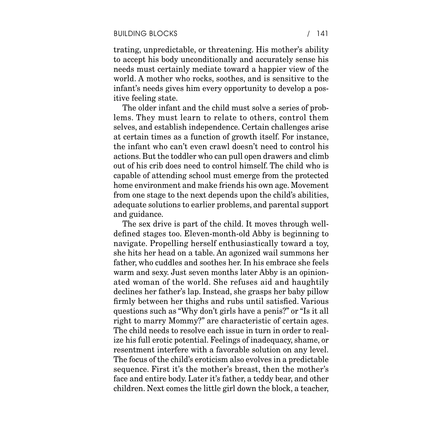trating, unpredictable, or threatening. His mother's ability to accept his body unconditionally and accurately sense his needs must certainly mediate toward a happier view of the world. A mother who rocks, soothes, and is sensitive to the infant's needs gives him every opportunity to develop a positive feeling state.

The older infant and the child must solve a series of problems. They must learn to relate to others, control them selves, and establish independence. Certain challenges arise at certain times as a function of growth itself. For instance, the infant who can't even crawl doesn't need to control his actions. But the toddler who can pull open drawers and climb out of his crib does need to control himself. The child who is capable of attending school must emerge from the protected home environment and make friends his own age. Movement from one stage to the next depends upon the child's abilities, adequate solutions to earlier problems, and parental support and guidance.

The sex drive is part of the child. It moves through welldefined stages too. Eleven-month-old Abby is beginning to navigate. Propelling herself enthusiastically toward a toy, she hits her head on a table. An agonized wail summons her father, who cuddles and soothes her. In his embrace she feels warm and sexy. Just seven months later Abby is an opinionated woman of the world. She refuses aid and haughtily declines her father's lap. Instead, she grasps her baby pillow firmly between her thighs and rubs until satisfied. Various questions such as "Why don't girls have a penis?" or "Is it all right to marry Mommy?" are characteristic of certain ages. The child needs to resolve each issue in turn in order to realize his full erotic potential. Feelings of inadequacy, shame, or resentment interfere with a favorable solution on any level. The focus of the child's eroticism also evolves in a predictable sequence. First it's the mother's breast, then the mother's face and entire body. Later it's father, a teddy bear, and other children. Next comes the little girl down the block, a teacher,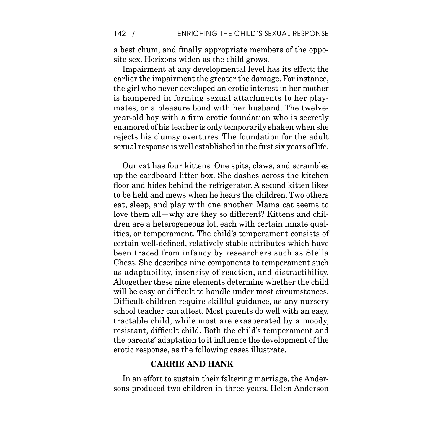a best chum, and finally appropriate members of the opposite sex. Horizons widen as the child grows.

Impairment at any developmental level has its effect; the earlier the impairment the greater the damage. For instance, the girl who never developed an erotic interest in her mother is hampered in forming sexual attachments to her playmates, or a pleasure bond with her husband. The twelveyear-old boy with a firm erotic foundation who is secretly enamored of his teacher is only temporarily shaken when she rejects his clumsy overtures. The foundation for the adult sexual response is well established in the first six years of life.

Our cat has four kittens. One spits, claws, and scrambles up the cardboard litter box. She dashes across the kitchen floor and hides behind the refrigerator. A second kitten likes to be held and mews when he hears the children. Two others eat, sleep, and play with one another. Mama cat seems to love them all—why are they so different? Kittens and children are a heterogeneous lot, each with certain innate qualities, or temperament. The child's temperament consists of certain well-defined, relatively stable attributes which have been traced from infancy by researchers such as Stella Chess. She describes nine components to temperament such as adaptability, intensity of reaction, and distractibility. Altogether these nine elements determine whether the child will be easy or difficult to handle under most circumstances. Difficult children require skillful guidance, as any nursery school teacher can attest. Most parents do well with an easy, tractable child, while most are exasperated by a moody, resistant, difficult child. Both the child's temperament and the parents' adaptation to it influence the development of the erotic response, as the following cases illustrate.

#### **CARRIE AND HANK**

In an effort to sustain their faltering marriage, the Andersons produced two children in three years. Helen Anderson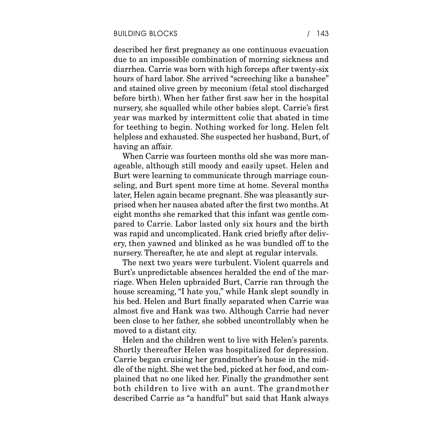described her first pregnancy as one continuous evacuation due to an impossible combination of morning sickness and diarrhea. Carrie was born with high forceps after twenty-six hours of hard labor. She arrived "screeching like a banshee" and stained olive green by meconium (fetal stool discharged before birth). When her father first saw her in the hospital nursery, she squalled while other babies slept. Carrie's first year was marked by intermittent colic that abated in time for teething to begin. Nothing worked for long. Helen felt helpless and exhausted. She suspected her husband, Burt, of having an affair.

When Carrie was fourteen months old she was more manageable, although still moody and easily upset. Helen and Burt were learning to communicate through marriage counseling, and Burt spent more time at home. Several months later, Helen again became pregnant. She was pleasantly surprised when her nausea abated after the first two months. At eight months she remarked that this infant was gentle compared to Carrie. Labor lasted only six hours and the birth was rapid and uncomplicated. Hank cried briefly after delivery, then yawned and blinked as he was bundled off to the nursery. Thereafter, he ate and slept at regular intervals.

The next two years were turbulent. Violent quarrels and Burt's unpredictable absences heralded the end of the marriage. When Helen upbraided Burt, Carrie ran through the house screaming, "I hate you," while Hank slept soundly in his bed. Helen and Burt finally separated when Carrie was almost five and Hank was two. Although Carrie had never been close to her father, she sobbed uncontrollably when he moved to a distant city.

Helen and the children went to live with Helen's parents. Shortly thereafter Helen was hospitalized for depression. Carrie began cruising her grandmother's house in the middle of the night. She wet the bed, picked at her food, and complained that no one liked her. Finally the grandmother sent both children to live with an aunt. The grandmother described Carrie as "a handful" but said that Hank always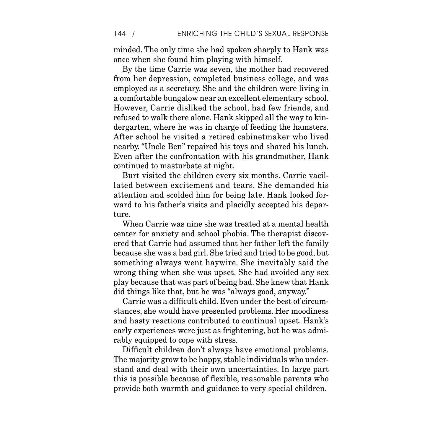minded. The only time she had spoken sharply to Hank was once when she found him playing with himself.

By the time Carrie was seven, the mother had recovered from her depression, completed business college, and was employed as a secretary. She and the children were living in a comfortable bungalow near an excellent elementary school. However, Carrie disliked the school, had few friends, and refused to walk there alone. Hank skipped all the way to kindergarten, where he was in charge of feeding the hamsters. After school he visited a retired cabinetmaker who lived nearby. "Uncle Ben" repaired his toys and shared his lunch. Even after the confrontation with his grandmother, Hank continued to masturbate at night.

Burt visited the children every six months. Carrie vacillated between excitement and tears. She demanded his attention and scolded him for being late. Hank looked forward to his father's visits and placidly accepted his departure.

When Carrie was nine she was treated at a mental health center for anxiety and school phobia. The therapist discovered that Carrie had assumed that her father left the family because she was a bad girl. She tried and tried to be good, but something always went haywire. She inevitably said the wrong thing when she was upset. She had avoided any sex play because that was part of being bad. She knew that Hank did things like that, but he was "always good, anyway."

Carrie was a difficult child. Even under the best of circumstances, she would have presented problems. Her moodiness and hasty reactions contributed to continual upset. Hank's early experiences were just as frightening, but he was admirably equipped to cope with stress.

Difficult children don't always have emotional problems. The majority grow to be happy, stable individuals who understand and deal with their own uncertainties. In large part this is possible because of flexible, reasonable parents who provide both warmth and guidance to very special children.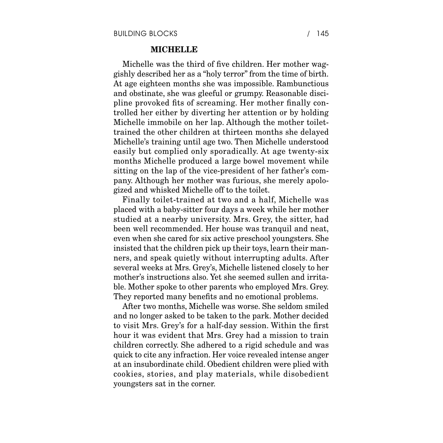## **MICHELLE**

Michelle was the third of five children. Her mother waggishly described her as a "holy terror" from the time of birth. At age eighteen months she was impossible. Rambunctious and obstinate, she was gleeful or grumpy. Reasonable discipline provoked fits of screaming. Her mother finally controlled her either by diverting her attention or by holding Michelle immobile on her lap. Although the mother toilettrained the other children at thirteen months she delayed Michelle's training until age two. Then Michelle understood easily but complied only sporadically. At age twenty-six months Michelle produced a large bowel movement while sitting on the lap of the vice-president of her father's company. Although her mother was furious, she merely apologized and whisked Michelle off to the toilet.

Finally toilet-trained at two and a half, Michelle was placed with a baby-sitter four days a week while her mother studied at a nearby university. Mrs. Grey, the sitter, had been well recommended. Her house was tranquil and neat, even when she cared for six active preschool youngsters. She insisted that the children pick up their toys, learn their manners, and speak quietly without interrupting adults. After several weeks at Mrs. Grey's, Michelle listened closely to her mother's instructions also. Yet she seemed sullen and irritable. Mother spoke to other parents who employed Mrs. Grey. They reported many benefits and no emotional problems.

After two months, Michelle was worse. She seldom smiled and no longer asked to be taken to the park. Mother decided to visit Mrs. Grey's for a half-day session. Within the first hour it was evident that Mrs. Grey had a mission to train children correctly. She adhered to a rigid schedule and was quick to cite any infraction. Her voice revealed intense anger at an insubordinate child. Obedient children were plied with cookies, stories, and play materials, while disobedient youngsters sat in the corner.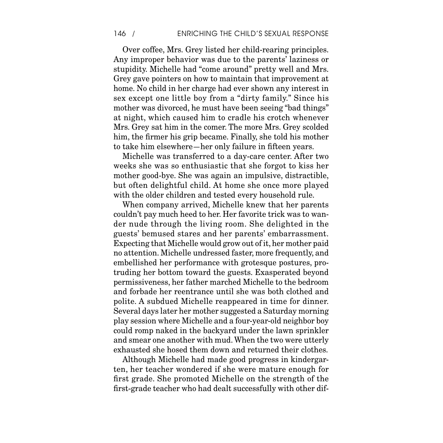Over coffee, Mrs. Grey listed her child-rearing principles. Any improper behavior was due to the parents' laziness or stupidity. Michelle had "come around" pretty well and Mrs. Grey gave pointers on how to maintain that improvement at home. No child in her charge had ever shown any interest in sex except one little boy from a "dirty family." Since his mother was divorced, he must have been seeing "bad things" at night, which caused him to cradle his crotch whenever Mrs. Grey sat him in the comer. The more Mrs. Grey scolded him, the firmer his grip became. Finally, she told his mother to take him elsewhere—her only failure in fifteen years.

Michelle was transferred to a day-care center. After two weeks she was so enthusiastic that she forgot to kiss her mother good-bye. She was again an impulsive, distractible, but often delightful child. At home she once more played with the older children and tested every household rule.

When company arrived, Michelle knew that her parents couldn't pay much heed to her. Her favorite trick was to wander nude through the living room. She delighted in the guests' bemused stares and her parents' embarrassment. Expecting that Michelle would grow out of it, her mother paid no attention. Michelle undressed faster, more frequently, and embellished her performance with grotesque postures, protruding her bottom toward the guests. Exasperated beyond permissiveness, her father marched Michelle to the bedroom and forbade her reentrance until she was both clothed and polite. A subdued Michelle reappeared in time for dinner. Several days later her mother suggested a Saturday morning play session where Michelle and a four-year-old neighbor boy could romp naked in the backyard under the lawn sprinkler and smear one another with mud. When the two were utterly exhausted she hosed them down and returned their clothes.

Although Michelle had made good progress in kindergarten, her teacher wondered if she were mature enough for first grade. She promoted Michelle on the strength of the first-grade teacher who had dealt successfully with other dif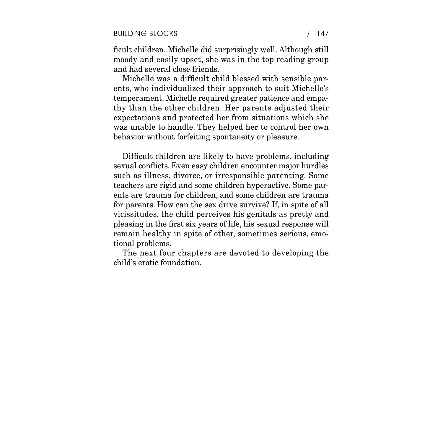ficult children. Michelle did surprisingly well. Although still moody and easily upset, she was in the top reading group and had several close friends.

Michelle was a difficult child blessed with sensible parents, who individualized their approach to suit Michelle's temperament. Michelle required greater patience and empathy than the other children. Her parents adjusted their expectations and protected her from situations which she was unable to handle. They helped her to control her own behavior without forfeiting spontaneity or pleasure.

Difficult children are likely to have problems, including sexual conflicts. Even easy children encounter major hurdles such as illness, divorce, or irresponsible parenting. Some teachers are rigid and some children hyperactive. Some parents are trauma for children, and some children are trauma for parents. How can the sex drive survive? If, in spite of all vicissitudes, the child perceives his genitals as pretty and pleasing in the first six years of life, his sexual response will remain healthy in spite of other, sometimes serious, emotional problems.

The next four chapters are devoted to developing the child's erotic foundation.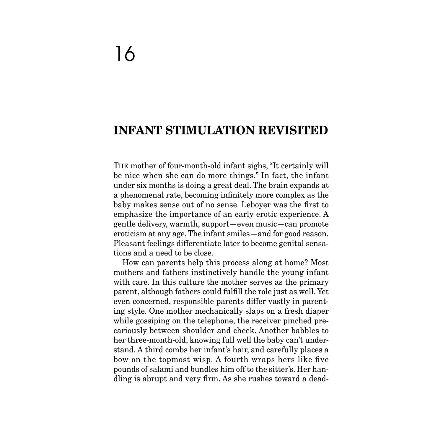## **INFANT STIMULATION REVISITED**

THE mother of four-month-old infant sighs, "It certainly will be nice when she can do more things." In fact, the infant under six months is doing a great deal. The brain expands at a phenomenal rate, becoming infinitely more complex as the baby makes sense out of no sense. Leboyer was the first to emphasize the importance of an early erotic experience. A gentle delivery, warmth, support—even music—can promote eroticism at any age. The infant smiles—and for good reason. Pleasant feelings differentiate later to become genital sensations and a need to be close.

How can parents help this process along at home? Most mothers and fathers instinctively handle the young infant with care. In this culture the mother serves as the primary parent, although fathers could fulfill the role just as well. Yet even concerned, responsible parents differ vastly in parenting style. One mother mechanically slaps on a fresh diaper while gossiping on the telephone, the receiver pinched precariously between shoulder and cheek. Another babbles to her three-month-old, knowing full well the baby can't understand. A third combs her infant's hair, and carefully places a bow on the topmost wisp. A fourth wraps hers like five pounds of salami and bundles him off to the sitter's. Her handling is abrupt and very firm. As she rushes toward a dead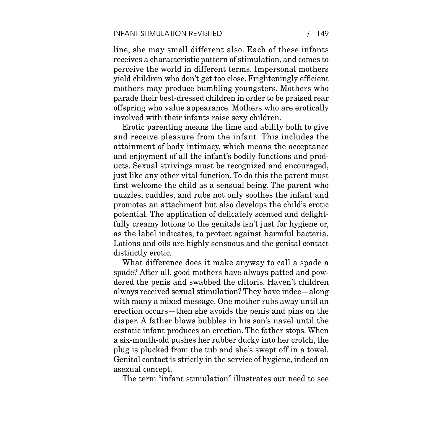line, she may smell different also. Each of these infants receives a characteristic pattern of stimulation, and comes to perceive the world in different terms. Impersonal mothers yield children who don't get too close. Frighteningly efficient mothers may produce bumbling youngsters. Mothers who parade their best-dressed children in order to be praised rear offspring who value appearance. Mothers who are erotically involved with their infants raise sexy children.

Erotic parenting means the time and ability both to give and receive pleasure from the infant. This includes the attainment of body intimacy, which means the acceptance and enjoyment of all the infant's bodily functions and products. Sexual strivings must be recognized and encouraged, just like any other vital function. To do this the parent must first welcome the child as a sensual being. The parent who nuzzles, cuddles, and rubs not only soothes the infant and promotes an attachment but also develops the child's erotic potential. The application of delicately scented and delightfully creamy lotions to the genitals isn't just for hygiene or, as the label indicates, to protect against harmful bacteria. Lotions and oils are highly sensuous and the genital contact distinctly erotic.

What difference does it make anyway to call a spade a spade? After all, good mothers have always patted and powdered the penis and swabbed the clitoris. Haven't children always received sexual stimulation? They have indee—along with many a mixed message. One mother rubs away until an erection occurs—then she avoids the penis and pins on the diaper. A father blows bubbles in his son's navel until the ecstatic infant produces an erection. The father stops. When a six-month-old pushes her rubber ducky into her crotch, the plug is plucked from the tub and she's swept off in a towel. Genital contact is strictly in the service of hygiene, indeed an asexual concept.

The term "infant stimulation" illustrates our need to see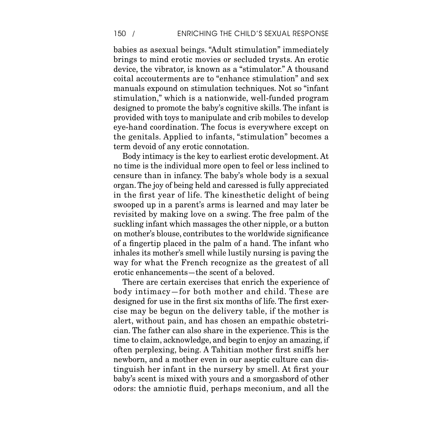babies as asexual beings. "Adult stimulation" immediately brings to mind erotic movies or secluded trysts. An erotic device, the vibrator, is known as a "stimulator." A thousand coital accouterments are to "enhance stimulation" and sex manuals expound on stimulation techniques. Not so "infant stimulation," which is a nationwide, well-funded program designed to promote the baby's cognitive skills. The infant is provided with toys to manipulate and crib mobiles to develop eye-hand coordination. The focus is everywhere except on the genitals. Applied to infants, "stimulation" becomes a term devoid of any erotic connotation.

Body intimacy is the key to earliest erotic development. At no time is the individual more open to feel or less inclined to censure than in infancy. The baby's whole body is a sexual organ. The joy of being held and caressed is fully appreciated in the first year of life. The kinesthetic delight of being swooped up in a parent's arms is learned and may later be revisited by making love on a swing. The free palm of the suckling infant which massages the other nipple, or a button on mother's blouse, contributes to the worldwide significance of a fingertip placed in the palm of a hand. The infant who inhales its mother's smell while lustily nursing is paving the way for what the French recognize as the greatest of all erotic enhancements—the scent of a beloved.

There are certain exercises that enrich the experience of body intimacy—for both mother and child. These are designed for use in the first six months of life. The first exercise may be begun on the delivery table, if the mother is alert, without pain, and has chosen an empathic obstetrician. The father can also share in the experience. This is the time to claim, acknowledge, and begin to enjoy an amazing, if often perplexing, being. A Tahitian mother first sniffs her newborn, and a mother even in our aseptic culture can distinguish her infant in the nursery by smell. At first your baby's scent is mixed with yours and a smorgasbord of other odors: the amniotic fluid, perhaps meconium, and all the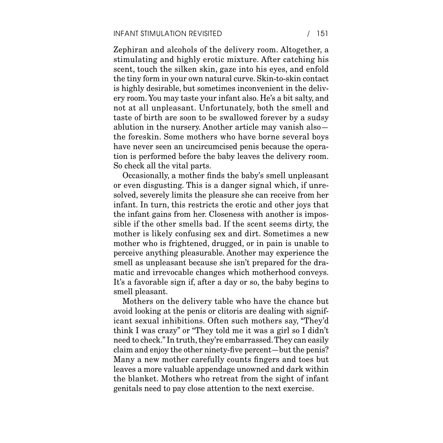Zephiran and alcohols of the delivery room. Altogether, a stimulating and highly erotic mixture. After catching his scent, touch the silken skin, gaze into his eyes, and enfold the tiny form in your own natural curve. Skin-to-skin contact is highly desirable, but sometimes inconvenient in the delivery room. You may taste your infant also. He's a bit salty, and not at all unpleasant. Unfortunately, both the smell and taste of birth are soon to be swallowed forever by a sudsy ablution in the nursery. Another article may vanish also the foreskin. Some mothers who have borne several boys have never seen an uncircumcised penis because the operation is performed before the baby leaves the delivery room. So check all the vital parts.

Occasionally, a mother finds the baby's smell unpleasant or even disgusting. This is a danger signal which, if unresolved, severely limits the pleasure she can receive from her infant. In turn, this restricts the erotic and other joys that the infant gains from her. Closeness with another is impossible if the other smells bad. If the scent seems dirty, the mother is likely confusing sex and dirt. Sometimes a new mother who is frightened, drugged, or in pain is unable to perceive anything pleasurable. Another may experience the smell as unpleasant because she isn't prepared for the dramatic and irrevocable changes which motherhood conveys. It's a favorable sign if, after a day or so, the baby begins to smell pleasant.

Mothers on the delivery table who have the chance but avoid looking at the penis or clitoris are dealing with significant sexual inhibitions. Often such mothers say, "They'd think I was crazy" or "They told me it was a girl so I didn't need to check." In truth, they're embarrassed. They can easily claim and enjoy the other ninety-five percent—but the penis? Many a new mother carefully counts fingers and toes but leaves a more valuable appendage unowned and dark within the blanket. Mothers who retreat from the sight of infant genitals need to pay close attention to the next exercise.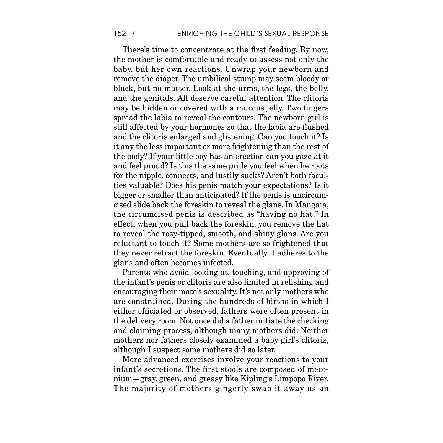There's time to concentrate at the first feeding. By now, the mother is comfortable and ready to assess not only the baby, but her own reactions. Unwrap your newborn and remove the diaper. The umbilical stump may seem bloody or black, but no matter. Look at the arms, the legs, the belly, and the genitals. All deserve careful attention. The clitoris may be hidden or covered with a mucous jelly. Two fingers spread the labia to reveal the contours. The newborn girl is still affected by your hormones so that the labia are flushed and the clitoris enlarged and glistening. Can you touch it? Is it any the less important or more frightening than the rest of the body? If your little boy has an erection can you gaze at it and feel proud? Is this the same pride you feel when he roots for the nipple, connects, and lustily sucks? Aren't both faculties valuable? Does his penis match your expectations? Is it bigger or smaller than anticipated? If the penis is uncircumcised slide back the foreskin to reveal the glans. In Mangaia, the circumcised penis is described as "having no hat." In effect, when you pull back the foreskin, you remove the hat to reveal the rosy-tipped, smooth, and shiny glans. Are you reluctant to touch it? Some mothers are so frightened that they never retract the foreskin. Eventually it adheres to the glans and often becomes infected.

Parents who avoid looking at, touching, and approving of the infant's penis or clitoris are also limited in relishing and encouraging their mate's sexuality. It's not only mothers who are constrained. During the hundreds of births in which I either officiated or observed, fathers were often present in the delivery room. Not once did a father initiate the checking and claiming process, although many mothers did. Neither mothers nor fathers closely examined a baby girl's clitoris, although I suspect some mothers did so later.

More advanced exercises involve your reactions to your infant's secretions. The first stools are composed of meconium—gray, green, and greasy like Kipling's Limpopo River. The majority of mothers gingerly swab it away as an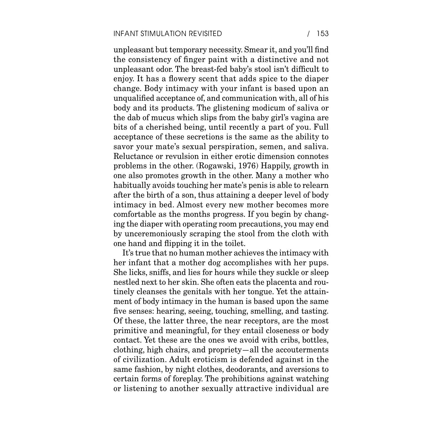unpleasant but temporary necessity. Smear it, and you'll find the consistency of finger paint with a distinctive and not unpleasant odor. The breast-fed baby's stool isn't difficult to enjoy. It has a flowery scent that adds spice to the diaper change. Body intimacy with your infant is based upon an unqualified acceptance of, and communication with, all of his body and its products. The glistening modicum of saliva or the dab of mucus which slips from the baby girl's vagina are bits of a cherished being, until recently a part of you. Full acceptance of these secretions is the same as the ability to savor your mate's sexual perspiration, semen, and saliva. Reluctance or revulsion in either erotic dimension connotes problems in the other. (Rogawski, 1976) Happily, growth in one also promotes growth in the other. Many a mother who habitually avoids touching her mate's penis is able to relearn after the birth of a son, thus attaining a deeper level of body intimacy in bed. Almost every new mother becomes more comfortable as the months progress. If you begin by changing the diaper with operating room precautions, you may end by unceremoniously scraping the stool from the cloth with one hand and flipping it in the toilet.

It's true that no human mother achieves the intimacy with her infant that a mother dog accomplishes with her pups. She licks, sniffs, and lies for hours while they suckle or sleep nestled next to her skin. She often eats the placenta and routinely cleanses the genitals with her tongue. Yet the attainment of body intimacy in the human is based upon the same five senses: hearing, seeing, touching, smelling, and tasting. Of these, the latter three, the near receptors, are the most primitive and meaningful, for they entail closeness or body contact. Yet these are the ones we avoid with cribs, bottles, clothing, high chairs, and propriety—all the accouterments of civilization. Adult eroticism is defended against in the same fashion, by night clothes, deodorants, and aversions to certain forms of foreplay. The prohibitions against watching or listening to another sexually attractive individual are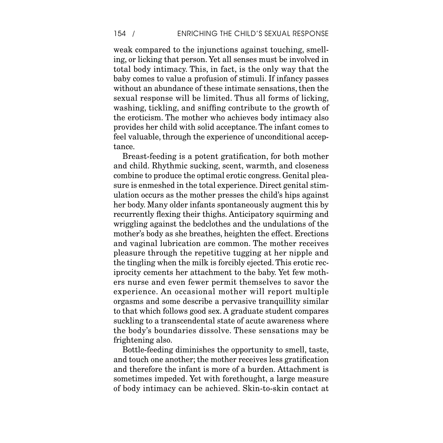weak compared to the injunctions against touching, smelling, or licking that person. Yet all senses must be involved in total body intimacy. This, in fact, is the only way that the baby comes to value a profusion of stimuli. If infancy passes without an abundance of these intimate sensations, then the sexual response will be limited. Thus all forms of licking, washing, tickling, and sniffing contribute to the growth of the eroticism. The mother who achieves body intimacy also provides her child with solid acceptance. The infant comes to feel valuable, through the experience of unconditional acceptance.

Breast-feeding is a potent gratification, for both mother and child. Rhythmic sucking, scent, warmth, and closeness combine to produce the optimal erotic congress. Genital pleasure is enmeshed in the total experience. Direct genital stimulation occurs as the mother presses the child's hips against her body. Many older infants spontaneously augment this by recurrently flexing their thighs. Anticipatory squirming and wriggling against the bedclothes and the undulations of the mother's body as she breathes, heighten the effect. Erections and vaginal lubrication are common. The mother receives pleasure through the repetitive tugging at her nipple and the tingling when the milk is forcibly ejected. This erotic reciprocity cements her attachment to the baby. Yet few mothers nurse and even fewer permit themselves to savor the experience. An occasional mother will report multiple orgasms and some describe a pervasive tranquillity similar to that which follows good sex. A graduate student compares suckling to a transcendental state of acute awareness where the body's boundaries dissolve. These sensations may be frightening also.

Bottle-feeding diminishes the opportunity to smell, taste, and touch one another; the mother receives less gratification and therefore the infant is more of a burden. Attachment is sometimes impeded. Yet with forethought, a large measure of body intimacy can be achieved. Skin-to-skin contact at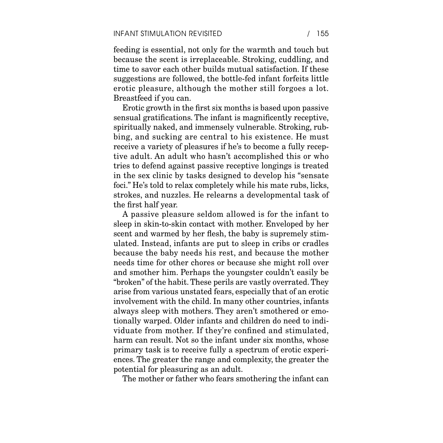feeding is essential, not only for the warmth and touch but because the scent is irreplaceable. Stroking, cuddling, and time to savor each other builds mutual satisfaction. If these suggestions are followed, the bottle-fed infant forfeits little erotic pleasure, although the mother still forgoes a lot. Breastfeed if you can.

Erotic growth in the first six months is based upon passive sensual gratifications. The infant is magnificently receptive, spiritually naked, and immensely vulnerable. Stroking, rubbing, and sucking are central to his existence. He must receive a variety of pleasures if he's to become a fully receptive adult. An adult who hasn't accomplished this or who tries to defend against passive receptive longings is treated in the sex clinic by tasks designed to develop his "sensate foci." He's told to relax completely while his mate rubs, licks, strokes, and nuzzles. He relearns a developmental task of the first half year.

A passive pleasure seldom allowed is for the infant to sleep in skin-to-skin contact with mother. Enveloped by her scent and warmed by her flesh, the baby is supremely stimulated. Instead, infants are put to sleep in cribs or cradles because the baby needs his rest, and because the mother needs time for other chores or because she might roll over and smother him. Perhaps the youngster couldn't easily be "broken" of the habit. These perils are vastly overrated. They arise from various unstated fears, especially that of an erotic involvement with the child. In many other countries, infants always sleep with mothers. They aren't smothered or emotionally warped. Older infants and children do need to individuate from mother. If they're confined and stimulated, harm can result. Not so the infant under six months, whose primary task is to receive fully a spectrum of erotic experiences. The greater the range and complexity, the greater the potential for pleasuring as an adult.

The mother or father who fears smothering the infant can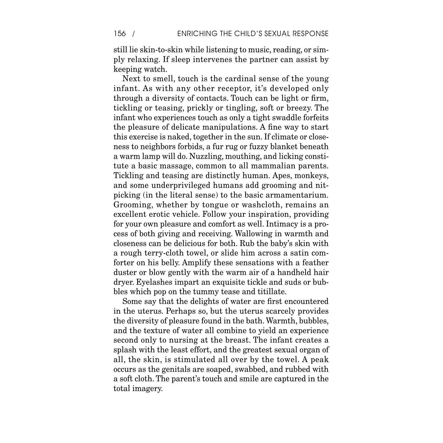still lie skin-to-skin while listening to music, reading, or simply relaxing. If sleep intervenes the partner can assist by keeping watch.

Next to smell, touch is the cardinal sense of the young infant. As with any other receptor, it's developed only through a diversity of contacts. Touch can be light or firm, tickling or teasing, prickly or tingling, soft or breezy. The infant who experiences touch as only a tight swaddle forfeits the pleasure of delicate manipulations. A fine way to start this exercise is naked, together in the sun. If climate or closeness to neighbors forbids, a fur rug or fuzzy blanket beneath a warm lamp will do. Nuzzling, mouthing, and licking constitute a basic massage, common to all mammalian parents. Tickling and teasing are distinctly human. Apes, monkeys, and some underprivileged humans add grooming and nitpicking (in the literal sense) to the basic armamentarium. Grooming, whether by tongue or washcloth, remains an excellent erotic vehicle. Follow your inspiration, providing for your own pleasure and comfort as well. Intimacy is a process of both giving and receiving. Wallowing in warmth and closeness can be delicious for both. Rub the baby's skin with a rough terry-cloth towel, or slide him across a satin comforter on his belly. Amplify these sensations with a feather duster or blow gently with the warm air of a handheld hair dryer. Eyelashes impart an exquisite tickle and suds or bubbles which pop on the tummy tease and titillate.

Some say that the delights of water are first encountered in the uterus. Perhaps so, but the uterus scarcely provides the diversity of pleasure found in the bath. Warmth, bubbles, and the texture of water all combine to yield an experience second only to nursing at the breast. The infant creates a splash with the least effort, and the greatest sexual organ of all, the skin, is stimulated all over by the towel. A peak occurs as the genitals are soaped, swabbed, and rubbed with a soft cloth. The parent's touch and smile are captured in the total imagery.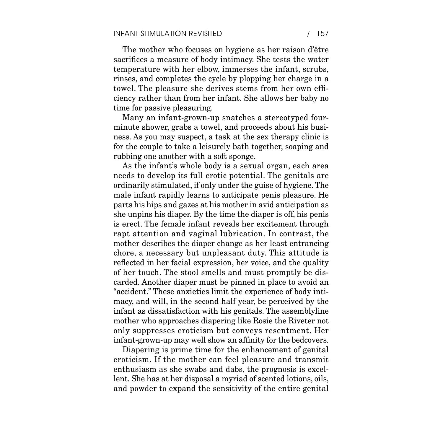The mother who focuses on hygiene as her raison d'être sacrifices a measure of body intimacy. She tests the water temperature with her elbow, immerses the infant, scrubs, rinses, and completes the cycle by plopping her charge in a towel. The pleasure she derives stems from her own efficiency rather than from her infant. She allows her baby no time for passive pleasuring.

Many an infant-grown-up snatches a stereotyped fourminute shower, grabs a towel, and proceeds about his business. As you may suspect, a task at the sex therapy clinic is for the couple to take a leisurely bath together, soaping and rubbing one another with a soft sponge.

As the infant's whole body is a sexual organ, each area needs to develop its full erotic potential. The genitals are ordinarily stimulated, if only under the guise of hygiene. The male infant rapidly learns to anticipate penis pleasure. He parts his hips and gazes at his mother in avid anticipation as she unpins his diaper. By the time the diaper is off, his penis is erect. The female infant reveals her excitement through rapt attention and vaginal lubrication. In contrast, the mother describes the diaper change as her least entrancing chore, a necessary but unpleasant duty. This attitude is reflected in her facial expression, her voice, and the quality of her touch. The stool smells and must promptly be discarded. Another diaper must be pinned in place to avoid an "accident." These anxieties limit the experience of body intimacy, and will, in the second half year, be perceived by the infant as dissatisfaction with his genitals. The assemblyline mother who approaches diapering like Rosie the Riveter not only suppresses eroticism but conveys resentment. Her infant-grown-up may well show an affinity for the bedcovers.

Diapering is prime time for the enhancement of genital eroticism. If the mother can feel pleasure and transmit enthusiasm as she swabs and dabs, the prognosis is excellent. She has at her disposal a myriad of scented lotions, oils, and powder to expand the sensitivity of the entire genital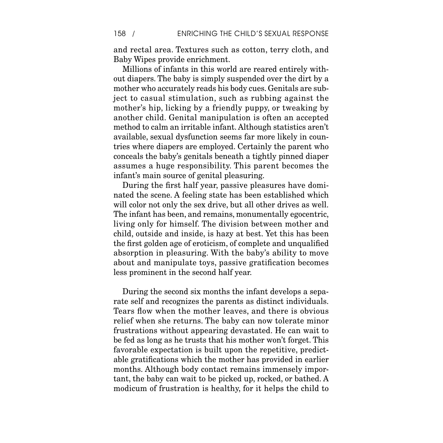and rectal area. Textures such as cotton, terry cloth, and Baby Wipes provide enrichment.

Millions of infants in this world are reared entirely without diapers. The baby is simply suspended over the dirt by a mother who accurately reads his body cues. Genitals are subject to casual stimulation, such as rubbing against the mother's hip, licking by a friendly puppy, or tweaking by another child. Genital manipulation is often an accepted method to calm an irritable infant. Although statistics aren't available, sexual dysfunction seems far more likely in countries where diapers are employed. Certainly the parent who conceals the baby's genitals beneath a tightly pinned diaper assumes a huge responsibility. This parent becomes the infant's main source of genital pleasuring.

During the first half year, passive pleasures have dominated the scene. A feeling state has been established which will color not only the sex drive, but all other drives as well. The infant has been, and remains, monumentally egocentric, living only for himself. The division between mother and child, outside and inside, is hazy at best. Yet this has been the first golden age of eroticism, of complete and unqualified absorption in pleasuring. With the baby's ability to move about and manipulate toys, passive gratification becomes less prominent in the second half year.

During the second six months the infant develops a separate self and recognizes the parents as distinct individuals. Tears flow when the mother leaves, and there is obvious relief when she returns. The baby can now tolerate minor frustrations without appearing devastated. He can wait to be fed as long as he trusts that his mother won't forget. This favorable expectation is built upon the repetitive, predictable gratifications which the mother has provided in earlier months. Although body contact remains immensely important, the baby can wait to be picked up, rocked, or bathed. A modicum of frustration is healthy, for it helps the child to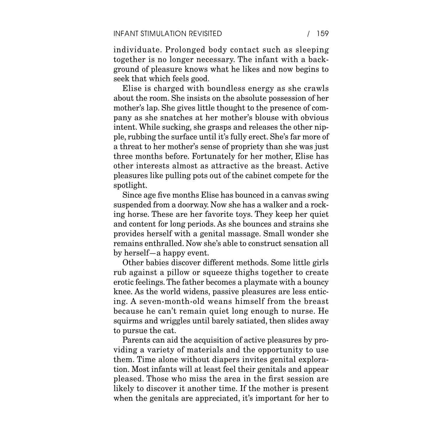individuate. Prolonged body contact such as sleeping together is no longer necessary. The infant with a background of pleasure knows what he likes and now begins to seek that which feels good.

Elise is charged with boundless energy as she crawls about the room. She insists on the absolute possession of her mother's lap. She gives little thought to the presence of company as she snatches at her mother's blouse with obvious intent. While sucking, she grasps and releases the other nipple, rubbing the surface until it's fully erect. She's far more of a threat to her mother's sense of propriety than she was just three months before. Fortunately for her mother, Elise has other interests almost as attractive as the breast. Active pleasures like pulling pots out of the cabinet compete for the spotlight.

Since age five months Elise has bounced in a canvas swing suspended from a doorway. Now she has a walker and a rocking horse. These are her favorite toys. They keep her quiet and content for long periods. As she bounces and strains she provides herself with a genital massage. Small wonder she remains enthralled. Now she's able to construct sensation all by herself—a happy event.

Other babies discover different methods. Some little girls rub against a pillow or squeeze thighs together to create erotic feelings. The father becomes a playmate with a bouncy knee. As the world widens, passive pleasures are less enticing. A seven-month-old weans himself from the breast because he can't remain quiet long enough to nurse. He squirms and wriggles until barely satiated, then slides away to pursue the cat.

Parents can aid the acquisition of active pleasures by providing a variety of materials and the opportunity to use them. Time alone without diapers invites genital exploration. Most infants will at least feel their genitals and appear pleased. Those who miss the area in the first session are likely to discover it another time. If the mother is present when the genitals are appreciated, it's important for her to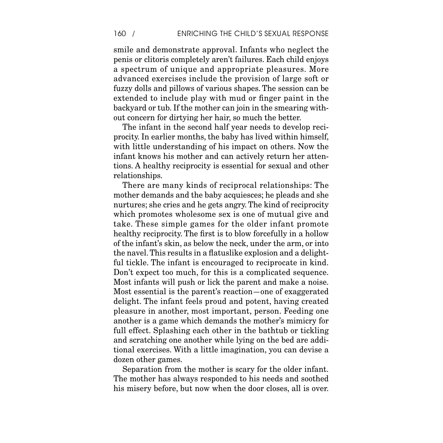smile and demonstrate approval. Infants who neglect the penis or clitoris completely aren't failures. Each child enjoys a spectrum of unique and appropriate pleasures. More advanced exercises include the provision of large soft or fuzzy dolls and pillows of various shapes. The session can be extended to include play with mud or finger paint in the backyard or tub. If the mother can join in the smearing without concern for dirtying her hair, so much the better.

The infant in the second half year needs to develop reciprocity. In earlier months, the baby has lived within himself, with little understanding of his impact on others. Now the infant knows his mother and can actively return her attentions. A healthy reciprocity is essential for sexual and other relationships.

There are many kinds of reciprocal relationships: The mother demands and the baby acquiesces; he pleads and she nurtures; she cries and he gets angry. The kind of reciprocity which promotes wholesome sex is one of mutual give and take. These simple games for the older infant promote healthy reciprocity. The first is to blow forcefully in a hollow of the infant's skin, as below the neck, under the arm, or into the navel. This results in a flatuslike explosion and a delightful tickle. The infant is encouraged to reciprocate in kind. Don't expect too much, for this is a complicated sequence. Most infants will push or lick the parent and make a noise. Most essential is the parent's reaction—one of exaggerated delight. The infant feels proud and potent, having created pleasure in another, most important, person. Feeding one another is a game which demands the mother's mimicry for full effect. Splashing each other in the bathtub or tickling and scratching one another while lying on the bed are additional exercises. With a little imagination, you can devise a dozen other games.

Separation from the mother is scary for the older infant. The mother has always responded to his needs and soothed his misery before, but now when the door closes, all is over.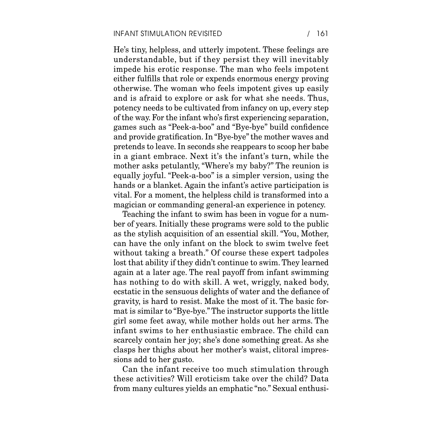He's tiny, helpless, and utterly impotent. These feelings are understandable, but if they persist they will inevitably impede his erotic response. The man who feels impotent either fulfills that role or expends enormous energy proving otherwise. The woman who feels impotent gives up easily and is afraid to explore or ask for what she needs. Thus, potency needs to be cultivated from infancy on up, every step of the way. For the infant who's first experiencing separation, games such as "Peek-a-boo" and "Bye-bye" build confidence and provide gratification. In "Bye-bye" the mother waves and pretends to leave. In seconds she reappears to scoop her babe in a giant embrace. Next it's the infant's turn, while the mother asks petulantly, "Where's my baby?" The reunion is equally joyful. "Peek-a-boo" is a simpler version, using the hands or a blanket. Again the infant's active participation is vital. For a moment, the helpless child is transformed into a magician or commanding general-an experience in potency.

Teaching the infant to swim has been in vogue for a number of years. Initially these programs were sold to the public as the stylish acquisition of an essential skill. "You, Mother, can have the only infant on the block to swim twelve feet without taking a breath." Of course these expert tadpoles lost that ability if they didn't continue to swim. They learned again at a later age. The real payoff from infant swimming has nothing to do with skill. A wet, wriggly, naked body, ecstatic in the sensuous delights of water and the defiance of gravity, is hard to resist. Make the most of it. The basic format is similar to "Bye-bye." The instructor supports the little girl some feet away, while mother holds out her arms. The infant swims to her enthusiastic embrace. The child can scarcely contain her joy; she's done something great. As she clasps her thighs about her mother's waist, clitoral impressions add to her gusto.

Can the infant receive too much stimulation through these activities? Will eroticism take over the child? Data from many cultures yields an emphatic "no." Sexual enthusi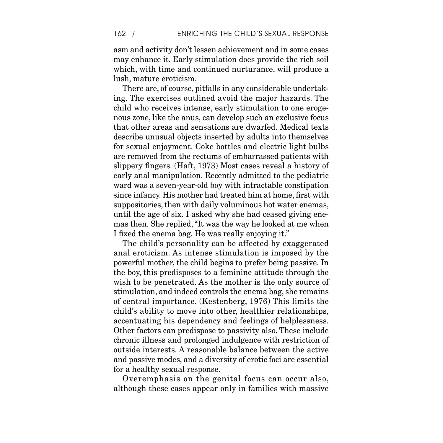asm and activity don't lessen achievement and in some cases may enhance it. Early stimulation does provide the rich soil which, with time and continued nurturance, will produce a lush, mature eroticism.

There are, of course, pitfalls in any considerable undertaking. The exercises outlined avoid the major hazards. The child who receives intense, early stimulation to one erogenous zone, like the anus, can develop such an exclusive focus that other areas and sensations are dwarfed. Medical texts describe unusual objects inserted by adults into themselves for sexual enjoyment. Coke bottles and electric light bulbs are removed from the rectums of embarrassed patients with slippery fingers. (Haft, 1973) Most cases reveal a history of early anal manipulation. Recently admitted to the pediatric ward was a seven-year-old boy with intractable constipation since infancy. His mother had treated him at home, first with suppositories, then with daily voluminous hot water enemas, until the age of six. I asked why she had ceased giving enemas then. She replied, "It was the way he looked at me when I fixed the enema bag. He was really enjoying it."

The child's personality can be affected by exaggerated anal eroticism. As intense stimulation is imposed by the powerful mother, the child begins to prefer being passive. In the boy, this predisposes to a feminine attitude through the wish to be penetrated. As the mother is the only source of stimulation, and indeed controls the enema bag, she remains of central importance. (Kestenberg, 1976) This limits the child's ability to move into other, healthier relationships, accentuating his dependency and feelings of helplessness. Other factors can predispose to passivity also. These include chronic illness and prolonged indulgence with restriction of outside interests. A reasonable balance between the active and passive modes, and a diversity of erotic foci are essential for a healthy sexual response.

Overemphasis on the genital focus can occur also, although these cases appear only in families with massive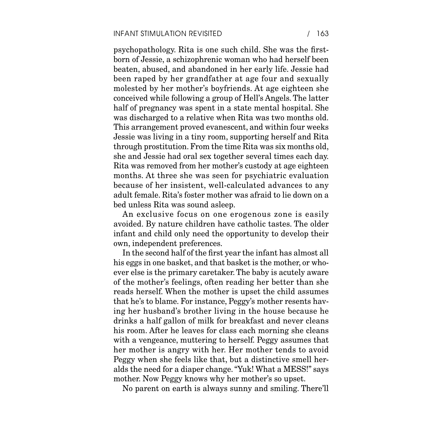psychopathology. Rita is one such child. She was the firstborn of Jessie, a schizophrenic woman who had herself been beaten, abused, and abandoned in her early life. Jessie had been raped by her grandfather at age four and sexually molested by her mother's boyfriends. At age eighteen she conceived while following a group of Hell's Angels. The latter half of pregnancy was spent in a state mental hospital. She was discharged to a relative when Rita was two months old. This arrangement proved evanescent, and within four weeks Jessie was living in a tiny room, supporting herself and Rita through prostitution. From the time Rita was six months old, she and Jessie had oral sex together several times each day. Rita was removed from her mother's custody at age eighteen months. At three she was seen for psychiatric evaluation because of her insistent, well-calculated advances to any adult female. Rita's foster mother was afraid to lie down on a bed unless Rita was sound asleep.

An exclusive focus on one erogenous zone is easily avoided. By nature children have catholic tastes. The older infant and child only need the opportunity to develop their own, independent preferences.

In the second half of the first year the infant has almost all his eggs in one basket, and that basket is the mother, or whoever else is the primary caretaker. The baby is acutely aware of the mother's feelings, often reading her better than she reads herself. When the mother is upset the child assumes that he's to blame. For instance, Peggy's mother resents having her husband's brother living in the house because he drinks a half gallon of milk for breakfast and never cleans his room. After he leaves for class each morning she cleans with a vengeance, muttering to herself. Peggy assumes that her mother is angry with her. Her mother tends to avoid Peggy when she feels like that, but a distinctive smell heralds the need for a diaper change. "Yuk! What a MESS!" says mother. Now Peggy knows why her mother's so upset.

No parent on earth is always sunny and smiling. There'll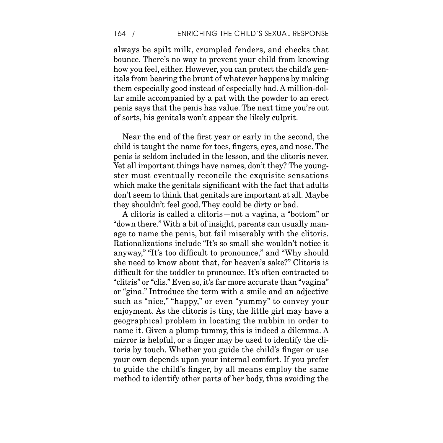always be spilt milk, crumpled fenders, and checks that bounce. There's no way to prevent your child from knowing how you feel, either. However, you can protect the child's genitals from bearing the brunt of whatever happens by making them especially good instead of especially bad. A million-dollar smile accompanied by a pat with the powder to an erect penis says that the penis has value. The next time you're out of sorts, his genitals won't appear the likely culprit.

Near the end of the first year or early in the second, the child is taught the name for toes, fingers, eyes, and nose. The penis is seldom included in the lesson, and the clitoris never. Yet all important things have names, don't they? The youngster must eventually reconcile the exquisite sensations which make the genitals significant with the fact that adults don't seem to think that genitals are important at all. Maybe they shouldn't feel good. They could be dirty or bad.

A clitoris is called a clitoris—not a vagina, a "bottom" or "down there." With a bit of insight, parents can usually manage to name the penis, but fail miserably with the clitoris. Rationalizations include "It's so small she wouldn't notice it anyway," "It's too difficult to pronounce," and "Why should she need to know about that, for heaven's sake?" Clitoris is difficult for the toddler to pronounce. It's often contracted to "clitris" or "clis." Even so, it's far more accurate than "vagina" or "gina." Introduce the term with a smile and an adjective such as "nice," "happy," or even "yummy" to convey your enjoyment. As the clitoris is tiny, the little girl may have a geographical problem in locating the nubbin in order to name it. Given a plump tummy, this is indeed a dilemma. A mirror is helpful, or a finger may be used to identify the clitoris by touch. Whether you guide the child's finger or use your own depends upon your internal comfort. If you prefer to guide the child's finger, by all means employ the same method to identify other parts of her body, thus avoiding the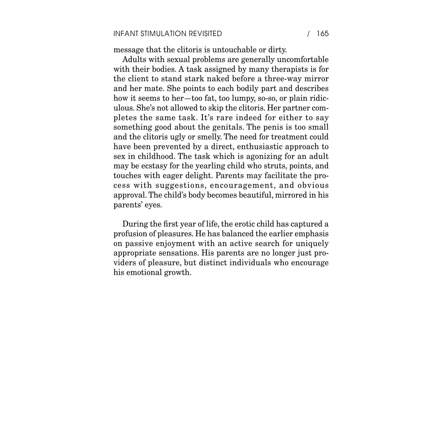message that the clitoris is untouchable or dirty.

Adults with sexual problems are generally uncomfortable with their bodies. A task assigned by many therapists is for the client to stand stark naked before a three-way mirror and her mate. She points to each bodily part and describes how it seems to her—too fat, too lumpy, so-so, or plain ridiculous. She's not allowed to skip the clitoris. Her partner completes the same task. It's rare indeed for either to say something good about the genitals. The penis is too small and the clitoris ugly or smelly. The need for treatment could have been prevented by a direct, enthusiastic approach to sex in childhood. The task which is agonizing for an adult may be ecstasy for the yearling child who struts, points, and touches with eager delight. Parents may facilitate the process with suggestions, encouragement, and obvious approval. The child's body becomes beautiful, mirrored in his parents' eyes.

During the first year of life, the erotic child has captured a profusion of pleasures. He has balanced the earlier emphasis on passive enjoyment with an active search for uniquely appropriate sensations. His parents are no longer just providers of pleasure, but distinct individuals who encourage his emotional growth.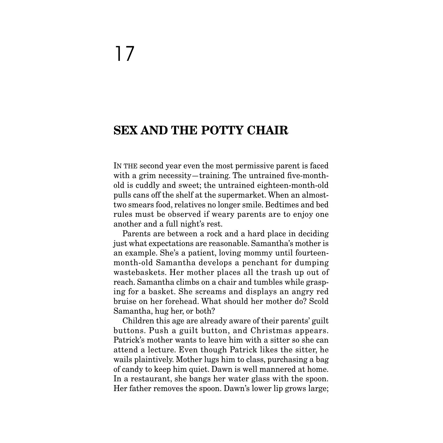## **SEX AND THE POTTY CHAIR**

IN THE second year even the most permissive parent is faced with a grim necessity—training. The untrained five-monthold is cuddly and sweet; the untrained eighteen-month-old pulls cans off the shelf at the supermarket. When an almosttwo smears food, relatives no longer smile. Bedtimes and bed rules must be observed if weary parents are to enjoy one another and a full night's rest.

Parents are between a rock and a hard place in deciding just what expectations are reasonable. Samantha's mother is an example. She's a patient, loving mommy until fourteenmonth-old Samantha develops a penchant for dumping wastebaskets. Her mother places all the trash up out of reach. Samantha climbs on a chair and tumbles while grasping for a basket. She screams and displays an angry red bruise on her forehead. What should her mother do? Scold Samantha, hug her, or both?

Children this age are already aware of their parents' guilt buttons. Push a guilt button, and Christmas appears. Patrick's mother wants to leave him with a sitter so she can attend a lecture. Even though Patrick likes the sitter, he wails plaintively. Mother lugs him to class, purchasing a bag of candy to keep him quiet. Dawn is well mannered at home. In a restaurant, she bangs her water glass with the spoon. Her father removes the spoon. Dawn's lower lip grows large;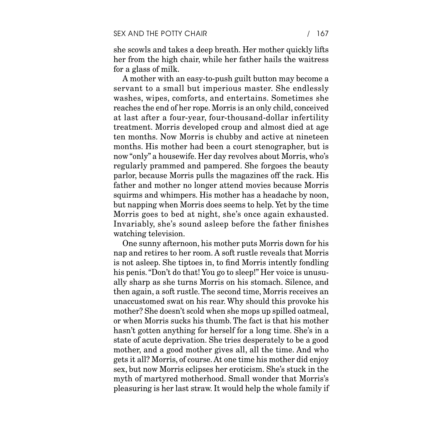she scowls and takes a deep breath. Her mother quickly lifts her from the high chair, while her father hails the waitress for a glass of milk.

A mother with an easy-to-push guilt button may become a servant to a small but imperious master. She endlessly washes, wipes, comforts, and entertains. Sometimes she reaches the end of her rope. Morris is an only child, conceived at last after a four-year, four-thousand-dollar infertility treatment. Morris developed croup and almost died at age ten months. Now Morris is chubby and active at nineteen months. His mother had been a court stenographer, but is now "only" a housewife. Her day revolves about Morris, who's regularly prammed and pampered. She forgoes the beauty parlor, because Morris pulls the magazines off the rack. His father and mother no longer attend movies because Morris squirms and whimpers. His mother has a headache by noon, but napping when Morris does seems to help. Yet by the time Morris goes to bed at night, she's once again exhausted. Invariably, she's sound asleep before the father finishes watching television.

One sunny afternoon, his mother puts Morris down for his nap and retires to her room. A soft rustle reveals that Morris is not asleep. She tiptoes in, to find Morris intently fondling his penis. "Don't do that! You go to sleep!" Her voice is unusually sharp as she turns Morris on his stomach. Silence, and then again, a soft rustle. The second time, Morris receives an unaccustomed swat on his rear. Why should this provoke his mother? She doesn't scold when she mops up spilled oatmeal, or when Morris sucks his thumb. The fact is that his mother hasn't gotten anything for herself for a long time. She's in a state of acute deprivation. She tries desperately to be a good mother, and a good mother gives all, all the time. And who gets it all? Morris, of course. At one time his mother did enjoy sex, but now Morris eclipses her eroticism. She's stuck in the myth of martyred motherhood. Small wonder that Morris's pleasuring is her last straw. It would help the whole family if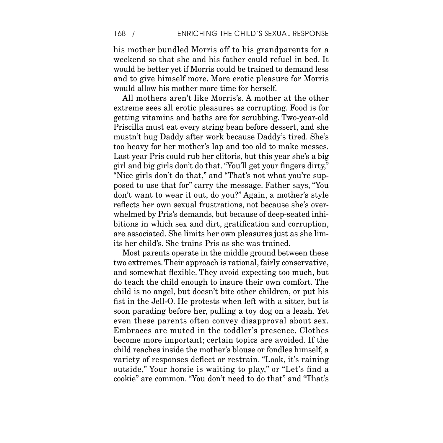his mother bundled Morris off to his grandparents for a weekend so that she and his father could refuel in bed. It would be better yet if Morris could be trained to demand less and to give himself more. More erotic pleasure for Morris would allow his mother more time for herself.

All mothers aren't like Morris's. A mother at the other extreme sees all erotic pleasures as corrupting. Food is for getting vitamins and baths are for scrubbing. Two-year-old Priscilla must eat every string bean before dessert, and she mustn't hug Daddy after work because Daddy's tired. She's too heavy for her mother's lap and too old to make messes. Last year Pris could rub her clitoris, but this year she's a big girl and big girls don't do that. "You'll get your fingers dirty," "Nice girls don't do that," and "That's not what you're supposed to use that for" carry the message. Father says, "You don't want to wear it out, do you?" Again, a mother's style reflects her own sexual frustrations, not because she's overwhelmed by Pris's demands, but because of deep-seated inhibitions in which sex and dirt, gratification and corruption, are associated. She limits her own pleasures just as she limits her child's. She trains Pris as she was trained.

Most parents operate in the middle ground between these two extremes. Their approach is rational, fairly conservative, and somewhat flexible. They avoid expecting too much, but do teach the child enough to insure their own comfort. The child is no angel, but doesn't bite other children, or put his fist in the Jell-O. He protests when left with a sitter, but is soon parading before her, pulling a toy dog on a leash. Yet even these parents often convey disapproval about sex. Embraces are muted in the toddler's presence. Clothes become more important; certain topics are avoided. If the child reaches inside the mother's blouse or fondles himself, a variety of responses deflect or restrain. "Look, it's raining outside," Your horsie is waiting to play," or "Let's find a cookie" are common. "You don't need to do that" and "That's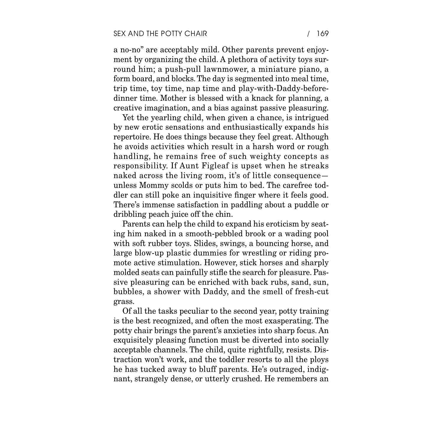a no-no" are acceptably mild. Other parents prevent enjoyment by organizing the child. A plethora of activity toys surround him; a push-pull lawnmower, a miniature piano, a form board, and blocks. The day is segmented into meal time, trip time, toy time, nap time and play-with-Daddy-beforedinner time. Mother is blessed with a knack for planning, a creative imagination, and a bias against passive pleasuring.

Yet the yearling child, when given a chance, is intrigued by new erotic sensations and enthusiastically expands his repertoire. He does things because they feel great. Although he avoids activities which result in a harsh word or rough handling, he remains free of such weighty concepts as responsibility. If Aunt Figleaf is upset when he streaks naked across the living room, it's of little consequence unless Mommy scolds or puts him to bed. The carefree toddler can still poke an inquisitive finger where it feels good. There's immense satisfaction in paddling about a puddle or dribbling peach juice off the chin.

Parents can help the child to expand his eroticism by seating him naked in a smooth-pebbled brook or a wading pool with soft rubber toys. Slides, swings, a bouncing horse, and large blow-up plastic dummies for wrestling or riding promote active stimulation. However, stick horses and sharply molded seats can painfully stifle the search for pleasure. Passive pleasuring can be enriched with back rubs, sand, sun, bubbles, a shower with Daddy, and the smell of fresh-cut grass.

Of all the tasks peculiar to the second year, potty training is the best recognized, and often the most exasperating. The potty chair brings the parent's anxieties into sharp focus. An exquisitely pleasing function must be diverted into socially acceptable channels. The child, quite rightfully, resists. Distraction won't work, and the toddler resorts to all the ploys he has tucked away to bluff parents. He's outraged, indignant, strangely dense, or utterly crushed. He remembers an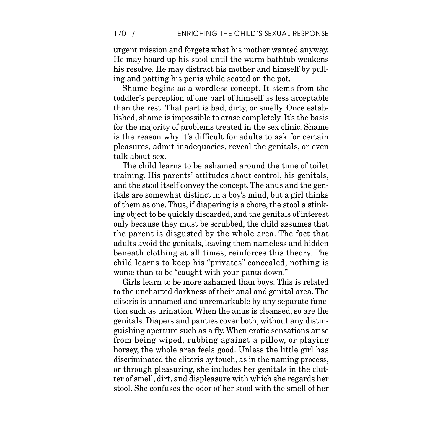urgent mission and forgets what his mother wanted anyway. He may hoard up his stool until the warm bathtub weakens his resolve. He may distract his mother and himself by pulling and patting his penis while seated on the pot.

Shame begins as a wordless concept. It stems from the toddler's perception of one part of himself as less acceptable than the rest. That part is bad, dirty, or smelly. Once established, shame is impossible to erase completely. It's the basis for the majority of problems treated in the sex clinic. Shame is the reason why it's difficult for adults to ask for certain pleasures, admit inadequacies, reveal the genitals, or even talk about sex.

The child learns to be ashamed around the time of toilet training. His parents' attitudes about control, his genitals, and the stool itself convey the concept. The anus and the genitals are somewhat distinct in a boy's mind, but a girl thinks of them as one. Thus, if diapering is a chore, the stool a stinking object to be quickly discarded, and the genitals of interest only because they must be scrubbed, the child assumes that the parent is disgusted by the whole area. The fact that adults avoid the genitals, leaving them nameless and hidden beneath clothing at all times, reinforces this theory. The child learns to keep his "privates" concealed; nothing is worse than to be "caught with your pants down."

Girls learn to be more ashamed than boys. This is related to the uncharted darkness of their anal and genital area. The clitoris is unnamed and unremarkable by any separate function such as urination. When the anus is cleansed, so are the genitals. Diapers and panties cover both, without any distinguishing aperture such as a fly. When erotic sensations arise from being wiped, rubbing against a pillow, or playing horsey, the whole area feels good. Unless the little girl has discriminated the clitoris by touch, as in the naming process, or through pleasuring, she includes her genitals in the clutter of smell, dirt, and displeasure with which she regards her stool. She confuses the odor of her stool with the smell of her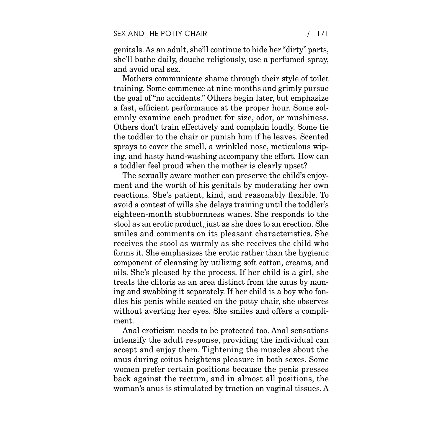genitals. As an adult, she'll continue to hide her "dirty" parts, she'll bathe daily, douche religiously, use a perfumed spray, and avoid oral sex.

Mothers communicate shame through their style of toilet training. Some commence at nine months and grimly pursue the goal of "no accidents." Others begin later, but emphasize a fast, efficient performance at the proper hour. Some solemnly examine each product for size, odor, or mushiness. Others don't train effectively and complain loudly. Some tie the toddler to the chair or punish him if he leaves. Scented sprays to cover the smell, a wrinkled nose, meticulous wiping, and hasty hand-washing accompany the effort. How can a toddler feel proud when the mother is clearly upset?

The sexually aware mother can preserve the child's enjoyment and the worth of his genitals by moderating her own reactions. She's patient, kind, and reasonably flexible. To avoid a contest of wills she delays training until the toddler's eighteen-month stubbornness wanes. She responds to the stool as an erotic product, just as she does to an erection. She smiles and comments on its pleasant characteristics. She receives the stool as warmly as she receives the child who forms it. She emphasizes the erotic rather than the hygienic component of cleansing by utilizing soft cotton, creams, and oils. She's pleased by the process. If her child is a girl, she treats the clitoris as an area distinct from the anus by naming and swabbing it separately. If her child is a boy who fondles his penis while seated on the potty chair, she observes without averting her eyes. She smiles and offers a compliment.

Anal eroticism needs to be protected too. Anal sensations intensify the adult response, providing the individual can accept and enjoy them. Tightening the muscles about the anus during coitus heightens pleasure in both sexes. Some women prefer certain positions because the penis presses back against the rectum, and in almost all positions, the woman's anus is stimulated by traction on vaginal tissues. A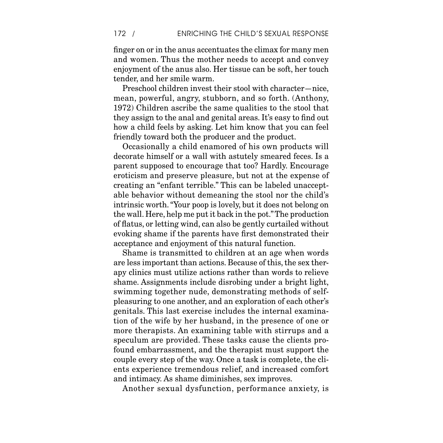finger on or in the anus accentuates the climax for many men and women. Thus the mother needs to accept and convey enjoyment of the anus also. Her tissue can be soft, her touch tender, and her smile warm.

Preschool children invest their stool with character—nice, mean, powerful, angry, stubborn, and so forth. (Anthony, 1972) Children ascribe the same qualities to the stool that they assign to the anal and genital areas. It's easy to find out how a child feels by asking. Let him know that you can feel friendly toward both the producer and the product.

Occasionally a child enamored of his own products will decorate himself or a wall with astutely smeared feces. Is a parent supposed to encourage that too? Hardly. Encourage eroticism and preserve pleasure, but not at the expense of creating an "enfant terrible." This can be labeled unacceptable behavior without demeaning the stool nor the child's intrinsic worth. "Your poop is lovely, but it does not belong on the wall. Here, help me put it back in the pot." The production of flatus, or letting wind, can also be gently curtailed without evoking shame if the parents have first demonstrated their acceptance and enjoyment of this natural function.

Shame is transmitted to children at an age when words are less important than actions. Because of this, the sex therapy clinics must utilize actions rather than words to relieve shame. Assignments include disrobing under a bright light, swimming together nude, demonstrating methods of selfpleasuring to one another, and an exploration of each other's genitals. This last exercise includes the internal examination of the wife by her husband, in the presence of one or more therapists. An examining table with stirrups and a speculum are provided. These tasks cause the clients profound embarrassment, and the therapist must support the couple every step of the way. Once a task is complete, the clients experience tremendous relief, and increased comfort and intimacy. As shame diminishes, sex improves.

Another sexual dysfunction, performance anxiety, is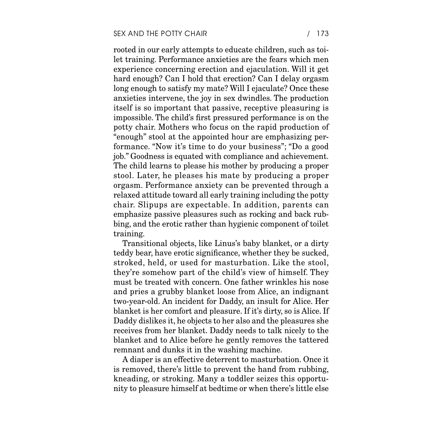rooted in our early attempts to educate children, such as toilet training. Performance anxieties are the fears which men experience concerning erection and ejaculation. Will it get hard enough? Can I hold that erection? Can I delay orgasm long enough to satisfy my mate? Will I ejaculate? Once these anxieties intervene, the joy in sex dwindles. The production itself is so important that passive, receptive pleasuring is impossible. The child's first pressured performance is on the potty chair. Mothers who focus on the rapid production of "enough" stool at the appointed hour are emphasizing performance. "Now it's time to do your business"; "Do a good job." Goodness is equated with compliance and achievement. The child learns to please his mother by producing a proper stool. Later, he pleases his mate by producing a proper orgasm. Performance anxiety can be prevented through a relaxed attitude toward all early training including the potty chair. Slipups are expectable. In addition, parents can emphasize passive pleasures such as rocking and back rubbing, and the erotic rather than hygienic component of toilet training.

Transitional objects, like Linus's baby blanket, or a dirty teddy bear, have erotic significance, whether they be sucked, stroked, held, or used for masturbation. Like the stool, they're somehow part of the child's view of himself. They must be treated with concern. One father wrinkles his nose and pries a grubby blanket loose from Alice, an indignant two-year-old. An incident for Daddy, an insult for Alice. Her blanket is her comfort and pleasure. If it's dirty, so is Alice. If Daddy dislikes it, he objects to her also and the pleasures she receives from her blanket. Daddy needs to talk nicely to the blanket and to Alice before he gently removes the tattered remnant and dunks it in the washing machine.

A diaper is an effective deterrent to masturbation. Once it is removed, there's little to prevent the hand from rubbing, kneading, or stroking. Many a toddler seizes this opportunity to pleasure himself at bedtime or when there's little else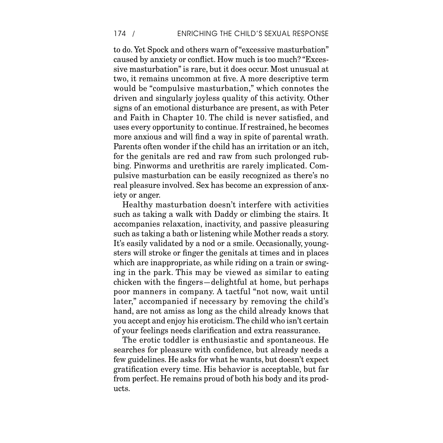to do. Yet Spock and others warn of "excessive masturbation" caused by anxiety or conflict. How much is too much? "Excessive masturbation" is rare, but it does occur. Most unusual at two, it remains uncommon at five. A more descriptive term would be "compulsive masturbation," which connotes the driven and singularly joyless quality of this activity. Other signs of an emotional disturbance are present, as with Peter and Faith in Chapter 10. The child is never satisfied, and uses every opportunity to continue. If restrained, he becomes more anxious and will find a way in spite of parental wrath. Parents often wonder if the child has an irritation or an itch, for the genitals are red and raw from such prolonged rubbing. Pinworms and urethritis are rarely implicated. Compulsive masturbation can be easily recognized as there's no real pleasure involved. Sex has become an expression of anxiety or anger.

Healthy masturbation doesn't interfere with activities such as taking a walk with Daddy or climbing the stairs. It accompanies relaxation, inactivity, and passive pleasuring such as taking a bath or listening while Mother reads a story. It's easily validated by a nod or a smile. Occasionally, youngsters will stroke or finger the genitals at times and in places which are inappropriate, as while riding on a train or swinging in the park. This may be viewed as similar to eating chicken with the fingers—delightful at home, but perhaps poor manners in company. A tactful "not now, wait until later," accompanied if necessary by removing the child's hand, are not amiss as long as the child already knows that you accept and enjoy his eroticism. The child who isn't certain of your feelings needs clarification and extra reassurance.

The erotic toddler is enthusiastic and spontaneous. He searches for pleasure with confidence, but already needs a few guidelines. He asks for what he wants, but doesn't expect gratification every time. His behavior is acceptable, but far from perfect. He remains proud of both his body and its products.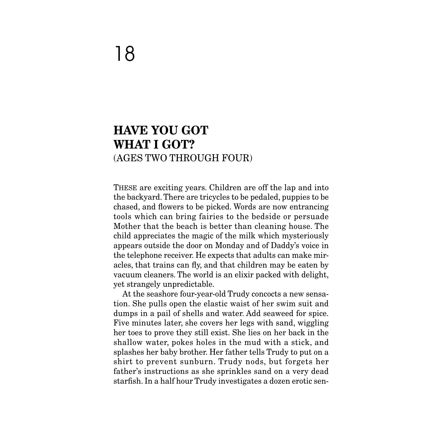## **HAVE YOU GOT WHAT I GOT?** (AGES TWO THROUGH FOUR)

THESE are exciting years. Children are off the lap and into the backyard. There are tricycles to be pedaled, puppies to be chased, and flowers to be picked. Words are now entrancing tools which can bring fairies to the bedside or persuade Mother that the beach is better than cleaning house. The child appreciates the magic of the milk which mysteriously appears outside the door on Monday and of Daddy's voice in the telephone receiver. He expects that adults can make miracles, that trains can fly, and that children may be eaten by vacuum cleaners. The world is an elixir packed with delight, yet strangely unpredictable.

At the seashore four-year-old Trudy concocts a new sensation. She pulls open the elastic waist of her swim suit and dumps in a pail of shells and water. Add seaweed for spice. Five minutes later, she covers her legs with sand, wiggling her toes to prove they still exist. She lies on her back in the shallow water, pokes holes in the mud with a stick, and splashes her baby brother. Her father tells Trudy to put on a shirt to prevent sunburn. Trudy nods, but forgets her father's instructions as she sprinkles sand on a very dead starfish. In a half hour Trudy investigates a dozen erotic sen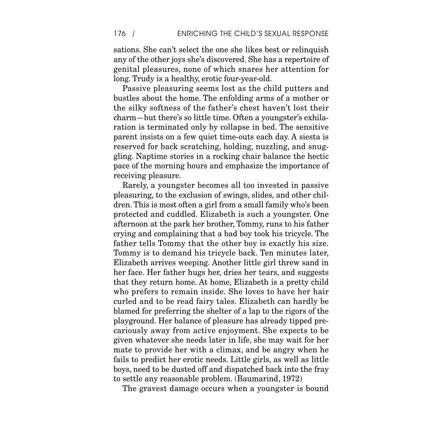sations. She can't select the one she likes best or relinquish any of the other joys she's discovered. She has a repertoire of genital pleasures, none of which snares her attention for long. Trudy is a healthy, erotic four-year-old.

Passive pleasuring seems lost as the child putters and bustles about the home. The enfolding arms of a mother or the silky softness of the father's chest haven't lost their charm—but there's so little time. Often a youngster's exhilaration is terminated only by collapse in bed. The sensitive parent insists on a few quiet time-outs each day. A siesta is reserved for back scratching, holding, nuzzling, and snuggling. Naptime stories in a rocking chair balance the hectic pace of the morning hours and emphasize the importance of receiving pleasure.

Rarely, a youngster becomes all too invested in passive pleasuring, to the exclusion of swings, slides, and other children. This is most often a girl from a small family who's been protected and cuddled. Elizabeth is such a youngster. One afternoon at the park her brother, Tommy, runs to his father crying and complaining that a bad boy took his tricycle. The father tells Tommy that the other boy is exactly his size. Tommy is to demand his tricycle back. Ten minutes later, Elizabeth arrives weeping. Another little girl threw sand in her face. Her father hugs her, dries her tears, and suggests that they return home. At home, Elizabeth is a pretty child who prefers to remain inside. She loves to have her hair curled and to be read fairy tales. Elizabeth can hardly be blamed for preferring the shelter of a lap to the rigors of the playground. Her balance of pleasure has already tipped precariously away from active enjoyment. She expects to be given whatever she needs later in life, she may wait for her mate to provide her with a climax, and be angry when he fails to predict her erotic needs. Little girls, as well as little boys, need to be dusted off and dispatched back into the fray to settle any reasonable problem. (Baumarind, 1972)

The gravest damage occurs when a youngster is bound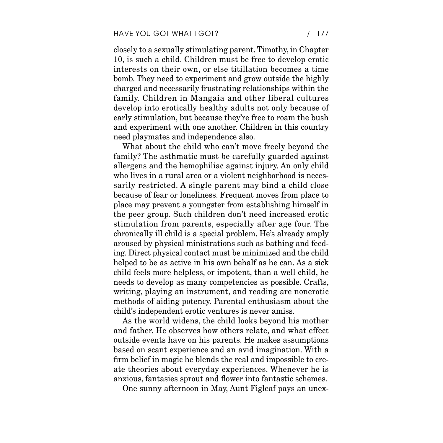closely to a sexually stimulating parent. Timothy, in Chapter 10, is such a child. Children must be free to develop erotic interests on their own, or else titillation becomes a time bomb. They need to experiment and grow outside the highly charged and necessarily frustrating relationships within the family. Children in Mangaia and other liberal cultures develop into erotically healthy adults not only because of early stimulation, but because they're free to roam the bush and experiment with one another. Children in this country need playmates and independence also.

What about the child who can't move freely beyond the family? The asthmatic must be carefully guarded against allergens and the hemophiliac against injury. An only child who lives in a rural area or a violent neighborhood is necessarily restricted. A single parent may bind a child close because of fear or loneliness. Frequent moves from place to place may prevent a youngster from establishing himself in the peer group. Such children don't need increased erotic stimulation from parents, especially after age four. The chronically ill child is a special problem. He's already amply aroused by physical ministrations such as bathing and feeding. Direct physical contact must be minimized and the child helped to be as active in his own behalf as he can. As a sick child feels more helpless, or impotent, than a well child, he needs to develop as many competencies as possible. Crafts, writing, playing an instrument, and reading are nonerotic methods of aiding potency. Parental enthusiasm about the child's independent erotic ventures is never amiss.

As the world widens, the child looks beyond his mother and father. He observes how others relate, and what effect outside events have on his parents. He makes assumptions based on scant experience and an avid imagination. With a firm belief in magic he blends the real and impossible to create theories about everyday experiences. Whenever he is anxious, fantasies sprout and flower into fantastic schemes.

One sunny afternoon in May, Aunt Figleaf pays an unex-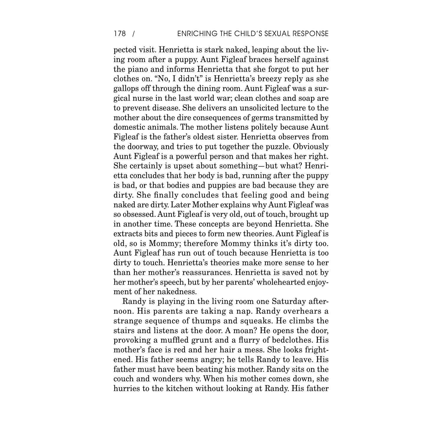pected visit. Henrietta is stark naked, leaping about the living room after a puppy. Aunt Figleaf braces herself against the piano and informs Henrietta that she forgot to put her clothes on. "No, I didn't" is Henrietta's breezy reply as she gallops off through the dining room. Aunt Figleaf was a surgical nurse in the last world war; clean clothes and soap are to prevent disease. She delivers an unsolicited lecture to the mother about the dire consequences of germs transmitted by domestic animals. The mother listens politely because Aunt Figleaf is the father's oldest sister. Henrietta observes from the doorway, and tries to put together the puzzle. Obviously Aunt Figleaf is a powerful person and that makes her right. She certainly is upset about something—but what? Henrietta concludes that her body is bad, running after the puppy is bad, or that bodies and puppies are bad because they are dirty. She finally concludes that feeling good and being naked are dirty. Later Mother explains why Aunt Figleaf was so obsessed. Aunt Figleaf is very old, out of touch, brought up in another time. These concepts are beyond Henrietta. She extracts bits and pieces to form new theories. Aunt Figleaf is old, so is Mommy; therefore Mommy thinks it's dirty too. Aunt Figleaf has run out of touch because Henrietta is too dirty to touch. Henrietta's theories make more sense to her than her mother's reassurances. Henrietta is saved not by her mother's speech, but by her parents' wholehearted enjoyment of her nakedness.

Randy is playing in the living room one Saturday afternoon. His parents are taking a nap. Randy overhears a strange sequence of thumps and squeaks. He climbs the stairs and listens at the door. A moan? He opens the door, provoking a muffled grunt and a flurry of bedclothes. His mother's face is red and her hair a mess. She looks frightened. His father seems angry; he tells Randy to leave. His father must have been beating his mother. Randy sits on the couch and wonders why. When his mother comes down, she hurries to the kitchen without looking at Randy. His father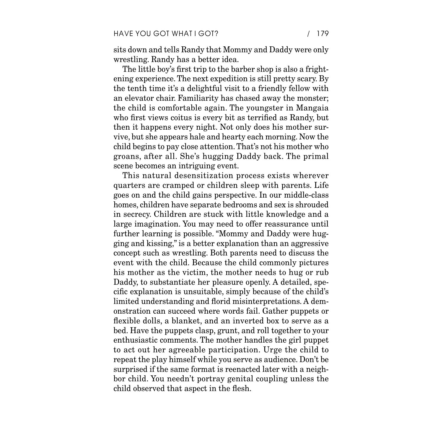sits down and tells Randy that Mommy and Daddy were only wrestling. Randy has a better idea.

The little boy's first trip to the barber shop is also a frightening experience. The next expedition is still pretty scary. By the tenth time it's a delightful visit to a friendly fellow with an elevator chair. Familiarity has chased away the monster; the child is comfortable again. The youngster in Mangaia who first views coitus is every bit as terrified as Randy, but then it happens every night. Not only does his mother survive, but she appears hale and hearty each morning. Now the child begins to pay close attention. That's not his mother who groans, after all. She's hugging Daddy back. The primal scene becomes an intriguing event.

This natural desensitization process exists wherever quarters are cramped or children sleep with parents. Life goes on and the child gains perspective. In our middle-class homes, children have separate bedrooms and sex is shrouded in secrecy. Children are stuck with little knowledge and a large imagination. You may need to offer reassurance until further learning is possible. "Mommy and Daddy were hugging and kissing," is a better explanation than an aggressive concept such as wrestling. Both parents need to discuss the event with the child. Because the child commonly pictures his mother as the victim, the mother needs to hug or rub Daddy, to substantiate her pleasure openly. A detailed, specific explanation is unsuitable, simply because of the child's limited understanding and florid misinterpretations. A demonstration can succeed where words fail. Gather puppets or flexible dolls, a blanket, and an inverted box to serve as a bed. Have the puppets clasp, grunt, and roll together to your enthusiastic comments. The mother handles the girl puppet to act out her agreeable participation. Urge the child to repeat the play himself while you serve as audience. Don't be surprised if the same format is reenacted later with a neighbor child. You needn't portray genital coupling unless the child observed that aspect in the flesh.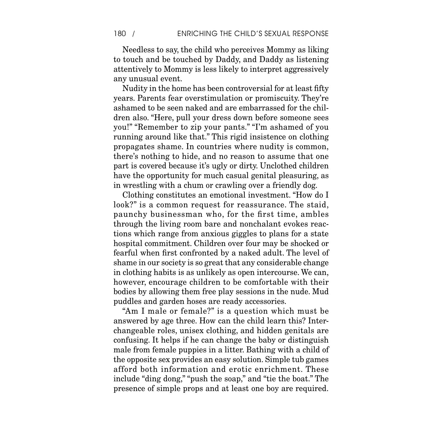Needless to say, the child who perceives Mommy as liking to touch and be touched by Daddy, and Daddy as listening attentively to Mommy is less likely to interpret aggressively any unusual event.

Nudity in the home has been controversial for at least fifty years. Parents fear overstimulation or promiscuity. They're ashamed to be seen naked and are embarrassed for the children also. "Here, pull your dress down before someone sees you!" "Remember to zip your pants." "I'm ashamed of you running around like that." This rigid insistence on clothing propagates shame. In countries where nudity is common, there's nothing to hide, and no reason to assume that one part is covered because it's ugly or dirty. Unclothed children have the opportunity for much casual genital pleasuring, as in wrestling with a chum or crawling over a friendly dog.

Clothing constitutes an emotional investment. "How do I look?" is a common request for reassurance. The staid, paunchy businessman who, for the first time, ambles through the living room bare and nonchalant evokes reactions which range from anxious giggles to plans for a state hospital commitment. Children over four may be shocked or fearful when first confronted by a naked adult. The level of shame in our society is so great that any considerable change in clothing habits is as unlikely as open intercourse. We can, however, encourage children to be comfortable with their bodies by allowing them free play sessions in the nude. Mud puddles and garden hoses are ready accessories.

"Am I male or female?" is a question which must be answered by age three. How can the child learn this? Interchangeable roles, unisex clothing, and hidden genitals are confusing. It helps if he can change the baby or distinguish male from female puppies in a litter. Bathing with a child of the opposite sex provides an easy solution. Simple tub games afford both information and erotic enrichment. These include "ding dong," "push the soap," and "tie the boat." The presence of simple props and at least one boy are required.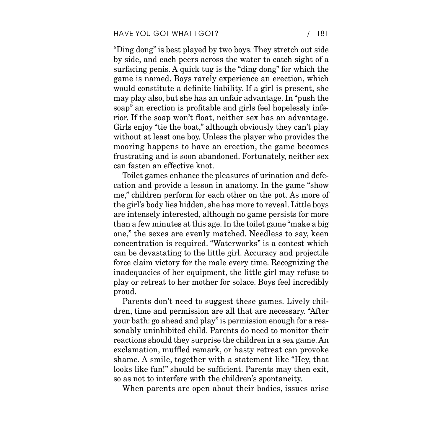"Ding dong" is best played by two boys. They stretch out side by side, and each peers across the water to catch sight of a surfacing penis. A quick tug is the "ding dong" for which the game is named. Boys rarely experience an erection, which would constitute a definite liability. If a girl is present, she may play also, but she has an unfair advantage. In "push the soap" an erection is profitable and girls feel hopelessly inferior. If the soap won't float, neither sex has an advantage. Girls enjoy "tie the boat," although obviously they can't play without at least one boy. Unless the player who provides the mooring happens to have an erection, the game becomes frustrating and is soon abandoned. Fortunately, neither sex can fasten an effective knot.

Toilet games enhance the pleasures of urination and defecation and provide a lesson in anatomy. In the game "show me," children perform for each other on the pot. As more of the girl's body lies hidden, she has more to reveal. Little boys are intensely interested, although no game persists for more than a few minutes at this age. In the toilet game "make a big one," the sexes are evenly matched. Needless to say, keen concentration is required. "Waterworks" is a contest which can be devastating to the little girl. Accuracy and projectile force claim victory for the male every time. Recognizing the inadequacies of her equipment, the little girl may refuse to play or retreat to her mother for solace. Boys feel incredibly proud.

Parents don't need to suggest these games. Lively children, time and permission are all that are necessary. "After your bath: go ahead and play" is permission enough for a reasonably uninhibited child. Parents do need to monitor their reactions should they surprise the children in a sex game. An exclamation, muffled remark, or hasty retreat can provoke shame. A smile, together with a statement like "Hey, that looks like fun!" should be sufficient. Parents may then exit, so as not to interfere with the children's spontaneity.

When parents are open about their bodies, issues arise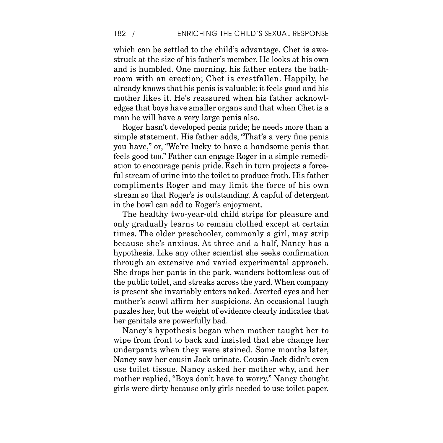which can be settled to the child's advantage. Chet is awestruck at the size of his father's member. He looks at his own and is humbled. One morning, his father enters the bathroom with an erection; Chet is crestfallen. Happily, he already knows that his penis is valuable; it feels good and his mother likes it. He's reassured when his father acknowledges that boys have smaller organs and that when Chet is a man he will have a very large penis also.

Roger hasn't developed penis pride; he needs more than a simple statement. His father adds, "That's a very fine penis you have," or, "We're lucky to have a handsome penis that feels good too." Father can engage Roger in a simple remediation to encourage penis pride. Each in turn projects a forceful stream of urine into the toilet to produce froth. His father compliments Roger and may limit the force of his own stream so that Roger's is outstanding. A capful of detergent in the bowl can add to Roger's enjoyment.

The healthy two-year-old child strips for pleasure and only gradually learns to remain clothed except at certain times. The older preschooler, commonly a girl, may strip because she's anxious. At three and a half, Nancy has a hypothesis. Like any other scientist she seeks confirmation through an extensive and varied experimental approach. She drops her pants in the park, wanders bottomless out of the public toilet, and streaks across the yard. When company is present she invariably enters naked. Averted eyes and her mother's scowl affirm her suspicions. An occasional laugh puzzles her, but the weight of evidence clearly indicates that her genitals are powerfully bad.

Nancy's hypothesis began when mother taught her to wipe from front to back and insisted that she change her underpants when they were stained. Some months later, Nancy saw her cousin Jack urinate. Cousin Jack didn't even use toilet tissue. Nancy asked her mother why, and her mother replied, "Boys don't have to worry." Nancy thought girls were dirty because only girls needed to use toilet paper.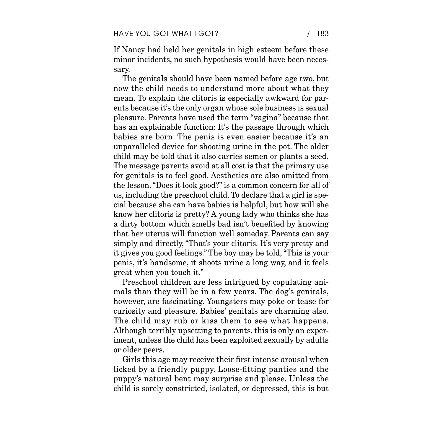If Nancy had held her genitals in high esteem before these minor incidents, no such hypothesis would have been necessary.

The genitals should have been named before age two, but now the child needs to understand more about what they mean. To explain the clitoris is especially awkward for parents because it's the only organ whose sole business is sexual pleasure. Parents have used the term "vagina" because that has an explainable function: It's the passage through which babies are born. The penis is even easier because it's an unparalleled device for shooting urine in the pot. The older child may be told that it also carries semen or plants a seed. The message parents avoid at all cost is that the primary use for genitals is to feel good. Aesthetics are also omitted from the lesson. "Does it look good?" is a common concern for all of us, including the preschool child. To declare that a girl is special because she can have babies is helpful, but how will she know her clitoris is pretty? A young lady who thinks she has a dirty bottom which smells bad isn't benefited by knowing that her uterus will function well someday. Parents can say simply and directly, "That's your clitoris. It's very pretty and it gives you good feelings." The boy may be told, "This is your penis, it's handsome, it shoots urine a long way, and it feels great when you touch it."

Preschool children are less intrigued by copulating animals than they will be in a few years. The dog's genitals, however, are fascinating. Youngsters may poke or tease for curiosity and pleasure. Babies' genitals are charming also. The child may rub or kiss them to see what happens. Although terribly upsetting to parents, this is only an experiment, unless the child has been exploited sexually by adults or older peers.

Girls this age may receive their first intense arousal when licked by a friendly puppy. Loose-fitting panties and the puppy's natural bent may surprise and please. Unless the child is sorely constricted, isolated, or depressed, this is but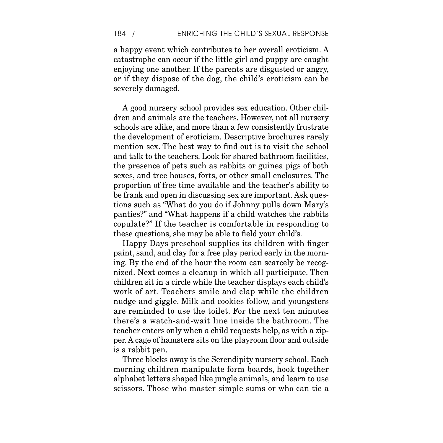a happy event which contributes to her overall eroticism. A catastrophe can occur if the little girl and puppy are caught enjoying one another. If the parents are disgusted or angry, or if they dispose of the dog, the child's eroticism can be severely damaged.

A good nursery school provides sex education. Other children and animals are the teachers. However, not all nursery schools are alike, and more than a few consistently frustrate the development of eroticism. Descriptive brochures rarely mention sex. The best way to find out is to visit the school and talk to the teachers. Look for shared bathroom facilities, the presence of pets such as rabbits or guinea pigs of both sexes, and tree houses, forts, or other small enclosures. The proportion of free time available and the teacher's ability to be frank and open in discussing sex are important. Ask questions such as "What do you do if Johnny pulls down Mary's panties?" and "What happens if a child watches the rabbits copulate?" If the teacher is comfortable in responding to these questions, she may be able to field your child's.

Happy Days preschool supplies its children with finger paint, sand, and clay for a free play period early in the morning. By the end of the hour the room can scarcely be recognized. Next comes a cleanup in which all participate. Then children sit in a circle while the teacher displays each child's work of art. Teachers smile and clap while the children nudge and giggle. Milk and cookies follow, and youngsters are reminded to use the toilet. For the next ten minutes there's a watch-and-wait line inside the bathroom. The teacher enters only when a child requests help, as with a zipper. A cage of hamsters sits on the playroom floor and outside is a rabbit pen.

Three blocks away is the Serendipity nursery school. Each morning children manipulate form boards, hook together alphabet letters shaped like jungle animals, and learn to use scissors. Those who master simple sums or who can tie a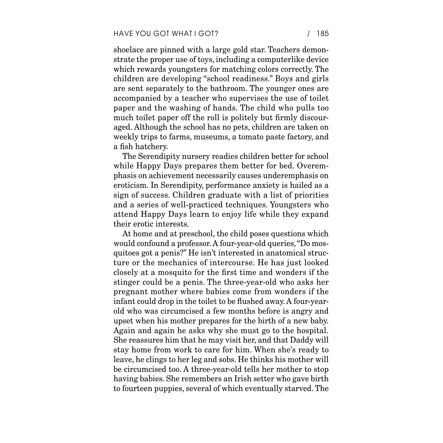shoelace are pinned with a large gold star. Teachers demonstrate the proper use of toys, including a computerlike device which rewards youngsters for matching colors correctly. The children are developing "school readiness." Boys and girls are sent separately to the bathroom. The younger ones are accompanied by a teacher who supervises the use of toilet paper and the washing of hands. The child who pulls too much toilet paper off the roll is politely but firmly discouraged. Although the school has no pets, children are taken on weekly trips to farms, museums, a tomato paste factory, and a fish hatchery.

The Serendipity nursery readies children better for school while Happy Days prepares them better for bed. Overemphasis on achievement necessarily causes underemphasis on eroticism. In Serendipity, performance anxiety is hailed as a sign of success. Children graduate with a list of priorities and a series of well-practiced techniques. Youngsters who attend Happy Days learn to enjoy life while they expand their erotic interests.

At home and at preschool, the child poses questions which would confound a professor. A four-year-old queries, "Do mosquitoes got a penis?" He isn't interested in anatomical structure or the mechanics of intercourse. He has just looked closely at a mosquito for the first time and wonders if the stinger could be a penis. The three-year-old who asks her pregnant mother where babies come from wonders if the infant could drop in the toilet to be flushed away. A four-yearold who was circumcised a few months before is angry and upset when his mother prepares for the birth of a new baby. Again and again he asks why she must go to the hospital. She reassures him that he may visit her, and that Daddy will stay home from work to care for him. When she's ready to leave, he clings to her leg and sobs. He thinks his mother will be circumcised too. A three-year-old tells her mother to stop having babies. She remembers an Irish setter who gave birth to fourteen puppies, several of which eventually starved. The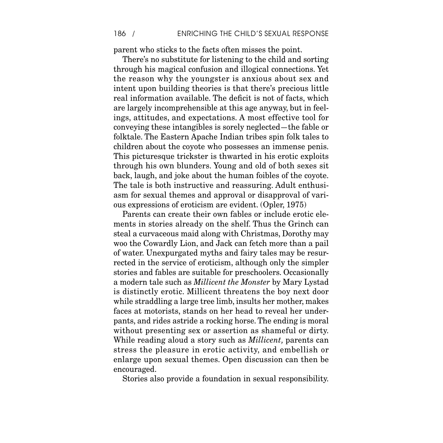parent who sticks to the facts often misses the point.

There's no substitute for listening to the child and sorting through his magical confusion and illogical connections. Yet the reason why the youngster is anxious about sex and intent upon building theories is that there's precious little real information available. The deficit is not of facts, which are largely incomprehensible at this age anyway, but in feelings, attitudes, and expectations. A most effective tool for conveying these intangibles is sorely neglected—the fable or folktale. The Eastern Apache Indian tribes spin folk tales to children about the coyote who possesses an immense penis. This picturesque trickster is thwarted in his erotic exploits through his own blunders. Young and old of both sexes sit back, laugh, and joke about the human foibles of the coyote. The tale is both instructive and reassuring. Adult enthusiasm for sexual themes and approval or disapproval of various expressions of eroticism are evident. (Opler, 1975)

Parents can create their own fables or include erotic elements in stories already on the shelf. Thus the Grinch can steal a curvaceous maid along with Christmas, Dorothy may woo the Cowardly Lion, and Jack can fetch more than a pail of water. Unexpurgated myths and fairy tales may be resurrected in the service of eroticism, although only the simpler stories and fables are suitable for preschoolers. Occasionally a modern tale such as *Millicent the Monster* by Mary Lystad is distinctly erotic. Millicent threatens the boy next door while straddling a large tree limb, insults her mother, makes faces at motorists, stands on her head to reveal her underpants, and rides astride a rocking horse. The ending is moral without presenting sex or assertion as shameful or dirty. While reading aloud a story such as *Millicent,* parents can stress the pleasure in erotic activity, and embellish or enlarge upon sexual themes. Open discussion can then be encouraged.

Stories also provide a foundation in sexual responsibility.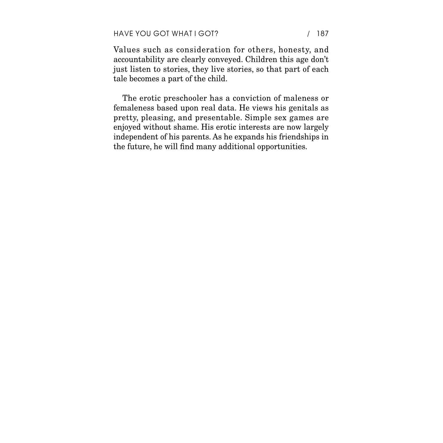Values such as consideration for others, honesty, and accountability are clearly conveyed. Children this age don't just listen to stories, they live stories, so that part of each tale becomes a part of the child.

The erotic preschooler has a conviction of maleness or femaleness based upon real data. He views his genitals as pretty, pleasing, and presentable. Simple sex games are enjoyed without shame. His erotic interests are now largely independent of his parents. As he expands his friendships in the future, he will find many additional opportunities.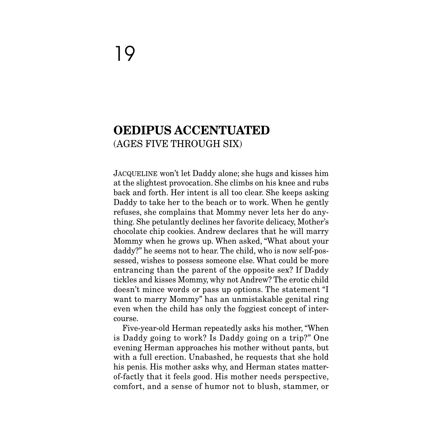## **OEDIPUS ACCENTUATED** (AGES FIVE THROUGH SIX)

JACQUELINE won't let Daddy alone; she hugs and kisses him at the slightest provocation. She climbs on his knee and rubs back and forth. Her intent is all too clear. She keeps asking Daddy to take her to the beach or to work. When he gently refuses, she complains that Mommy never lets her do anything. She petulantly declines her favorite delicacy, Mother's chocolate chip cookies. Andrew declares that he will marry Mommy when he grows up. When asked, "What about your daddy?" he seems not to hear. The child, who is now self-possessed, wishes to possess someone else. What could be more entrancing than the parent of the opposite sex? If Daddy tickles and kisses Mommy, why not Andrew? The erotic child doesn't mince words or pass up options. The statement "I want to marry Mommy" has an unmistakable genital ring even when the child has only the foggiest concept of intercourse.

Five-year-old Herman repeatedly asks his mother, "When is Daddy going to work? Is Daddy going on a trip?" One evening Herman approaches his mother without pants, but with a full erection. Unabashed, he requests that she hold his penis. His mother asks why, and Herman states matterof-factly that it feels good. His mother needs perspective, comfort, and a sense of humor not to blush, stammer, or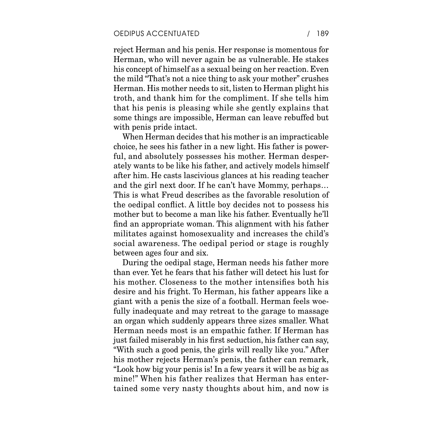reject Herman and his penis. Her response is momentous for Herman, who will never again be as vulnerable. He stakes his concept of himself as a sexual being on her reaction. Even the mild "That's not a nice thing to ask your mother" crushes Herman. His mother needs to sit, listen to Herman plight his troth, and thank him for the compliment. If she tells him that his penis is pleasing while she gently explains that some things are impossible, Herman can leave rebuffed but with penis pride intact.

When Herman decides that his mother is an impracticable choice, he sees his father in a new light. His father is powerful, and absolutely possesses his mother. Herman desperately wants to be like his father, and actively models himself after him. He casts lascivious glances at his reading teacher and the girl next door. If he can't have Mommy, perhaps… This is what Freud describes as the favorable resolution of the oedipal conflict. A little boy decides not to possess his mother but to become a man like his father. Eventually he'll find an appropriate woman. This alignment with his father militates against homosexuality and increases the child's social awareness. The oedipal period or stage is roughly between ages four and six.

During the oedipal stage, Herman needs his father more than ever. Yet he fears that his father will detect his lust for his mother. Closeness to the mother intensifies both his desire and his fright. To Herman, his father appears like a giant with a penis the size of a football. Herman feels woefully inadequate and may retreat to the garage to massage an organ which suddenly appears three sizes smaller. What Herman needs most is an empathic father. If Herman has just failed miserably in his first seduction, his father can say, "With such a good penis, the girls will really like you." After his mother rejects Herman's penis, the father can remark, "Look how big your penis is! In a few years it will be as big as mine!" When his father realizes that Herman has entertained some very nasty thoughts about him, and now is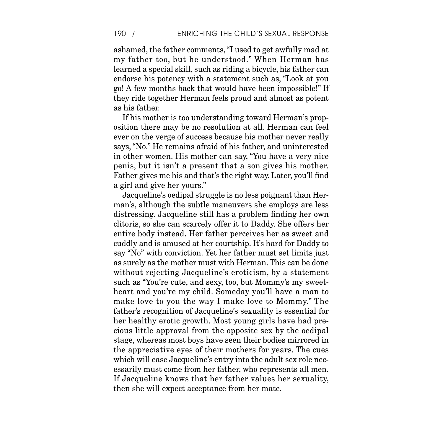ashamed, the father comments, "I used to get awfully mad at my father too, but he understood." When Herman has learned a special skill, such as riding a bicycle, his father can endorse his potency with a statement such as, "Look at you go! A few months back that would have been impossible!" If they ride together Herman feels proud and almost as potent as his father.

If his mother is too understanding toward Herman's proposition there may be no resolution at all. Herman can feel ever on the verge of success because his mother never really says, "No." He remains afraid of his father, and uninterested in other women. His mother can say, "You have a very nice penis, but it isn't a present that a son gives his mother. Father gives me his and that's the right way. Later, you'll find a girl and give her yours."

Jacqueline's oedipal struggle is no less poignant than Herman's, although the subtle maneuvers she employs are less distressing. Jacqueline still has a problem finding her own clitoris, so she can scarcely offer it to Daddy. She offers her entire body instead. Her father perceives her as sweet and cuddly and is amused at her courtship. It's hard for Daddy to say "No" with conviction. Yet her father must set limits just as surely as the mother must with Herman. This can be done without rejecting Jacqueline's eroticism, by a statement such as "You're cute, and sexy, too, but Mommy's my sweetheart and you're my child. Someday you'll have a man to make love to you the way I make love to Mommy." The father's recognition of Jacqueline's sexuality is essential for her healthy erotic growth. Most young girls have had precious little approval from the opposite sex by the oedipal stage, whereas most boys have seen their bodies mirrored in the appreciative eyes of their mothers for years. The cues which will ease Jacqueline's entry into the adult sex role necessarily must come from her father, who represents all men. If Jacqueline knows that her father values her sexuality, then she will expect acceptance from her mate.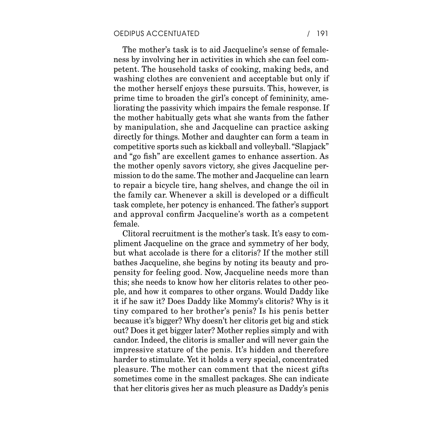The mother's task is to aid Jacqueline's sense of femaleness by involving her in activities in which she can feel competent. The household tasks of cooking, making beds, and washing clothes are convenient and acceptable but only if the mother herself enjoys these pursuits. This, however, is prime time to broaden the girl's concept of femininity, ameliorating the passivity which impairs the female response. If the mother habitually gets what she wants from the father by manipulation, she and Jacqueline can practice asking directly for things. Mother and daughter can form a team in competitive sports such as kickball and volleyball. "Slapjack" and "go fish" are excellent games to enhance assertion. As the mother openly savors victory, she gives Jacqueline permission to do the same. The mother and Jacqueline can learn to repair a bicycle tire, hang shelves, and change the oil in the family car. Whenever a skill is developed or a difficult task complete, her potency is enhanced. The father's support and approval confirm Jacqueline's worth as a competent female.

Clitoral recruitment is the mother's task. It's easy to compliment Jacqueline on the grace and symmetry of her body, but what accolade is there for a clitoris? If the mother still bathes Jacqueline, she begins by noting its beauty and propensity for feeling good. Now, Jacqueline needs more than this; she needs to know how her clitoris relates to other people, and how it compares to other organs. Would Daddy like it if he saw it? Does Daddy like Mommy's clitoris? Why is it tiny compared to her brother's penis? Is his penis better because it's bigger? Why doesn't her clitoris get big and stick out? Does it get bigger later? Mother replies simply and with candor. Indeed, the clitoris is smaller and will never gain the impressive stature of the penis. It's hidden and therefore harder to stimulate. Yet it holds a very special, concentrated pleasure. The mother can comment that the nicest gifts sometimes come in the smallest packages. She can indicate that her clitoris gives her as much pleasure as Daddy's penis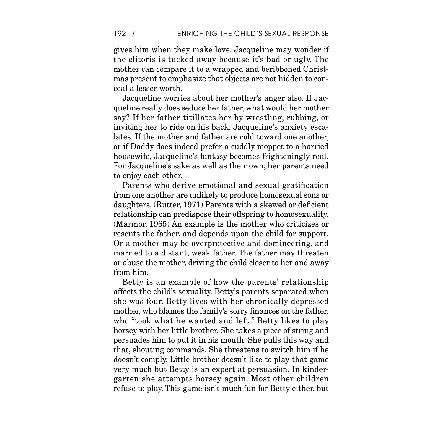gives him when they make love. Jacqueline may wonder if the clitoris is tucked away because it's bad or ugly. The mother can compare it to a wrapped and beribboned Christmas present to emphasize that objects are not hidden to conceal a lesser worth.

Jacqueline worries about her mother's anger also. If Jacqueline really does seduce her father, what would her mother say? If her father titillates her by wrestling, rubbing, or inviting her to ride on his back, Jacqueline's anxiety escalates. If the mother and father are cold toward one another, or if Daddy does indeed prefer a cuddly moppet to a harried housewife, Jacqueline's fantasy becomes frighteningly real. For Jacqueline's sake as well as their own, her parents need to enjoy each other.

Parents who derive emotional and sexual gratification from one another are unlikely to produce homosexual sons or daughters. (Rutter, 1971) Parents with a skewed or deficient relationship can predispose their offspring to homosexuality. (Marmor, 1965) An example is the mother who criticizes or resents the father, and depends upon the child for support. Or a mother may be overprotective and domineering, and married to a distant, weak father. The father may threaten or abuse the mother, driving the child closer to her and away from him.

Betty is an example of how the parents' relationship affects the child's sexuality. Betty's parents separated when she was four. Betty lives with her chronically depressed mother, who blames the family's sorry finances on the father, who "took what he wanted and left." Betty likes to play horsey with her little brother. She takes a piece of string and persuades him to put it in his mouth. She pulls this way and that, shouting commands. She threatens to switch him if he doesn't comply. Little brother doesn't like to play that game very much but Betty is an expert at persuasion. In kindergarten she attempts horsey again. Most other children refuse to play. This game isn't much fun for Betty either, but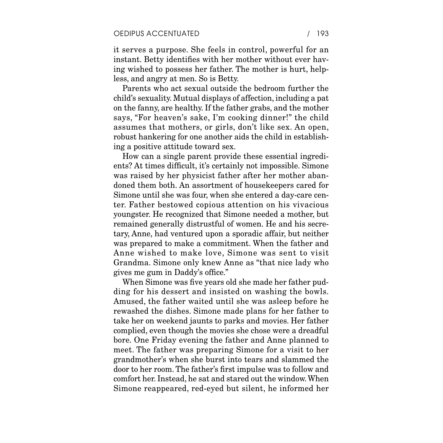it serves a purpose. She feels in control, powerful for an instant. Betty identifies with her mother without ever having wished to possess her father. The mother is hurt, helpless, and angry at men. So is Betty.

Parents who act sexual outside the bedroom further the child's sexuality. Mutual displays of affection, including a pat on the fanny, are healthy. If the father grabs, and the mother says, "For heaven's sake, I'm cooking dinner!" the child assumes that mothers, or girls, don't like sex. An open, robust hankering for one another aids the child in establishing a positive attitude toward sex.

How can a single parent provide these essential ingredients? At times difficult, it's certainly not impossible. Simone was raised by her physicist father after her mother abandoned them both. An assortment of housekeepers cared for Simone until she was four, when she entered a day-care center. Father bestowed copious attention on his vivacious youngster. He recognized that Simone needed a mother, but remained generally distrustful of women. He and his secretary, Anne, had ventured upon a sporadic affair, but neither was prepared to make a commitment. When the father and Anne wished to make love, Simone was sent to visit Grandma. Simone only knew Anne as "that nice lady who gives me gum in Daddy's office."

When Simone was five years old she made her father pudding for his dessert and insisted on washing the bowls. Amused, the father waited until she was asleep before he rewashed the dishes. Simone made plans for her father to take her on weekend jaunts to parks and movies. Her father complied, even though the movies she chose were a dreadful bore. One Friday evening the father and Anne planned to meet. The father was preparing Simone for a visit to her grandmother's when she burst into tears and slammed the door to her room. The father's first impulse was to follow and comfort her. Instead, he sat and stared out the window. When Simone reappeared, red-eyed but silent, he informed her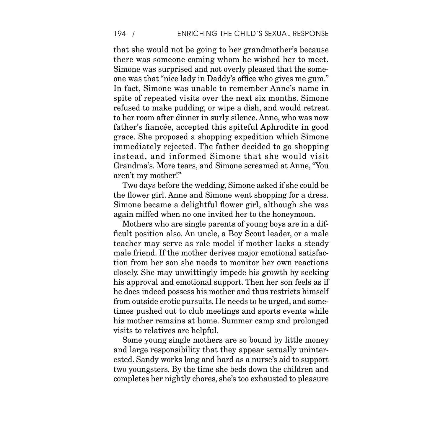that she would not be going to her grandmother's because there was someone coming whom he wished her to meet. Simone was surprised and not overly pleased that the someone was that "nice lady in Daddy's office who gives me gum." In fact, Simone was unable to remember Anne's name in spite of repeated visits over the next six months. Simone refused to make pudding, or wipe a dish, and would retreat to her room after dinner in surly silence. Anne, who was now father's fiancée, accepted this spiteful Aphrodite in good grace. She proposed a shopping expedition which Simone immediately rejected. The father decided to go shopping instead, and informed Simone that she would visit Grandma's. More tears, and Simone screamed at Anne, "You aren't my mother!"

Two days before the wedding, Simone asked if she could be the flower girl. Anne and Simone went shopping for a dress. Simone became a delightful flower girl, although she was again miffed when no one invited her to the honeymoon.

Mothers who are single parents of young boys are in a difficult position also. An uncle, a Boy Scout leader, or a male teacher may serve as role model if mother lacks a steady male friend. If the mother derives major emotional satisfaction from her son she needs to monitor her own reactions closely. She may unwittingly impede his growth by seeking his approval and emotional support. Then her son feels as if he does indeed possess his mother and thus restricts himself from outside erotic pursuits. He needs to be urged, and sometimes pushed out to club meetings and sports events while his mother remains at home. Summer camp and prolonged visits to relatives are helpful.

Some young single mothers are so bound by little money and large responsibility that they appear sexually uninterested. Sandy works long and hard as a nurse's aid to support two youngsters. By the time she beds down the children and completes her nightly chores, she's too exhausted to pleasure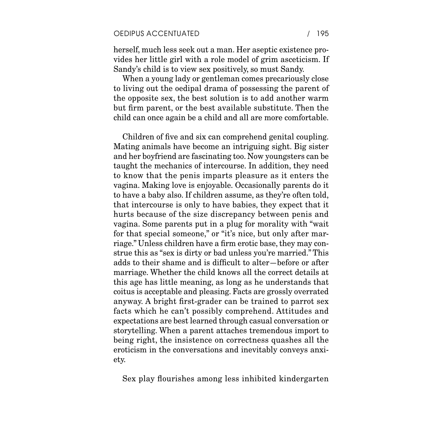herself, much less seek out a man. Her aseptic existence provides her little girl with a role model of grim asceticism. If Sandy's child is to view sex positively, so must Sandy.

When a young lady or gentleman comes precariously close to living out the oedipal drama of possessing the parent of the opposite sex, the best solution is to add another warm but firm parent, or the best available substitute. Then the child can once again be a child and all are more comfortable.

Children of five and six can comprehend genital coupling. Mating animals have become an intriguing sight. Big sister and her boyfriend are fascinating too. Now youngsters can be taught the mechanics of intercourse. In addition, they need to know that the penis imparts pleasure as it enters the vagina. Making love is enjoyable. Occasionally parents do it to have a baby also. If children assume, as they're often told, that intercourse is only to have babies, they expect that it hurts because of the size discrepancy between penis and vagina. Some parents put in a plug for morality with "wait for that special someone," or "it's nice, but only after marriage." Unless children have a firm erotic base, they may construe this as "sex is dirty or bad unless you're married." This adds to their shame and is difficult to alter—before or after marriage. Whether the child knows all the correct details at this age has little meaning, as long as he understands that coitus is acceptable and pleasing. Facts are grossly overrated anyway. A bright first-grader can be trained to parrot sex facts which he can't possibly comprehend. Attitudes and expectations are best learned through casual conversation or storytelling. When a parent attaches tremendous import to being right, the insistence on correctness quashes all the eroticism in the conversations and inevitably conveys anxiety.

Sex play flourishes among less inhibited kindergarten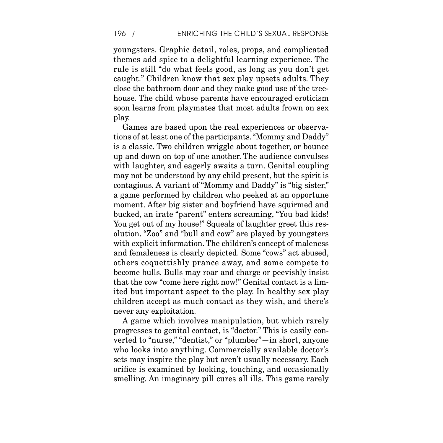youngsters. Graphic detail, roles, props, and complicated themes add spice to a delightful learning experience. The rule is still "do what feels good, as long as you don't get caught." Children know that sex play upsets adults. They close the bathroom door and they make good use of the treehouse. The child whose parents have encouraged eroticism soon learns from playmates that most adults frown on sex play.

Games are based upon the real experiences or observations of at least one of the participants. "Mommy and Daddy" is a classic. Two children wriggle about together, or bounce up and down on top of one another. The audience convulses with laughter, and eagerly awaits a turn. Genital coupling may not be understood by any child present, but the spirit is contagious. A variant of "Mommy and Daddy" is "big sister," a game performed by children who peeked at an opportune moment. After big sister and boyfriend have squirmed and bucked, an irate "parent" enters screaming, "You bad kids! You get out of my house!" Squeals of laughter greet this resolution. "Zoo" and "bull and cow" are played by youngsters with explicit information. The children's concept of maleness and femaleness is clearly depicted. Some "cows" act abused, others coquettishly prance away, and some compete to become bulls. Bulls may roar and charge or peevishly insist that the cow "come here right now!" Genital contact is a limited but important aspect to the play. In healthy sex play children accept as much contact as they wish, and there's never any exploitation.

A game which involves manipulation, but which rarely progresses to genital contact, is "doctor." This is easily converted to "nurse," "dentist," or "plumber"—in short, anyone who looks into anything. Commercially available doctor's sets may inspire the play but aren't usually necessary. Each orifice is examined by looking, touching, and occasionally smelling. An imaginary pill cures all ills. This game rarely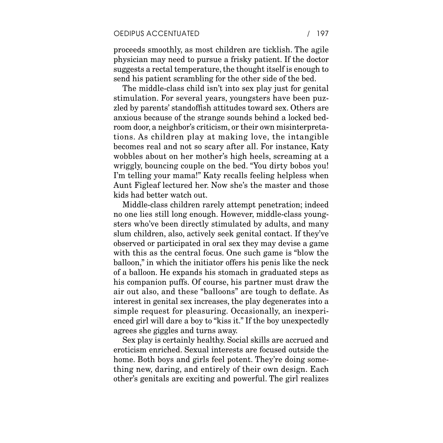proceeds smoothly, as most children are ticklish. The agile physician may need to pursue a frisky patient. If the doctor suggests a rectal temperature, the thought itself is enough to send his patient scrambling for the other side of the bed.

The middle-class child isn't into sex play just for genital stimulation. For several years, youngsters have been puzzled by parents' standoffish attitudes toward sex. Others are anxious because of the strange sounds behind a locked bedroom door, a neighbor's criticism, or their own misinterpretations. As children play at making love, the intangible becomes real and not so scary after all. For instance, Katy wobbles about on her mother's high heels, screaming at a wriggly, bouncing couple on the bed. "You dirty bobos you! I'm telling your mama!" Katy recalls feeling helpless when Aunt Figleaf lectured her. Now she's the master and those kids had better watch out.

Middle-class children rarely attempt penetration; indeed no one lies still long enough. However, middle-class youngsters who've been directly stimulated by adults, and many slum children, also, actively seek genital contact. If they've observed or participated in oral sex they may devise a game with this as the central focus. One such game is "blow the balloon," in which the initiator offers his penis like the neck of a balloon. He expands his stomach in graduated steps as his companion puffs. Of course, his partner must draw the air out also, and these "balloons" are tough to deflate. As interest in genital sex increases, the play degenerates into a simple request for pleasuring. Occasionally, an inexperienced girl will dare a boy to "kiss it." If the boy unexpectedly agrees she giggles and turns away.

Sex play is certainly healthy. Social skills are accrued and eroticism enriched. Sexual interests are focused outside the home. Both boys and girls feel potent. They're doing something new, daring, and entirely of their own design. Each other's genitals are exciting and powerful. The girl realizes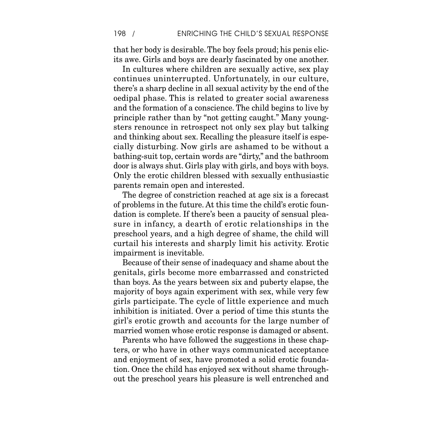that her body is desirable. The boy feels proud; his penis elicits awe. Girls and boys are dearly fascinated by one another.

In cultures where children are sexually active, sex play continues uninterrupted. Unfortunately, in our culture, there's a sharp decline in all sexual activity by the end of the oedipal phase. This is related to greater social awareness and the formation of a conscience. The child begins to live by principle rather than by "not getting caught." Many youngsters renounce in retrospect not only sex play but talking and thinking about sex. Recalling the pleasure itself is especially disturbing. Now girls are ashamed to be without a bathing-suit top, certain words are "dirty," and the bathroom door is always shut. Girls play with girls, and boys with boys. Only the erotic children blessed with sexually enthusiastic parents remain open and interested.

The degree of constriction reached at age six is a forecast of problems in the future. At this time the child's erotic foundation is complete. If there's been a paucity of sensual pleasure in infancy, a dearth of erotic relationships in the preschool years, and a high degree of shame, the child will curtail his interests and sharply limit his activity. Erotic impairment is inevitable.

Because of their sense of inadequacy and shame about the genitals, girls become more embarrassed and constricted than boys. As the years between six and puberty elapse, the majority of boys again experiment with sex, while very few girls participate. The cycle of little experience and much inhibition is initiated. Over a period of time this stunts the girl's erotic growth and accounts for the large number of married women whose erotic response is damaged or absent.

Parents who have followed the suggestions in these chapters, or who have in other ways communicated acceptance and enjoyment of sex, have promoted a solid erotic foundation. Once the child has enjoyed sex without shame throughout the preschool years his pleasure is well entrenched and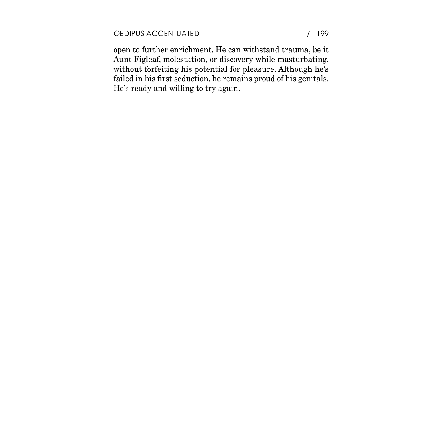open to further enrichment. He can withstand trauma, be it Aunt Figleaf, molestation, or discovery while masturbating, without forfeiting his potential for pleasure. Although he's failed in his first seduction, he remains proud of his genitals. He's ready and willing to try again.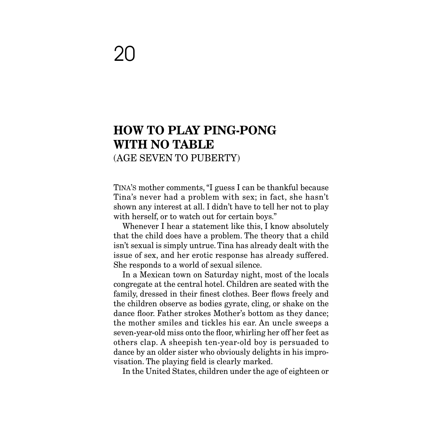## 20

## **HOW TO PLAY PING-PONG WITH NO TABLE** (AGE SEVEN TO PUBERTY)

TINA'S mother comments, "I guess I can be thankful because Tina's never had a problem with sex; in fact, she hasn't shown any interest at all. I didn't have to tell her not to play with herself, or to watch out for certain boys."

Whenever I hear a statement like this, I know absolutely that the child does have a problem. The theory that a child isn't sexual is simply untrue. Tina has already dealt with the issue of sex, and her erotic response has already suffered. She responds to a world of sexual silence.

In a Mexican town on Saturday night, most of the locals congregate at the central hotel. Children are seated with the family, dressed in their finest clothes. Beer flows freely and the children observe as bodies gyrate, cling, or shake on the dance floor. Father strokes Mother's bottom as they dance; the mother smiles and tickles his ear. An uncle sweeps a seven-year-old miss onto the floor, whirling her off her feet as others clap. A sheepish ten-year-old boy is persuaded to dance by an older sister who obviously delights in his improvisation. The playing field is clearly marked.

In the United States, children under the age of eighteen or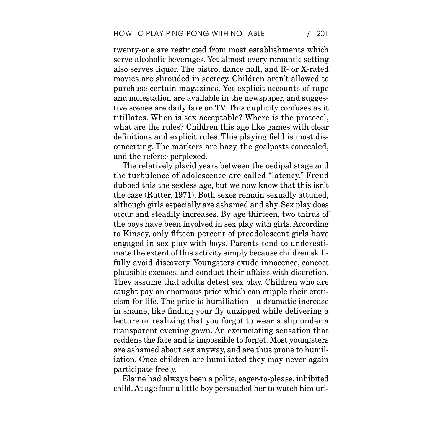twenty-one are restricted from most establishments which serve alcoholic beverages. Yet almost every romantic setting also serves liquor. The bistro, dance hall, and R- or X-rated movies are shrouded in secrecy. Children aren't allowed to purchase certain magazines. Yet explicit accounts of rape and molestation are available in the newspaper, and suggestive scenes are daily fare on TV. This duplicity confuses as it titillates. When is sex acceptable? Where is the protocol, what are the rules? Children this age like games with clear definitions and explicit rules. This playing field is most disconcerting. The markers are hazy, the goalposts concealed, and the referee perplexed.

The relatively placid years between the oedipal stage and the turbulence of adolescence are called "latency." Freud dubbed this the sexless age, but we now know that this isn't the case (Rutter, 1971). Both sexes remain sexually attuned, although girls especially are ashamed and shy. Sex play does occur and steadily increases. By age thirteen, two thirds of the boys have been involved in sex play with girls. According to Kinsey, only fifteen percent of preadolescent girls have engaged in sex play with boys. Parents tend to underestimate the extent of this activity simply because children skillfully avoid discovery. Youngsters exude innocence, concoct plausible excuses, and conduct their affairs with discretion. They assume that adults detest sex play. Children who are caught pay an enormous price which can cripple their eroticism for life. The price is humiliation—a dramatic increase in shame, like finding your fly unzipped while delivering a lecture or realizing that you forgot to wear a slip under a transparent evening gown. An excruciating sensation that reddens the face and is impossible to forget. Most youngsters are ashamed about sex anyway, and are thus prone to humiliation. Once children are humiliated they may never again participate freely.

Elaine had always been a polite, eager-to-please, inhibited child. At age four a little boy persuaded her to watch him uri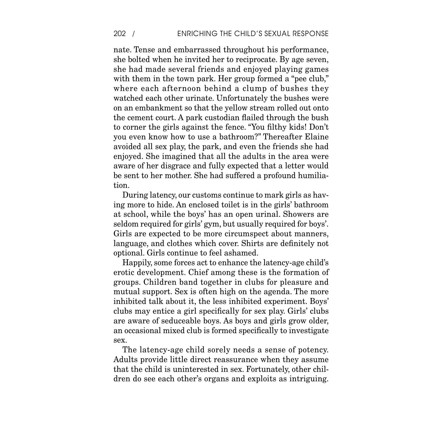nate. Tense and embarrassed throughout his performance, she bolted when he invited her to reciprocate. By age seven, she had made several friends and enjoyed playing games with them in the town park. Her group formed a "pee club," where each afternoon behind a clump of bushes they watched each other urinate. Unfortunately the bushes were on an embankment so that the yellow stream rolled out onto the cement court. A park custodian flailed through the bush to corner the girls against the fence. "You filthy kids! Don't you even know how to use a bathroom?" Thereafter Elaine avoided all sex play, the park, and even the friends she had enjoyed. She imagined that all the adults in the area were aware of her disgrace and fully expected that a letter would be sent to her mother. She had suffered a profound humiliation.

During latency, our customs continue to mark girls as having more to hide. An enclosed toilet is in the girls' bathroom at school, while the boys' has an open urinal. Showers are seldom required for girls' gym, but usually required for boys'. Girls are expected to be more circumspect about manners, language, and clothes which cover. Shirts are definitely not optional. Girls continue to feel ashamed.

Happily, some forces act to enhance the latency-age child's erotic development. Chief among these is the formation of groups. Children band together in clubs for pleasure and mutual support. Sex is often high on the agenda. The more inhibited talk about it, the less inhibited experiment. Boys' clubs may entice a girl specifically for sex play. Girls' clubs are aware of seduceable boys. As boys and girls grow older, an occasional mixed club is formed specifically to investigate sex.

The latency-age child sorely needs a sense of potency. Adults provide little direct reassurance when they assume that the child is uninterested in sex. Fortunately, other children do see each other's organs and exploits as intriguing.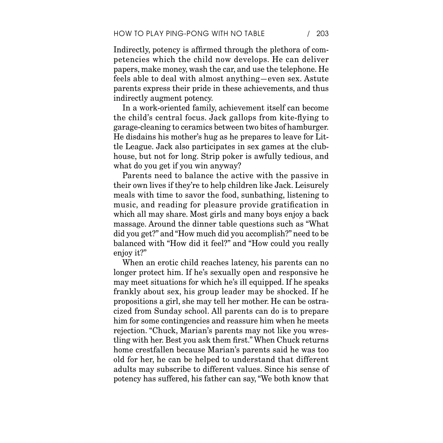Indirectly, potency is affirmed through the plethora of competencies which the child now develops. He can deliver papers, make money, wash the car, and use the telephone. He feels able to deal with almost anything—even sex. Astute parents express their pride in these achievements, and thus indirectly augment potency.

In a work-oriented family, achievement itself can become the child's central focus. Jack gallops from kite-flying to garage-cleaning to ceramics between two bites of hamburger. He disdains his mother's hug as he prepares to leave for Little League. Jack also participates in sex games at the clubhouse, but not for long. Strip poker is awfully tedious, and what do you get if you win anyway?

Parents need to balance the active with the passive in their own lives if they're to help children like Jack. Leisurely meals with time to savor the food, sunbathing, listening to music, and reading for pleasure provide gratification in which all may share. Most girls and many boys enjoy a back massage. Around the dinner table questions such as "What did you get?" and "How much did you accomplish?" need to be balanced with "How did it feel?" and "How could you really enjoy it?"

When an erotic child reaches latency, his parents can no longer protect him. If he's sexually open and responsive he may meet situations for which he's ill equipped. If he speaks frankly about sex, his group leader may be shocked. If he propositions a girl, she may tell her mother. He can be ostracized from Sunday school. All parents can do is to prepare him for some contingencies and reassure him when he meets rejection. "Chuck, Marian's parents may not like you wrestling with her. Best you ask them first." When Chuck returns home crestfallen because Marian's parents said he was too old for her, he can be helped to understand that different adults may subscribe to different values. Since his sense of potency has suffered, his father can say, "We both know that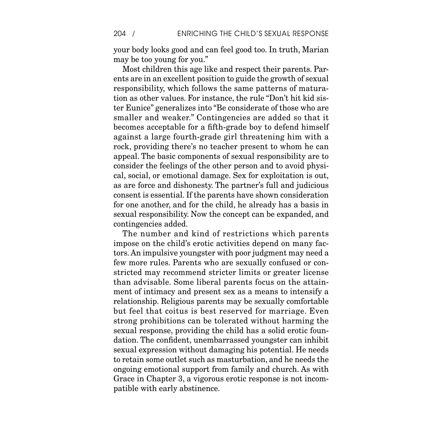your body looks good and can feel good too. In truth, Marian may be too young for you."

Most children this age like and respect their parents. Parents are in an excellent position to guide the growth of sexual responsibility, which follows the same patterns of maturation as other values. For instance, the rule "Don't hit kid sister Eunice" generalizes into "Be considerate of those who are smaller and weaker." Contingencies are added so that it becomes acceptable for a fifth-grade boy to defend himself against a large fourth-grade girl threatening him with a rock, providing there's no teacher present to whom he can appeal. The basic components of sexual responsibility are to consider the feelings of the other person and to avoid physical, social, or emotional damage. Sex for exploitation is out, as are force and dishonesty. The partner's full and judicious consent is essential. If the parents have shown consideration for one another, and for the child, he already has a basis in sexual responsibility. Now the concept can be expanded, and contingencies added.

The number and kind of restrictions which parents impose on the child's erotic activities depend on many factors. An impulsive youngster with poor judgment may need a few more rules. Parents who are sexually confused or constricted may recommend stricter limits or greater license than advisable. Some liberal parents focus on the attainment of intimacy and present sex as a means to intensify a relationship. Religious parents may be sexually comfortable but feel that coitus is best reserved for marriage. Even strong prohibitions can be tolerated without harming the sexual response, providing the child has a solid erotic foundation. The confident, unembarrassed youngster can inhibit sexual expression without damaging his potential. He needs to retain some outlet such as masturbation, and he needs the ongoing emotional support from family and church. As with Grace in Chapter 3, a vigorous erotic response is not incompatible with early abstinence.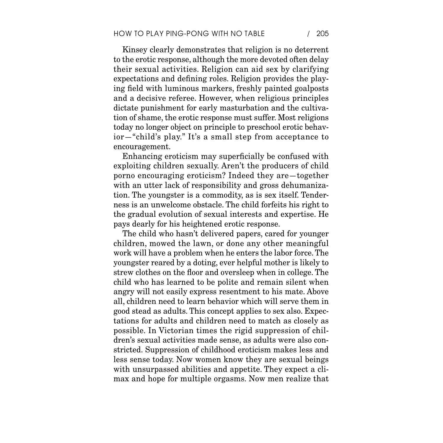Kinsey clearly demonstrates that religion is no deterrent to the erotic response, although the more devoted often delay their sexual activities. Religion can aid sex by clarifying expectations and defining roles. Religion provides the playing field with luminous markers, freshly painted goalposts and a decisive referee. However, when religious principles dictate punishment for early masturbation and the cultivation of shame, the erotic response must suffer. Most religions today no longer object on principle to preschool erotic behavior—"child's play." It's a small step from acceptance to encouragement.

Enhancing eroticism may superficially be confused with exploiting children sexually. Aren't the producers of child porno encouraging eroticism? Indeed they are—together with an utter lack of responsibility and gross dehumanization. The youngster is a commodity, as is sex itself. Tenderness is an unwelcome obstacle. The child forfeits his right to the gradual evolution of sexual interests and expertise. He pays dearly for his heightened erotic response.

The child who hasn't delivered papers, cared for younger children, mowed the lawn, or done any other meaningful work will have a problem when he enters the labor force. The youngster reared by a doting, ever helpful mother is likely to strew clothes on the floor and oversleep when in college. The child who has learned to be polite and remain silent when angry will not easily express resentment to his mate. Above all, children need to learn behavior which will serve them in good stead as adults. This concept applies to sex also. Expectations for adults and children need to match as closely as possible. In Victorian times the rigid suppression of children's sexual activities made sense, as adults were also constricted. Suppression of childhood eroticism makes less and less sense today. Now women know they are sexual beings with unsurpassed abilities and appetite. They expect a climax and hope for multiple orgasms. Now men realize that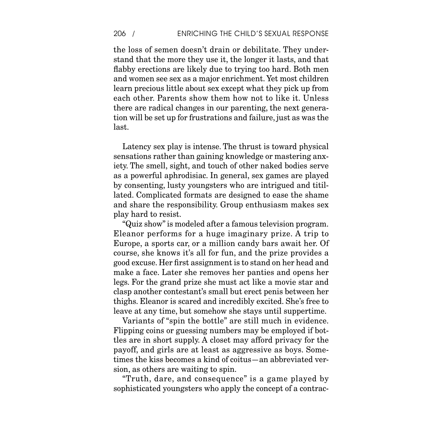the loss of semen doesn't drain or debilitate. They understand that the more they use it, the longer it lasts, and that flabby erections are likely due to trying too hard. Both men and women see sex as a major enrichment. Yet most children learn precious little about sex except what they pick up from each other. Parents show them how not to like it. Unless there are radical changes in our parenting, the next generation will be set up for frustrations and failure, just as was the last.

Latency sex play is intense. The thrust is toward physical sensations rather than gaining knowledge or mastering anxiety. The smell, sight, and touch of other naked bodies serve as a powerful aphrodisiac. In general, sex games are played by consenting, lusty youngsters who are intrigued and titillated. Complicated formats are designed to ease the shame and share the responsibility. Group enthusiasm makes sex play hard to resist.

"Quiz show" is modeled after a famous television program. Eleanor performs for a huge imaginary prize. A trip to Europe, a sports car, or a million candy bars await her. Of course, she knows it's all for fun, and the prize provides a good excuse. Her first assignment is to stand on her head and make a face. Later she removes her panties and opens her legs. For the grand prize she must act like a movie star and clasp another contestant's small but erect penis between her thighs. Eleanor is scared and incredibly excited. She's free to leave at any time, but somehow she stays until suppertime.

Variants of "spin the bottle" are still much in evidence. Flipping coins or guessing numbers may be employed if bottles are in short supply. A closet may afford privacy for the payoff, and girls are at least as aggressive as boys. Sometimes the kiss becomes a kind of coitus—an abbreviated version, as others are waiting to spin.

"Truth, dare, and consequence" is a game played by sophisticated youngsters who apply the concept of a contrac-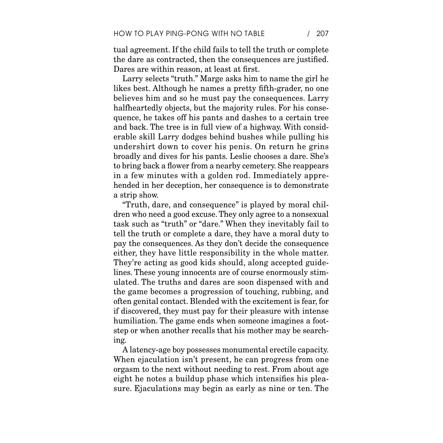tual agreement. If the child fails to tell the truth or complete the dare as contracted, then the consequences are justified. Dares are within reason, at least at first.

Larry selects "truth." Marge asks him to name the girl he likes best. Although he names a pretty fifth-grader, no one believes him and so he must pay the consequences. Larry halfheartedly objects, but the majority rules. For his consequence, he takes off his pants and dashes to a certain tree and back. The tree is in full view of a highway. With considerable skill Larry dodges behind bushes while pulling his undershirt down to cover his penis. On return he grins broadly and dives for his pants. Leslie chooses a dare. She's to bring back a flower from a nearby cemetery. She reappears in a few minutes with a golden rod. Immediately apprehended in her deception, her consequence is to demonstrate a strip show.

"Truth, dare, and consequence" is played by moral children who need a good excuse. They only agree to a nonsexual task such as "truth" or "dare." When they inevitably fail to tell the truth or complete a dare, they have a moral duty to pay the consequences. As they don't decide the consequence either, they have little responsibility in the whole matter. They're acting as good kids should, along accepted guidelines. These young innocents are of course enormously stimulated. The truths and dares are soon dispensed with and the game becomes a progression of touching, rubbing, and often genital contact. Blended with the excitement is fear, for if discovered, they must pay for their pleasure with intense humiliation. The game ends when someone imagines a footstep or when another recalls that his mother may be searching.

A latency-age boy possesses monumental erectile capacity. When ejaculation isn't present, he can progress from one orgasm to the next without needing to rest. From about age eight he notes a buildup phase which intensifies his pleasure. Ejaculations may begin as early as nine or ten. The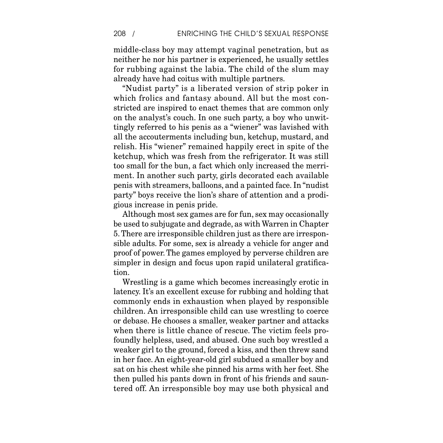middle-class boy may attempt vaginal penetration, but as neither he nor his partner is experienced, he usually settles for rubbing against the labia. The child of the slum may already have had coitus with multiple partners.

"Nudist party" is a liberated version of strip poker in which frolics and fantasy abound. All but the most constricted are inspired to enact themes that are common only on the analyst's couch. In one such party, a boy who unwittingly referred to his penis as a "wiener" was lavished with all the accouterments including bun, ketchup, mustard, and relish. His "wiener" remained happily erect in spite of the ketchup, which was fresh from the refrigerator. It was still too small for the bun, a fact which only increased the merriment. In another such party, girls decorated each available penis with streamers, balloons, and a painted face. In "nudist party" boys receive the lion's share of attention and a prodigious increase in penis pride.

Although most sex games are for fun, sex may occasionally be used to subjugate and degrade, as with Warren in Chapter 5. There are irresponsible children just as there are irresponsible adults. For some, sex is already a vehicle for anger and proof of power. The games employed by perverse children are simpler in design and focus upon rapid unilateral gratification.

Wrestling is a game which becomes increasingly erotic in latency. It's an excellent excuse for rubbing and holding that commonly ends in exhaustion when played by responsible children. An irresponsible child can use wrestling to coerce or debase. He chooses a smaller, weaker partner and attacks when there is little chance of rescue. The victim feels profoundly helpless, used, and abused. One such boy wrestled a weaker girl to the ground, forced a kiss, and then threw sand in her face. An eight-year-old girl subdued a smaller boy and sat on his chest while she pinned his arms with her feet. She then pulled his pants down in front of his friends and sauntered off. An irresponsible boy may use both physical and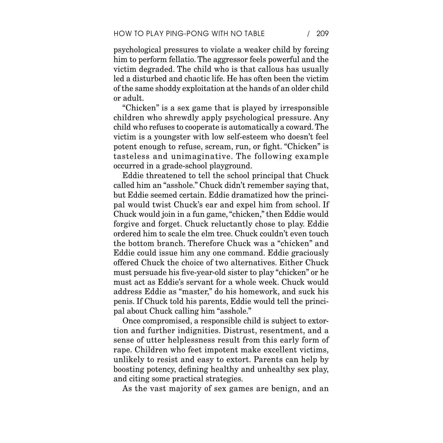psychological pressures to violate a weaker child by forcing him to perform fellatio. The aggressor feels powerful and the victim degraded. The child who is that callous has usually led a disturbed and chaotic life. He has often been the victim of the same shoddy exploitation at the hands of an older child or adult.

"Chicken" is a sex game that is played by irresponsible children who shrewdly apply psychological pressure. Any child who refuses to cooperate is automatically a coward. The victim is a youngster with low self-esteem who doesn't feel potent enough to refuse, scream, run, or fight. "Chicken" is tasteless and unimaginative. The following example occurred in a grade-school playground.

Eddie threatened to tell the school principal that Chuck called him an "asshole." Chuck didn't remember saying that, but Eddie seemed certain. Eddie dramatized how the principal would twist Chuck's ear and expel him from school. If Chuck would join in a fun game, "chicken," then Eddie would forgive and forget. Chuck reluctantly chose to play. Eddie ordered him to scale the elm tree. Chuck couldn't even touch the bottom branch. Therefore Chuck was a "chicken" and Eddie could issue him any one command. Eddie graciously offered Chuck the choice of two alternatives. Either Chuck must persuade his five-year-old sister to play "chicken" or he must act as Eddie's servant for a whole week. Chuck would address Eddie as "master," do his homework, and suck his penis. If Chuck told his parents, Eddie would tell the principal about Chuck calling him "asshole."

Once compromised, a responsible child is subject to extortion and further indignities. Distrust, resentment, and a sense of utter helplessness result from this early form of rape. Children who feet impotent make excellent victims, unlikely to resist and easy to extort. Parents can help by boosting potency, defining healthy and unhealthy sex play, and citing some practical strategies.

As the vast majority of sex games are benign, and an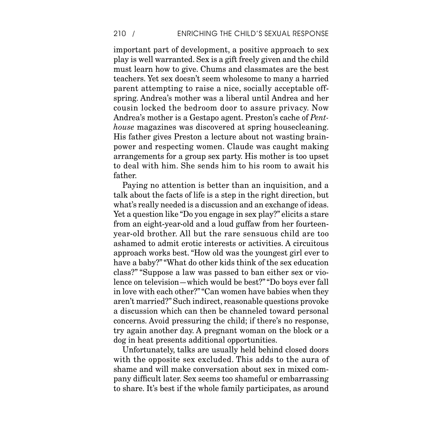important part of development, a positive approach to sex play is well warranted. Sex is a gift freely given and the child must learn how to give. Chums and classmates are the best teachers. Yet sex doesn't seem wholesome to many a harried parent attempting to raise a nice, socially acceptable offspring. Andrea's mother was a liberal until Andrea and her cousin locked the bedroom door to assure privacy. Now Andrea's mother is a Gestapo agent. Preston's cache of *Penthouse* magazines was discovered at spring housecleaning. His father gives Preston a lecture about not wasting brainpower and respecting women. Claude was caught making arrangements for a group sex party. His mother is too upset to deal with him. She sends him to his room to await his father.

Paying no attention is better than an inquisition, and a talk about the facts of life is a step in the right direction, but what's really needed is a discussion and an exchange of ideas. Yet a question like "Do you engage in sex play?" elicits a stare from an eight-year-old and a loud guffaw from her fourteenyear-old brother. All but the rare sensuous child are too ashamed to admit erotic interests or activities. A circuitous approach works best. "How old was the youngest girl ever to have a baby?" "What do other kids think of the sex education class?" "Suppose a law was passed to ban either sex or violence on television—which would be best?" "Do boys ever fall in love with each other?" "Can women have babies when they aren't married?" Such indirect, reasonable questions provoke a discussion which can then be channeled toward personal concerns. Avoid pressuring the child; if there's no response, try again another day. A pregnant woman on the block or a dog in heat presents additional opportunities.

Unfortunately, talks are usually held behind closed doors with the opposite sex excluded. This adds to the aura of shame and will make conversation about sex in mixed company difficult later. Sex seems too shameful or embarrassing to share. It's best if the whole family participates, as around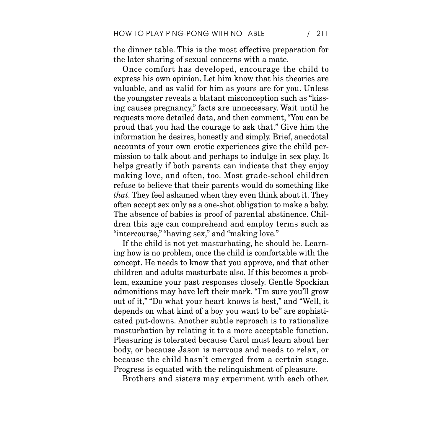the dinner table. This is the most effective preparation for the later sharing of sexual concerns with a mate.

Once comfort has developed, encourage the child to express his own opinion. Let him know that his theories are valuable, and as valid for him as yours are for you. Unless the youngster reveals a blatant misconception such as "kissing causes pregnancy," facts are unnecessary. Wait until he requests more detailed data, and then comment, "You can be proud that you had the courage to ask that." Give him the information he desires, honestly and simply. Brief, anecdotal accounts of your own erotic experiences give the child permission to talk about and perhaps to indulge in sex play. It helps greatly if both parents can indicate that they enjoy making love, and often, too. Most grade-school children refuse to believe that their parents would do something like *that.* They feel ashamed when they even think about it. They often accept sex only as a one-shot obligation to make a baby. The absence of babies is proof of parental abstinence. Children this age can comprehend and employ terms such as "intercourse," "having sex," and "making love."

If the child is not yet masturbating, he should be. Learning how is no problem, once the child is comfortable with the concept. He needs to know that you approve, and that other children and adults masturbate also. If this becomes a problem, examine your past responses closely. Gentle Spockian admonitions may have left their mark. "I'm sure you'll grow out of it," "Do what your heart knows is best," and "Well, it depends on what kind of a boy you want to be" are sophisticated put-downs. Another subtle reproach is to rationalize masturbation by relating it to a more acceptable function. Pleasuring is tolerated because Carol must learn about her body, or because Jason is nervous and needs to relax, or because the child hasn't emerged from a certain stage. Progress is equated with the relinquishment of pleasure.

Brothers and sisters may experiment with each other.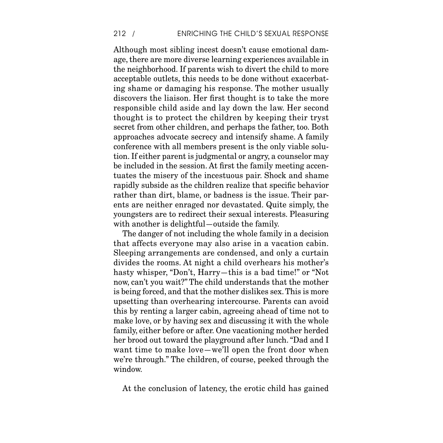Although most sibling incest doesn't cause emotional damage, there are more diverse learning experiences available in the neighborhood. If parents wish to divert the child to more acceptable outlets, this needs to be done without exacerbating shame or damaging his response. The mother usually discovers the liaison. Her first thought is to take the more responsible child aside and lay down the law. Her second thought is to protect the children by keeping their tryst secret from other children, and perhaps the father, too. Both approaches advocate secrecy and intensify shame. A family conference with all members present is the only viable solution. If either parent is judgmental or angry, a counselor may be included in the session. At first the family meeting accentuates the misery of the incestuous pair. Shock and shame rapidly subside as the children realize that specific behavior rather than dirt, blame, or badness is the issue. Their parents are neither enraged nor devastated. Quite simply, the youngsters are to redirect their sexual interests. Pleasuring with another is delightful—outside the family.

The danger of not including the whole family in a decision that affects everyone may also arise in a vacation cabin. Sleeping arrangements are condensed, and only a curtain divides the rooms. At night a child overhears his mother's hasty whisper, "Don't, Harry—this is a bad time!" or "Not now, can't you wait?" The child understands that the mother is being forced, and that the mother dislikes sex. This is more upsetting than overhearing intercourse. Parents can avoid this by renting a larger cabin, agreeing ahead of time not to make love, or by having sex and discussing it with the whole family, either before or after. One vacationing mother herded her brood out toward the playground after lunch. "Dad and I want time to make love—we'll open the front door when we're through." The children, of course, peeked through the window.

At the conclusion of latency, the erotic child has gained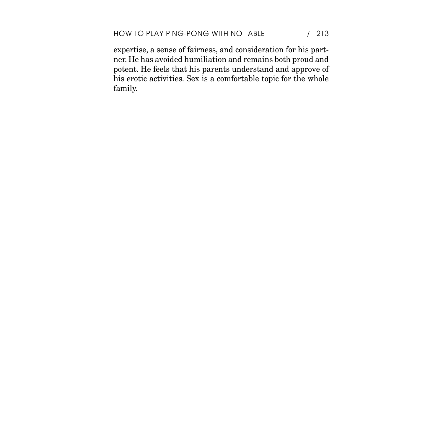expertise, a sense of fairness, and consideration for his partner. He has avoided humiliation and remains both proud and potent. He feels that his parents understand and approve of his erotic activities. Sex is a comfortable topic for the whole family.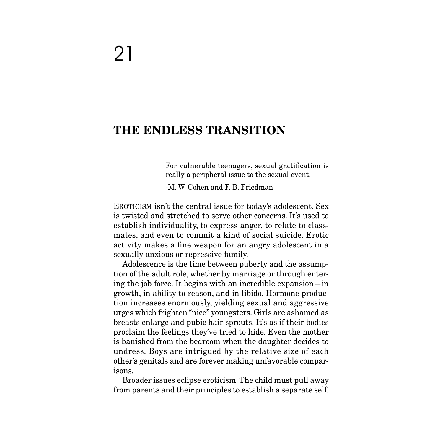## **THE ENDLESS TRANSITION**

For vulnerable teenagers, sexual gratification is really a peripheral issue to the sexual event.

-M. W. Cohen and F. B. Friedman

EROTICISM isn't the central issue for today's adolescent. Sex is twisted and stretched to serve other concerns. It's used to establish individuality, to express anger, to relate to classmates, and even to commit a kind of social suicide. Erotic activity makes a fine weapon for an angry adolescent in a sexually anxious or repressive family.

Adolescence is the time between puberty and the assumption of the adult role, whether by marriage or through entering the job force. It begins with an incredible expansion—in growth, in ability to reason, and in libido. Hormone production increases enormously, yielding sexual and aggressive urges which frighten "nice" youngsters. Girls are ashamed as breasts enlarge and pubic hair sprouts. It's as if their bodies proclaim the feelings they've tried to hide. Even the mother is banished from the bedroom when the daughter decides to undress. Boys are intrigued by the relative size of each other's genitals and are forever making unfavorable comparisons.

Broader issues eclipse eroticism. The child must pull away from parents and their principles to establish a separate self.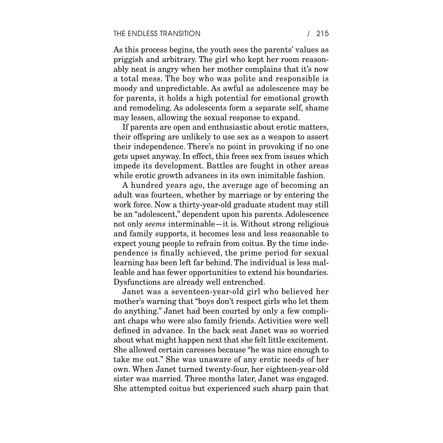As this process begins, the youth sees the parents' values as priggish and arbitrary. The girl who kept her room reasonably neat is angry when her mother complains that it's now a total mess. The boy who was polite and responsible is moody and unpredictable. As awful as adolescence may be for parents, it holds a high potential for emotional growth and remodeling. As adolescents form a separate self, shame may lessen, allowing the sexual response to expand.

If parents are open and enthusiastic about erotic matters, their offspring are unlikely to use sex as a weapon to assert their independence. There's no point in provoking if no one gets upset anyway. In effect, this frees sex from issues which impede its development. Battles are fought in other areas while erotic growth advances in its own inimitable fashion.

A hundred years ago, the average age of becoming an adult was fourteen, whether by marriage or by entering the work force. Now a thirty-year-old graduate student may still be an "adolescent," dependent upon his parents. Adolescence not only *seems* interminable—it is. Without strong religious and family supports, it becomes less and less reasonable to expect young people to refrain from coitus. By the time independence is finally achieved, the prime period for sexual learning has been left far behind. The individual is less malleable and has fewer opportunities to extend his boundaries. Dysfunctions are already well entrenched.

Janet was a seventeen-year-old girl who believed her mother's warning that "boys don't respect girls who let them do anything." Janet had been courted by only a few compliant chaps who were also family friends. Activities were well defined in advance. In the back seat Janet was so worried about what might happen next that she felt little excitement. She allowed certain caresses because "he was nice enough to take me out." She was unaware of any erotic needs of her own. When Janet turned twenty-four, her eighteen-year-old sister was married. Three months later, Janet was engaged. She attempted coitus but experienced such sharp pain that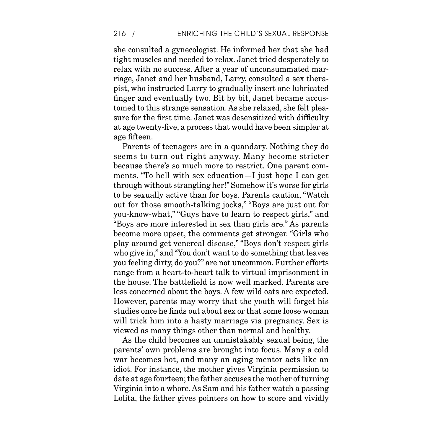she consulted a gynecologist. He informed her that she had tight muscles and needed to relax. Janet tried desperately to relax with no success. After a year of unconsummated marriage, Janet and her husband, Larry, consulted a sex therapist, who instructed Larry to gradually insert one lubricated finger and eventually two. Bit by bit, Janet became accustomed to this strange sensation. As she relaxed, she felt pleasure for the first time. Janet was desensitized with difficulty at age twenty-five, a process that would have been simpler at age fifteen.

Parents of teenagers are in a quandary. Nothing they do seems to turn out right anyway. Many become stricter because there's so much more to restrict. One parent comments, "To hell with sex education—I just hope I can get through without strangling her!" Somehow it's worse for girls to be sexually active than for boys. Parents caution, "Watch out for those smooth-talking jocks," "Boys are just out for you-know-what," "Guys have to learn to respect girls," and "Boys are more interested in sex than girls are." As parents become more upset, the comments get stronger. "Girls who play around get venereal disease," "Boys don't respect girls who give in," and "You don't want to do something that leaves you feeling dirty, do you?" are not uncommon. Further efforts range from a heart-to-heart talk to virtual imprisonment in the house. The battlefield is now well marked. Parents are less concerned about the boys. A few wild oats are expected. However, parents may worry that the youth will forget his studies once he finds out about sex or that some loose woman will trick him into a hasty marriage via pregnancy. Sex is viewed as many things other than normal and healthy.

As the child becomes an unmistakably sexual being, the parents' own problems are brought into focus. Many a cold war becomes hot, and many an aging mentor acts like an idiot. For instance, the mother gives Virginia permission to date at age fourteen; the father accuses the mother of turning Virginia into a whore. As Sam and his father watch a passing Lolita, the father gives pointers on how to score and vividly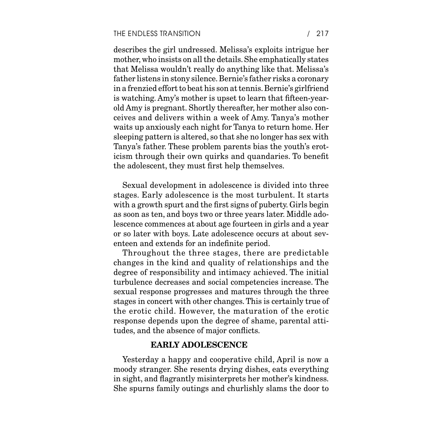describes the girl undressed. Melissa's exploits intrigue her mother, who insists on all the details. She emphatically states that Melissa wouldn't really do anything like that. Melissa's father listens in stony silence. Bernie's father risks a coronary in a frenzied effort to beat his son at tennis. Bernie's girlfriend is watching. Amy's mother is upset to learn that fifteen-yearold Amy is pregnant. Shortly thereafter, her mother also conceives and delivers within a week of Amy. Tanya's mother waits up anxiously each night for Tanya to return home. Her sleeping pattern is altered, so that she no longer has sex with Tanya's father. These problem parents bias the youth's eroticism through their own quirks and quandaries. To benefit the adolescent, they must first help themselves.

Sexual development in adolescence is divided into three stages. Early adolescence is the most turbulent. It starts with a growth spurt and the first signs of puberty. Girls begin as soon as ten, and boys two or three years later. Middle adolescence commences at about age fourteen in girls and a year or so later with boys. Late adolescence occurs at about seventeen and extends for an indefinite period.

Throughout the three stages, there are predictable changes in the kind and quality of relationships and the degree of responsibility and intimacy achieved. The initial turbulence decreases and social competencies increase. The sexual response progresses and matures through the three stages in concert with other changes. This is certainly true of the erotic child. However, the maturation of the erotic response depends upon the degree of shame, parental attitudes, and the absence of major conflicts.

### **EARLY ADOLESCENCE**

Yesterday a happy and cooperative child, April is now a moody stranger. She resents drying dishes, eats everything in sight, and flagrantly misinterprets her mother's kindness. She spurns family outings and churlishly slams the door to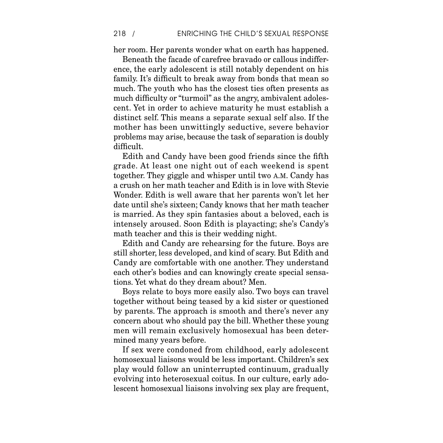her room. Her parents wonder what on earth has happened.

Beneath the facade of carefree bravado or callous indifference, the early adolescent is still notably dependent on his family. It's difficult to break away from bonds that mean so much. The youth who has the closest ties often presents as much difficulty or "turmoil" as the angry, ambivalent adolescent. Yet in order to achieve maturity he must establish a distinct self. This means a separate sexual self also. If the mother has been unwittingly seductive, severe behavior problems may arise, because the task of separation is doubly difficult.

Edith and Candy have been good friends since the fifth grade. At least one night out of each weekend is spent together. They giggle and whisper until two A.M. Candy has a crush on her math teacher and Edith is in love with Stevie Wonder. Edith is well aware that her parents won't let her date until she's sixteen; Candy knows that her math teacher is married. As they spin fantasies about a beloved, each is intensely aroused. Soon Edith is playacting; she's Candy's math teacher and this is their wedding night.

Edith and Candy are rehearsing for the future. Boys are still shorter, less developed, and kind of scary. But Edith and Candy are comfortable with one another. They understand each other's bodies and can knowingly create special sensations. Yet what do they dream about? Men.

Boys relate to boys more easily also. Two boys can travel together without being teased by a kid sister or questioned by parents. The approach is smooth and there's never any concern about who should pay the bill. Whether these young men will remain exclusively homosexual has been determined many years before.

If sex were condoned from childhood, early adolescent homosexual liaisons would be less important. Children's sex play would follow an uninterrupted continuum, gradually evolving into heterosexual coitus. In our culture, early adolescent homosexual liaisons involving sex play are frequent,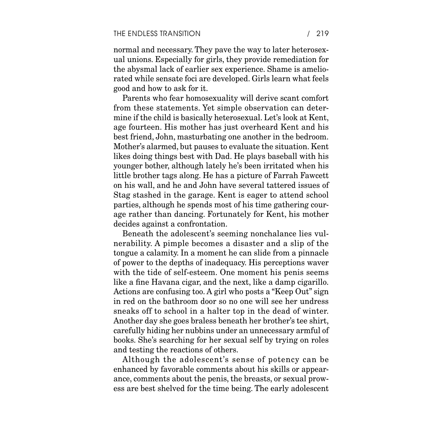normal and necessary. They pave the way to later heterosexual unions. Especially for girls, they provide remediation for the abysmal lack of earlier sex experience. Shame is ameliorated while sensate foci are developed. Girls learn what feels good and how to ask for it.

Parents who fear homosexuality will derive scant comfort from these statements. Yet simple observation can determine if the child is basically heterosexual. Let's look at Kent, age fourteen. His mother has just overheard Kent and his best friend, John, masturbating one another in the bedroom. Mother's alarmed, but pauses to evaluate the situation. Kent likes doing things best with Dad. He plays baseball with his younger bother, although lately he's been irritated when his little brother tags along. He has a picture of Farrah Fawcett on his wall, and he and John have several tattered issues of Stag stashed in the garage. Kent is eager to attend school parties, although he spends most of his time gathering courage rather than dancing. Fortunately for Kent, his mother decides against a confrontation.

Beneath the adolescent's seeming nonchalance lies vulnerability. A pimple becomes a disaster and a slip of the tongue a calamity. In a moment he can slide from a pinnacle of power to the depths of inadequacy. His perceptions waver with the tide of self-esteem. One moment his penis seems like a fine Havana cigar, and the next, like a damp cigarillo. Actions are confusing too. A girl who posts a "Keep Out" sign in red on the bathroom door so no one will see her undress sneaks off to school in a halter top in the dead of winter. Another day she goes braless beneath her brother's tee shirt, carefully hiding her nubbins under an unnecessary armful of books. She's searching for her sexual self by trying on roles and testing the reactions of others.

Although the adolescent's sense of potency can be enhanced by favorable comments about his skills or appearance, comments about the penis, the breasts, or sexual prowess are best shelved for the time being. The early adolescent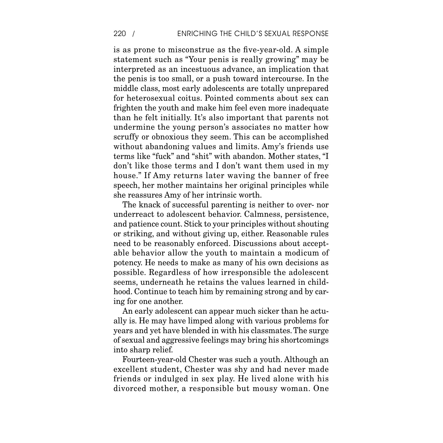is as prone to misconstrue as the five-year-old. A simple statement such as "Your penis is really growing" may be interpreted as an incestuous advance, an implication that the penis is too small, or a push toward intercourse. In the middle class, most early adolescents are totally unprepared for heterosexual coitus. Pointed comments about sex can frighten the youth and make him feel even more inadequate than he felt initially. It's also important that parents not undermine the young person's associates no matter how scruffy or obnoxious they seem. This can be accomplished without abandoning values and limits. Amy's friends use terms like "fuck" and "shit" with abandon. Mother states, "I don't like those terms and I don't want them used in my house." If Amy returns later waving the banner of free speech, her mother maintains her original principles while she reassures Amy of her intrinsic worth.

The knack of successful parenting is neither to over- nor underreact to adolescent behavior. Calmness, persistence, and patience count. Stick to your principles without shouting or striking, and without giving up, either. Reasonable rules need to be reasonably enforced. Discussions about acceptable behavior allow the youth to maintain a modicum of potency. He needs to make as many of his own decisions as possible. Regardless of how irresponsible the adolescent seems, underneath he retains the values learned in childhood. Continue to teach him by remaining strong and by caring for one another.

An early adolescent can appear much sicker than he actually is. He may have limped along with various problems for years and yet have blended in with his classmates. The surge of sexual and aggressive feelings may bring his shortcomings into sharp relief.

Fourteen-year-old Chester was such a youth. Although an excellent student, Chester was shy and had never made friends or indulged in sex play. He lived alone with his divorced mother, a responsible but mousy woman. One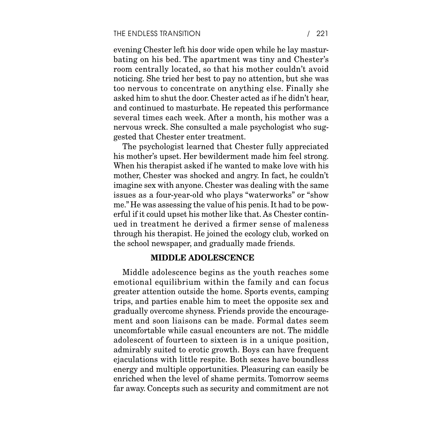evening Chester left his door wide open while he lay masturbating on his bed. The apartment was tiny and Chester's room centrally located, so that his mother couldn't avoid noticing. She tried her best to pay no attention, but she was too nervous to concentrate on anything else. Finally she asked him to shut the door. Chester acted as if he didn't hear, and continued to masturbate. He repeated this performance several times each week. After a month, his mother was a nervous wreck. She consulted a male psychologist who suggested that Chester enter treatment.

The psychologist learned that Chester fully appreciated his mother's upset. Her bewilderment made him feel strong. When his therapist asked if he wanted to make love with his mother, Chester was shocked and angry. In fact, he couldn't imagine sex with anyone. Chester was dealing with the same issues as a four-year-old who plays "waterworks" or "show me." He was assessing the value of his penis. It had to be powerful if it could upset his mother like that. As Chester continued in treatment he derived a firmer sense of maleness through his therapist. He joined the ecology club, worked on the school newspaper, and gradually made friends.

#### **MIDDLE ADOLESCENCE**

Middle adolescence begins as the youth reaches some emotional equilibrium within the family and can focus greater attention outside the home. Sports events, camping trips, and parties enable him to meet the opposite sex and gradually overcome shyness. Friends provide the encouragement and soon liaisons can be made. Formal dates seem uncomfortable while casual encounters are not. The middle adolescent of fourteen to sixteen is in a unique position, admirably suited to erotic growth. Boys can have frequent ejaculations with little respite. Both sexes have boundless energy and multiple opportunities. Pleasuring can easily be enriched when the level of shame permits. Tomorrow seems far away. Concepts such as security and commitment are not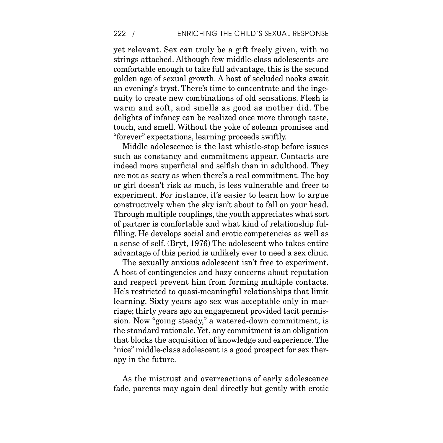yet relevant. Sex can truly be a gift freely given, with no strings attached. Although few middle-class adolescents are comfortable enough to take full advantage, this is the second golden age of sexual growth. A host of secluded nooks await an evening's tryst. There's time to concentrate and the ingenuity to create new combinations of old sensations. Flesh is warm and soft, and smells as good as mother did. The delights of infancy can be realized once more through taste, touch, and smell. Without the yoke of solemn promises and "forever" expectations, learning proceeds swiftly.

Middle adolescence is the last whistle-stop before issues such as constancy and commitment appear. Contacts are indeed more superficial and selfish than in adulthood. They are not as scary as when there's a real commitment. The boy or girl doesn't risk as much, is less vulnerable and freer to experiment. For instance, it's easier to learn how to argue constructively when the sky isn't about to fall on your head. Through multiple couplings, the youth appreciates what sort of partner is comfortable and what kind of relationship fulfilling. He develops social and erotic competencies as well as a sense of self. (Bryt, 1976) The adolescent who takes entire advantage of this period is unlikely ever to need a sex clinic.

The sexually anxious adolescent isn't free to experiment. A host of contingencies and hazy concerns about reputation and respect prevent him from forming multiple contacts. He's restricted to quasi-meaningful relationships that limit learning. Sixty years ago sex was acceptable only in marriage; thirty years ago an engagement provided tacit permission. Now "going steady," a watered-down commitment, is the standard rationale. Yet, any commitment is an obligation that blocks the acquisition of knowledge and experience. The "nice" middle-class adolescent is a good prospect for sex therapy in the future.

As the mistrust and overreactions of early adolescence fade, parents may again deal directly but gently with erotic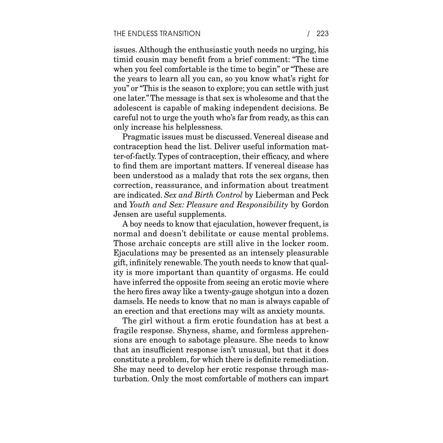issues. Although the enthusiastic youth needs no urging, his timid cousin may benefit from a brief comment: "The time when you feel comfortable is the time to begin" or "These are the years to learn all you can, so you know what's right for you" or "This is the season to explore; you can settle with just one later." The message is that sex is wholesome and that the adolescent is capable of making independent decisions. Be careful not to urge the youth who's far from ready, as this can only increase his helplessness.

Pragmatic issues must be discussed. Venereal disease and contraception head the list. Deliver useful information matter-of-factly. Types of contraception, their efficacy, and where to find them are important matters. If venereal disease has been understood as a malady that rots the sex organs, then correction, reassurance, and information about treatment are indicated. *Sex and Birth Control* by Lieberman and Peck and *Youth and Sex: Pleasure and Responsibility* by Gordon Jensen are useful supplements.

A boy needs to know that ejaculation, however frequent, is normal and doesn't debilitate or cause mental problems. Those archaic concepts are still alive in the locker room. Ejaculations may be presented as an intensely pleasurable gift, infinitely renewable. The youth needs to know that quality is more important than quantity of orgasms. He could have inferred the opposite from seeing an erotic movie where the hero fires away like a twenty-gauge shotgun into a dozen damsels. He needs to know that no man is always capable of an erection and that erections may wilt as anxiety mounts.

The girl without a firm erotic foundation has at best a fragile response. Shyness, shame, and formless apprehensions are enough to sabotage pleasure. She needs to know that an insufficient response isn't unusual, but that it does constitute a problem, for which there is definite remediation. She may need to develop her erotic response through masturbation. Only the most comfortable of mothers can impart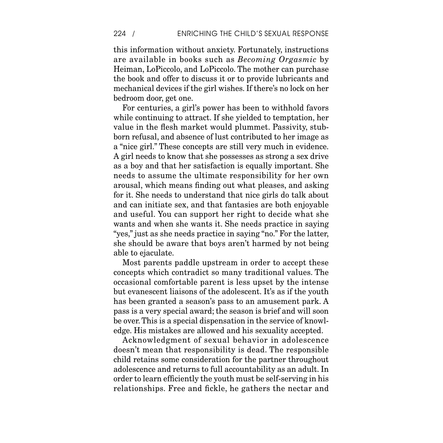this information without anxiety. Fortunately, instructions are available in books such as *Becoming Orgasmic* by Heiman, LoPiccolo, and LoPiccolo. The mother can purchase the book and offer to discuss it or to provide lubricants and mechanical devices if the girl wishes. If there's no lock on her bedroom door, get one.

For centuries, a girl's power has been to withhold favors while continuing to attract. If she yielded to temptation, her value in the flesh market would plummet. Passivity, stubborn refusal, and absence of lust contributed to her image as a "nice girl." These concepts are still very much in evidence. A girl needs to know that she possesses as strong a sex drive as a boy and that her satisfaction is equally important. She needs to assume the ultimate responsibility for her own arousal, which means finding out what pleases, and asking for it. She needs to understand that nice girls do talk about and can initiate sex, and that fantasies are both enjoyable and useful. You can support her right to decide what she wants and when she wants it. She needs practice in saying "yes," just as she needs practice in saying "no." For the latter, she should be aware that boys aren't harmed by not being able to ejaculate.

Most parents paddle upstream in order to accept these concepts which contradict so many traditional values. The occasional comfortable parent is less upset by the intense but evanescent liaisons of the adolescent. It's as if the youth has been granted a season's pass to an amusement park. A pass is a very special award; the season is brief and will soon be over. This is a special dispensation in the service of knowledge. His mistakes are allowed and his sexuality accepted.

Acknowledgment of sexual behavior in adolescence doesn't mean that responsibility is dead. The responsible child retains some consideration for the partner throughout adolescence and returns to full accountability as an adult. In order to learn efficiently the youth must be self-serving in his relationships. Free and fickle, he gathers the nectar and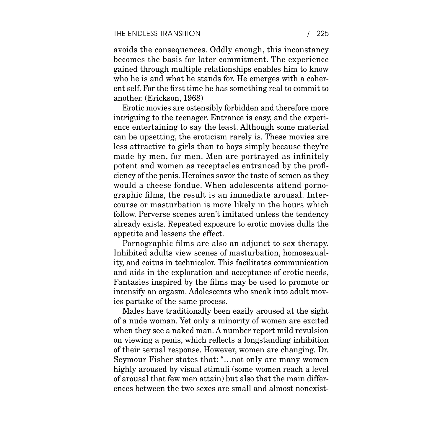avoids the consequences. Oddly enough, this inconstancy becomes the basis for later commitment. The experience gained through multiple relationships enables him to know who he is and what he stands for. He emerges with a coherent self. For the first time he has something real to commit to another. (Erickson, 1968)

Erotic movies are ostensibly forbidden and therefore more intriguing to the teenager. Entrance is easy, and the experience entertaining to say the least. Although some material can be upsetting, the eroticism rarely is. These movies are less attractive to girls than to boys simply because they're made by men, for men. Men are portrayed as infinitely potent and women as receptacles entranced by the proficiency of the penis. Heroines savor the taste of semen as they would a cheese fondue. When adolescents attend pornographic films, the result is an immediate arousal. Intercourse or masturbation is more likely in the hours which follow. Perverse scenes aren't imitated unless the tendency already exists. Repeated exposure to erotic movies dulls the appetite and lessens the effect.

Pornographic films are also an adjunct to sex therapy. Inhibited adults view scenes of masturbation, homosexuality, and coitus in technicolor. This facilitates communication and aids in the exploration and acceptance of erotic needs, Fantasies inspired by the films may be used to promote or intensify an orgasm. Adolescents who sneak into adult movies partake of the same process.

Males have traditionally been easily aroused at the sight of a nude woman. Yet only a minority of women are excited when they see a naked man. A number report mild revulsion on viewing a penis, which reflects a longstanding inhibition of their sexual response. However, women are changing. Dr. Seymour Fisher states that: "…not only are many women highly aroused by visual stimuli (some women reach a level of arousal that few men attain) but also that the main differences between the two sexes are small and almost nonexist-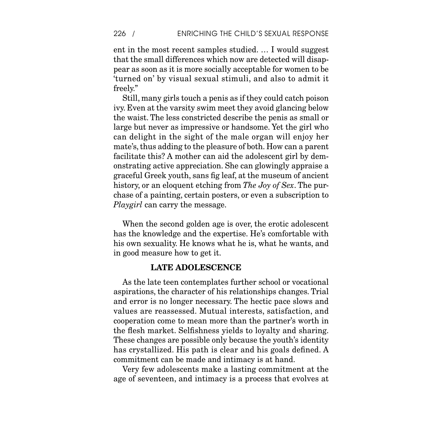ent in the most recent samples studied. … I would suggest that the small differences which now are detected will disappear as soon as it is more socially acceptable for women to be 'turned on' by visual sexual stimuli, and also to admit it freely."

Still, many girls touch a penis as if they could catch poison ivy. Even at the varsity swim meet they avoid glancing below the waist. The less constricted describe the penis as small or large but never as impressive or handsome. Yet the girl who can delight in the sight of the male organ will enjoy her mate's, thus adding to the pleasure of both. How can a parent facilitate this? A mother can aid the adolescent girl by demonstrating active appreciation. She can glowingly appraise a graceful Greek youth, sans fig leaf, at the museum of ancient history, or an eloquent etching from *The Joy of Sex*. The purchase of a painting, certain posters, or even a subscription to *Playgirl* can carry the message.

When the second golden age is over, the erotic adolescent has the knowledge and the expertise. He's comfortable with his own sexuality. He knows what he is, what he wants, and in good measure how to get it.

### **LATE ADOLESCENCE**

As the late teen contemplates further school or vocational aspirations, the character of his relationships changes. Trial and error is no longer necessary. The hectic pace slows and values are reassessed. Mutual interests, satisfaction, and cooperation come to mean more than the partner's worth in the flesh market. Selfishness yields to loyalty and sharing. These changes are possible only because the youth's identity has crystallized. His path is clear and his goals defined. A commitment can be made and intimacy is at hand.

Very few adolescents make a lasting commitment at the age of seventeen, and intimacy is a process that evolves at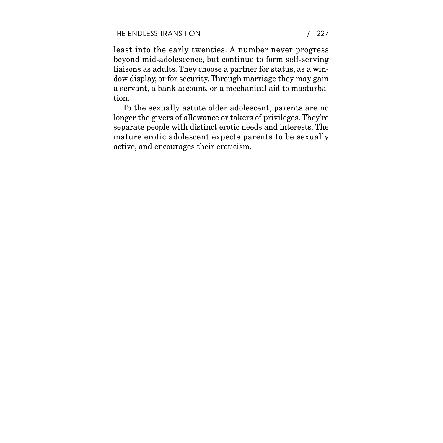least into the early twenties. A number never progress beyond mid-adolescence, but continue to form self-serving liaisons as adults. They choose a partner for status, as a window display, or for security. Through marriage they may gain a servant, a bank account, or a mechanical aid to masturbation.

To the sexually astute older adolescent, parents are no longer the givers of allowance or takers of privileges. They're separate people with distinct erotic needs and interests. The mature erotic adolescent expects parents to be sexually active, and encourages their eroticism.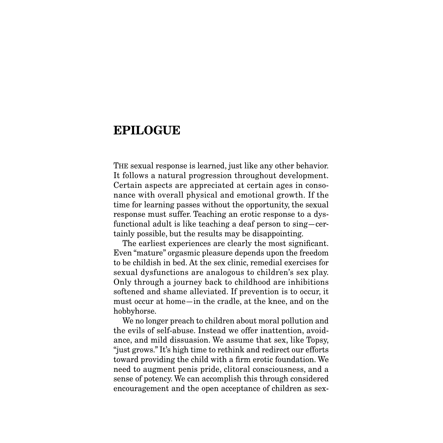# **EPILOGUE**

THE sexual response is learned, just like any other behavior. It follows a natural progression throughout development. Certain aspects are appreciated at certain ages in consonance with overall physical and emotional growth. If the time for learning passes without the opportunity, the sexual response must suffer. Teaching an erotic response to a dysfunctional adult is like teaching a deaf person to sing—certainly possible, but the results may be disappointing.

The earliest experiences are clearly the most significant. Even "mature" orgasmic pleasure depends upon the freedom to be childish in bed. At the sex clinic, remedial exercises for sexual dysfunctions are analogous to children's sex play. Only through a journey back to childhood are inhibitions softened and shame alleviated. If prevention is to occur, it must occur at home—in the cradle, at the knee, and on the hobbyhorse.

We no longer preach to children about moral pollution and the evils of self-abuse. Instead we offer inattention, avoidance, and mild dissuasion. We assume that sex, like Topsy, "just grows." It's high time to rethink and redirect our efforts toward providing the child with a firm erotic foundation. We need to augment penis pride, clitoral consciousness, and a sense of potency. We can accomplish this through considered encouragement and the open acceptance of children as sex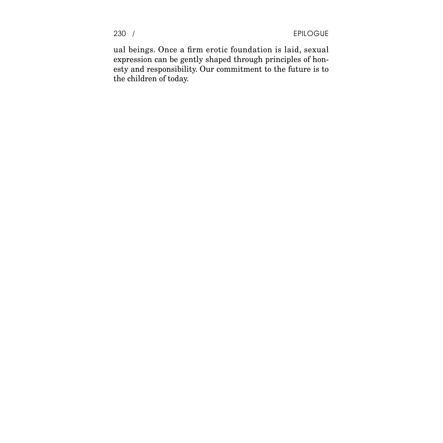ual beings. Once a firm erotic foundation is laid, sexual expression can be gently shaped through principles of honesty and responsibility. Our commitment to the future is to the children of today.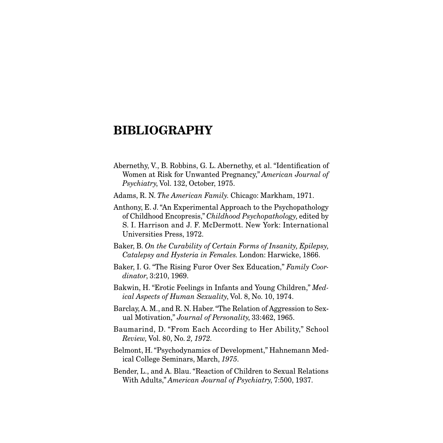## **BIBLIOGRAPHY**

- Abernethy, V., B. Robbins, G. L. Abernethy, et al. "Identification of Women at Risk for Unwanted Pregnancy," *American Journal of Psychiatry*, Vol. 132, October, 1975.
- Adams, R. N. *The American Family.* Chicago: Markham, 1971.
- Anthony, E. J. "An Experimental Approach to the Psychopathology of Childhood Encopresis," *Childhood Psychopathology,* edited by S. I. Harrison and J. F. McDermott. New York: International Universities Press, 1972.
- Baker, B. *On the Curability of Certain Forms of Insanity, Epilepsy, Catalepsy and Hysteria in Females.* London: Harwicke, 1866.
- Baker, I. G. "The Rising Furor Over Sex Education," *Family Coordinator*, 3:210, 1969.
- Bakwin, H. "Erotic Feelings in Infants and Young Children," *Medical Aspects of Human Sexuality*, Vol. 8, No. 10, 1974.
- Barclay, A. M., and R. N. Haber. "The Relation of Aggression to Sexual Motivation," *Journal of Personality*, 33:462, 1965.
- Baumarind, D. "From Each According to Her Ability," School *Review,* Vol. 80, No. *2, 1972.*
- Belmont, H. "Psychodynamics of Development," Hahnemann Medical College Seminars, March, *1975.*
- Bender, L., and A. Blau. "Reaction of Children to Sexual Relations With Adults," *American Journal of Psychiatry*, 7:500, 1937.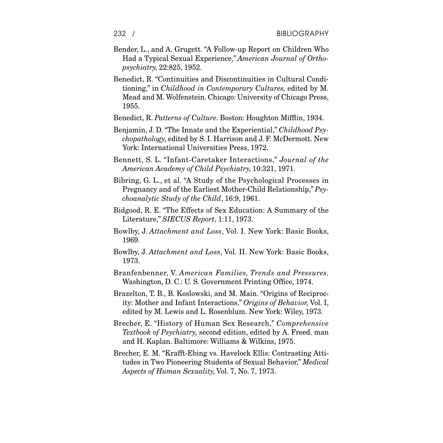- Bender, L., and A. Grugett. "A Follow-up Report on Children Who Had a Typical Sexual Experience," *American Journal of Orthopsychiatry*, 22:825, 1952.
- Benedict, R. "Continuities and Discontinuities in Cultural Conditioning," in *Childhood in Contemporary Cultures,* edited by M. Mead and M. Wolfenstein. Chicago: University of Chicago Press, 1955.
- Benedict, R. *Patterns of Culture.* Boston: Houghton Mifflin, 1934.
- Benjamin, J. D. "The Innate and the Experiential," *Childhood Psychopathology,* edited by S. I. Harrison and J. F. McDermott. New York: International Universities Press, 1972.
- Bennett, S. L. "Infant-Caretaker Interactions," *Journal of the American Academy of Child Psychiatry*, 10:321, 1971.
- Bibring, G. L., et al. "A Study of the Psychological Processes in Pregnancy and of the Earliest Mother-Child Relationship," *Psychoanalytic Study of the Child*, 16:9, 1961.
- Bidgood, R. E. "The Effects of Sex Education: A Summary of the Literature," *SIECUS Report*, 1:11, 1973.
- Bowlby, J. *Attachment and Loss*, Vol. I. New York: Basic Books, 1969.
- Bowlby, J. *Attachment and Loss*, Vol. II. New York: Basic Books, 1973.
- Branfenbenner, V. *American Families, Trends and Pressures.* Washington, D. C.: U. S. Government Printing Office, 1974.
- Brazelton, T. B., B. Koslowski, and M. Main. "Origins of Reciprocity: Mother and Infant Interactions," *Origins of Behavior,* Vol. I, edited by M. Lewis and L. Rosenblum. New York: Wiley, 1973.
- Brecher, E. "History of Human Sex Research," *Comprehensive Textbook of Psychiatry,* second edition, edited by A. Freed. man and H. Kaplan. Baltimore: Williams & Wilkins, 1975.
- Brecher, E. M. "Krafft-Ebing vs. Havelock Ellis: Contrasting Attitudes in Two Pioneering Students of Sexual Behavior," *Medical Aspects of Human Sexuality*, Vol. 7, No. 7, 1973.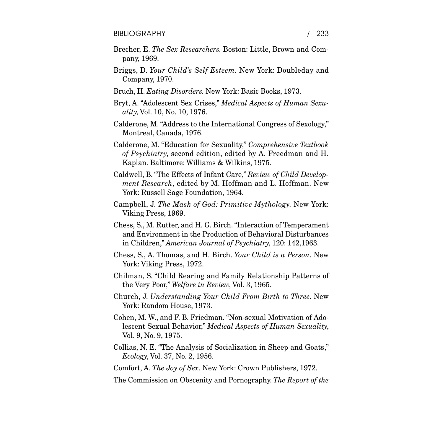- Brecher, E. *The Sex Researchers.* Boston: Little, Brown and Company, 1969.
- Briggs, D. *Your Child's Self Esteem.* New York: Doubleday and Company, 1970.
- Bruch, H. *Eating Disorders.* New York: Basic Books, 1973.
- Bryt, A. "Adolescent Sex Crises," *Medical Aspects of Human Sexuality*, Vol. 10, No. 10, 1976.
- Calderone, M. "Address to the International Congress of Sexology," Montreal, Canada, 1976.
- Calderone, M. "Education for Sexuality," *Comprehensive Textbook of Psychiatry,* second edition, edited by A. Freedman and H. Kaplan. Baltimore: Williams & Wilkins, 1975.
- Caldwell, B. "The Effects of Infant Care," *Review of Child Development Research,* edited by M. Hoffman and L. Hoffman. New York: Russell Sage Foundation, 1964.
- Campbell, J. *The Mask of God: Primitive Mythology.* New York: Viking Press, 1969.
- Chess, S., M. Rutter, and H. G. Birch. "Interaction of Temperament and Environment in the Production of Behavioral Disturbances in Children," *American Journal of Psychiatry*, 120: 142,1963.
- Chess, S., A. Thomas, and H. Birch. *Your Child is a Person.* New York: Viking Press, 1972.
- Chilman, S. "Child Rearing and Family Relationship Patterns of the Very Poor," *Welfare in Review*, Vol. 3, 1965.
- Church, J. *Understanding Your Child From Birth to Three.* New York: Random House, 1973.
- Cohen, M. W., and F. B. Friedman. "Non-sexual Motivation of Adolescent Sexual Behavior," *Medical Aspects of Human Sexuality*, Vol. 9, No. 9, 1975.
- Collias, N. E. "The Analysis of Socialization in Sheep and Goats," *Ecology*, Vol. 37, No. 2, 1956.
- Comfort, A. *The Joy of Sex.* New York: Crown Publishers, 1972.

The Commission on Obscenity and Pornography. *The Report of the*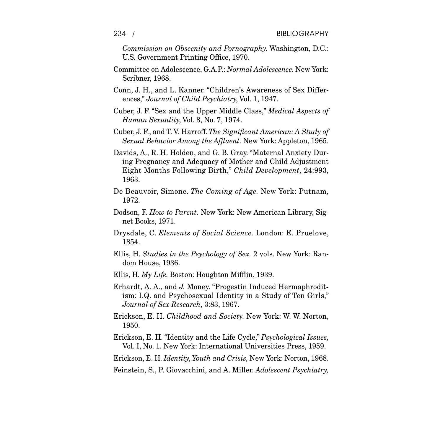*Commission on Obscenity and Pornography.* Washington, D.C.: U.S. Government Printing Office, 1970.

- Committee on Adolescence, G.A.P.: *Normal Adolescence.* New York: Scribner, 1968.
- Conn, J. H., and L. Kanner. "Children's Awareness of Sex Differences," *Journal of Child Psychiatry*, Vol. 1, 1947.
- Cuber, J. F. "Sex and the Upper Middle Class," *Medical Aspects of Human Sexuality*, Vol. 8, No. 7, 1974.
- Cuber, J. F., and T. V. Harroff. *The Significant American: A Study of Sexual Behavior Among the Affluent.* New York: Appleton, 1965.
- Davids, A., R. H. Holden, and G. B. Gray. "Maternal Anxiety During Pregnancy and Adequacy of Mother and Child Adjustment Eight Months Following Birth," *Child Development,* 24:993, 1963.
- De Beauvoir, Simone. *The Coming of Age.* New York: Putnam, 1972.
- Dodson, F. *How to Parent.* New York: New American Library, Signet Books, 1971.
- Drysdale, C. *Elements of Social Science.* London: E. Pruelove, 1854.
- Ellis, H. *Studies in the Psychology of Sex.* 2 vols. New York: Random House, 1936.
- Ellis, H*. My Life.* Boston: Houghton Mifflin, 1939.
- Erhardt, A. A., and *J.* Money. "Progestin Induced Hermaphroditism: I.Q. and Psychosexual Identity in a Study of Ten Girls," *Journal of Sex Research,* 3:83, 1967.
- Erickson, E. H. *Childhood and Society.* New York: W. W. Norton, 1950.
- Erickson, E. H. "Identity and the Life Cycle," *Psychological Issues,* Vol. I, No. 1. New York: International Universities Press, 1959.

Erickson, E. H*. Identity, Youth and Crisis,* New York: Norton, 1968.

Feinstein, S., P. Giovacchini, and A. Miller. *Adolescent Psychiatry,*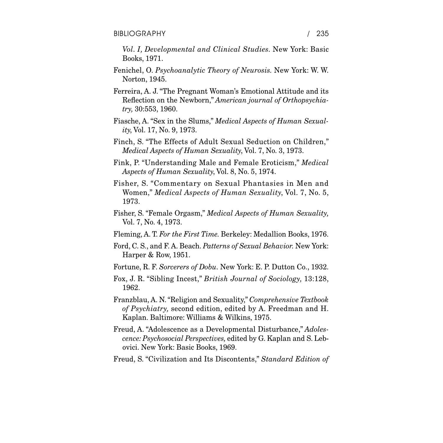*Vol. I, Developmental and Clinical Studies.* New York: Basic Books, 1971.

- Fenichel, O. *Psychoanalytic Theory of Neurosis.* New York: W. W. Norton, 1945.
- Ferreira, A. J. "The Pregnant Woman's Emotional Attitude and its Reflection on the Newborn," *American journal of Orthopsychiatry,* 30:553, 1960.
- Fiasche, A. "Sex in the Slums," *Medical Aspects of Human Sexuality*, Vol. 17, No. 9, 1973.
- Finch, S. "The Effects of Adult Sexual Seduction on Children," *Medical Aspects of Human Sexuality*, Vol. 7, No. 3, 1973.
- Fink, P. "Understanding Male and Female Eroticism," *Medical Aspects of Human Sexuality*, Vol. 8, No. 5, 1974.
- Fisher, S. "Commentary on Sexual Phantasies in Men and Women," *Medical Aspects of Human Sexuality*, Vol. 7, No. 5, 1973.
- Fisher, S. "Female Orgasm," *Medical Aspects of Human Sexuality,* Vol. 7, No. 4, 1973.
- Fleming, A. T. *For the First Time.* Berkeley: Medallion Books, 1976.
- Ford, C. S., and F. A. Beach. *Patterns of Sexual Behavior.* New York: Harper & Row, 1951.
- Fortune, R. F. *Sorcerers of Dobu.* New York: E. P. Dutton Co., 1932.
- Fox, J. R. "Sibling Incest," *British Journal of Sociology,* 13:128, 1962.
- Franzblau, A. N. "Religion and Sexuality," *Comprehensive Textbook of Psychiatry,* second edition, edited by A. Freedman and H. Kaplan. Baltimore: Williams & Wilkins, 1975.
- Freud, A. "Adolescence as a Developmental Disturbance," *Adolescence: Psychosocial Perspectives,* edited by G. Kaplan and S. Lebovici. New York: Basic Books, 1969.
- Freud, S. "Civilization and Its Discontents," *Standard Edition of*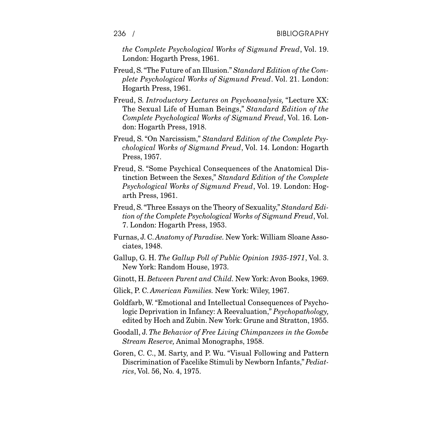*the Complete Psychological Works of Sigmund Freud*, Vol. 19. London: Hogarth Press, 1961.

- Freud, S. "The Future of an Illusion." *Standard Edition of the Complete Psychological Works of Sigmund Freud*. Vol. 21. London: Hogarth Press, 1961.
- Freud, S*. Introductory Lectures on Psychoanalysis,* "Lecture XX: The Sexual Life of Human Beings," *Standard Edition of the Complete Psychological Works of Sigmund Freud*, Vol. 16. London: Hogarth Press, 1918.
- Freud, S. "On Narcissism," *Standard Edition of the Complete Psychological Works of Sigmund Freud*, Vol. 14. London: Hogarth Press, 1957.
- Freud, S. "Some Psychical Consequences of the Anatomical Distinction Between the Sexes," *Standard Edition of the Complete Psychological Works of Sigmund Freud*, Vol. 19. London: Hogarth Press, 1961.
- Freud, S. "Three Essays on the Theory of Sexuality," *Standard Edition of the Complete Psychological Works of Sigmund Freud*, Vol. 7. London: Hogarth Press, 1953.
- Furnas, J. C. *Anatomy of Paradise.* New York: William Sloane Associates, 1948.
- Gallup, G. H. *The Gallup Poll of Public Opinion 1935-1971*, Vol. 3. New York: Random House, 1973.
- Ginott, H. *Between Parent and Child.* New York: Avon Books, 1969.
- Glick, P. C. *American Families.* New York: Wiley, 1967.
- Goldfarb, W. "Emotional and Intellectual Consequences of Psychologic Deprivation in Infancy: A Reevaluation," *Psychopathology,* edited by Hoch and Zubin. New York: Grune and Stratton, 1955.
- Goodall, J. *The Behavior of Free Living Chimpanzees in the Gombe Stream Reserve,* Animal Monographs, 1958.
- Goren, C. C., M. Sarty, and P. Wu. "Visual Following and Pattern Discrimination of Facelike Stimuli by Newborn Infants," *Pediatrics*, Vol. 56, No. 4, 1975.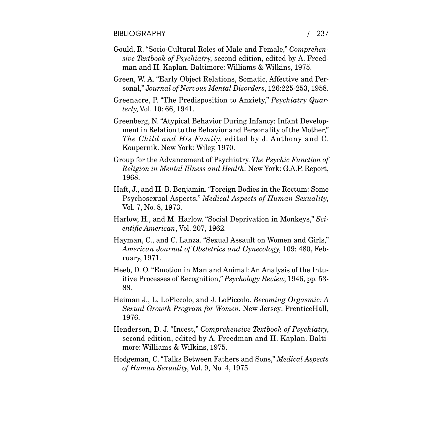- Gould, R. "Socio-Cultural Roles of Male and Female," *Comprehensive Textbook of Psychiatry,* second edition, edited by A. Freedman and H. Kaplan. Baltimore: Williams & Wilkins, 1975.
- Green, W. A. "Early Object Relations, Somatic, Affective and Personal," J*ournal of Nervous Mental Disorders*, 126:225-253, 1958.
- Greenacre, P. "The Predisposition to Anxiety," *Psychiatry Quarterly*, Vol. 10: 66, 1941.
- Greenberg, N. "Atypical Behavior During Infancy: Infant Development in Relation to the Behavior and Personality of the Mother," *The Child and His Family,* edited by J. Anthony and C. Koupernik. New York: Wiley, 1970.
- Group for the Advancement of Psychiatry. *The Psychic Function of Religion in Mental Illness and Health.* New York: G.A.P. Report, 1968.
- Haft, J., and H. B. Benjamin. "Foreign Bodies in the Rectum: Some Psychosexual Aspects," *Medical Aspects of Human Sexuality,* Vol. 7, No. 8, 1973.
- Harlow, H., and M. Harlow. "Social Deprivation in Monkeys," *Scientific American*, Vol. 207, 1962.
- Hayman, C., and C. Lanza. "Sexual Assault on Women and Girls," *American Journal of Obstetrics and Gynecology*, 109: 480, February, 1971.
- Heeb, D. O. "Emotion in Man and Animal: An Analysis of the Intuitive Processes of Recognition," *Psychology Review*, 1946, pp. 53- 88.
- Heiman J., L. LoPiccolo, and J. LoPiccolo. *Becoming Orgasmic: A Sexual Growth Program for Women.* New Jersey: PrenticeHall, 1976.
- Henderson, D. J. "Incest," *Comprehensive Textbook of Psychiatry*, second edition, edited by A. Freedman and H. Kaplan. Baltimore: Williams & Wilkins, 1975.
- Hodgeman, C. "Talks Between Fathers and Sons," *Medical Aspects of Human Sexuality*, Vol. 9, No. 4, 1975.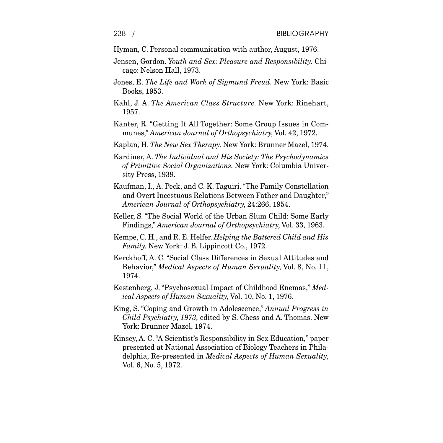- Hyman, C. Personal communication with author, August, 1976.
- Jensen, Gordon. *Youth and Sex: Pleasure and Responsibility.* Chicago: Nelson Hall, 1973.
- Jones, E. *The Life and Work of Sigmund Freud.* New York: Basic Books, 1953.
- Kahl, J. A. *The American Class Structure.* New York: Rinehart, 1957.
- Kanter, R. "Getting It All Together: Some Group Issues in Communes," *American Journal of Orthopsychiatry*, Vol. 42, 1972.
- Kaplan, H. *The New Sex Therapy.* New York: Brunner Mazel, 1974.
- Kardiner, A. *The Individual and His Society: The Psychodynamics of Primitive Social Organizations.* New York: Columbia University Press, 1939.
- Kaufman, I., A. Peck, and C. K. Taguiri. "The Family Constellation and Overt Incestuous Relations Between Father and Daughter," *American Journal of Orthopsychiatry,* 24:266, 1954.
- Keller, S. "The Social World of the Urban Slum Child: Some Early Findings," *American Journal of Orthopsychiatry*, Vol. 33, 1963.
- Kempe, C. H., and R. E. Helfer. *Helping the Battered Child and His Family.* New York: J. B. Lippincott Co., 1972.
- Kerckhoff, A. C. "Social Class Differences in Sexual Attitudes and Behavior," *Medical Aspects of Human Sexuality*, Vol. 8, No. 11, 1974.
- Kestenberg, J. "Psychosexual Impact of Childhood Enemas," *Medical Aspects of Human Sexuality*, Vol. 10, No. 1, 1976.
- King, S. "Coping and Growth in Adolescence," *Annual Progress in Child Psychiatry, 1973,* edited by S. Chess and A. Thomas. New York: Brunner Mazel, 1974.
- Kinsey, A. C. "A Scientist's Responsibility in Sex Education," paper presented at National Association of Biology Teachers in Philadelphia, Re-presented in *Medical Aspects of Human Sexuality,* Vol. 6, No. 5, 1972.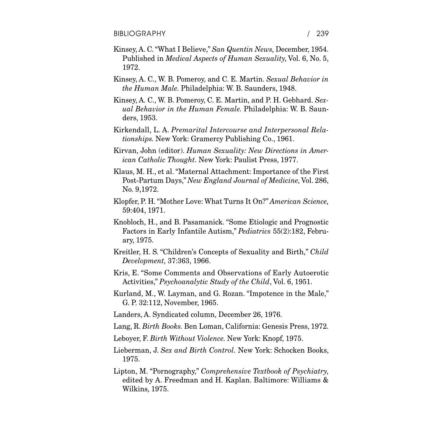- Kinsey, A. C. "What I Believe," *San Quentin News,* December, 1954. Published in *Medical Aspects of Human Sexuality*, Vol. 6, No. 5, 1972.
- Kinsey, A. C., W. B. Pomeroy, and C. E. Martin. *Sexual Behavior in the Human Male.* Philadelphia: W. B. Saunders, 1948.
- Kinsey, A. C., W. B. Pomeroy, C. E. Martin, and P. H. Gebhard. *Sexual Behavior in the Human Female.* Philadelphia: W. B. Saunders, 1953.
- Kirkendall, L. A. *Premarital Intercourse and Interpersonal Relationships.* New York: Gramercy Publishing Co., 1961.
- Kirvan, John (editor). *Human Sexuality: New Directions in American Catholic Thought.* New York: Paulist Press, 1977.
- Klaus, M. H., et al. "Maternal Attachment: Importance of the First Post-Partum Days," *New England Journal of Medicine,* Vol. 286, No. 9,1972.
- Klopfer, P. H. "Mother Love: What Turns It On?" *American Science,* 59:404, 1971.
- Knobloch, H., and B. Pasamanick. "Some Etiologic and Prognostic Factors in Early Infantile Autism," *Pediatrics* 55(2):182, February, 1975.
- Kreitler, H. S. "Children's Concepts of Sexuality and Birth," *Child Development,* 37:363, 1966.
- Kris, E. "Some Comments and Observations of Early Autoerotic Activities," *Psychoanalytic Study of the Child*, Vol. 6, 1951.
- Kurland, M., W. Layman, and G. Rozan. "Impotence in the Male," G. P. 32:112, November, 1965.
- Landers, A. Syndicated column, December 26, 1976.
- Lang, R. *Birth Books.* Ben Loman, California: Genesis Press, 1972.
- Leboyer, F. *Birth Without Violence.* New York: Knopf, 1975.
- Lieberman, J. *Sex and Birth Control.* New York: Schocken Books, 1975.
- Lipton, M. "Pornography," *Comprehensive Textbook of Psychiatry,* edited by A. Freedman and H. Kaplan. Baltimore: Williams & Wilkins, 1975.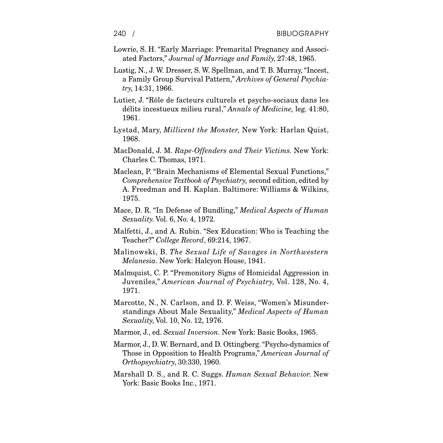- Lowrie, S. H. "Early Marriage: Premarital Pregnancy and Associated Factors," *Journal of Marriage and Family*, 27:48, 1965.
- Lustig, N., J. W. Dresser, S. W. Spellman, and T. B. Murray, "Incest, a Family Group Survival Pattern," *Archives of General Psychiatry*, 14:31, 1966.
- Lutier, J. "Rôle de facteurs culturels et psycho-sociaux dans les délits incestueux milieu rural," *Annals of Medicine,* leg. 41:80, 1961.
- Lystad, Mary, *Millicent the Monster,* New York: Harlan Quist, 1968.
- MacDonald, J. M. *Rape-Offenders and Their Victims.* New York: Charles C. Thomas, 1971.
- Maclean, P. "Brain Mechanisms of Elemental Sexual Functions," *Comprehensive Textbook of Psychiatry,* second edition, edited by A. Freedman and H. Kaplan. Baltimore: Williams & Wilkins, 1975.
- Mace, D. R. "In Defense of Bundling," *Medical Aspects of Human Sexuality*. Vol. 6, No. 4, 1972.
- Malfetti, J., and A. Rubin. "Sex Education: Who is Teaching the Teacher?" *College Record*, 69:214, 1967.
- Malinowski, B. *The Sexual Life of Savages in Northwestern Melanesia.* New York: Halcyon House, 1941.
- Malmquist, C. P. "Premonitory Signs of Homicidal Aggression in Juveniles," *American Journal of Psychiatry,* Vol. 128, No. 4, 1971.
- Marcotte, N., N. Carlson, and D. F. Weiss, "Women's Misunderstandings About Male Sexuality," *Medical Aspects of Human Sexuality*, Vol. 10, No. 12, 1976.
- Marmor, J., ed. *Sexual Inversion.* New York: Basic Books, 1965.
- Marmor, J., D. W. Bernard, and D. Ottingberg. "Psycho-dynamics of Those in Opposition to Health Programs," *American Journal of Orthopsychiatry*, 30:330, 1960.
- Marshall D. S., and R. C. Suggs. *Human Sexual Behavior.* New York: Basic Books Inc., 1971.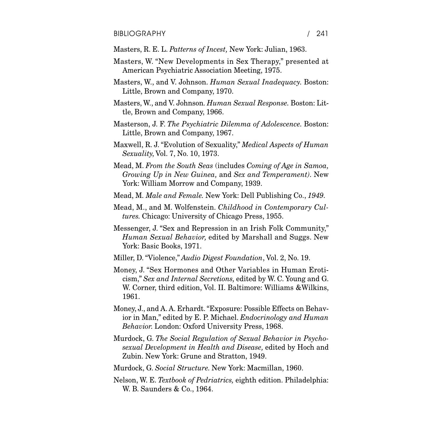- Masters, R. E. L. *Patterns of Incest,* New York: Julian, 1963.
- Masters, W. "New Developments in Sex Therapy," presented at American Psychiatric Association Meeting, 1975.
- Masters, W., and V. Johnson. *Human Sexual Inadequacy.* Boston: Little, Brown and Company, 1970.
- Masters, W., and V. Johnson*. Human Sexual Response.* Boston: Little, Brown and Company, 1966.
- Masterson, J. F. *The Psychiatric Dilemma of Adolescence.* Boston: Little, Brown and Company, 1967.
- Maxwell, R. J. "Evolution of Sexuality," *Medical Aspects of Human Sexuality*, Vol. 7, No. 10, 1973.
- Mead, M. *From the South Seas* (includes *Coming of Age in Samoa, Growing Up in New Guinea,* and *Sex and Temperament).* New York: William Morrow and Company, 1939.
- Mead, M*. Male and Female.* New York: Dell Publishing Co., *1949.*
- Mead, M., and M. Wolfenstein. *Childhood in Contemporary Cultures.* Chicago: University of Chicago Press, 1955.
- Messenger, J. "Sex and Repression in an Irish Folk Community," *Human Sexual Behavior,* edited by Marshall and Suggs. New York: Basic Books, 1971.
- Miller, D. "Violence," *Audio Digest Foundation*, Vol. 2, No. 19.
- Money, J. "Sex Hormones and Other Variables in Human Eroticism," *Sex and Internal Secretions,* edited by W. C. Young and G. W. Corner, third edition, Vol. II. Baltimore: Williams &Wilkins, 1961.
- Money, J., and A. A. Erhardt. "Exposure: Possible Effects on Behavior in Man," edited by E. P. Michael. *Endocrinology and Human Behavior.* London: Oxford University Press, 1968.
- Murdock, G. *The Social Regulation of Sexual Behavior in Psychosexual Development in Health and Disease,* edited by Hoch and Zubin. New York: Grune and Stratton, 1949.
- Murdock, G. *Social Structure.* New York: Macmillan, 1960.
- Nelson, W. E. *Textbook of Pedriatrics,* eighth edition. Philadelphia: W. B. Saunders & Co., 1964.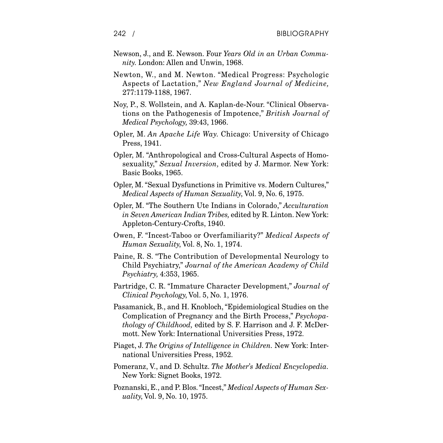- Newson, J., and E. Newson. Four *Years Old in an Urban Community.* London: Allen and Unwin, 1968.
- Newton, W., and M. Newton. "Medical Progress: Psychologic Aspects of Lactation," *New England Journal of Medicine,* 277:1179-1188, 1967.
- Noy, P., S. Wollstein, and A. Kaplan-de-Nour. "Clinical Observations on the Pathogenesis of Impotence," *British Journal of Medical Psychology,* 39:43, 1966.
- Opler, M. *An Apache Life Way.* Chicago: University of Chicago Press, 1941.
- Opler, M. "Anthropological and Cross-Cultural Aspects of Homosexuality," *Sexual Inversion,* edited by J. Marmor. New York: Basic Books, 1965.
- Opler, M. "Sexual Dysfunctions in Primitive vs. Modern Cultures," *Medical Aspects of Human Sexuality*, Vol. 9, No. 6, 1975.
- Opler, M. "The Southern Ute Indians in Colorado," *Acculturation in Seven American Indian Tribes,* edited by R. Linton. New York: Appleton-Century-Crofts, 1940.
- Owen, F. "Incest-Taboo or Overfamiliarity?" *Medical Aspects of Human Sexuality*, Vol. 8, No. 1, 1974.
- Paine, R. S. "The Contribution of Developmental Neurology to Child Psychiatry," *Journal of the American Academy of Child Psychiatry,* 4:353, 1965.
- Partridge, C. R. "Immature Character Development," *Journal of Clinical Psychology*, Vol. 5, No. 1, 1976.
- Pasamanick, B., and H. Knobloch, "Epidemiological Studies on the Complication of Pregnancy and the Birth Process," *Psychopathology of Childhood,* edited by S. F. Harrison and J. F. McDermott. New York: International Universities Press, 1972.
- Piaget, J. *The Origins of Intelligence in Children.* New York: International Universities Press, 1952.
- Pomeranz, V., and D. Schultz. *The Mother's Medical Encyclopedia.* New York: Signet Books, 1972.
- Poznanski, E., and P. Blos. "Incest," *Medical Aspects of Human Sexuality*, Vol. 9, No. 10, 1975.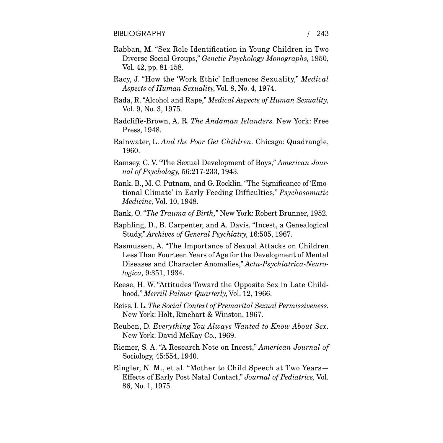- Rabban, M. "Sex Role Identification in Young Children in Two Diverse Social Groups," *Genetic Psychology Monographs,* 1950, Vol. 42, pp. 81-158.
- Racy, J. "How the 'Work Ethic' Influences Sexuality," *Medical Aspects of Human Sexuality*, Vol. 8, No. 4, 1974.
- Rada, R. "Alcohol and Rape," *Medical Aspects of Human Sexuality,* Vol. 9, No. 3, 1975.
- Radcliffe-Brown, A. R. *The Andaman Islanders.* New York: Free Press, 1948.
- Rainwater, L. *And the Poor Get Children.* Chicago: Quadrangle, 1960.
- Ramsey, C. V. "The Sexual Development of Boys," *American Journal of Psychology,* 56:217-233, 1943.
- Rank, B., M. C. Putnam, and G. Rocklin. "The Significance of 'Emotional Climate' in Early Feeding Difficulties," *Psychosomatic Medicine*, Vol. 10, 1948.
- Rank, O. "*The Trauma of Birth,"* New York: Robert Brunner, 1952.
- Raphling, D., B. Carpenter, and A. Davis. "Incest, a Genealogical Study," *Archives of General Psychiatry,* 16:505, 1967.
- Rasmussen, A. "The Importance of Sexual Attacks on Children Less Than Fourteen Years of Age for the Development of Mental Diseases and Character Anomalies," *Actu-Psychiatrica-Neurologica,* 9:351, 1934.
- Reese, H. W. "Attitudes Toward the Opposite Sex in Late Childhood," *Merrill Palmer Quarterly*, Vol. 12, 1966.
- Reiss, I. L. *The Social Context of Premarital Sexual Permissiveness.* New York: Holt, Rinehart & Winston, 1967.
- Reuben, D. *Everything You Always Wanted to Know About Sex.* New York: David McKay Co., 1969.
- Riemer, S. A. "A Research Note on Incest," *American Journal of* Sociology, 45:554, 1940.
- Ringler, N. M., et al. "Mother to Child Speech at Two Years— Effects of Early Post Natal Contact," *Journal of Pediatrics,* Vol. 86, No. 1, 1975.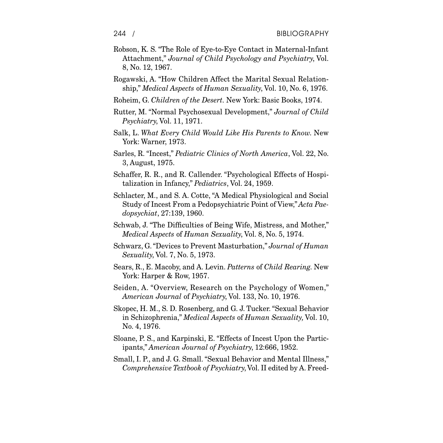- Robson, K. S. "The Role of Eye-to-Eye Contact in Maternal-Infant Attachment," *Journal of Child Psychology and Psychiatry*, Vol. 8, No. 12, 1967.
- Rogawski, A. "How Children Affect the Marital Sexual Relationship," *Medical Aspects* of *Human Sexuality*, Vol. 10, No. 6, 1976.
- Roheim, G. *Children of the Desert.* New York: Basic Books, 1974.
- Rutter, M. "Normal Psychosexual Development," *Journal of Child Psychiatry*, Vol. 11, 1971.
- Salk, L. *What Every Child Would Like His Parents to Know.* New York: Warner, 1973.
- Sarles, R. "Incest," *Pediatric Clinics of North America*, Vol. 22, No. 3, August, 1975.
- Schaffer, R. R., and R. Callender. "Psychological Effects of Hospitalization in Infancy," *Pediatrics*, Vol. 24, 1959.
- Schlacter, M., and S. A. Cotte, "A Medical Physiological and Social Study of Incest From a Pedopsychiatric Point of View," *Acta Paedopsychiat*, 27:139, 1960.
- Schwab, J. "The Difficulties of Being Wife, Mistress, and Mother," *Medical Aspects* of *Human Sexuality*, Vol. 8, No. 5, 1974.
- Schwarz, G. "Devices to Prevent Masturbation," *Journal of Human Sexuality*, Vol. 7, No. 5, 1973.
- Sears, R., E. Macoby, and A. Levin. *Patterns* of *Child Rearing.* New York: Harper & Row, 1957.
- Seiden, A. "Overview, Research on the Psychology of Women," *American Journal* of *Psychiatry*, Vol. 133, No. 10, 1976.
- Skopec, H. M., S. D. Rosenberg, and G. J. Tucker. "Sexual Behavior in Schizophrenia," *Medical Aspects* of *Human Sexuality,* Vol. 10, No. 4, 1976.
- Sloane, P. S., and Karpinski, E. "Effects of Incest Upon the Participants," *American Journal of Psychiatry*, 12:666, 1952.
- Small, I. P., and J. G. Small. "Sexual Behavior and Mental Illness," *Comprehensive Textbook of Psychiatry*, Vol. II edited by A. Freed-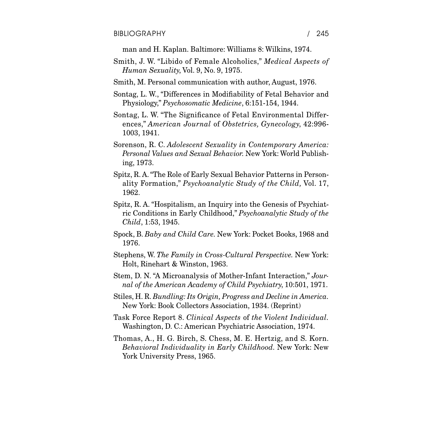man and H. Kaplan. Baltimore: Williams 8: Wilkins, 1974.

- Smith, J. W. "Libido of Female Alcoholics," *Medical Aspects of Human Sexuality*, Vol. 9, No. 9, 1975.
- Smith, M. Personal communication with author, August, 1976.
- Sontag, L. W., "Differences in Modifiability of Fetal Behavior and Physiology," *Psychosomatic Medicine*, 6:151-154, 1944.
- Sontag, L. W. "The Significance of Fetal Environmental Differences," *American Journal* of *Obstetrics, Gynecology*, 42:996- 1003, 1941.
- Sorenson, R. C. *Adolescent Sexuality in Contemporary America: Personal Values and Sexual Behavior.* New York: World Publishing, 1973.
- Spitz, R. A. "The Role of Early Sexual Behavior Patterns in Personality Formation," *Psychoanalytic Study of the Child,* Vol. 17, 1962.
- Spitz, R. A. "Hospitalism, an Inquiry into the Genesis of Psychiatric Conditions in Early Childhood," *Psychoanalytic Study of the Child*, 1:53, 1945.
- Spock, B. *Baby and Child Care.* New York: Pocket Books, 1968 and 1976.
- Stephens, W. *The Family in Cross-Cultural Perspective.* New York: Holt, Rinehart & Winston, 1963.
- Stem, D. N. "A Microanalysis of Mother-Infant Interaction," *Journal of the American Academy of Child Psychiatry*, 10:501, 1971.
- Stiles, H. R. *Bundling: Its Origin, Progress and Decline in America.* New York: Book Collectors Association, 1934. (Reprint)
- Task Force Report 8. *Clinical Aspects* of *the Violent Individual.* Washington, D. C.: American Psychiatric Association, 1974.
- Thomas, A., H. G. Birch, S. Chess, M. E. Hertzig, and S. Korn. *Behavioral Individuality in Early Childhood.* New York: New York University Press, 1965.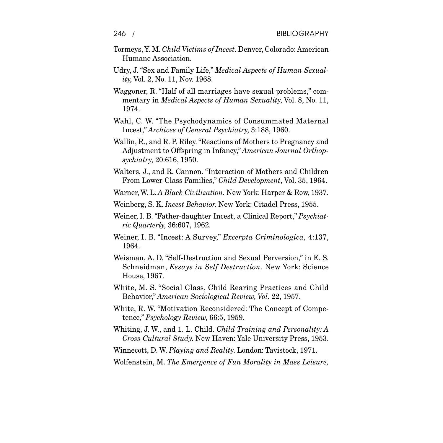- Tormeys, Y. M. *Child Victims of Incest.* Denver, Colorado: American Humane Association.
- Udry, J. "Sex and Family Life," *Medical Aspects of Human Sexuality*, Vol. 2, No. 11, Nov. 1968.
- Waggoner, R. "Half of all marriages have sexual problems," commentary in *Medical Aspects of Human Sexuality*, Vol. 8, No. 11, 1974.
- Wahl, C. W. "The Psychodynamics of Consummated Maternal Incest," *Archives of General Psychiatry,* 3:188, 1960.
- Wallin, R., and R. P. Riley. "Reactions of Mothers to Pregnancy and Adjustment to Offspring in Infancy," *American Journal Orthopsychiatry,* 20:616, 1950.
- Walters, J., and R. Cannon. "Interaction of Mothers and Children From Lower-Class Families," *Child Development*, Vol. 35, 1964.
- Warner, W. L. *A Black Civilization.* New York: Harper & Row, 1937.
- Weinberg, S. K. *Incest Behavior.* New York: Citadel Press, 1955.
- Weiner, I. B. "Father-daughter Incest, a Clinical Report," *Psychiatric Quarterly,* 36:607, 1962.
- Weiner, I. B. "Incest: A Survey," *Excerpta Criminologica,* 4:137, 1964.
- Weisman, A. D. "Self-Destruction and Sexual Perversion," in E. S. Schneidman, *Essays in Self Destruction.* New York: Science House, 1967.
- White, M. S. "Social Class, Child Rearing Practices and Child Behavior," *American Sociological Review, Vol.* 22, 1957.
- White, R. W. "Motivation Reconsidered: The Concept of Competence," *Psychology Review,* 66:5, 1959.
- Whiting, J. W., and 1. L. Child. *Child Training and Personality: A Cross-Cultural Study.* New Haven: Yale University Press, 1953.
- Winnecott, D. W. *Playing and Reality.* London: Tavistock, 1971.
- Wolfenstein, M. *The Emergence of Fun Morality in Mass Leisure,*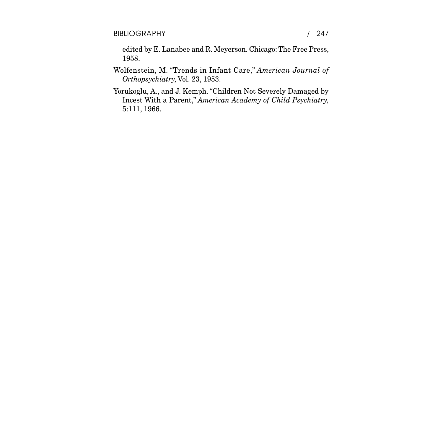edited by E. Lanabee and R. Meyerson. Chicago: The Free Press, 1958.

- Wolfenstein, M. "Trends in Infant Care," *American Journal of Orthopsychiatry*, Vol. 23, 1953.
- Yorukoglu, A., and J. Kemph. "Children Not Severely Damaged by Incest With a Parent," *American Academy of Child Psychiatry,* 5:111, 1966.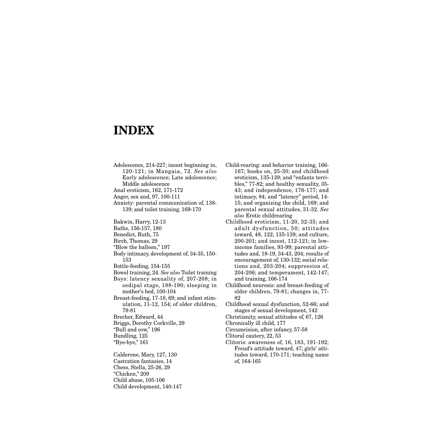# **INDEX**

- Adolescence, 214-227; incest beginning in, 120-121; in Mangaia, 72. *See also* Early adolescence; Late adolescence; Middle adolescence
- Anal eroticism, 162, 171-172
- Anger, sex and, 97, 100-111
- Anxiety: parental communication of, 138- 139; and toilet training, 169-170
- Bakwin, Harry, 12-13
- Baths, 156-157, 180
- Benedict, Ruth, 75
- Birch, Thomas, 29
- "Blow the balloon," 197
- Body intimacy, development of, 34-35, 150- 153
- Bottle-feeding, 154-155
- Bowel training, 24. *See also* Toilet training
- Boys: latency sexuality of, 207-208; in oedipal stage, 188-190; sleeping in mother's bed, 100-104
- Breast-feeding, 17-18, 69; and infant stimulation, 11-12, 154; of older children, 79-81
- Brecher, Edward, 44
- Briggs, Dorothy Corkville, 29
- "Bull and cow," 196
- Bundling, 125
- "Bye-bye," 161

Calderone, Mary, 127, 130 Castration fantasies, 14 Chess, Stella, 25-26, 29 "Chicken," 209 Child abuse, 105-106 Child development, 140-147

- Child-rearing: and behavior training, 166- 167; books on, 25-30; and childhood eroticism, 135-139; and "enfants terribles," 77-82; and healthy sexuality, 35- 43; and independence, 176-177; and intimacy, 84; and "latency" period, 14- 15; and organizing the child, 169; and parental sexual attitudes, 31-32. *See also* Erotic childrearing
- Childhood eroticism, 11-20, 32-35; and adult dysfunction, 50; attitudes toward, 48, 122, 135-139; and culture, 200-201; and incest, 112-121; in lowincome families, 93-99; parental attitudes and, 18-19, 34-43, 204; results of encouragement of, 130-132; social relations and, 203-204; suppression of, 204-206; and temperament, 142-147; and training, 166-174
- Childhood neurosis: and breast-feeding of older children, 79-81; changes in, 77- 82
- Childhood sexual dysfunction, 52-66; and stages of sexual development, 142
- Christianity, sexual attitudes of, 67, 126
- Chronically ill child, 177
- Circumcision, after infancy, 57-58
- Clitoral cautery, 22, 53
- Clitoris: awareness of, 16, 183, 191-192; Freud's attitude toward, 47; girls' attitudes toward, 170-171; teaching name of, 164-165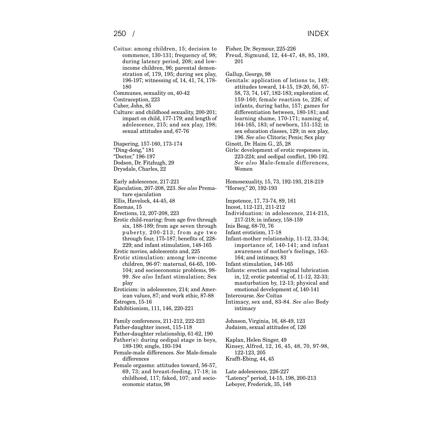- Coitus: among children, 15; decision to commence, 130-131; frequency of, 98; during latency period, 208; and lowincome children, 96; parental demonstration of, 179, 195; during sex play, 196-197; witnessing of, 14, 41, 74, 178- 180
- Communes, sexuality on, 40-42

Contraception, 223

Cuber, John, 85

- Culture: and childhood sexuality, 200-201; impact on child, 177-179; and length of adolescence, 215; and sex play, 198; sexual attitudes and, 67-76
- Diapering, 157-160, 173-174
- "Ding-dong," 181
- "Doctor," 196-197
- Dodson, Dr. Fitzhugh, 29
- Drysdale, Charles, 22
- Early adolescence, 217-221
- Ejaculation, 207-208, 223. *See also* Premature ejaculation
- Ellis, Havelock, 44-45, 48

Enemas, 15

- Erections, 12, 207-208, 223
- Erotic child-rearing: from age five through six, 188-189; from age seven through puberty, 200-213; from age two through four, 175-187; benefits of, 228- 229; and infant stimulation, 148-165
- Erotic movies, adolescents and, 225
- Erotic stimulation: among low-income children, 96-97: maternal, 64-65, 100- 104; and socioeconomic problems, 98- 99. *See also* Infant stimulation; Sex play
- Eroticism: in adolescence, 214; and American values, 87; and work ethic, 87-88
- Estrogen, 15-16
- Exhibitionism, 111, 146, 220-221
- Family conferences, 211-212, 222-223
- Father-daughter incest, 115-118
- Father-daughter relationship, 61-62, 190
- Father(s): during oedipal stage in boys, 189-190; single, 193-194
- Female-male differences. *See* Male-female differences
- Female orgasms: attitudes toward, 56-57, 69, 73; and breast-feeding, 17-18; in childhood, 117; faked, 107; and socioeconomic status, 98

Fisher, Dr. Seymour, 225-226

- Freud, Sigmund, 12, 44-47, 48, 85, 189, 201
- Gallup, George, 98
- Genitals: application of lotions to, 149; attitudes toward, 14-15, 19-20, 56, 57- 58, 73, 74, 147, 182-183; exploration of, 159-160; female reaction to, 226; of infants, during baths, 157; games for differentiation between, 180-181; and learning shame, 170-171; naming of, 164-165, 183; of newborn, 151-152; in sex education classes, 129; in sex play, 196. *See also* Clitoris; Penis; Sex play
- Ginott, Dr. Haim G., 25, 28
- Girls: development of erotic responses in, 223-224; and oedipal conflict, 190-192. *See also* Male-female differences, Women
- Homosexuality, 15, 73, 192-193, 218-219 "Horsey," 20, 192-193
- Impotence, 17, 73-74, 89, 161
- Incest, 112-121, 211-212
- Individuation: in adolescence, 214-215, 217-218; in infancy, 158-159
- Inis Beag, 68-70, 76
- Infant eroticism, 17-18
- Infant-mother relationship, 11-12, 33-34; importance of, 140-141; and infant awareness of mother's feelings, 163- 164; and intimacy, 83
- Infant stimulation, 148-165
- Infants: erection and vaginal lubrication in, 12; erotic potential of, 11-12, 32-33; masturbation by, 12-13; physical and emotional development of, 140-141
- Intercourse. *See* Coitus
- Intimacy, sex and, 83-84. *See also* Body intimacy
- Johnson, Virginia, 16, 48-49, 123 Judaism, sexual attitudes of, 126
- Kaplan, Helen Singer, 49
- Kinsey, Alfred, 12, 16, 45, 48, 70, 97-98, 122-123, 205
- Krafft-Ebing, 44, 45
- Late adolescence, 226-227
- "Latency" period, 14-15, 198, 200-213 Leboyer, Frederick, 35, 148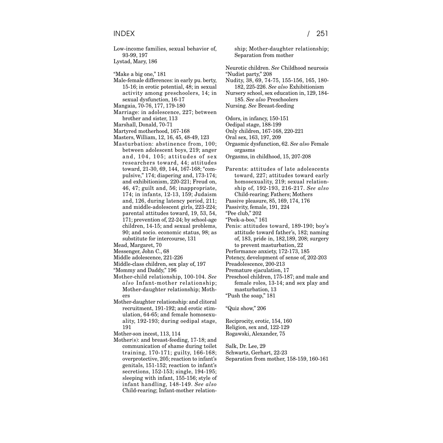Low-income families, sexual behavior of, 93-99, 197

Lystad, Mary, 186

"Make a big one," 181

Male-female differences: in early pu. berty, 15-16; in erotic potential, 48; in sexual activity among preschoolers, 14; in sexual dysfunction, 16-17

Mangaia, 70-76, 177, 179-180

- Marriage: in adolescence, 227; between brother and sister, 113
- Marshall, Donald, 70-71
- Martyred motherhood, 167-168
- Masters, William, 12, 16, 45, 48-49, 123
- Masturbation: abstinence from, 100; between adolescent boys, 219; anger and, 104, 105; attitudes of sex researchers toward, 44; attitudes toward, 21-30, 69, 144, 167-168; "compulsive," 174; diapering and, 173-174; and exhibitionism, 220-221; Freud on, 46, 47; guilt and, 56; inappropriate, 174; in infants, 12-13, 159; Judaism and, 126, during latency period, 211; and middle-adolescent girls, 223-224; parental attitudes toward, 19, 53, 54, 171; prevention of, 22-24; by school-age children, 14-15; and sexual problems, 90; and socio. economic status, 98; as substitute for intercourse, 131
- Mead, Margaret, 70
- Messenger, John C., 68
- Middle adolescence, 221-226
- Middle-class children, sex play of, 197
- "Mommy and Daddy," 196
- Mother-child relationship, 100-104. *See also* Infant-mother relationship; Mother-daughter relationship; Mothers
- Mother-daughter relationship: and clitoral recruitment, 191-192; and erotic stimulation, 64-65; and female homosexuality, 192-193; during oedipal stage, 191

Mother-son incest, 113, 114

Mother(s): and breast-feeding, 17-18; and communication of shame during toilet training, 170-171; guilty, 166-168; overprotective, 205; reaction to infant's genitals, 151-152; reaction to infant's secretions, 152-153; single, 194-195; sleeping with infant, 155-156; style of infant handling, 148-149. *See also* Child-rearing; Infant-mother relationship; Mother-daughter relationship; Separation from mother

- Neurotic children. *See* Childhood neurosis "Nudist party," 208
- Nudity, 38, 69, 74-75, 155-156, 165, 180- 182, 225-226. *See also* Exhibitionism

Nursery school, sex education in, 129, 184- 185. *See also* Preschoolers

- Nursing. *See* Breast-feeding
- Odors, in infancy, 150-151
- Oedipal stage, 188-199
- Only children, 167-168, 220-221
- Oral sex, 163, 197, 209
- Orgasmic dysfunction, 62. *See also* Female orgasms
- Orgasms, in childhood, 15, 207-208
- Parents: attitudes of late adolescents toward, 227; attitudes toward early homosexuality, 219; sexual relationship of, 192-193, 216-217. *See also* Child-rearing; Fathers; Mothers
- Passive pleasure, 85, 169, 174, 176
- Passivity, female, 191, 224
- "Pee club," 202
- "Peek-a-boo," 161
- Penis: attitudes toward, 189-190; boy's attitude toward father's, 182; naming of, 183, pride in, 182,189, 208; surgery to prevent masturbation, 22
- Performance anxiety, 172-173, 185
- Potency, development of sense of, 202-203
- Preadolescence, 200-213
- Premature ejaculation, 17
- Preschool children, 175-187; and male and female roles, 13-14; and sex play and masturbation, 13
- "Push the soap," 181

"Quiz show," 206

Reciprocity, erotic, 154, 160 Religion, sex and, 122-129 Rogawski, Alexander, 75

Salk, Dr. Lee, 29 Schwartz, Gerhart, 22-23

Separation from mother, 158-159, 160-161